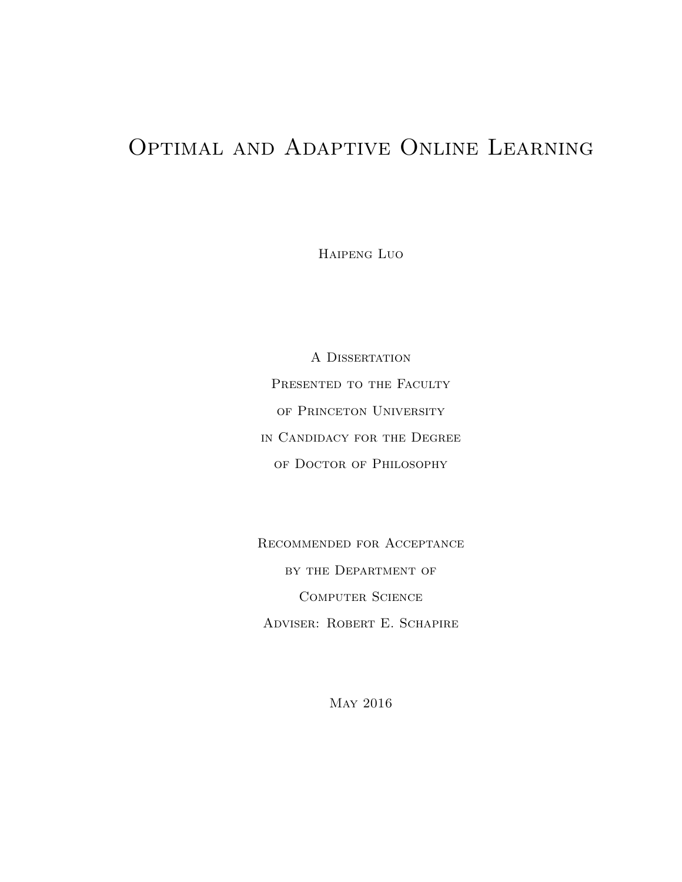### <span id="page-0-0"></span>Optimal and Adaptive Online Learning

Haipeng Luo

A DISSERTATION PRESENTED TO THE FACULTY of Princeton University in Candidacy for the Degree of Doctor of Philosophy

Recommended for Acceptance by the Department of Computer Science Adviser: Robert E. Schapire

May 2016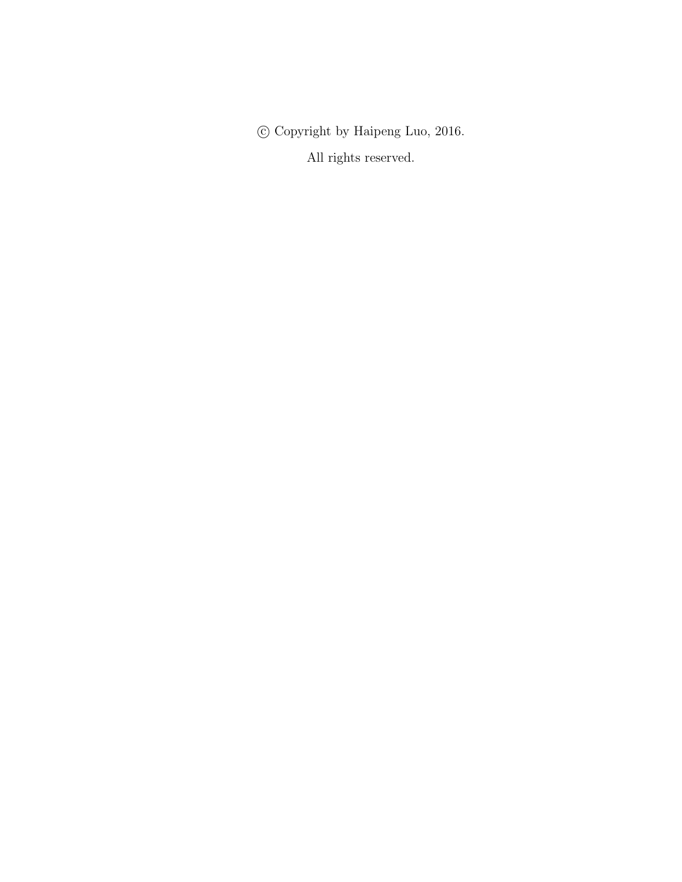$\copyright$  Copyright by Haipeng Luo, 2016.

All rights reserved.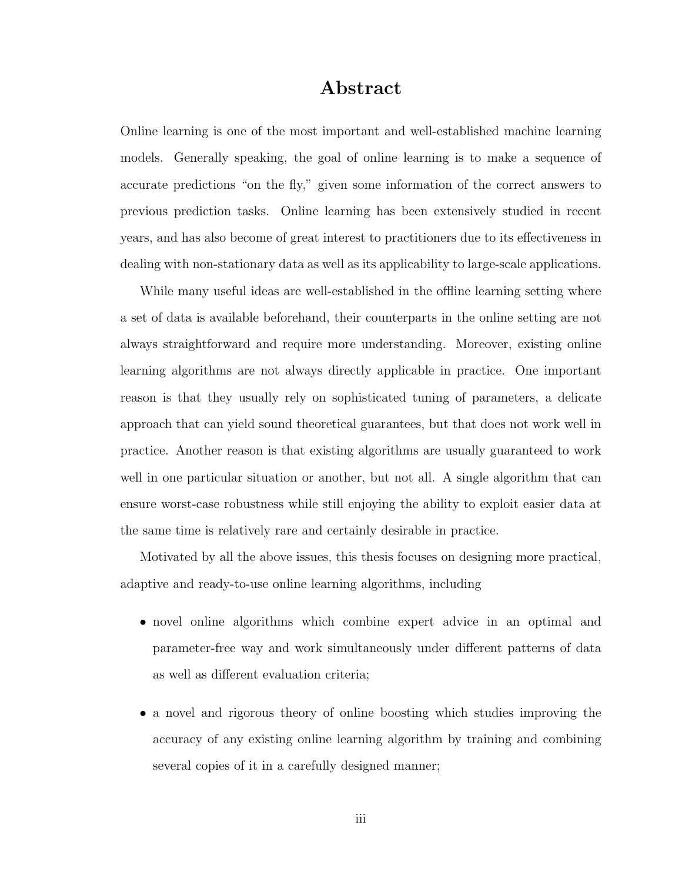#### Abstract

Online learning is one of the most important and well-established machine learning models. Generally speaking, the goal of online learning is to make a sequence of accurate predictions "on the fly," given some information of the correct answers to previous prediction tasks. Online learning has been extensively studied in recent years, and has also become of great interest to practitioners due to its effectiveness in dealing with non-stationary data as well as its applicability to large-scale applications.

While many useful ideas are well-established in the offline learning setting where a set of data is available beforehand, their counterparts in the online setting are not always straightforward and require more understanding. Moreover, existing online learning algorithms are not always directly applicable in practice. One important reason is that they usually rely on sophisticated tuning of parameters, a delicate approach that can yield sound theoretical guarantees, but that does not work well in practice. Another reason is that existing algorithms are usually guaranteed to work well in one particular situation or another, but not all. A single algorithm that can ensure worst-case robustness while still enjoying the ability to exploit easier data at the same time is relatively rare and certainly desirable in practice.

Motivated by all the above issues, this thesis focuses on designing more practical, adaptive and ready-to-use online learning algorithms, including

- novel online algorithms which combine expert advice in an optimal and parameter-free way and work simultaneously under different patterns of data as well as different evaluation criteria;
- a novel and rigorous theory of online boosting which studies improving the accuracy of any existing online learning algorithm by training and combining several copies of it in a carefully designed manner;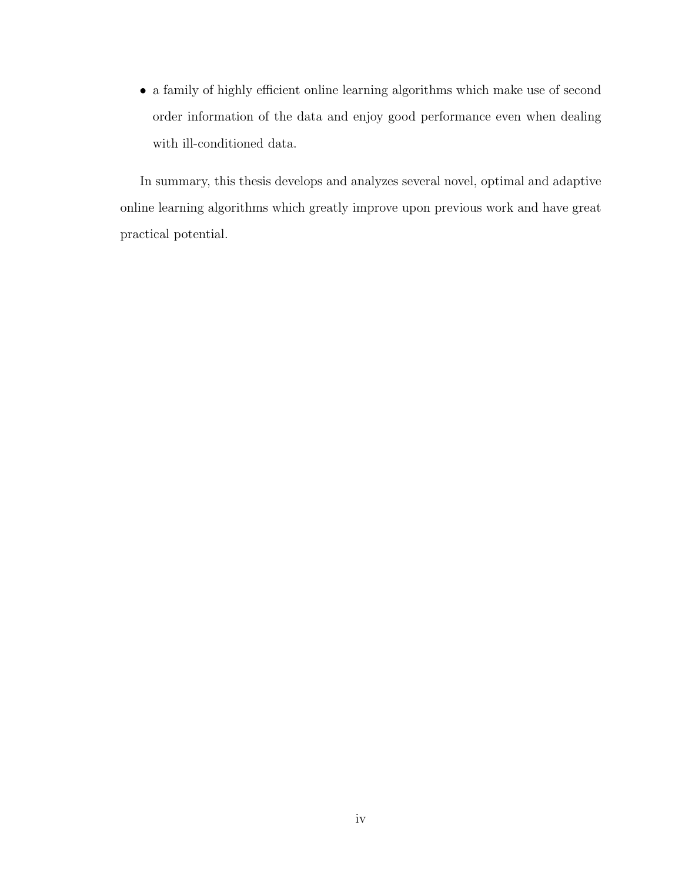$\bullet\,$  a family of highly efficient online learning algorithms which make use of second order information of the data and enjoy good performance even when dealing with ill-conditioned data.

In summary, this thesis develops and analyzes several novel, optimal and adaptive online learning algorithms which greatly improve upon previous work and have great practical potential.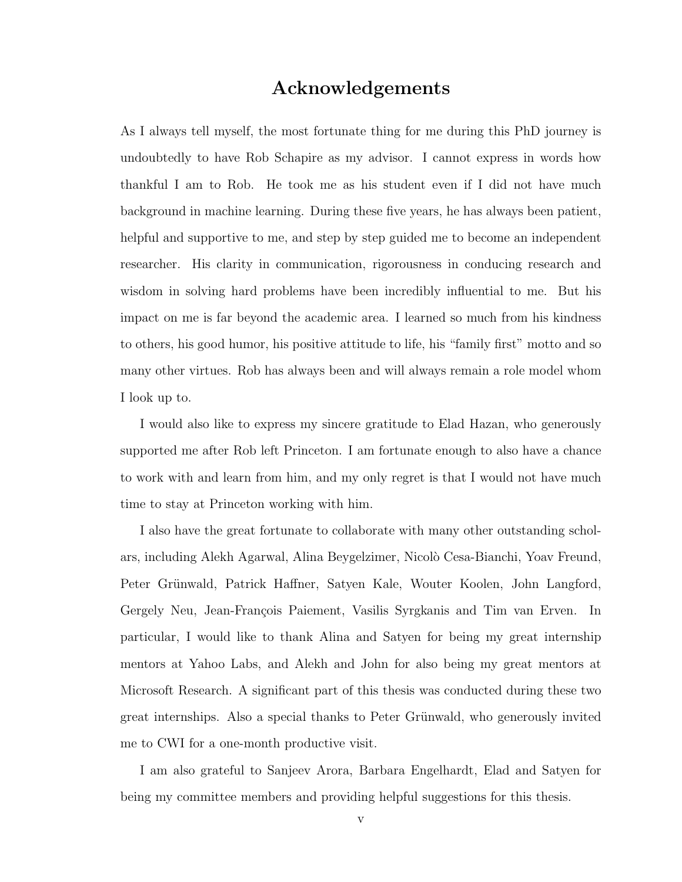#### Acknowledgements

<span id="page-4-0"></span>As I always tell myself, the most fortunate thing for me during this PhD journey is undoubtedly to have Rob Schapire as my advisor. I cannot express in words how thankful I am to Rob. He took me as his student even if I did not have much background in machine learning. During these five years, he has always been patient, helpful and supportive to me, and step by step guided me to become an independent researcher. His clarity in communication, rigorousness in conducing research and wisdom in solving hard problems have been incredibly influential to me. But his impact on me is far beyond the academic area. I learned so much from his kindness to others, his good humor, his positive attitude to life, his "family first" motto and so many other virtues. Rob has always been and will always remain a role model whom I look up to.

I would also like to express my sincere gratitude to Elad Hazan, who generously supported me after Rob left Princeton. I am fortunate enough to also have a chance to work with and learn from him, and my only regret is that I would not have much time to stay at Princeton working with him.

I also have the great fortunate to collaborate with many other outstanding scholars, including Alekh Agarwal, Alina Beygelzimer, Nicol`o Cesa-Bianchi, Yoav Freund, Peter Grünwald, Patrick Haffner, Satyen Kale, Wouter Koolen, John Langford, Gergely Neu, Jean-François Paiement, Vasilis Syrgkanis and Tim van Erven. In particular, I would like to thank Alina and Satyen for being my great internship mentors at Yahoo Labs, and Alekh and John for also being my great mentors at Microsoft Research. A significant part of this thesis was conducted during these two great internships. Also a special thanks to Peter Grünwald, who generously invited me to CWI for a one-month productive visit.

I am also grateful to Sanjeev Arora, Barbara Engelhardt, Elad and Satyen for being my committee members and providing helpful suggestions for this thesis.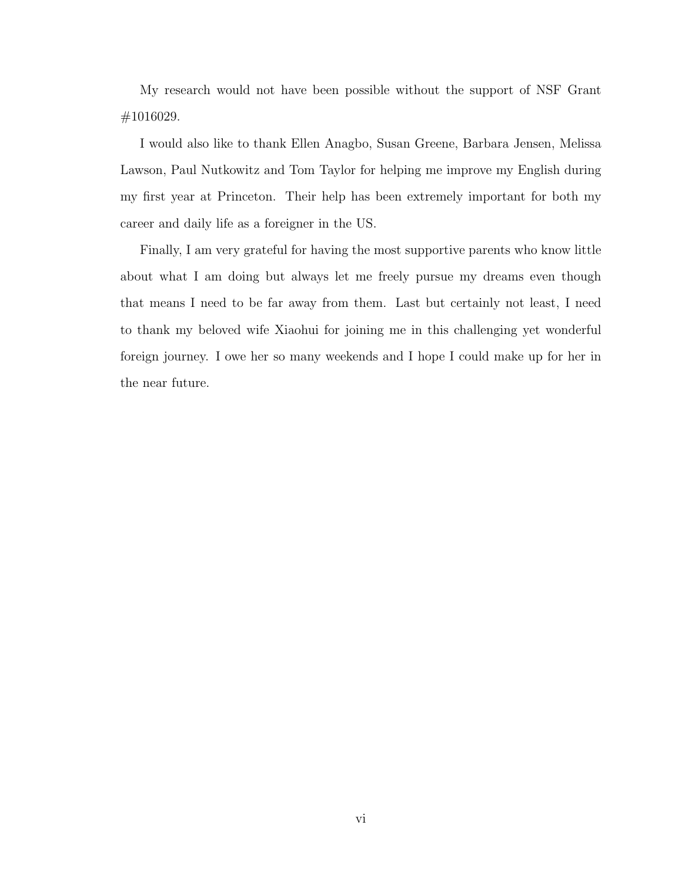My research would not have been possible without the support of NSF Grant #1016029.

I would also like to thank Ellen Anagbo, Susan Greene, Barbara Jensen, Melissa Lawson, Paul Nutkowitz and Tom Taylor for helping me improve my English during my first year at Princeton. Their help has been extremely important for both my career and daily life as a foreigner in the US.

Finally, I am very grateful for having the most supportive parents who know little about what I am doing but always let me freely pursue my dreams even though that means I need to be far away from them. Last but certainly not least, I need to thank my beloved wife Xiaohui for joining me in this challenging yet wonderful foreign journey. I owe her so many weekends and I hope I could make up for her in the near future.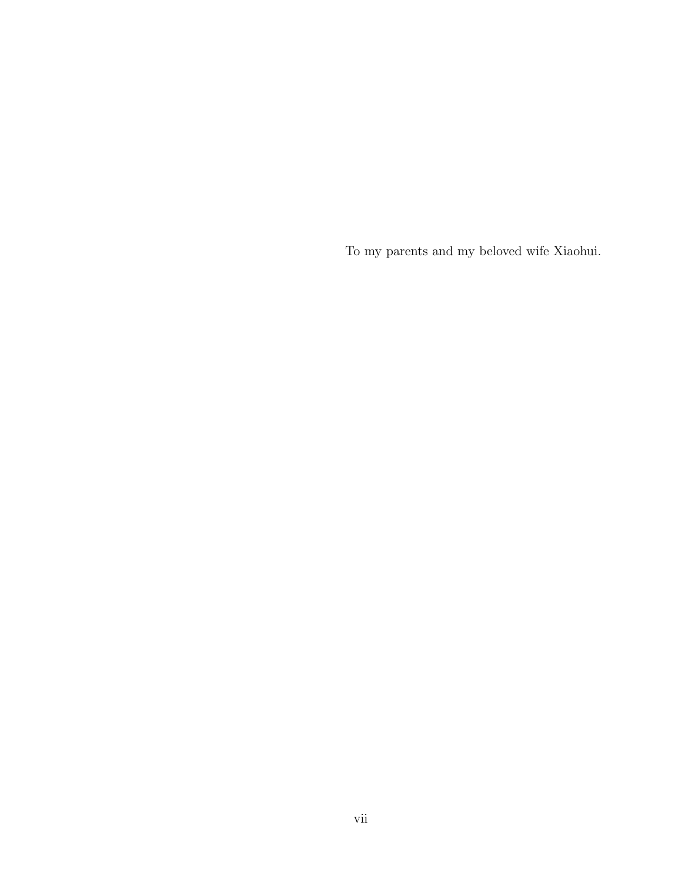To my parents and my beloved wife Xiaohui.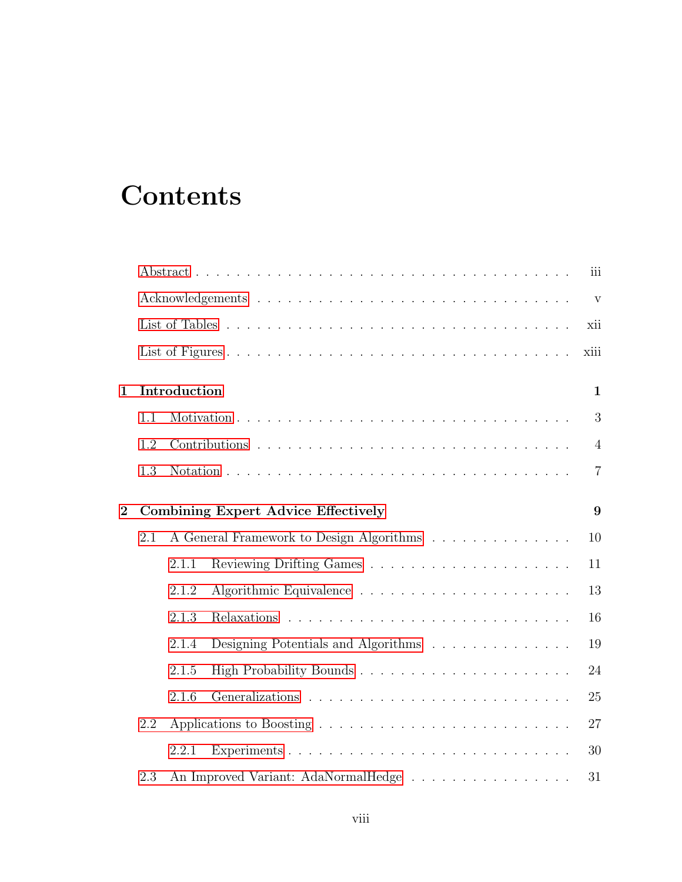# **Contents**

|                |     |              |                                            | iii            |
|----------------|-----|--------------|--------------------------------------------|----------------|
|                |     |              |                                            | $\mathbf{V}$   |
|                |     |              |                                            | xii            |
|                |     |              |                                            | xiii           |
| $\mathbf 1$    |     | Introduction |                                            | $\mathbf{1}$   |
|                | 1.1 |              |                                            | 3              |
|                | 1.2 |              |                                            | $\overline{4}$ |
|                | 1.3 |              |                                            | $\overline{7}$ |
| $\overline{2}$ |     |              | <b>Combining Expert Advice Effectively</b> | 9              |
|                | 2.1 |              | A General Framework to Design Algorithms   | 10             |
|                |     | 2.1.1        |                                            | 11             |
|                |     | 2.1.2        |                                            | 13             |
|                |     | 2.1.3        |                                            | 16             |
|                |     | 2.1.4        | Designing Potentials and Algorithms        | 19             |
|                |     | 2.1.5        |                                            | 24             |
|                |     | 2.1.6        |                                            | 25             |
|                | 2.2 |              |                                            | 27             |
|                |     | 2.2.1        |                                            | 30             |
|                | 2.3 |              | An Improved Variant: AdaNormalHedge        | 31             |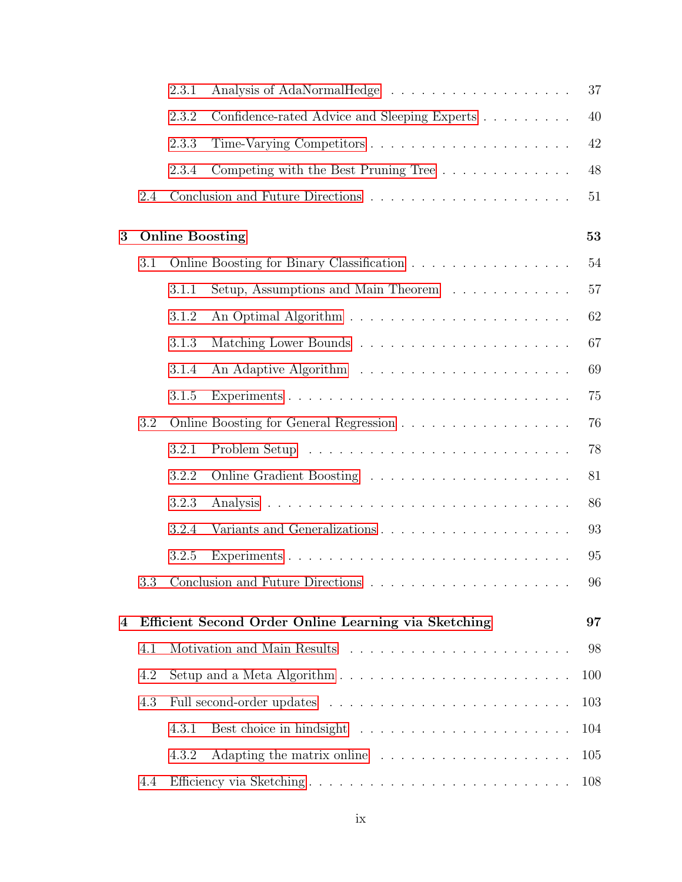|   |     | 2.3.1 |                                                                                      | 37     |
|---|-----|-------|--------------------------------------------------------------------------------------|--------|
|   |     | 2.3.2 | Confidence-rated Advice and Sleeping Experts                                         | 40     |
|   |     | 2.3.3 |                                                                                      | 42     |
|   |     | 2.3.4 | Competing with the Best Pruning Tree                                                 | 48     |
|   | 2.4 |       |                                                                                      | $51\,$ |
| 3 |     |       | <b>Online Boosting</b>                                                               | 53     |
|   | 3.1 |       | Online Boosting for Binary Classification                                            | 54     |
|   |     | 3.1.1 | Setup, Assumptions and Main Theorem $\ldots \ldots \ldots \ldots$                    | 57     |
|   |     | 3.1.2 |                                                                                      | 62     |
|   |     | 3.1.3 |                                                                                      | 67     |
|   |     | 3.1.4 |                                                                                      | 69     |
|   |     | 3.1.5 |                                                                                      | 75     |
|   | 3.2 |       |                                                                                      | 76     |
|   |     | 3.2.1 |                                                                                      | 78     |
|   |     | 3.2.2 | Online Gradient Boosting                                                             | 81     |
|   |     | 3.2.3 |                                                                                      | 86     |
|   |     | 3.2.4 |                                                                                      | 93     |
|   |     | 3.2.5 |                                                                                      | 95     |
|   | 3.3 |       |                                                                                      | 96     |
| 4 |     |       | Efficient Second Order Online Learning via Sketching                                 | 97     |
|   | 4.1 |       |                                                                                      | 98     |
|   | 4.2 |       | Setup and a Meta Algorithm $\ldots \ldots \ldots \ldots \ldots \ldots \ldots \ldots$ | 100    |
|   | 4.3 |       |                                                                                      | 103    |
|   |     | 4.3.1 |                                                                                      | 104    |
|   |     | 4.3.2 | Adapting the matrix online                                                           | 105    |
|   | 4.4 |       |                                                                                      | 108    |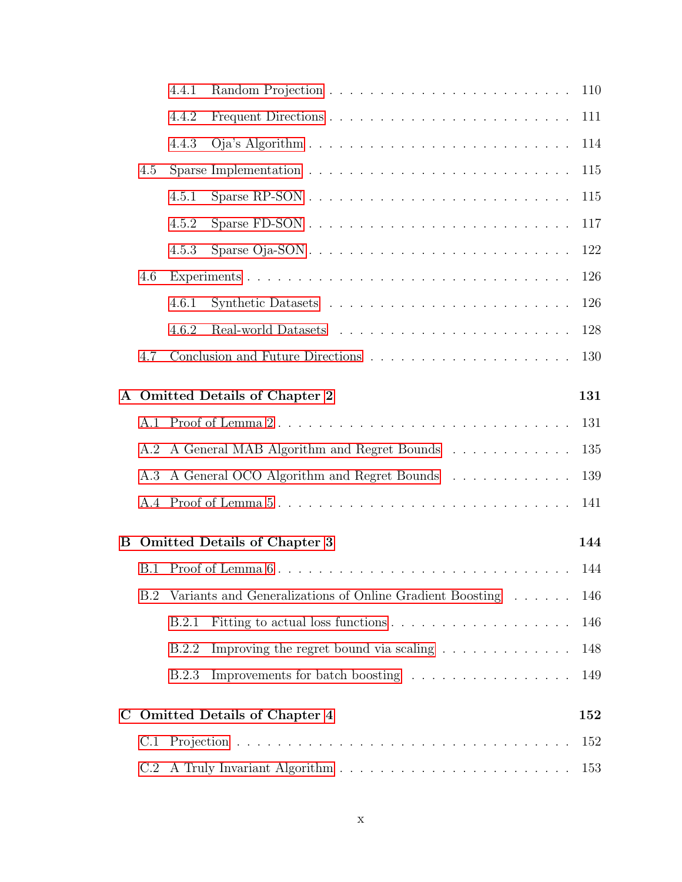|   |     | 4.4.1        |                                                                      | 110 |
|---|-----|--------------|----------------------------------------------------------------------|-----|
|   |     | 4.4.2        |                                                                      | 111 |
|   |     | 4.4.3        |                                                                      | 114 |
|   | 4.5 |              |                                                                      | 115 |
|   |     | 4.5.1        |                                                                      | 115 |
|   |     | 4.5.2        |                                                                      | 117 |
|   |     | 4.5.3        |                                                                      | 122 |
|   | 4.6 |              |                                                                      | 126 |
|   |     | 4.6.1        |                                                                      | 126 |
|   |     | 4.6.2        |                                                                      | 128 |
|   | 4.7 |              |                                                                      | 130 |
|   |     |              | A Omitted Details of Chapter 2                                       | 131 |
|   |     |              |                                                                      | 131 |
|   | A.2 |              | A General MAB Algorithm and Regret Bounds                            | 135 |
|   | A.3 |              | A General OCO Algorithm and Regret Bounds                            | 139 |
|   |     |              | A.4 Proof of Lemma 5                                                 | 141 |
|   |     |              |                                                                      |     |
| В |     |              | <b>Omitted Details of Chapter 3</b>                                  | 144 |
|   |     |              | B.1 Proof of Lemma 6                                                 | 144 |
|   | B.2 |              | Variants and Generalizations of Online Gradient Boosting             | 146 |
|   |     | B.2.1        |                                                                      | 146 |
|   |     | B.2.2        | Improving the regret bound via scaling $\ldots \ldots \ldots \ldots$ | 148 |
|   |     | <b>B.2.3</b> | Improvements for batch boosting                                      | 149 |
| C |     |              | <b>Omitted Details of Chapter 4</b>                                  | 152 |
|   | C.1 |              |                                                                      | 152 |
|   | C.2 |              |                                                                      | 153 |
|   |     |              |                                                                      |     |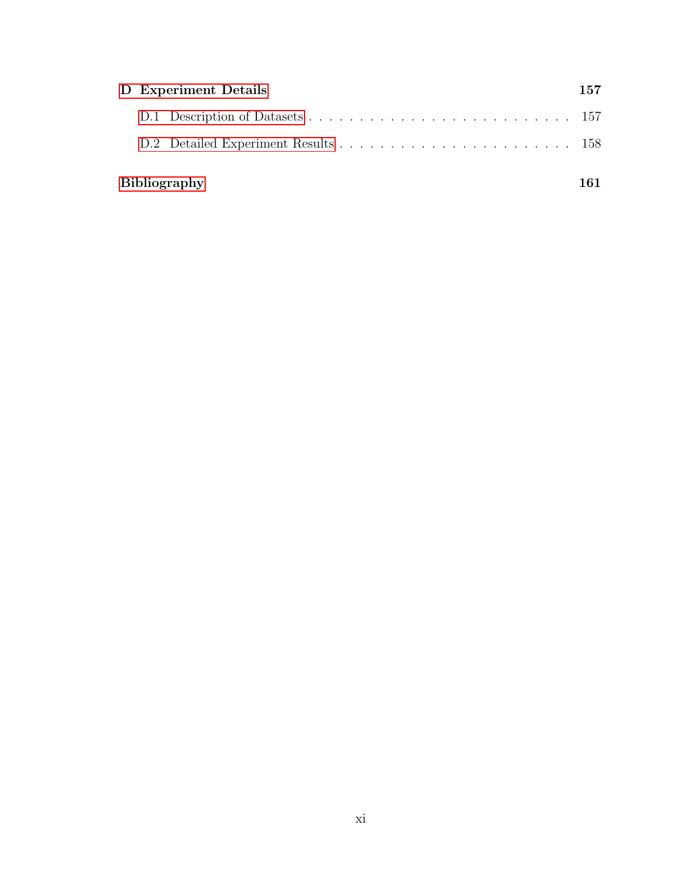| D Experiment Details |  |                     | 157 |
|----------------------|--|---------------------|-----|
|                      |  |                     |     |
|                      |  |                     |     |
|                      |  | <b>Bibliography</b> |     |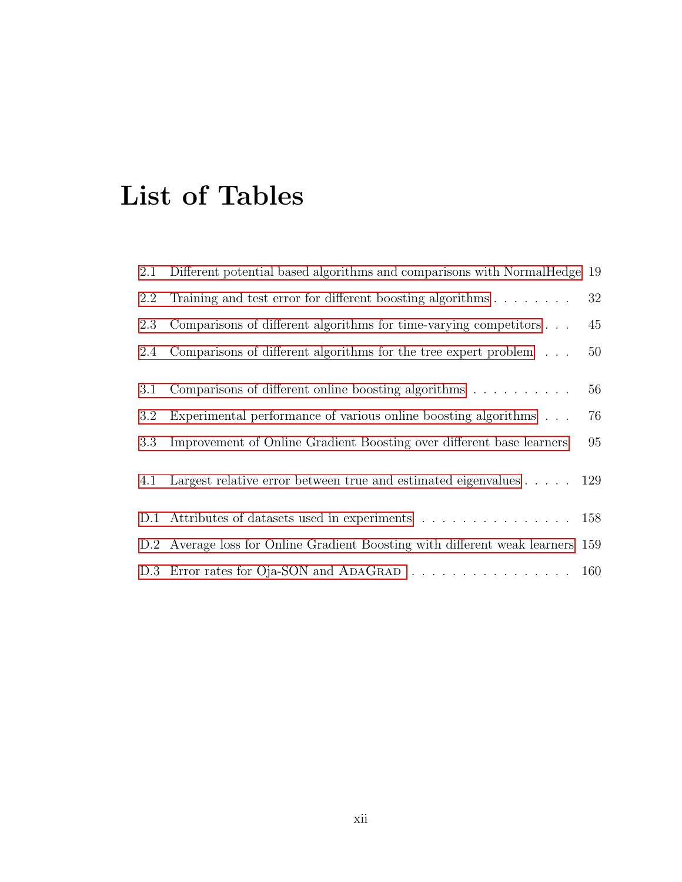# <span id="page-11-0"></span>List of Tables

| 2.1 | Different potential based algorithms and comparisons with NormalHedge 19         |    |
|-----|----------------------------------------------------------------------------------|----|
| 2.2 | Training and test error for different boosting algorithms $\ldots \ldots \ldots$ | 32 |
| 2.3 | Comparisons of different algorithms for time-varying competitors                 | 45 |
| 2.4 | Comparisons of different algorithms for the tree expert problem $\ldots$         | 50 |
| 3.1 | Comparisons of different online boosting algorithms $\ldots \ldots \ldots$       | 56 |
| 3.2 | Experimental performance of various online boosting algorithms                   | 76 |
| 3.3 | Improvement of Online Gradient Boosting over different base learners             | 95 |
| 4.1 | Largest relative error between true and estimated eigenvalues 129                |    |
|     | D.1 Attributes of datasets used in experiments 158                               |    |
|     | D.2 Average loss for Online Gradient Boosting with different weak learners 159   |    |
|     | D.3 Error rates for Oja-SON and ADAGRAD 160                                      |    |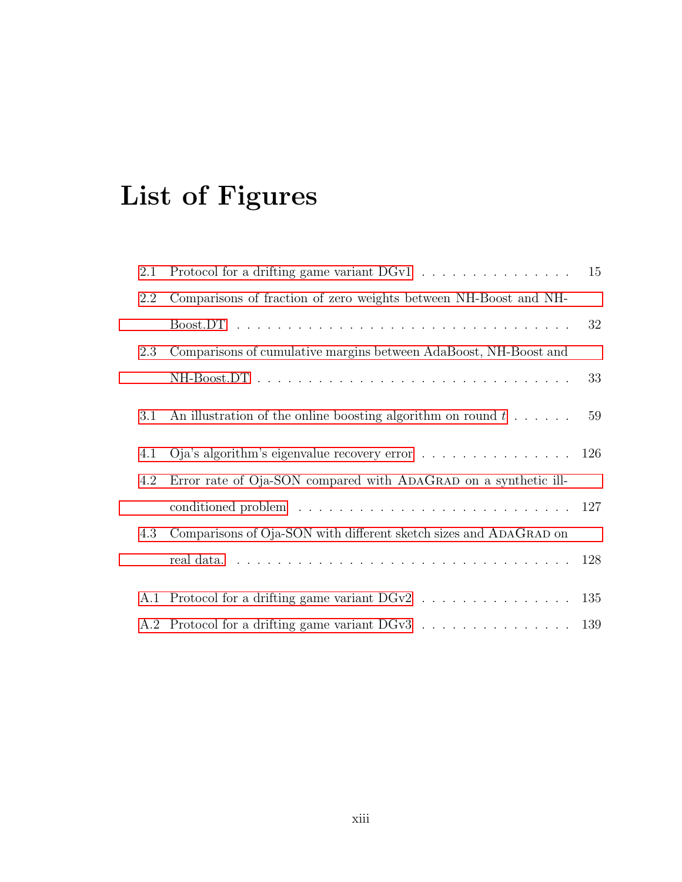# <span id="page-12-0"></span>List of Figures

| 2.1 | Protocol for a drifting game variant DGv1                                                   | 15 |
|-----|---------------------------------------------------------------------------------------------|----|
| 2.2 | Comparisons of fraction of zero weights between NH-Boost and NH-                            |    |
|     |                                                                                             | 32 |
| 2.3 | Comparisons of cumulative margins between AdaBoost, NH-Boost and                            |    |
|     |                                                                                             | 33 |
| 3.1 | An illustration of the online boosting algorithm on round $t \dots$ .                       | 59 |
| 4.1 | Oja's algorithm's eigenvalue recovery error $\dots \dots \dots \dots \dots \dots \dots$ 126 |    |
| 4.2 | Error rate of Oja-SON compared with ADAGRAD on a synthetic ill-                             |    |
|     |                                                                                             |    |
| 4.3 | Comparisons of Oja-SON with different sketch sizes and ADAGRAD on                           |    |
|     |                                                                                             |    |
|     | A.1 Protocol for a drifting game variant DGv2 135                                           |    |
|     | A.2 Protocol for a drifting game variant DGv3 139                                           |    |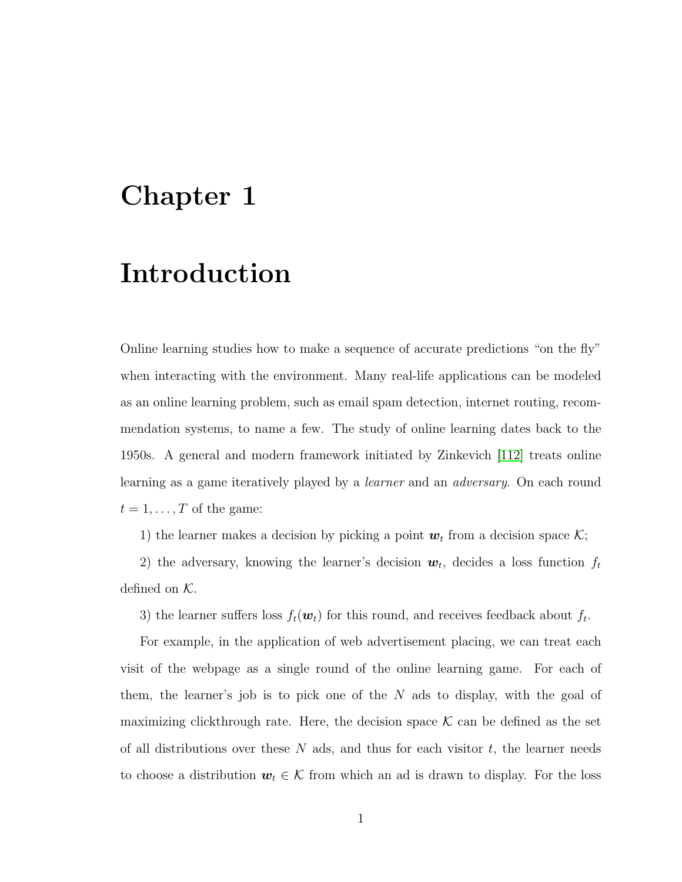## <span id="page-13-0"></span>Chapter 1

## Introduction

Online learning studies how to make a sequence of accurate predictions "on the fly" when interacting with the environment. Many real-life applications can be modeled as an online learning problem, such as email spam detection, internet routing, recommendation systems, to name a few. The study of online learning dates back to the 1950s. A general and modern framework initiated by Zinkevich [\[112\]](#page-181-0) treats online learning as a game iteratively played by a learner and an adversary. On each round  $t = 1, \ldots, T$  of the game:

1) the learner makes a decision by picking a point  $w_t$  from a decision space  $\mathcal{K}$ ;

2) the adversary, knowing the learner's decision  $w_t$ , decides a loss function  $f_t$ defined on  $K$ .

3) the learner suffers loss  $f_t(\boldsymbol{w}_t)$  for this round, and receives feedback about  $f_t$ .

For example, in the application of web advertisement placing, we can treat each visit of the webpage as a single round of the online learning game. For each of them, the learner's job is to pick one of the  $N$  ads to display, with the goal of maximizing clickthrough rate. Here, the decision space  $\mathcal K$  can be defined as the set of all distributions over these N ads, and thus for each visitor  $t$ , the learner needs to choose a distribution  $w_t \in \mathcal{K}$  from which an ad is drawn to display. For the loss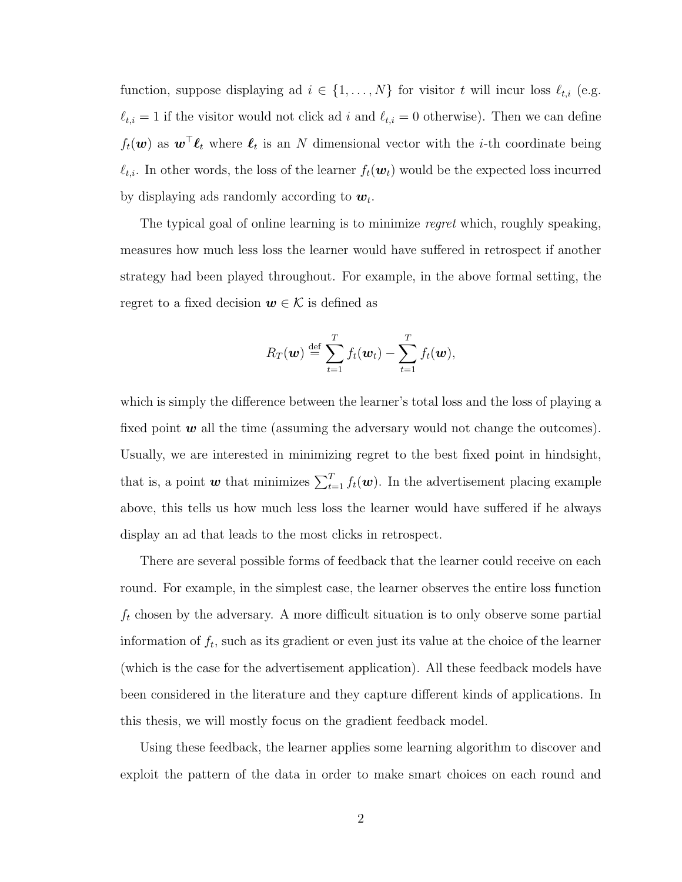function, suppose displaying ad  $i \in \{1, \ldots, N\}$  for visitor t will incur loss  $\ell_{t,i}$  (e.g.  $\ell_{t,i} = 1$  if the visitor would not click ad i and  $\ell_{t,i} = 0$  otherwise). Then we can define  $f_t(\boldsymbol{w})$  as  $\boldsymbol{w}^\top \boldsymbol{\ell}_t$  where  $\boldsymbol{\ell}_t$  is an N dimensional vector with the *i*-th coordinate being  $\ell_{t,i}$ . In other words, the loss of the learner  $f_t(\boldsymbol{w}_t)$  would be the expected loss incurred by displaying ads randomly according to  $w_t$ .

The typical goal of online learning is to minimize *regret* which, roughly speaking, measures how much less loss the learner would have suffered in retrospect if another strategy had been played throughout. For example, in the above formal setting, the regret to a fixed decision  $w \in \mathcal{K}$  is defined as

$$
R_T(\boldsymbol{w}) \stackrel{\text{def}}{=} \sum_{t=1}^T f_t(\boldsymbol{w}_t) - \sum_{t=1}^T f_t(\boldsymbol{w}),
$$

which is simply the difference between the learner's total loss and the loss of playing a fixed point  $w$  all the time (assuming the adversary would not change the outcomes). Usually, we are interested in minimizing regret to the best fixed point in hindsight, that is, a point *w* that minimizes  $\sum_{t=1}^{T} f_t(\boldsymbol{w})$ . In the advertisement placing example above, this tells us how much less loss the learner would have suffered if he always display an ad that leads to the most clicks in retrospect.

There are several possible forms of feedback that the learner could receive on each round. For example, in the simplest case, the learner observes the entire loss function  $f_t$  chosen by the adversary. A more difficult situation is to only observe some partial information of  $f_t$ , such as its gradient or even just its value at the choice of the learner (which is the case for the advertisement application). All these feedback models have been considered in the literature and they capture different kinds of applications. In this thesis, we will mostly focus on the gradient feedback model.

Using these feedback, the learner applies some learning algorithm to discover and exploit the pattern of the data in order to make smart choices on each round and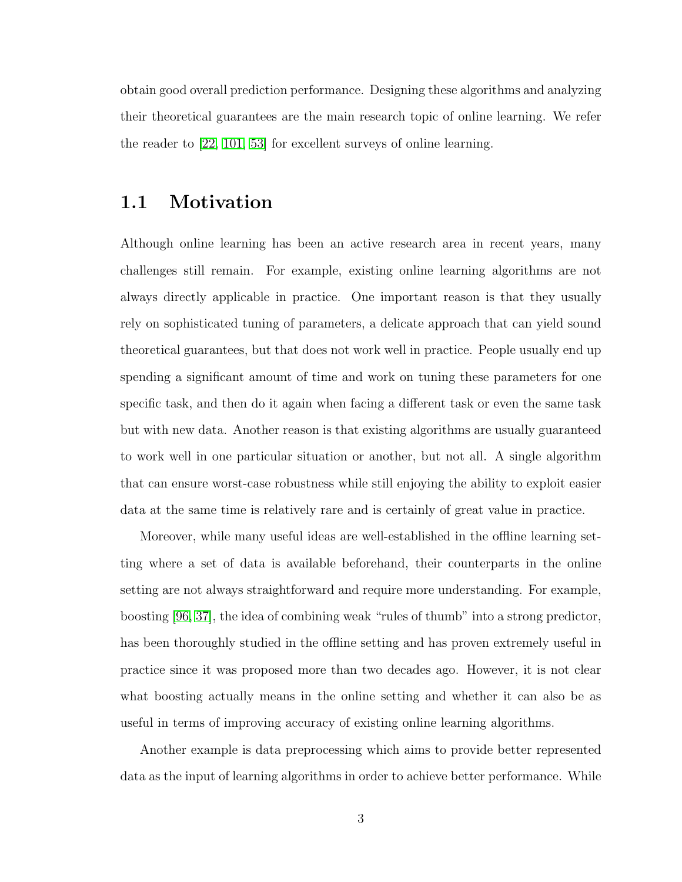obtain good overall prediction performance. Designing these algorithms and analyzing their theoretical guarantees are the main research topic of online learning. We refer the reader to [\[22,](#page-174-0) [101,](#page-180-0) [53\]](#page-177-0) for excellent surveys of online learning.

#### <span id="page-15-0"></span>1.1 Motivation

Although online learning has been an active research area in recent years, many challenges still remain. For example, existing online learning algorithms are not always directly applicable in practice. One important reason is that they usually rely on sophisticated tuning of parameters, a delicate approach that can yield sound theoretical guarantees, but that does not work well in practice. People usually end up spending a significant amount of time and work on tuning these parameters for one specific task, and then do it again when facing a different task or even the same task but with new data. Another reason is that existing algorithms are usually guaranteed to work well in one particular situation or another, but not all. A single algorithm that can ensure worst-case robustness while still enjoying the ability to exploit easier data at the same time is relatively rare and is certainly of great value in practice.

Moreover, while many useful ideas are well-established in the offline learning setting where a set of data is available beforehand, their counterparts in the online setting are not always straightforward and require more understanding. For example, boosting [\[96,](#page-180-1) [37\]](#page-175-0), the idea of combining weak "rules of thumb" into a strong predictor, has been thoroughly studied in the offline setting and has proven extremely useful in practice since it was proposed more than two decades ago. However, it is not clear what boosting actually means in the online setting and whether it can also be as useful in terms of improving accuracy of existing online learning algorithms.

Another example is data preprocessing which aims to provide better represented data as the input of learning algorithms in order to achieve better performance. While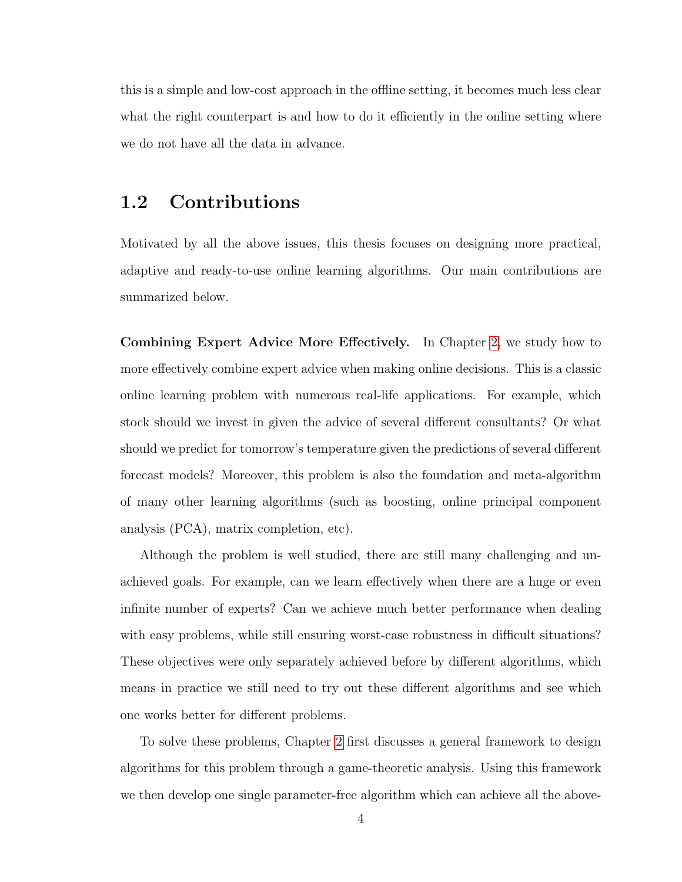this is a simple and low-cost approach in the offline setting, it becomes much less clear what the right counterpart is and how to do it efficiently in the online setting where we do not have all the data in advance.

#### <span id="page-16-0"></span>1.2 Contributions

Motivated by all the above issues, this thesis focuses on designing more practical, adaptive and ready-to-use online learning algorithms. Our main contributions are summarized below.

Combining Expert Advice More Effectively. In Chapter [2,](#page-21-0) we study how to more effectively combine expert advice when making online decisions. This is a classic online learning problem with numerous real-life applications. For example, which stock should we invest in given the advice of several different consultants? Or what should we predict for tomorrow's temperature given the predictions of several different forecast models? Moreover, this problem is also the foundation and meta-algorithm of many other learning algorithms (such as boosting, online principal component analysis (PCA), matrix completion, etc).

Although the problem is well studied, there are still many challenging and unachieved goals. For example, can we learn effectively when there are a huge or even infinite number of experts? Can we achieve much better performance when dealing with easy problems, while still ensuring worst-case robustness in difficult situations? These objectives were only separately achieved before by different algorithms, which means in practice we still need to try out these different algorithms and see which one works better for different problems.

To solve these problems, Chapter [2](#page-21-0) first discusses a general framework to design algorithms for this problem through a game-theoretic analysis. Using this framework we then develop one single parameter-free algorithm which can achieve all the above-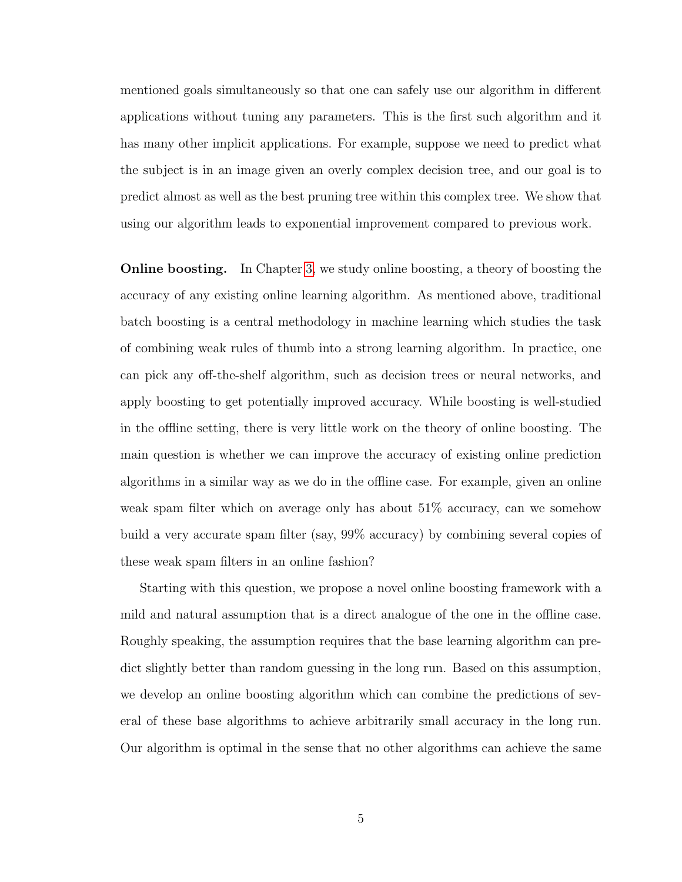mentioned goals simultaneously so that one can safely use our algorithm in different applications without tuning any parameters. This is the first such algorithm and it has many other implicit applications. For example, suppose we need to predict what the subject is in an image given an overly complex decision tree, and our goal is to predict almost as well as the best pruning tree within this complex tree. We show that using our algorithm leads to exponential improvement compared to previous work.

Online boosting. In Chapter [3,](#page-65-0) we study online boosting, a theory of boosting the accuracy of any existing online learning algorithm. As mentioned above, traditional batch boosting is a central methodology in machine learning which studies the task of combining weak rules of thumb into a strong learning algorithm. In practice, one can pick any off-the-shelf algorithm, such as decision trees or neural networks, and apply boosting to get potentially improved accuracy. While boosting is well-studied in the offline setting, there is very little work on the theory of online boosting. The main question is whether we can improve the accuracy of existing online prediction algorithms in a similar way as we do in the offline case. For example, given an online weak spam filter which on average only has about 51% accuracy, can we somehow build a very accurate spam filter (say, 99% accuracy) by combining several copies of these weak spam filters in an online fashion?

Starting with this question, we propose a novel online boosting framework with a mild and natural assumption that is a direct analogue of the one in the offline case. Roughly speaking, the assumption requires that the base learning algorithm can predict slightly better than random guessing in the long run. Based on this assumption, we develop an online boosting algorithm which can combine the predictions of several of these base algorithms to achieve arbitrarily small accuracy in the long run. Our algorithm is optimal in the sense that no other algorithms can achieve the same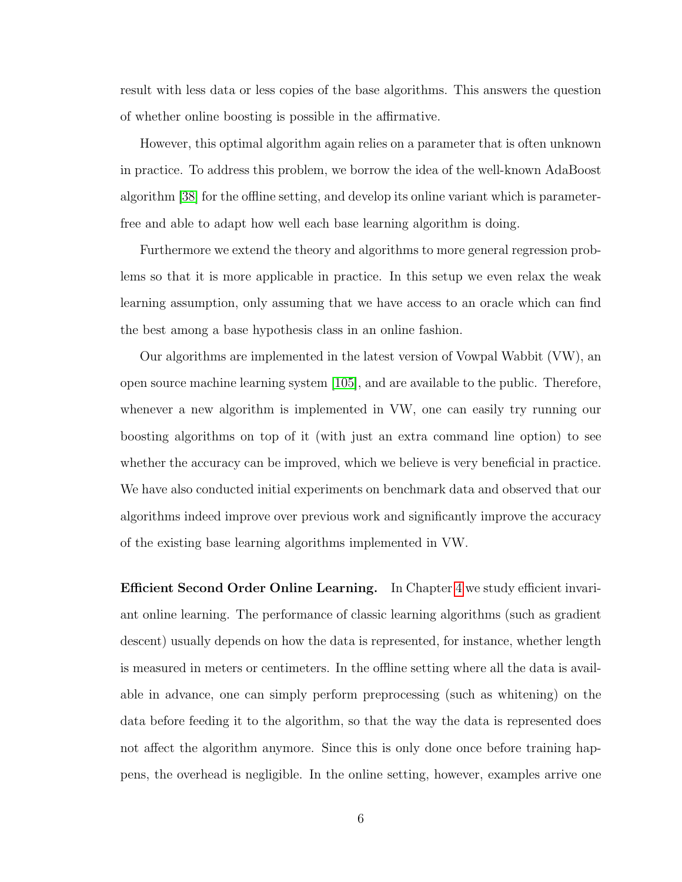result with less data or less copies of the base algorithms. This answers the question of whether online boosting is possible in the affirmative.

However, this optimal algorithm again relies on a parameter that is often unknown in practice. To address this problem, we borrow the idea of the well-known AdaBoost algorithm [\[38\]](#page-176-0) for the offline setting, and develop its online variant which is parameterfree and able to adapt how well each base learning algorithm is doing.

Furthermore we extend the theory and algorithms to more general regression problems so that it is more applicable in practice. In this setup we even relax the weak learning assumption, only assuming that we have access to an oracle which can find the best among a base hypothesis class in an online fashion.

Our algorithms are implemented in the latest version of Vowpal Wabbit (VW), an open source machine learning system [\[105\]](#page-180-2), and are available to the public. Therefore, whenever a new algorithm is implemented in VW, one can easily try running our boosting algorithms on top of it (with just an extra command line option) to see whether the accuracy can be improved, which we believe is very beneficial in practice. We have also conducted initial experiments on benchmark data and observed that our algorithms indeed improve over previous work and significantly improve the accuracy of the existing base learning algorithms implemented in VW.

Efficient Second Order Online Learning. In Chapter [4](#page-109-0) we study efficient invariant online learning. The performance of classic learning algorithms (such as gradient descent) usually depends on how the data is represented, for instance, whether length is measured in meters or centimeters. In the offline setting where all the data is available in advance, one can simply perform preprocessing (such as whitening) on the data before feeding it to the algorithm, so that the way the data is represented does not affect the algorithm anymore. Since this is only done once before training happens, the overhead is negligible. In the online setting, however, examples arrive one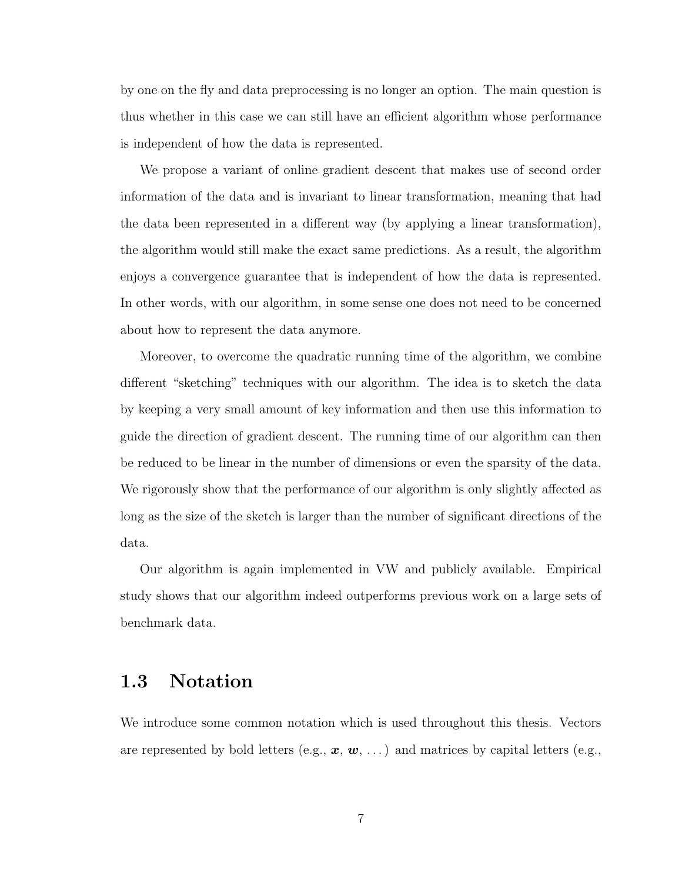by one on the fly and data preprocessing is no longer an option. The main question is thus whether in this case we can still have an efficient algorithm whose performance is independent of how the data is represented.

We propose a variant of online gradient descent that makes use of second order information of the data and is invariant to linear transformation, meaning that had the data been represented in a different way (by applying a linear transformation), the algorithm would still make the exact same predictions. As a result, the algorithm enjoys a convergence guarantee that is independent of how the data is represented. In other words, with our algorithm, in some sense one does not need to be concerned about how to represent the data anymore.

Moreover, to overcome the quadratic running time of the algorithm, we combine different "sketching" techniques with our algorithm. The idea is to sketch the data by keeping a very small amount of key information and then use this information to guide the direction of gradient descent. The running time of our algorithm can then be reduced to be linear in the number of dimensions or even the sparsity of the data. We rigorously show that the performance of our algorithm is only slightly affected as long as the size of the sketch is larger than the number of significant directions of the data.

Our algorithm is again implemented in VW and publicly available. Empirical study shows that our algorithm indeed outperforms previous work on a large sets of benchmark data.

#### <span id="page-19-0"></span>1.3 Notation

We introduce some common notation which is used throughout this thesis. Vectors are represented by bold letters (e.g.,  $x, w, \ldots$ ) and matrices by capital letters (e.g.,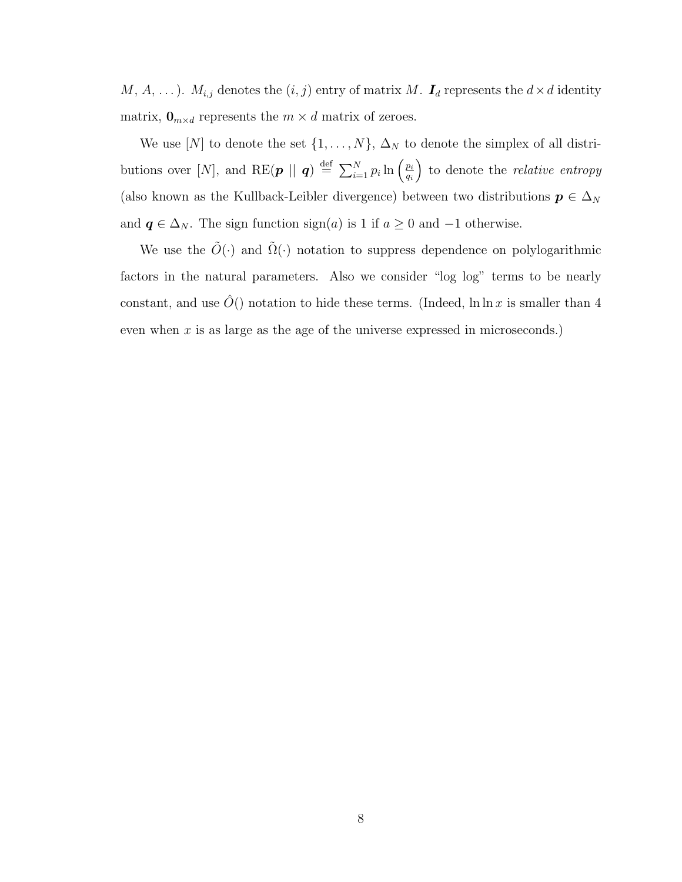M, A, ...).  $M_{i,j}$  denotes the  $(i, j)$  entry of matrix M.  $I_d$  represents the  $d \times d$  identity matrix,  $\mathbf{0}_{m \times d}$  represents the  $m \times d$  matrix of zeroes.

We use [N] to denote the set  $\{1, \ldots, N\}$ ,  $\Delta_N$  to denote the simplex of all distributions over [N], and RE( $\boldsymbol{p}$  ||  $\boldsymbol{q}$ )  $\stackrel{\text{def}}{=} \sum_{i=1}^{N} p_i \ln \left( \frac{p_i}{q_i} \right)$ qi to denote the *relative entropy* (also known as the Kullback-Leibler divergence) between two distributions  $p \in \Delta_N$ and  $q \in \Delta_N$ . The sign function sign(a) is 1 if  $a \geq 0$  and  $-1$  otherwise.

We use the  $\tilde{O}(\cdot)$  and  $\tilde{\Omega}(\cdot)$  notation to suppress dependence on polylogarithmic factors in the natural parameters. Also we consider "log log" terms to be nearly constant, and use  $\tilde{O}()$  notation to hide these terms. (Indeed, ln ln x is smaller than 4 even when  $x$  is as large as the age of the universe expressed in microseconds.)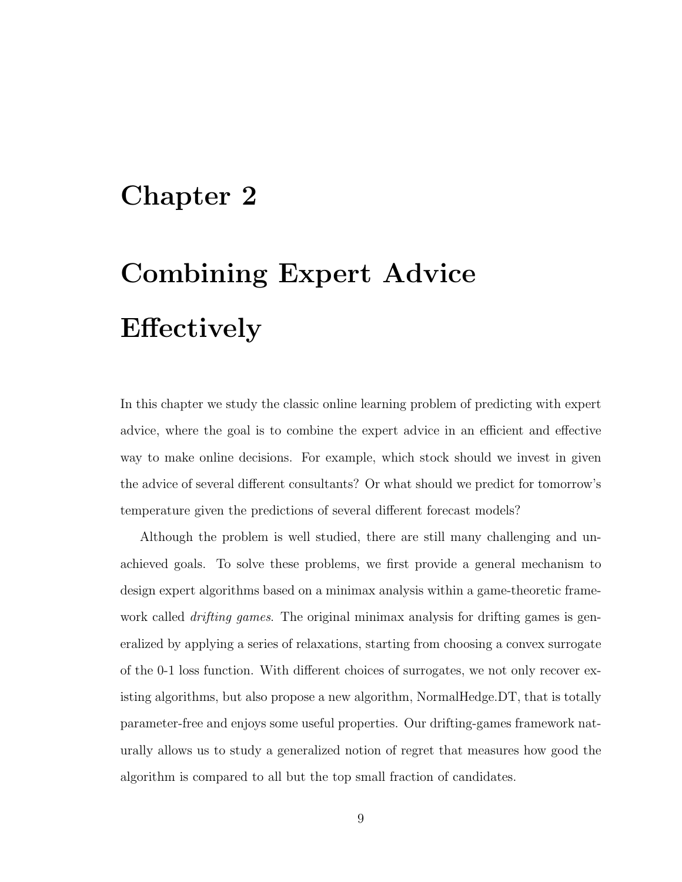## <span id="page-21-0"></span>Chapter 2

# Combining Expert Advice Effectively

In this chapter we study the classic online learning problem of predicting with expert advice, where the goal is to combine the expert advice in an efficient and effective way to make online decisions. For example, which stock should we invest in given the advice of several different consultants? Or what should we predict for tomorrow's temperature given the predictions of several different forecast models?

Although the problem is well studied, there are still many challenging and unachieved goals. To solve these problems, we first provide a general mechanism to design expert algorithms based on a minimax analysis within a game-theoretic framework called *drifting games*. The original minimax analysis for drifting games is generalized by applying a series of relaxations, starting from choosing a convex surrogate of the 0-1 loss function. With different choices of surrogates, we not only recover existing algorithms, but also propose a new algorithm, NormalHedge.DT, that is totally parameter-free and enjoys some useful properties. Our drifting-games framework naturally allows us to study a generalized notion of regret that measures how good the algorithm is compared to all but the top small fraction of candidates.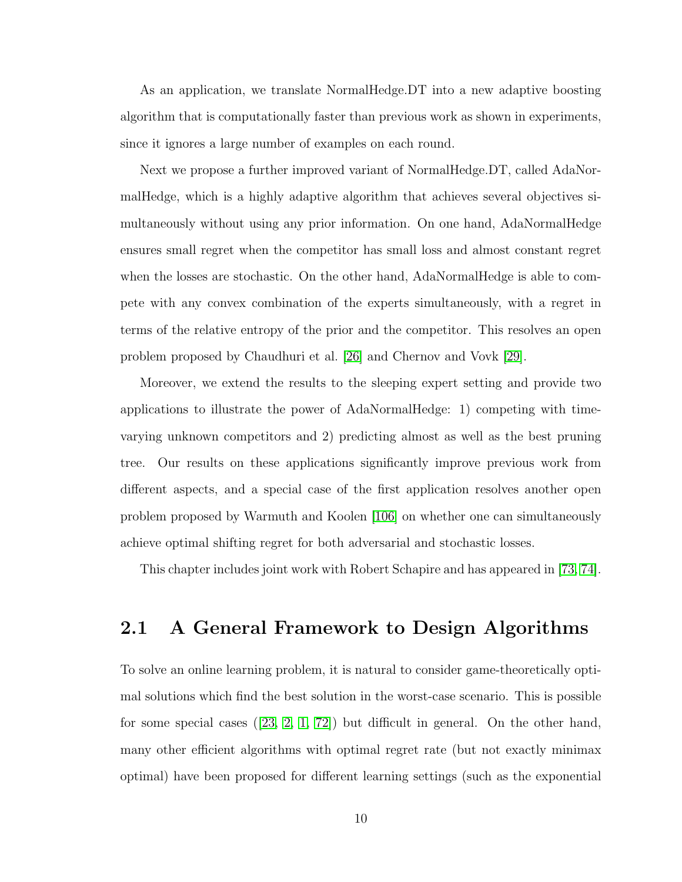As an application, we translate NormalHedge.DT into a new adaptive boosting algorithm that is computationally faster than previous work as shown in experiments, since it ignores a large number of examples on each round.

Next we propose a further improved variant of NormalHedge.DT, called AdaNormalHedge, which is a highly adaptive algorithm that achieves several objectives simultaneously without using any prior information. On one hand, AdaNormalHedge ensures small regret when the competitor has small loss and almost constant regret when the losses are stochastic. On the other hand, AdaNormalHedge is able to compete with any convex combination of the experts simultaneously, with a regret in terms of the relative entropy of the prior and the competitor. This resolves an open problem proposed by Chaudhuri et al. [\[26\]](#page-175-1) and Chernov and Vovk [\[29\]](#page-175-2).

Moreover, we extend the results to the sleeping expert setting and provide two applications to illustrate the power of AdaNormalHedge: 1) competing with timevarying unknown competitors and 2) predicting almost as well as the best pruning tree. Our results on these applications significantly improve previous work from different aspects, and a special case of the first application resolves another open problem proposed by Warmuth and Koolen [\[106\]](#page-180-3) on whether one can simultaneously achieve optimal shifting regret for both adversarial and stochastic losses.

This chapter includes joint work with Robert Schapire and has appeared in [\[73,](#page-178-0) [74\]](#page-178-1).

#### <span id="page-22-0"></span>2.1 A General Framework to Design Algorithms

To solve an online learning problem, it is natural to consider game-theoretically optimal solutions which find the best solution in the worst-case scenario. This is possible for some special cases([\[23,](#page-174-1) [2,](#page-173-1) [1,](#page-173-2) [72\]](#page-178-2)) but difficult in general. On the other hand, many other efficient algorithms with optimal regret rate (but not exactly minimax optimal) have been proposed for different learning settings (such as the exponential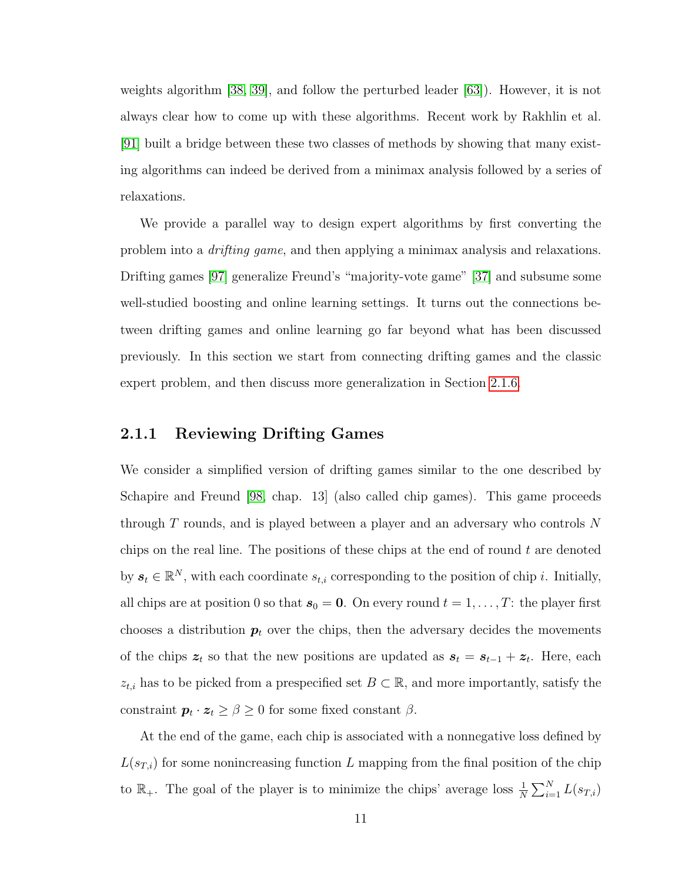weights algorithm [\[38,](#page-176-0) [39\]](#page-176-1), and follow the perturbed leader [\[63\]](#page-177-1)). However, it is not always clear how to come up with these algorithms. Recent work by Rakhlin et al. [\[91\]](#page-179-0) built a bridge between these two classes of methods by showing that many existing algorithms can indeed be derived from a minimax analysis followed by a series of relaxations.

We provide a parallel way to design expert algorithms by first converting the problem into a drifting game, and then applying a minimax analysis and relaxations. Drifting games [\[97\]](#page-180-4) generalize Freund's "majority-vote game" [\[37\]](#page-175-0) and subsume some well-studied boosting and online learning settings. It turns out the connections between drifting games and online learning go far beyond what has been discussed previously. In this section we start from connecting drifting games and the classic expert problem, and then discuss more generalization in Section [2.1.6.](#page-37-0)

#### <span id="page-23-0"></span>2.1.1 Reviewing Drifting Games

We consider a simplified version of drifting games similar to the one described by Schapire and Freund [\[98,](#page-180-5) chap. 13] (also called chip games). This game proceeds through T rounds, and is played between a player and an adversary who controls N chips on the real line. The positions of these chips at the end of round  $t$  are denoted by  $s_t \in \mathbb{R}^N$ , with each coordinate  $s_{t,i}$  corresponding to the position of chip *i*. Initially, all chips are at position 0 so that  $s_0 = 0$ . On every round  $t = 1, \ldots, T$ : the player first chooses a distribution  $p_t$  over the chips, then the adversary decides the movements of the chips  $z_t$  so that the new positions are updated as  $s_t = s_{t-1} + z_t$ . Here, each  $z_{t,i}$  has to be picked from a prespecified set  $B \subset \mathbb{R}$ , and more importantly, satisfy the constraint  $p_t \cdot z_t \ge \beta \ge 0$  for some fixed constant  $\beta$ .

At the end of the game, each chip is associated with a nonnegative loss defined by  $L(s_{T,i})$  for some nonincreasing function L mapping from the final position of the chip to  $\mathbb{R}_+$ . The goal of the player is to minimize the chips' average loss  $\frac{1}{N} \sum_{i=1}^N L(s_{T,i})$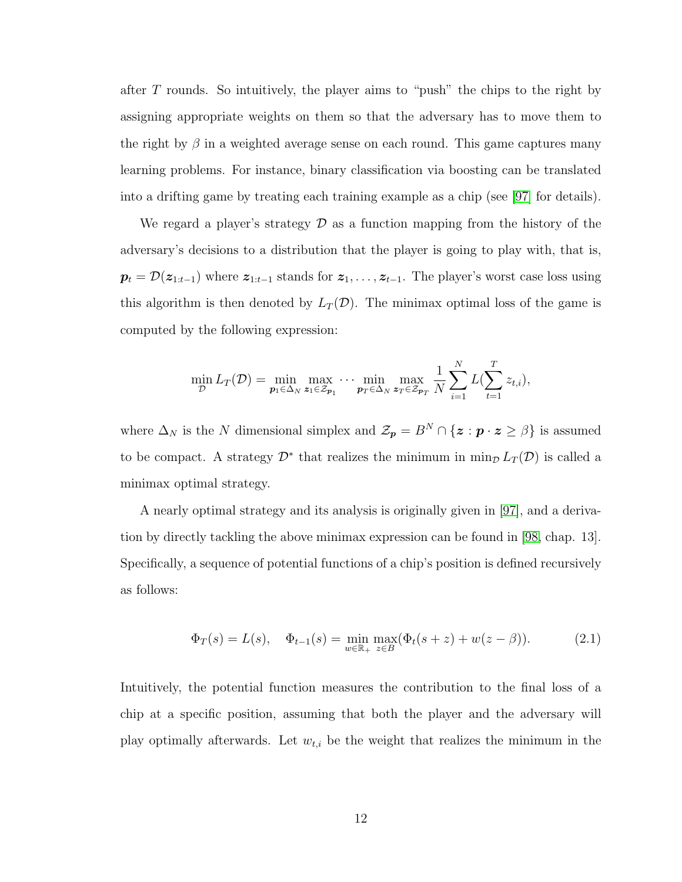after  $T$  rounds. So intuitively, the player aims to "push" the chips to the right by assigning appropriate weights on them so that the adversary has to move them to the right by  $\beta$  in a weighted average sense on each round. This game captures many learning problems. For instance, binary classification via boosting can be translated into a drifting game by treating each training example as a chip (see [\[97\]](#page-180-4) for details).

We regard a player's strategy  $\mathcal D$  as a function mapping from the history of the adversary's decisions to a distribution that the player is going to play with, that is,  $p_t = \mathcal{D}(z_{1:t-1})$  where  $z_{1:t-1}$  stands for  $z_1, \ldots, z_{t-1}$ . The player's worst case loss using this algorithm is then denoted by  $L_T(\mathcal{D})$ . The minimax optimal loss of the game is computed by the following expression:

$$
\min_{\mathcal{D}} L_T(\mathcal{D}) = \min_{\mathbf{p}_1 \in \Delta_N} \max_{\mathbf{z}_1 \in \mathcal{Z}_{\mathbf{p}_1}} \cdots \min_{\mathbf{p}_T \in \Delta_N} \max_{\mathbf{z}_T \in \mathcal{Z}_{\mathbf{p}_T}} \frac{1}{N} \sum_{i=1}^N L(\sum_{t=1}^T z_{t,i}),
$$

where  $\Delta_N$  is the N dimensional simplex and  $\mathcal{Z}_p = B^N \cap \{z : p \cdot z \ge \beta\}$  is assumed to be compact. A strategy  $\mathcal{D}^*$  that realizes the minimum in  $\min_{\mathcal{D}} L_T(\mathcal{D})$  is called a minimax optimal strategy.

A nearly optimal strategy and its analysis is originally given in [\[97\]](#page-180-4), and a derivation by directly tackling the above minimax expression can be found in [\[98,](#page-180-5) chap. 13]. Specifically, a sequence of potential functions of a chip's position is defined recursively as follows:

<span id="page-24-0"></span>
$$
\Phi_T(s) = L(s), \quad \Phi_{t-1}(s) = \min_{w \in \mathbb{R}_+} \max_{z \in B} (\Phi_t(s+z) + w(z-\beta)).
$$
\n(2.1)

Intuitively, the potential function measures the contribution to the final loss of a chip at a specific position, assuming that both the player and the adversary will play optimally afterwards. Let  $w_{t,i}$  be the weight that realizes the minimum in the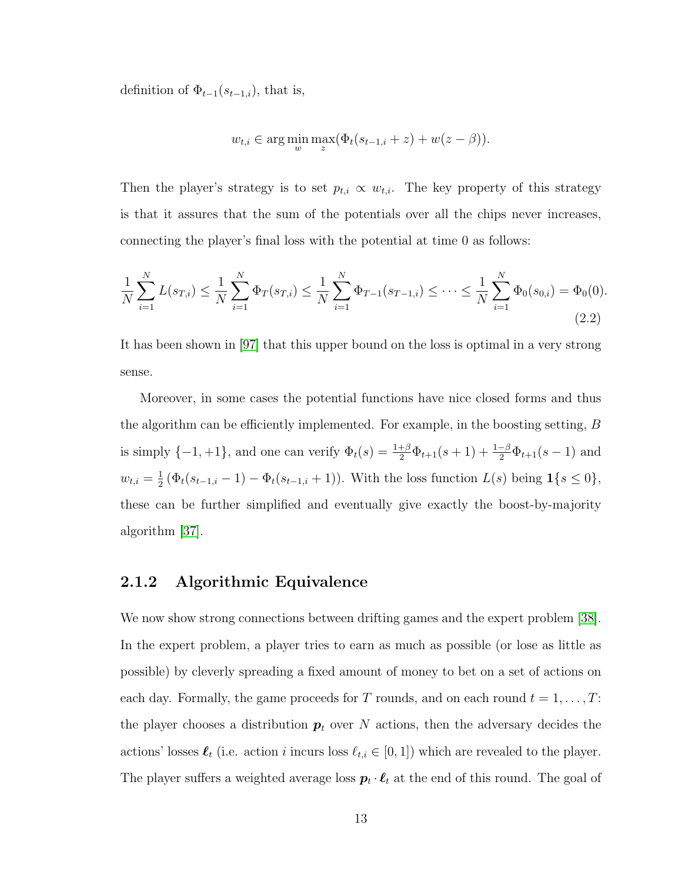definition of  $\Phi_{t-1}(s_{t-1,i})$ , that is,

$$
w_{t,i} \in \arg\min_{w} \max_{z} (\Phi_t(s_{t-1,i} + z) + w(z - \beta)).
$$

Then the player's strategy is to set  $p_{t,i} \propto w_{t,i}$ . The key property of this strategy is that it assures that the sum of the potentials over all the chips never increases, connecting the player's final loss with the potential at time 0 as follows:

<span id="page-25-1"></span>
$$
\frac{1}{N} \sum_{i=1}^{N} L(s_{T,i}) \le \frac{1}{N} \sum_{i=1}^{N} \Phi_T(s_{T,i}) \le \frac{1}{N} \sum_{i=1}^{N} \Phi_{T-1}(s_{T-1,i}) \le \dots \le \frac{1}{N} \sum_{i=1}^{N} \Phi_0(s_{0,i}) = \Phi_0(0).
$$
\n(2.2)

It has been shown in [\[97\]](#page-180-4) that this upper bound on the loss is optimal in a very strong sense.

Moreover, in some cases the potential functions have nice closed forms and thus the algorithm can be efficiently implemented. For example, in the boosting setting, B is simply  $\{-1,+1\}$ , and one can verify  $\Phi_t(s) = \frac{1+\beta}{2}\Phi_{t+1}(s+1) + \frac{1-\beta}{2}\Phi_{t+1}(s-1)$  and  $w_{t,i} = \frac{1}{2}$  $\frac{1}{2}(\Phi_t(s_{t-1,i}-1) - \Phi_t(s_{t-1,i}+1)).$  With the loss function  $L(s)$  being  $\mathbf{1}\{s \leq 0\},$ these can be further simplified and eventually give exactly the boost-by-majority algorithm [\[37\]](#page-175-0).

#### <span id="page-25-0"></span>2.1.2 Algorithmic Equivalence

We now show strong connections between drifting games and the expert problem [\[38\]](#page-176-0). In the expert problem, a player tries to earn as much as possible (or lose as little as possible) by cleverly spreading a fixed amount of money to bet on a set of actions on each day. Formally, the game proceeds for T rounds, and on each round  $t = 1, ..., T$ : the player chooses a distribution  $p_t$  over N actions, then the adversary decides the actions' losses  $\ell_t$  (i.e. action i incurs loss  $\ell_{t,i} \in [0, 1]$ ) which are revealed to the player. The player suffers a weighted average loss  $p_t \cdot \ell_t$  at the end of this round. The goal of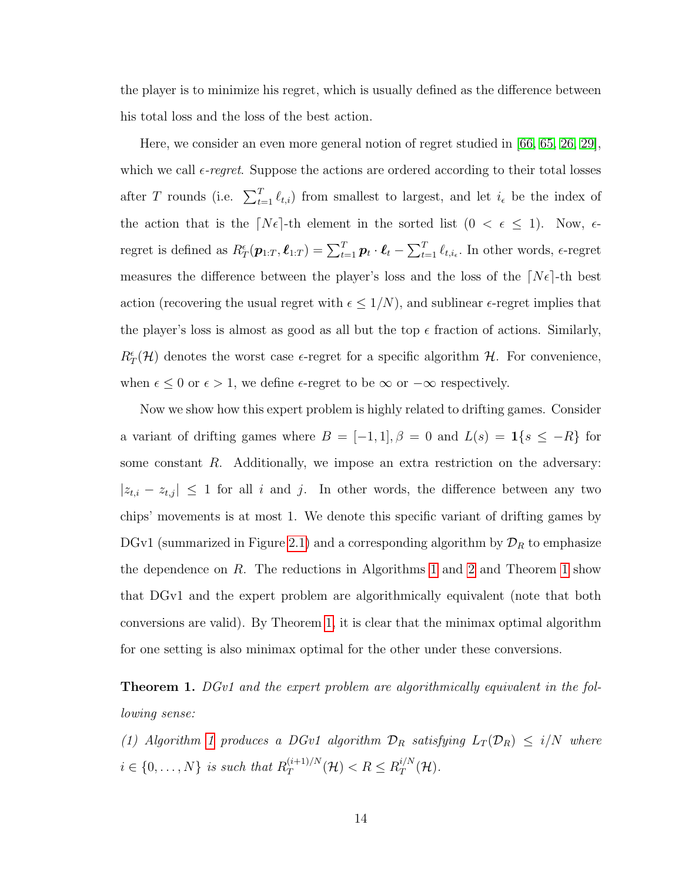the player is to minimize his regret, which is usually defined as the difference between his total loss and the loss of the best action.

Here, we consider an even more general notion of regret studied in [\[66,](#page-178-3) [65,](#page-177-2) [26,](#page-175-1) [29\]](#page-175-2), which we call  $\epsilon$ -regret. Suppose the actions are ordered according to their total losses after T rounds (i.e.  $\sum_{t=1}^T \ell_{t,i}$ ) from smallest to largest, and let  $i_{\epsilon}$  be the index of the action that is the  $[N\epsilon]$ -th element in the sorted list  $(0 < \epsilon \leq 1)$ . Now,  $\epsilon$ regret is defined as  $R^{\epsilon}_{T}(\boldsymbol{p}_{1:T}, \boldsymbol{\ell}_{1:T}) = \sum_{t=1}^{T} \boldsymbol{p}_t \cdot \boldsymbol{\ell}_t - \sum_{t=1}^{T} \ell_{t,i_{\epsilon}}$ . In other words,  $\epsilon$ -regret measures the difference between the player's loss and the loss of the  $[N\epsilon]$ -th best action (recovering the usual regret with  $\epsilon \leq 1/N$ ), and sublinear  $\epsilon$ -regret implies that the player's loss is almost as good as all but the top  $\epsilon$  fraction of actions. Similarly,  $R_T^{\epsilon}(\mathcal{H})$  denotes the worst case  $\epsilon$ -regret for a specific algorithm  $\mathcal{H}$ . For convenience, when  $\epsilon \leq 0$  or  $\epsilon > 1$ , we define  $\epsilon$ -regret to be  $\infty$  or  $-\infty$  respectively.

Now we show how this expert problem is highly related to drifting games. Consider a variant of drifting games where  $B = [-1, 1], \beta = 0$  and  $L(s) = \mathbf{1}\{s \leq -R\}$  for some constant R. Additionally, we impose an extra restriction on the adversary:  $|z_{t,i} - z_{t,j}| \leq 1$  for all i and j. In other words, the difference between any two chips' movements is at most 1. We denote this specific variant of drifting games by DGv1 (summarized in Figure [2.1\)](#page-27-0) and a corresponding algorithm by  $\mathcal{D}_R$  to emphasize the dependence on  $R$ . The reductions in Algorithms [1](#page-26-0) and [2](#page-28-1) and Theorem 1 show that DGv1 and the expert problem are algorithmically equivalent (note that both conversions are valid). By Theorem [1,](#page-26-0) it is clear that the minimax optimal algorithm for one setting is also minimax optimal for the other under these conversions.

<span id="page-26-0"></span>**Theorem 1.** DGv1 and the expert problem are algorithmically equivalent in the following sense:

(1) Algorithm [1](#page-27-1) produces a DGv1 algorithm  $\mathcal{D}_R$  satisfying  $L_T(\mathcal{D}_R) \leq i/N$  where  $i \in \{0, \ldots, N\}$  is such that  $R_T^{(i+1)/N}$  $T^{(i+1)/N}(\mathcal{H}) < R \leq R_T^{i/N}$  $_{T}^{\imath _{f}N}(\mathcal{H}).$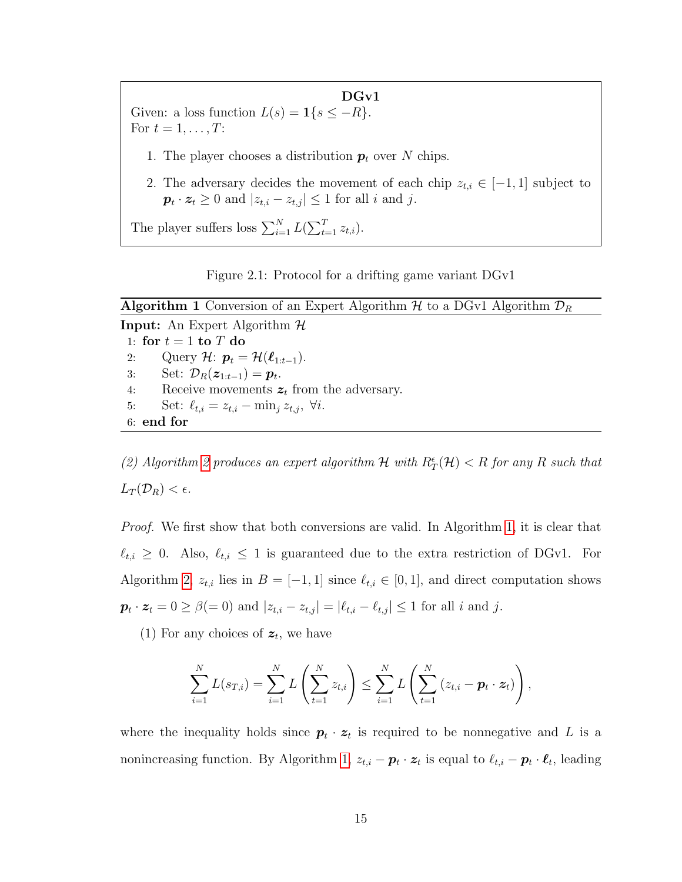<span id="page-27-0"></span>DGv1 Given: a loss function  $L(s) = \mathbf{1}\{s \leq -R\}$ . For  $t = 1, \ldots, T$ : 1. The player chooses a distribution  $p_t$  over N chips. 2. The adversary decides the movement of each chip  $z_{t,i} \in [-1,1]$  subject to  $p_t \cdot z_t \geq 0$  and  $|z_{t,i} - z_{t,j}| \leq 1$  for all i and j. The player suffers loss  $\sum_{i=1}^{N} L(\sum_{t=1}^{T} z_{t,i}).$ 

Figure 2.1: Protocol for a drifting game variant DGv1

<span id="page-27-1"></span>

| <b>Algorithm 1</b> Conversion of an Expert Algorithm H to a DGv1 Algorithm $\mathcal{D}_R$ |  |  |  |  |  |
|--------------------------------------------------------------------------------------------|--|--|--|--|--|
| <b>Input:</b> An Expert Algorithm $H$                                                      |  |  |  |  |  |
| 1: for $t = 1$ to T do                                                                     |  |  |  |  |  |
| Query H: $p_t = H(\ell_{1:t-1}).$<br>2:                                                    |  |  |  |  |  |
| Set: $\mathcal{D}_R(\boldsymbol{z}_{1:t-1}) = \boldsymbol{p}_t$ .<br>3:                    |  |  |  |  |  |
| Receive movements $z_t$ from the adversary.<br>4:                                          |  |  |  |  |  |
| Set: $\ell_{t,i} = z_{t,i} - \min_i z_{t,i}, \ \forall i.$<br>5:                           |  |  |  |  |  |
| $6:$ end for                                                                               |  |  |  |  |  |
|                                                                                            |  |  |  |  |  |

(2) Algorithm [2](#page-28-1) produces an expert algorithm  $H$  with  $R^{\epsilon}_{T}(\mathcal{H}) < R$  for any R such that  $L_T(\mathcal{D}_R) < \epsilon$ .

Proof. We first show that both conversions are valid. In Algorithm [1,](#page-27-1) it is clear that  $\ell_{t,i} \geq 0$ . Also,  $\ell_{t,i} \leq 1$  is guaranteed due to the extra restriction of DGv1. For Algorithm [2,](#page-28-1)  $z_{t,i}$  lies in  $B = [-1, 1]$  since  $\ell_{t,i} \in [0, 1]$ , and direct computation shows  $\mathbf{p}_t \cdot \mathbf{z}_t = 0 \ge \beta (= 0)$  and  $|z_{t,i} - z_{t,j}| = |\ell_{t,i} - \ell_{t,j}| \le 1$  for all i and j.

(1) For any choices of  $z_t$ , we have

$$
\sum_{i=1}^{N} L(s_{T,i}) = \sum_{i=1}^{N} L\left(\sum_{t=1}^{N} z_{t,i}\right) \leq \sum_{i=1}^{N} L\left(\sum_{t=1}^{N} (z_{t,i} - \mathbf{p}_t \cdot \mathbf{z}_t)\right),
$$

where the inequality holds since  $p_t \cdot z_t$  is required to be nonnegative and L is a nonincreasing function. By Algorithm [1,](#page-27-1)  $z_{t,i} - \boldsymbol{p}_t \cdot \boldsymbol{z}_t$  is equal to  $\ell_{t,i} - \boldsymbol{p}_t \cdot \boldsymbol{\ell}_t$ , leading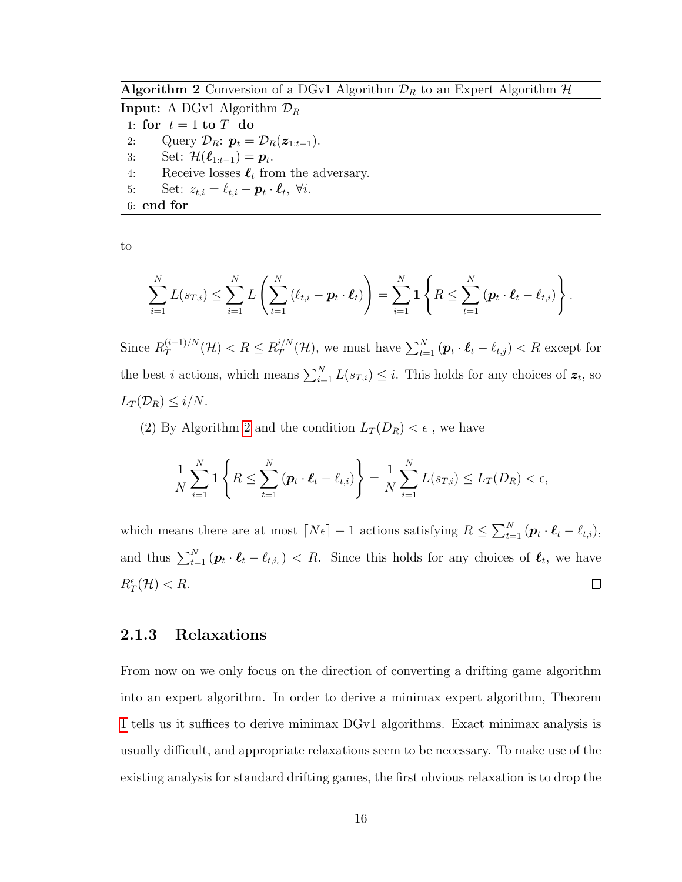<span id="page-28-1"></span>Algorithm 2 Conversion of a DGv1 Algorithm  $\mathcal{D}_R$  to an Expert Algorithm  $\mathcal{H}$ 

**Input:** A DGv1 Algorithm  $\mathcal{D}_R$ 1: for  $t = 1$  to  $T$  do 2: Query  $\mathcal{D}_R$ :  $\mathbf{p}_t = \mathcal{D}_R(\mathbf{z}_{1:t-1})$ . 3: Set:  $\mathcal{H}(\boldsymbol{\ell}_{1:t-1}) = \boldsymbol{p}_t$ . 4: Receive losses  $\ell_t$  from the adversary. 5: Set:  $z_{t,i} = \ell_{t,i} - \boldsymbol{p}_t \cdot \boldsymbol{\ell}_t, \ \forall i.$ 

6: end for

to

$$
\sum_{i=1}^N L(s_{T,i}) \leq \sum_{i=1}^N L\left(\sum_{t=1}^N \left(\ell_{t,i} - \boldsymbol{p}_t \cdot \boldsymbol{\ell}_t\right)\right) = \sum_{i=1}^N \boldsymbol{1} \left\{ R \leq \sum_{t=1}^N \left(\boldsymbol{p}_t \cdot \boldsymbol{\ell}_t - \ell_{t,i}\right)\right\}.
$$

Since  $R_T^{(i+1)/N}$  $T^{(i+1)/N}(\mathcal{H}) < R \leq R_T^{i/N}$  $t_T^{i/N}(\mathcal{H})$ , we must have  $\sum_{t=1}^{N} (\boldsymbol{p}_t \cdot \boldsymbol{\ell}_t - \ell_{t,j}) < R$  except for the best *i* actions, which means  $\sum_{i=1}^{N} L(s_{T,i}) \leq i$ . This holds for any choices of  $z_t$ , so  $L_T(\mathcal{D}_R) \leq i/N$ .

(2) By Algorithm [2](#page-28-1) and the condition  $L_T(D_R) < \epsilon$ , we have

$$
\frac{1}{N} \sum_{i=1}^{N} \mathbf{1} \left\{ R \leq \sum_{t=1}^{N} \left( \boldsymbol{p}_{t} \cdot \boldsymbol{\ell}_{t} - \ell_{t,i} \right) \right\} = \frac{1}{N} \sum_{i=1}^{N} L(s_{T,i}) \leq L_{T}(D_{R}) < \epsilon,
$$

which means there are at most  $\lceil N\epsilon \rceil - 1$  actions satisfying  $R \leq \sum_{t=1}^{N} (p_t \cdot \ell_t - \ell_{t,i}),$ and thus  $\sum_{t=1}^{N} (\boldsymbol{p}_t \cdot \boldsymbol{\ell}_t - \ell_{t,i_\epsilon}) < R$ . Since this holds for any choices of  $\boldsymbol{\ell}_t$ , we have  $R^{\epsilon}_T(\mathcal{H}) < R.$  $\Box$ 

#### <span id="page-28-0"></span>2.1.3 Relaxations

From now on we only focus on the direction of converting a drifting game algorithm into an expert algorithm. In order to derive a minimax expert algorithm, Theorem [1](#page-26-0) tells us it suffices to derive minimax DGv1 algorithms. Exact minimax analysis is usually difficult, and appropriate relaxations seem to be necessary. To make use of the existing analysis for standard drifting games, the first obvious relaxation is to drop the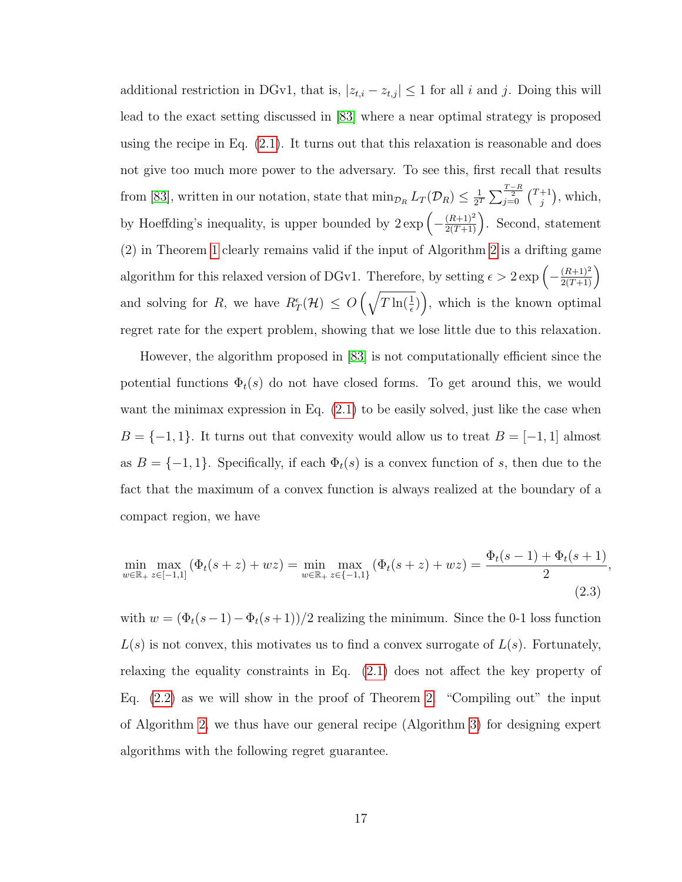additional restriction in DGv1, that is,  $|z_{t,i} - z_{t,j}| \leq 1$  for all i and j. Doing this will lead to the exact setting discussed in [\[83\]](#page-179-1) where a near optimal strategy is proposed using the recipe in Eq. [\(2.1\)](#page-24-0). It turns out that this relaxation is reasonable and does not give too much more power to the adversary. To see this, first recall that results from [\[83\]](#page-179-1), written in our notation, state that  $\min_{\mathcal{D}_R} L_T(\mathcal{D}_R) \leq \frac{1}{2^2}$  $\frac{1}{2^T}\sum_{j=0}^{\frac{T-R}{2}}\binom{T+1}{j}$  $j^{+1}$ ), which, by Hoeffding's inequality, is upper bounded by  $2 \exp \left(-\frac{(R+1)^2}{2(T+1)}\right)$ . Second, statement (2) in Theorem [1](#page-26-0) clearly remains valid if the input of Algorithm [2](#page-28-1) is a drifting game algorithm for this relaxed version of DGv1. Therefore, by setting  $\epsilon > 2 \exp \left(-\frac{(R+1)^2}{2(T+1)}\right)$ and solving for R, we have  $R^{\epsilon}_{T}(\mathcal{H}) \leq O\left(\sqrt{T \ln(\frac{1}{\epsilon}})\right)$ , which is the known optimal regret rate for the expert problem, showing that we lose little due to this relaxation.

However, the algorithm proposed in [\[83\]](#page-179-1) is not computationally efficient since the potential functions  $\Phi_t(s)$  do not have closed forms. To get around this, we would want the minimax expression in Eq.  $(2.1)$  to be easily solved, just like the case when  $B = \{-1, 1\}$ . It turns out that convexity would allow us to treat  $B = [-1, 1]$  almost as  $B = \{-1, 1\}$ . Specifically, if each  $\Phi_t(s)$  is a convex function of s, then due to the fact that the maximum of a convex function is always realized at the boundary of a compact region, we have

<span id="page-29-0"></span>
$$
\min_{w \in \mathbb{R}_+} \max_{z \in [-1,1]} \left( \Phi_t(s+z) + wz \right) = \min_{w \in \mathbb{R}_+} \max_{z \in \{-1,1\}} \left( \Phi_t(s+z) + wz \right) = \frac{\Phi_t(s-1) + \Phi_t(s+1)}{2},\tag{2.3}
$$

with  $w = (\Phi_t(s-1) - \Phi_t(s+1))/2$  realizing the minimum. Since the 0-1 loss function  $L(s)$  is not convex, this motivates us to find a convex surrogate of  $L(s)$ . Fortunately, relaxing the equality constraints in Eq. [\(2.1\)](#page-24-0) does not affect the key property of Eq. [\(2.2\)](#page-25-1) as we will show in the proof of Theorem [2.](#page-30-0) "Compiling out" the input of Algorithm [2,](#page-28-1) we thus have our general recipe (Algorithm [3\)](#page-30-1) for designing expert algorithms with the following regret guarantee.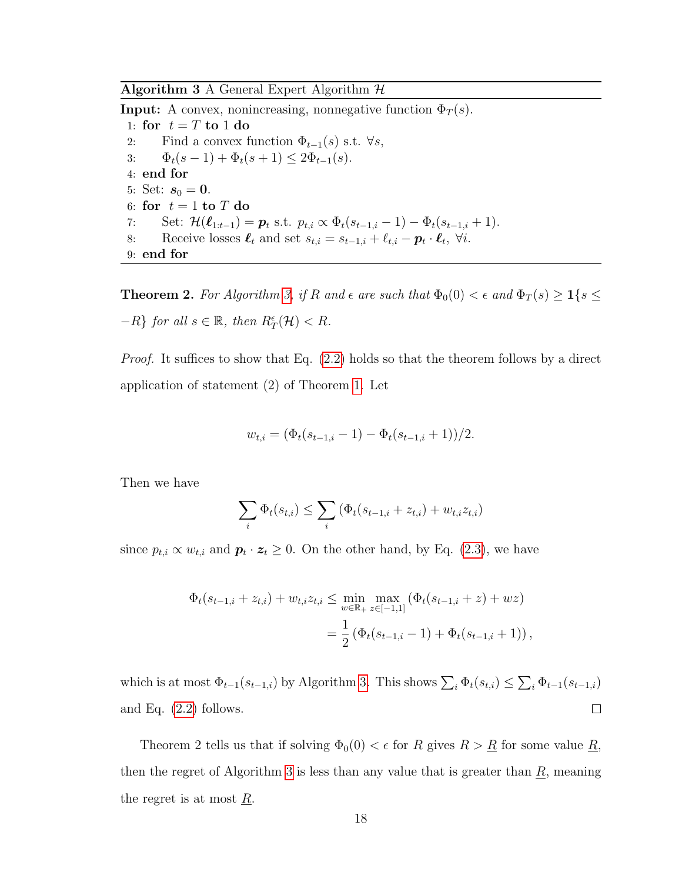<span id="page-30-1"></span>Algorithm 3 A General Expert Algorithm  $H$ 

**Input:** A convex, nonincreasing, nonnegative function  $\Phi_T(s)$ . 1: for  $t = T$  to 1 do 2: Find a convex function  $\Phi_{t-1}(s)$  s.t.  $\forall s$ , 3:  $\Phi_t(s-1) + \Phi_t(s+1) \leq 2\Phi_{t-1}(s)$ . 4: end for 5: Set:  $s_0 = 0$ . 6: for  $t = 1$  to T do 7: Set:  $\mathcal{H}(\ell_{1:t-1}) = p_t$  s.t.  $p_{t,i} \propto \Phi_t(s_{t-1,i} - 1) - \Phi_t(s_{t-1,i} + 1).$ 8: Receive losses  $\ell_t$  and set  $s_{t,i} = s_{t-1,i} + \ell_{t,i} - \mathbf{p}_t \cdot \mathbf{\ell}_t$ ,  $\forall i$ . 9: end for

<span id="page-30-0"></span>**Theorem 2.** For Algorithm [3,](#page-30-1) if R and  $\epsilon$  are such that  $\Phi_0(0) < \epsilon$  and  $\Phi_T(s) \geq 1\{s \leq$  $-R\}$  for all  $s \in \mathbb{R}$ , then  $R^{\epsilon}_{T}(\mathcal{H}) < R$ .

Proof. It suffices to show that Eq. [\(2.2\)](#page-25-1) holds so that the theorem follows by a direct application of statement (2) of Theorem [1.](#page-26-0) Let

$$
w_{t,i} = (\Phi_t(s_{t-1,i} - 1) - \Phi_t(s_{t-1,i} + 1))/2.
$$

Then we have

$$
\sum_{i} \Phi_t(s_{t,i}) \le \sum_{i} \left( \Phi_t(s_{t-1,i} + z_{t,i}) + w_{t,i} z_{t,i} \right)
$$

since  $p_{t,i} \propto w_{t,i}$  and  $\boldsymbol{p}_t \cdot \boldsymbol{z}_t \geq 0$ . On the other hand, by Eq. [\(2.3\)](#page-29-0), we have

$$
\Phi_t(s_{t-1,i} + z_{t,i}) + w_{t,i} z_{t,i} \le \min_{w \in \mathbb{R}_+} \max_{z \in [-1,1]} (\Phi_t(s_{t-1,i} + z) + wz)
$$
  
= 
$$
\frac{1}{2} (\Phi_t(s_{t-1,i} - 1) + \Phi_t(s_{t-1,i} + 1)),
$$

which is at most  $\Phi_{t-1}(s_{t-1,i})$  by Algorithm [3.](#page-30-1) This shows  $\sum_i \Phi_t(s_{t,i}) \leq \sum_i \Phi_{t-1}(s_{t-1,i})$ and Eq. [\(2.2\)](#page-25-1) follows.  $\Box$ 

Theorem 2 tells us that if solving  $\Phi_0(0) < \epsilon$  for R gives  $R > R$  for some value R, then the regret of Algorithm [3](#page-30-1) is less than any value that is greater than  $\underline{R}$ , meaning the regret is at most R.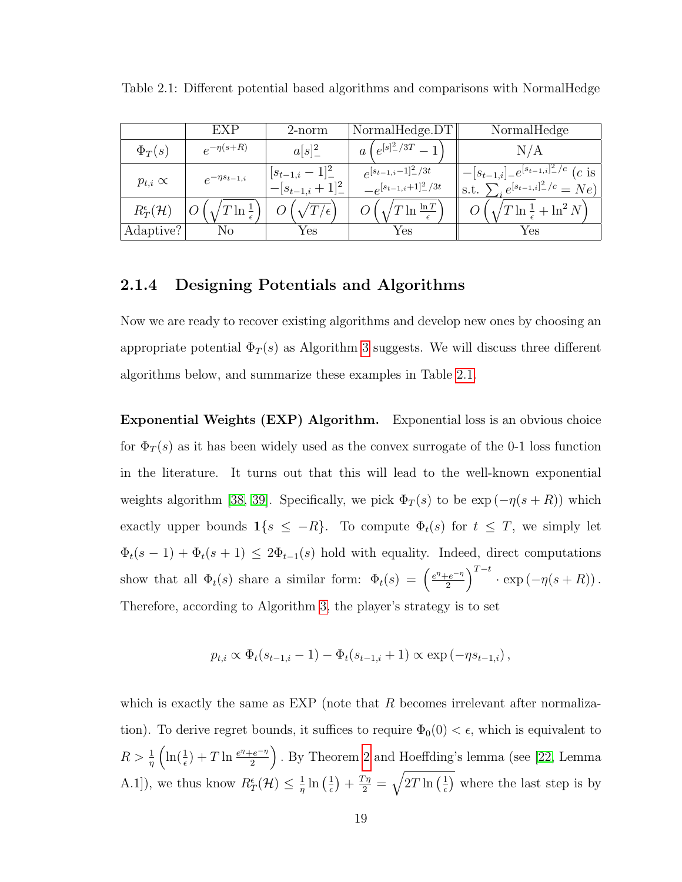|                               | EXP                   | $2$ -norm                                | NormalHedge.DT                                        | NormalHedge                                                                                             |
|-------------------------------|-----------------------|------------------------------------------|-------------------------------------------------------|---------------------------------------------------------------------------------------------------------|
| $\Phi_T(s)$                   | $e^{-\eta(s+R)}$      | $a[s]^2$                                 | $\sqrt{e^{[s]^2/3T}}$                                 | N/A                                                                                                     |
| $p_{t,i} \propto$             | $e^{-\eta s_{t-1,i}}$ | $[s_{t-1,i}-1]^2$<br>$- [s_{t-1,i}+1]^2$ | $e^{[s_{t-1,i}-1]^2/3t}$<br>$-e^{[s_{t-1,i}+1]^2/3t}$ | $- [s_{t-1,i}]_- e^{[s_{t-1,i}]_-^2/c}$ ( <i>c</i> is<br>s.t. $\sum_{i} e^{[s_{t-1,i}]_{-}^{2}/c} = Ne$ |
| $R_T^{\epsilon}(\mathcal{H})$ | $T \ln \frac{1}{2}$   |                                          | $T\ln\frac{\ln T}{T}$                                 | $T\ln\frac{1}{\epsilon}+\ln^2 N$                                                                        |
| Adaptive?                     | N0                    | Yes                                      | Yes                                                   | Yes                                                                                                     |

<span id="page-31-1"></span>Table 2.1: Different potential based algorithms and comparisons with NormalHedge

#### <span id="page-31-0"></span>2.1.4 Designing Potentials and Algorithms

Now we are ready to recover existing algorithms and develop new ones by choosing an appropriate potential  $\Phi_T(s)$  as Algorithm [3](#page-30-1) suggests. We will discuss three different algorithms below, and summarize these examples in Table [2.1.](#page-31-1)

Exponential Weights (EXP) Algorithm. Exponential loss is an obvious choice for  $\Phi_T(s)$  as it has been widely used as the convex surrogate of the 0-1 loss function in the literature. It turns out that this will lead to the well-known exponential weights algorithm [\[38,](#page-176-0) [39\]](#page-176-1). Specifically, we pick  $\Phi_T(s)$  to be  $\exp(-\eta(s+R))$  which exactly upper bounds  $1\{s \leq -R\}$ . To compute  $\Phi_t(s)$  for  $t \leq T$ , we simply let  $\Phi_t(s-1) + \Phi_t(s+1) \leq 2\Phi_{t-1}(s)$  hold with equality. Indeed, direct computations show that all  $\Phi_t(s)$  share a similar form:  $\Phi_t(s) = \left(\frac{e^{\eta}+e^{-\eta}}{2}\right)^{\eta}$  $\left(\frac{-e^{-\eta}}{2}\right)^{T-t} \cdot \exp(-\eta(s+R)).$ Therefore, according to Algorithm [3,](#page-30-1) the player's strategy is to set

$$
p_{t,i} \propto \Phi_t(s_{t-1,i}-1) - \Phi_t(s_{t-1,i}+1) \propto \exp(-\eta s_{t-1,i}),
$$

which is exactly the same as EXP (note that  $R$  becomes irrelevant after normalization). To derive regret bounds, it suffices to require  $\Phi_0(0) < \epsilon$ , which is equivalent to  $R > \frac{1}{\eta} \left( \ln(\frac{1}{\epsilon}) + T \ln \frac{e^{\eta} + e^{-\eta}}{2} \right)$  $\left(\frac{e^{-\eta}}{2}\right)$ . By Theorem [2](#page-30-0) and Hoeffding's lemma (see [\[22,](#page-174-0) Lemma A.1]), we thus know  $R^{\epsilon}_{T}(\mathcal{H}) \leq \frac{1}{n}$  $\frac{1}{\eta} \ln \left( \frac{1}{\epsilon} \right)$  $\left(\frac{1}{\epsilon}\right)+\frac{T\eta}{2}=\sqrt{2T\ln\left(\frac{1}{\epsilon}\right)}$  $(\frac{1}{\epsilon})$  where the last step is by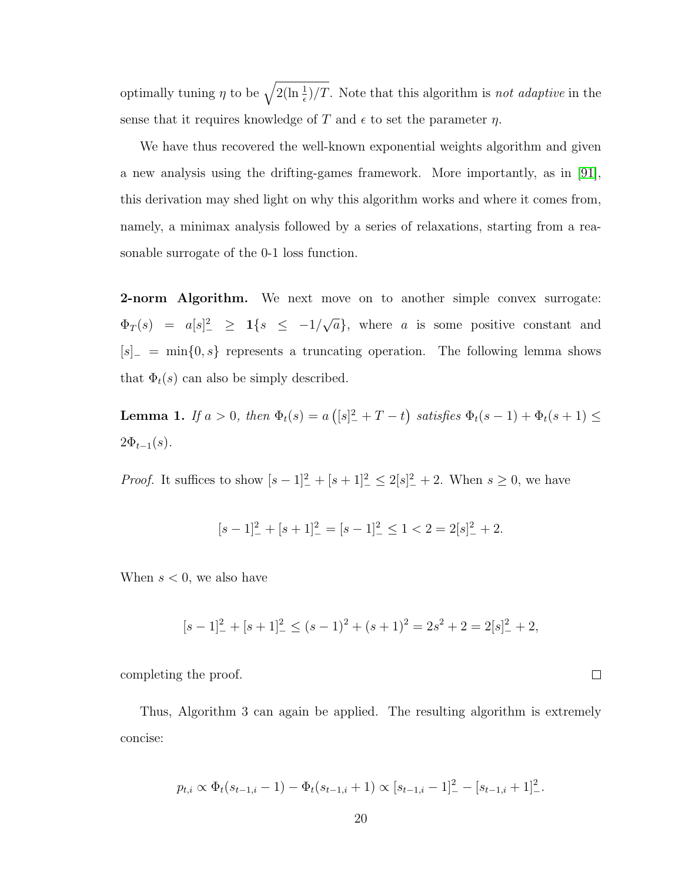optimally tuning  $\eta$  to be  $\sqrt{2(\ln \frac{1}{\epsilon})/T}$ . Note that this algorithm is not adaptive in the sense that it requires knowledge of T and  $\epsilon$  to set the parameter  $\eta$ .

We have thus recovered the well-known exponential weights algorithm and given a new analysis using the drifting-games framework. More importantly, as in [\[91\]](#page-179-0), this derivation may shed light on why this algorithm works and where it comes from, namely, a minimax analysis followed by a series of relaxations, starting from a reasonable surrogate of the 0-1 loss function.

**2-norm Algorithm.** We next move on to another simple convex surrogate:  $\Phi_T(s) = a[s]^2 \geq 1\{s \leq -1/$ √  $\overline{a}$ , where a is some positive constant and  $[s]_ = \min\{0, s\}$  represents a truncating operation. The following lemma shows that  $\Phi_t(s)$  can also be simply described.

<span id="page-32-0"></span>**Lemma 1.** If  $a > 0$ , then  $\Phi_t(s) = a([s]^2 + T - t)$  satisfies  $\Phi_t(s-1) + \Phi_t(s+1) \leq$  $2\Phi_{t-1}(s)$ .

*Proof.* It suffices to show  $[s-1]^2 + [s+1]^2 \le 2[s]^2 + 2$ . When  $s \ge 0$ , we have

$$
[s-1]_-^2 + [s+1]_-^2 = [s-1]_-^2 \le 1 < 2 = 2[s]_-^2 + 2.
$$

When  $s < 0$ , we also have

$$
[s-1]_-^2 + [s+1]_-^2 \le (s-1)^2 + (s+1)^2 = 2s^2 + 2 = 2[s]_-^2 + 2,
$$

 $\Box$ 

completing the proof.

Thus, Algorithm 3 can again be applied. The resulting algorithm is extremely concise:

$$
p_{t,i} \propto \Phi_t(s_{t-1,i}-1) - \Phi_t(s_{t-1,i}+1) \propto [s_{t-1,i}-1]_-^2 - [s_{t-1,i}+1]_-^2.
$$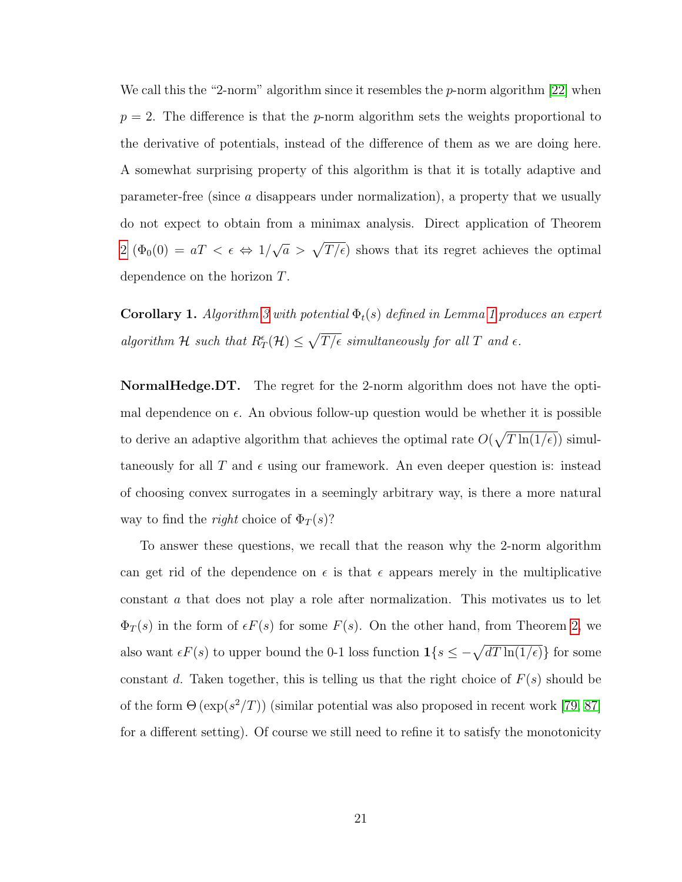We call this the "2-norm" algorithm since it resembles the  $p$ -norm algorithm [\[22\]](#page-174-0) when  $p = 2$ . The difference is that the *p*-norm algorithm sets the weights proportional to the derivative of potentials, instead of the difference of them as we are doing here. A somewhat surprising property of this algorithm is that it is totally adaptive and parameter-free (since a disappears under normalization), a property that we usually do not expect to obtain from a minimax analysis. Direct application of Theorem [2](#page-30-0)  $(\Phi_0(0) = aT < \epsilon \Leftrightarrow 1)$  $\sqrt{a} > \sqrt{T/\epsilon}$  shows that its regret achieves the optimal dependence on the horizon T.

**Corollary [1](#page-32-0).** Algorithm [3](#page-30-1) with potential  $\Phi_t(s)$  defined in Lemma 1 produces an expert algorithm H such that  $R^{\epsilon}_T(\mathcal{H}) \leq \sqrt{T/\epsilon}$  simultaneously for all T and  $\epsilon$ .

NormalHedge.DT. The regret for the 2-norm algorithm does not have the optimal dependence on  $\epsilon$ . An obvious follow-up question would be whether it is possible to derive an adaptive algorithm that achieves the optimal rate  $O(\sqrt{T \ln(1/\epsilon)})$  simultaneously for all T and  $\epsilon$  using our framework. An even deeper question is: instead of choosing convex surrogates in a seemingly arbitrary way, is there a more natural way to find the *right* choice of  $\Phi_T(s)$ ?

To answer these questions, we recall that the reason why the 2-norm algorithm can get rid of the dependence on  $\epsilon$  is that  $\epsilon$  appears merely in the multiplicative constant a that does not play a role after normalization. This motivates us to let  $\Phi_T(s)$  in the form of  $\epsilon F(s)$  for some  $F(s)$ . On the other hand, from Theorem [2,](#page-30-0) we also want  $\epsilon F(s)$  to upper bound the 0-1 loss function  $1\{s \leq -\sqrt{dT \ln(1/\epsilon)}\}\$  for some constant d. Taken together, this is telling us that the right choice of  $F(s)$  should be of the form  $\Theta(\exp(s^2/T))$  (similar potential was also proposed in recent work [\[79,](#page-179-2) [87\]](#page-179-3) for a different setting). Of course we still need to refine it to satisfy the monotonicity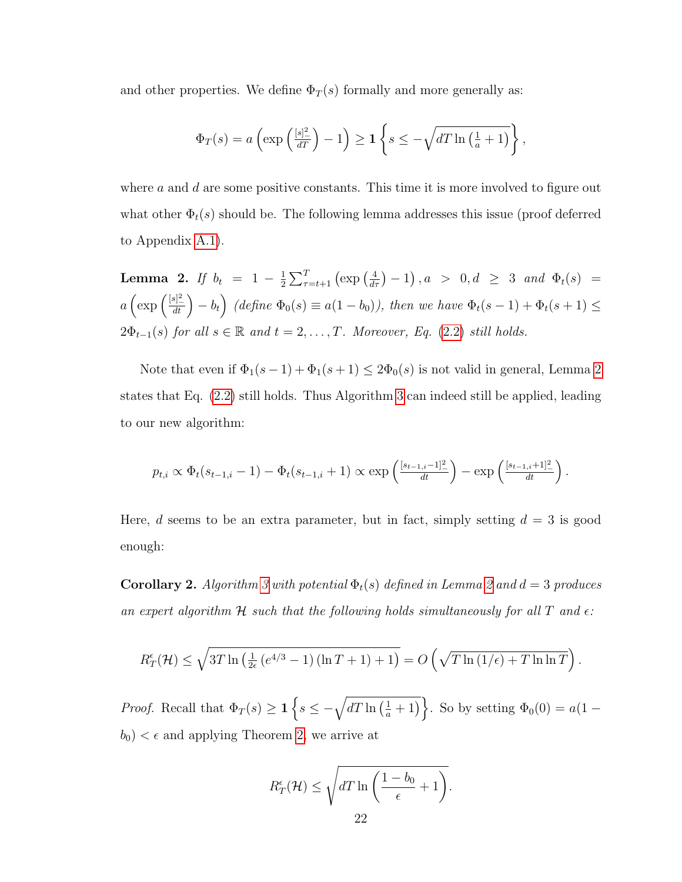and other properties. We define  $\Phi_T(s)$  formally and more generally as:

$$
\Phi_T(s) = a\left(\exp\left(\frac{[s]^2}{dT}\right) - 1\right) \ge 1\left\{s \le -\sqrt{dT\ln\left(\frac{1}{a} + 1\right)}\right\},\,
$$

where  $a$  and  $d$  are some positive constants. This time it is more involved to figure out what other  $\Phi_t(s)$  should be. The following lemma addresses this issue (proof deferred to Appendix [A.1\)](#page-143-1).

<span id="page-34-0"></span>**Lemma 2.** If  $b_t = 1 - \frac{1}{2}$  $\frac{1}{2}\sum_{\tau=t+1}^{T} (\exp\left(\frac{4}{d\tau}\right)-1), a > 0, d \geq 3 \text{ and } \Phi_t(s) =$  $a\left(\exp\left(\frac{[s]^2}{dt}\right) - b_t\right)$  (define  $\Phi_0(s) \equiv a(1-b_0)$ ), then we have  $\Phi_t(s-1) + \Phi_t(s+1) \leq$  $2\Phi_{t-1}(s)$  for all  $s \in \mathbb{R}$  and  $t = 2, \ldots, T$ . Moreover, Eq. [\(2.2\)](#page-25-1) still holds.

Note that even if  $\Phi_1(s-1) + \Phi_1(s+1) \leq 2\Phi_0(s)$  $\Phi_1(s-1) + \Phi_1(s+1) \leq 2\Phi_0(s)$  $\Phi_1(s-1) + \Phi_1(s+1) \leq 2\Phi_0(s)$  is not valid in general, Lemma 2 states that Eq. [\(2.2\)](#page-25-1) still holds. Thus Algorithm [3](#page-30-1) can indeed still be applied, leading to our new algorithm:

$$
p_{t,i} \propto \Phi_t(s_{t-1,i}-1) - \Phi_t(s_{t-1,i}+1) \propto \exp\left(\frac{[s_{t-1,i}-1]^2}{dt}\right) - \exp\left(\frac{[s_{t-1,i}+1]^2}{dt}\right).
$$

Here, d seems to be an extra parameter, but in fact, simply setting  $d = 3$  is good enough:

**Corollary [2](#page-34-0).** Algorithm [3](#page-30-1) with potential  $\Phi_t(s)$  defined in Lemma 2 and  $d = 3$  produces an expert algorithm  $H$  such that the following holds simultaneously for all T and  $\epsilon$ :

$$
R_T^{\epsilon}(\mathcal{H}) \leq \sqrt{3T \ln \left( \frac{1}{2\epsilon} \left( e^{4/3} - 1 \right) \left( \ln T + 1 \right) + 1 \right)} = O\left( \sqrt{T \ln \left( 1/\epsilon \right) + T \ln \ln T} \right).
$$

*Proof.* Recall that  $\Phi_T(s) \geq 1$   $\left\{ s \leq -\sqrt{dT \ln\left(\frac{1}{a}+1\right)} \right\}$ . So by setting  $\Phi_0(0) = a(1-\frac{1}{a})$  $b_0$  <  $\epsilon$  and applying Theorem [2,](#page-30-0) we arrive at

$$
R_T^{\epsilon}(\mathcal{H}) \le \sqrt{dT \ln\left(\frac{1-b_0}{\epsilon} + 1\right)}.
$$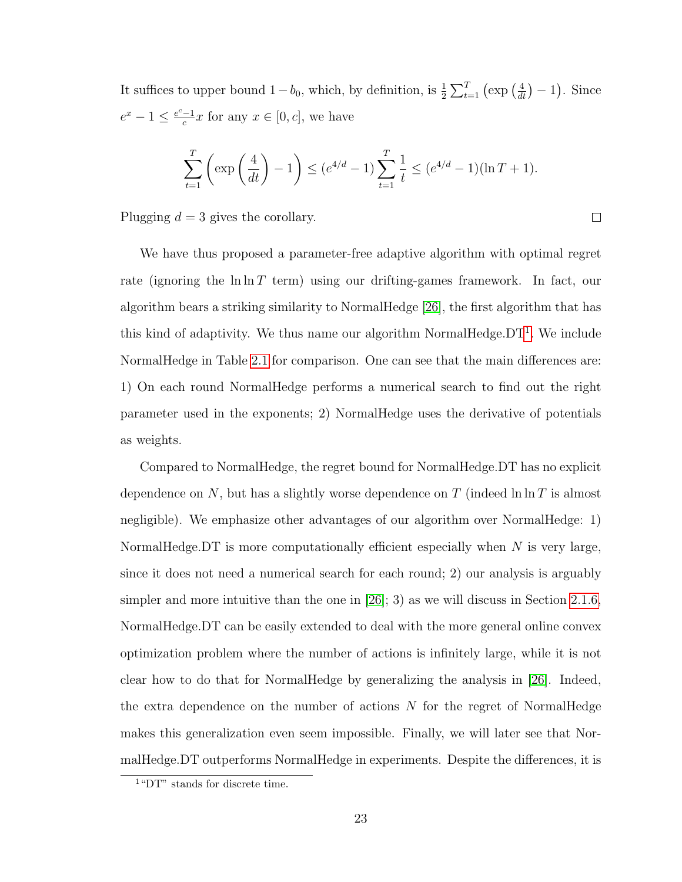It suffices to upper bound  $1-b_0$ , which, by definition, is  $\frac{1}{2}\sum_{t=1}^{T} (\exp(\frac{4}{dt}) - 1)$ . Since  $e^x - 1 \leq \frac{e^c - 1}{c}$  $\frac{-1}{c}x$  for any  $x \in [0, c]$ , we have

$$
\sum_{t=1}^{T} \left( \exp\left(\frac{4}{dt}\right) - 1 \right) \le (e^{4/d} - 1) \sum_{t=1}^{T} \frac{1}{t} \le (e^{4/d} - 1)(\ln T + 1).
$$

 $\Box$ 

Plugging  $d = 3$  gives the corollary.

We have thus proposed a parameter-free adaptive algorithm with optimal regret rate (ignoring the  $\ln \ln T$  term) using our drifting-games framework. In fact, our algorithm bears a striking similarity to NormalHedge [\[26\]](#page-175-1), the first algorithm that has this kind of adaptivity. We thus name our algorithm NormalHedge. $DT<sup>1</sup>$  $DT<sup>1</sup>$  $DT<sup>1</sup>$ . We include NormalHedge in Table [2.1](#page-31-1) for comparison. One can see that the main differences are: 1) On each round NormalHedge performs a numerical search to find out the right parameter used in the exponents; 2) NormalHedge uses the derivative of potentials as weights.

Compared to NormalHedge, the regret bound for NormalHedge.DT has no explicit dependence on N, but has a slightly worse dependence on T (indeed  $\ln \ln T$  is almost negligible). We emphasize other advantages of our algorithm over NormalHedge: 1) NormalHedge.DT is more computationally efficient especially when  $N$  is very large, since it does not need a numerical search for each round; 2) our analysis is arguably simpler and more intuitive than the one in  $[26]$ ; 3) as we will discuss in Section [2.1.6,](#page-37-0) NormalHedge.DT can be easily extended to deal with the more general online convex optimization problem where the number of actions is infinitely large, while it is not clear how to do that for NormalHedge by generalizing the analysis in [\[26\]](#page-175-1). Indeed, the extra dependence on the number of actions  $N$  for the regret of NormalHedge makes this generalization even seem impossible. Finally, we will later see that NormalHedge.DT outperforms NormalHedge in experiments. Despite the differences, it is

<span id="page-35-0"></span><sup>&</sup>lt;sup>1</sup> "DT" stands for discrete time.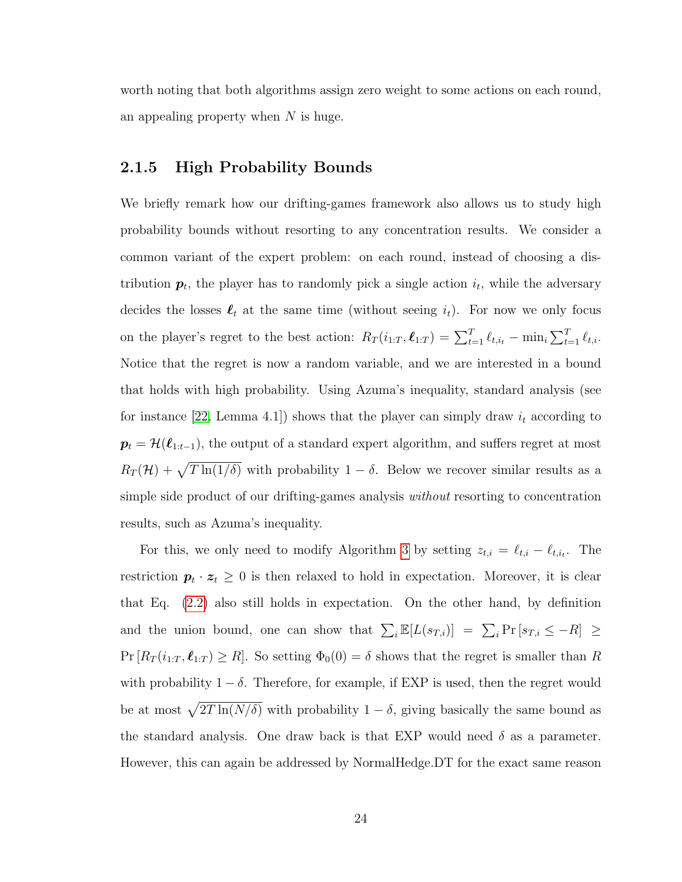worth noting that both algorithms assign zero weight to some actions on each round, an appealing property when  $N$  is huge.

## 2.1.5 High Probability Bounds

We briefly remark how our drifting-games framework also allows us to study high probability bounds without resorting to any concentration results. We consider a common variant of the expert problem: on each round, instead of choosing a distribution  $p_t$ , the player has to randomly pick a single action  $i_t$ , while the adversary decides the losses  $\ell_t$  at the same time (without seeing  $i_t$ ). For now we only focus on the player's regret to the best action:  $R_T(i_{1:T}, \ell_{1:T}) = \sum_{t=1}^T \ell_{t,i_t} - \min_i \sum_{t=1}^T \ell_{t,i}$ . Notice that the regret is now a random variable, and we are interested in a bound that holds with high probability. Using Azuma's inequality, standard analysis (see for instance [\[22,](#page-174-0) Lemma 4.1]) shows that the player can simply draw  $i_t$  according to  $p_t = \mathcal{H}(\ell_{1:t-1}),$  the output of a standard expert algorithm, and suffers regret at most  $R_T(\mathcal{H}) + \sqrt{T \ln(1/\delta)}$  with probability  $1 - \delta$ . Below we recover similar results as a simple side product of our drifting-games analysis without resorting to concentration results, such as Azuma's inequality.

For this, we only need to modify Algorithm [3](#page-30-0) by setting  $z_{t,i} = \ell_{t,i} - \ell_{t,i_t}$ . The restriction  $p_t \cdot z_t \geq 0$  is then relaxed to hold in expectation. Moreover, it is clear that Eq. [\(2.2\)](#page-25-0) also still holds in expectation. On the other hand, by definition and the union bound, one can show that  $\sum_i \mathbb{E}[L(s_{T,i})] = \sum_i \Pr[s_{T,i} \leq -R] \geq$  $Pr[R_T(i_{1:T}, \ell_{1:T}) \geq R]$ . So setting  $\Phi_0(0) = \delta$  shows that the regret is smaller than R with probability  $1 - \delta$ . Therefore, for example, if EXP is used, then the regret would be at most  $\sqrt{2T \ln(N/\delta)}$  with probability  $1 - \delta$ , giving basically the same bound as the standard analysis. One draw back is that EXP would need  $\delta$  as a parameter. However, this can again be addressed by NormalHedge.DT for the exact same reason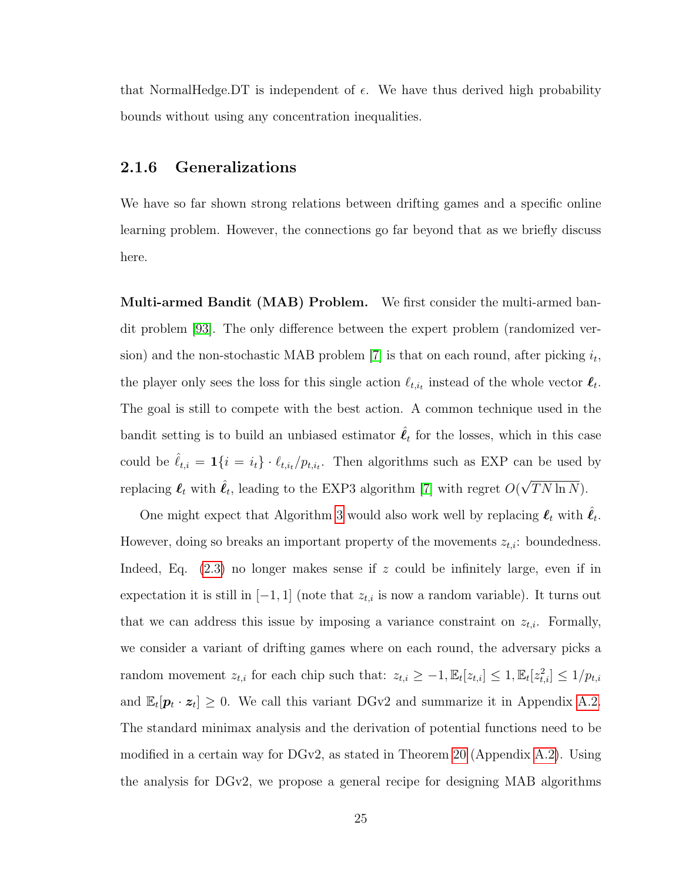that NormalHedge.DT is independent of  $\epsilon$ . We have thus derived high probability bounds without using any concentration inequalities.

### 2.1.6 Generalizations

We have so far shown strong relations between drifting games and a specific online learning problem. However, the connections go far beyond that as we briefly discuss here.

Multi-armed Bandit (MAB) Problem. We first consider the multi-armed bandit problem [\[93\]](#page-180-0). The only difference between the expert problem (randomized ver-sion) and the non-stochastic MAB problem [\[7\]](#page-173-0) is that on each round, after picking  $i_t$ , the player only sees the loss for this single action  $\ell_{t,i_t}$  instead of the whole vector  $\ell_t$ . The goal is still to compete with the best action. A common technique used in the bandit setting is to build an unbiased estimator  $\hat{\ell}_t$  for the losses, which in this case could be  $\hat{\ell}_{t,i} = \mathbf{1} \{i = i_t\} \cdot \ell_{t,i_t}/p_{t,i_t}$ . Then algorithms such as EXP can be used by replacing  $\ell_t$  with  $\hat{\ell}_t$ , leading to the EXP3 algorithm [\[7\]](#page-173-0) with regret  $O($ √  $TN \ln N$ ).

One might expect that Algorithm [3](#page-30-0) would also work well by replacing  $\ell_t$  with  $\hat{\ell}_t$ . However, doing so breaks an important property of the movements  $z_{t,i}$ : boundedness. Indeed, Eq.  $(2.3)$  no longer makes sense if z could be infinitely large, even if in expectation it is still in  $[-1, 1]$  (note that  $z_{t,i}$  is now a random variable). It turns out that we can address this issue by imposing a variance constraint on  $z_{t,i}$ . Formally, we consider a variant of drifting games where on each round, the adversary picks a random movement  $z_{t,i}$  for each chip such that:  $z_{t,i} \geq -1$ ,  $\mathbb{E}_t[z_{t,i}] \leq 1$ ,  $\mathbb{E}_t[z_{t,i}^2] \leq 1/p_{t,i}$ and  $\mathbb{E}_t[\mathbf{p}_t \cdot \mathbf{z}_t] \geq 0$ . We call this variant DGv2 and summarize it in Appendix [A.2.](#page-147-0) The standard minimax analysis and the derivation of potential functions need to be modified in a certain way for DGv2, as stated in Theorem [20](#page-147-1) (Appendix [A.2\)](#page-147-0). Using the analysis for DGv2, we propose a general recipe for designing MAB algorithms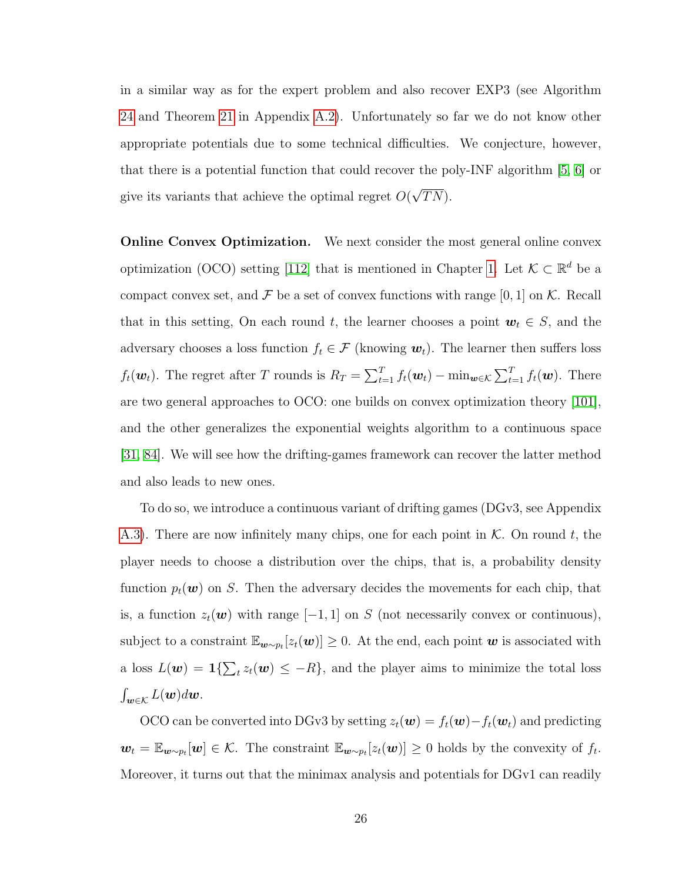in a similar way as for the expert problem and also recover EXP3 (see Algorithm [24](#page-147-2) and Theorem [21](#page-149-0) in Appendix [A.2\)](#page-147-0). Unfortunately so far we do not know other appropriate potentials due to some technical difficulties. We conjecture, however, that there is a potential function that could recover the poly-INF algorithm [\[5,](#page-173-1) [6\]](#page-173-2) or give its variants that achieve the optimal regret  $O($ √  $TN$ ).

**Online Convex Optimization.** We next consider the most general online convex optimization (OCO) setting [\[112\]](#page-181-0) that is mentioned in Chapter [1.](#page-13-0) Let  $\mathcal{K} \subset \mathbb{R}^d$  be a compact convex set, and  $\mathcal F$  be a set of convex functions with range [0, 1] on  $\mathcal K$ . Recall that in this setting, On each round t, the learner chooses a point  $w_t \in S$ , and the adversary chooses a loss function  $f_t \in \mathcal{F}$  (knowing  $\mathbf{w}_t$ ). The learner then suffers loss  $f_t(\boldsymbol{w}_t)$ . The regret after T rounds is  $R_T = \sum_{t=1}^T f_t(\boldsymbol{w}_t) - \min_{\boldsymbol{w} \in \mathcal{K}} \sum_{t=1}^T f_t(\boldsymbol{w})$ . There are two general approaches to OCO: one builds on convex optimization theory [\[101\]](#page-180-1), and the other generalizes the exponential weights algorithm to a continuous space [\[31,](#page-175-0) [84\]](#page-179-0). We will see how the drifting-games framework can recover the latter method and also leads to new ones.

To do so, we introduce a continuous variant of drifting games (DGv3, see Appendix [A.3\)](#page-151-0). There are now infinitely many chips, one for each point in  $K$ . On round t, the player needs to choose a distribution over the chips, that is, a probability density function  $p_t(\boldsymbol{w})$  on S. Then the adversary decides the movements for each chip, that is, a function  $z_t(\boldsymbol{w})$  with range  $[-1, 1]$  on S (not necessarily convex or continuous), subject to a constraint  $\mathbb{E}_{w \sim p_t}[z_t(w)] \geq 0$ . At the end, each point w is associated with a loss  $L(\boldsymbol{w}) = \mathbf{1}\{\sum_t z_t(\boldsymbol{w}) \leq -R\}$ , and the player aims to minimize the total loss  $\int_{\bm{w}\in\mathcal{K}}L(\bm{w})d\bm{w}.$ 

OCO can be converted into DGv3 by setting  $z_t(\mathbf{w}) = f_t(\mathbf{w}) - f_t(\mathbf{w}_t)$  and predicting  $\mathbf{w}_t = \mathbb{E}_{\mathbf{w} \sim p_t}[\mathbf{w}] \in \mathcal{K}$ . The constraint  $\mathbb{E}_{\mathbf{w} \sim p_t}[z_t(\mathbf{w})] \geq 0$  holds by the convexity of  $f_t$ . Moreover, it turns out that the minimax analysis and potentials for DGv1 can readily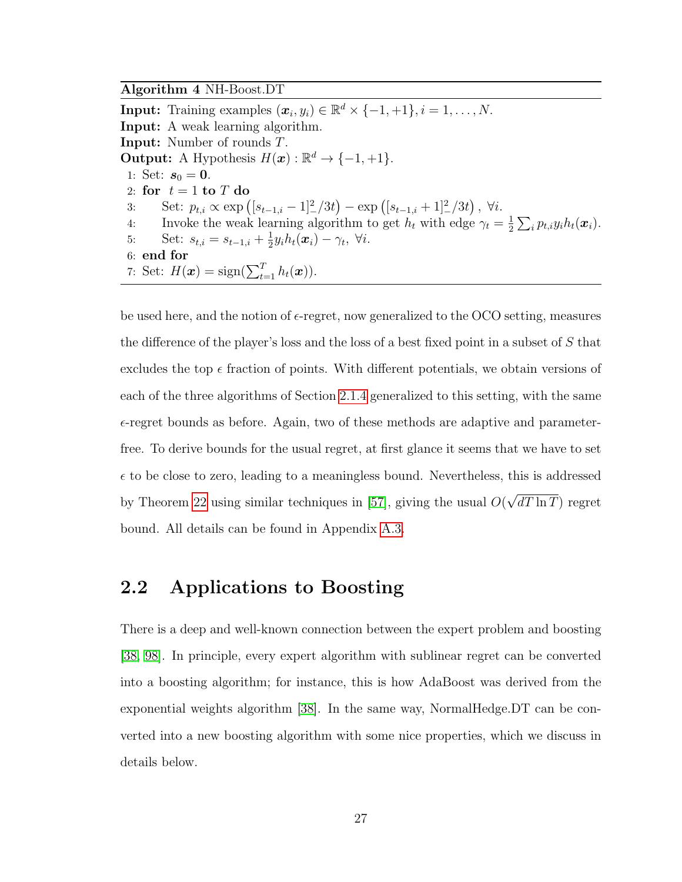<span id="page-39-0"></span>Algorithm 4 NH-Boost.DT

**Input:** Training examples  $(\boldsymbol{x}_i, y_i) \in \mathbb{R}^d \times \{-1, +1\}, i = 1, \dots, N$ . Input: A weak learning algorithm. Input: Number of rounds T. **Output:** A Hypothesis  $H(\mathbf{x}) : \mathbb{R}^d \to \{-1, +1\}.$ 1: Set:  $s_0 = 0$ . 2: for  $t = 1$  to T do 3: Set:  $p_{t,i} \propto \exp\left( [s_{t-1,i} - 1]^2 / 3t \right) - \exp\left( [s_{t-1,i} + 1]^2 / 3t \right), \ \forall i.$ 4: Invoke the weak learning algorithm to get  $h_t$  with edge  $\gamma_t = \frac{1}{2}$  $\frac{1}{2}\sum_{i}p_{t,i}y_{i}h_{t}(\boldsymbol{x}_{i}).$ 5: Set:  $s_{t,i} = s_{t-1,i} + \frac{1}{2}$  $\frac{1}{2}y_ih_t(\boldsymbol{x}_i)-\gamma_t, \ \forall i.$ 6: end for 7: Set:  $H(\boldsymbol{x}) = \text{sign}(\sum_{t=1}^{T} h_t(\boldsymbol{x})).$ 

be used here, and the notion of  $\epsilon$ -regret, now generalized to the OCO setting, measures the difference of the player's loss and the loss of a best fixed point in a subset of S that excludes the top  $\epsilon$  fraction of points. With different potentials, we obtain versions of each of the three algorithms of Section [2.1.4](#page-31-0) generalized to this setting, with the same  $\epsilon$ -regret bounds as before. Again, two of these methods are adaptive and parameterfree. To derive bounds for the usual regret, at first glance it seems that we have to set  $\epsilon$  to be close to zero, leading to a meaningless bound. Nevertheless, this is addressed by Theorem [22](#page-152-0) using similar techniques in [\[57\]](#page-177-0), giving the usual  $O($ √  $dT \ln T$ ) regret bound. All details can be found in Appendix [A.3.](#page-151-0)

# 2.2 Applications to Boosting

There is a deep and well-known connection between the expert problem and boosting [\[38,](#page-176-0) [98\]](#page-180-2). In principle, every expert algorithm with sublinear regret can be converted into a boosting algorithm; for instance, this is how AdaBoost was derived from the exponential weights algorithm [\[38\]](#page-176-0). In the same way, NormalHedge.DT can be converted into a new boosting algorithm with some nice properties, which we discuss in details below.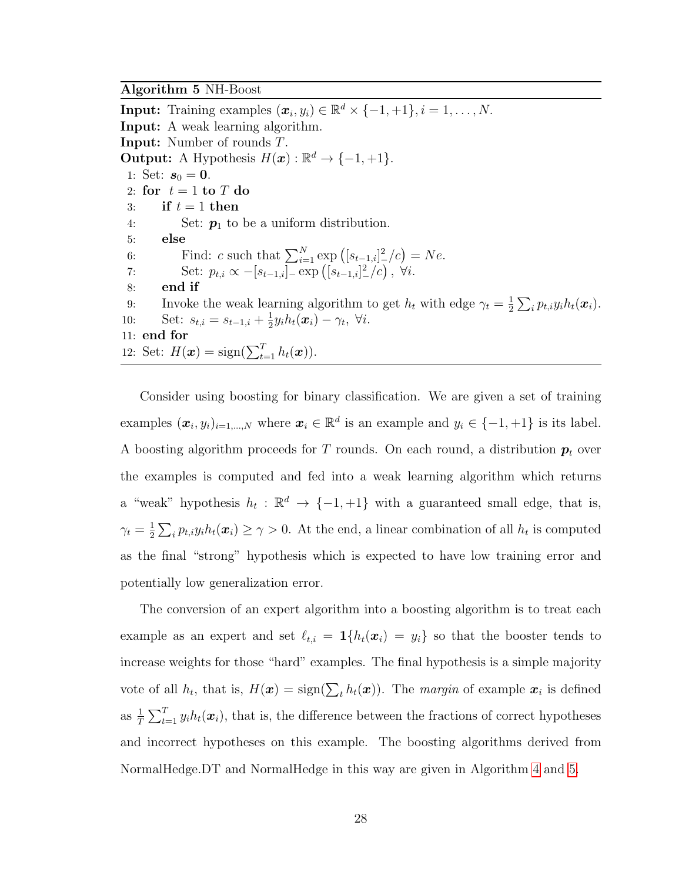#### <span id="page-40-0"></span>Algorithm 5 NH-Boost

**Input:** Training examples  $(\boldsymbol{x}_i, y_i) \in \mathbb{R}^d \times \{-1, +1\}, i = 1, \dots, N$ . Input: A weak learning algorithm. Input: Number of rounds T. **Output:** A Hypothesis  $H(\mathbf{x}) : \mathbb{R}^d \to \{-1, +1\}.$ 1: Set:  $s_0 = 0$ . 2: for  $t = 1$  to T do 3: if  $t = 1$  then 4: Set:  $p_1$  to be a uniform distribution. 5: else 6: Find: c such that  $\sum_{i=1}^{N} \exp ( [s_{t-1,i}]_{-}^{2}/c ) = Ne.$ 7: Set:  $p_{t,i} \propto -[s_{t-1,i}]_-\exp([s_{t-1,i}]_-^2/c), \forall i.$ 8: end if 9: Invoke the weak learning algorithm to get  $h_t$  with edge  $\gamma_t = \frac{1}{2}$  $\frac{1}{2}\sum_{i}p_{t,i}y_{i}h_{t}(\boldsymbol{x}_{i}).$ 10: Set:  $s_{t,i} = s_{t-1,i} + \frac{1}{2}$  $\frac{1}{2}y_i h_t(\boldsymbol{x}_i) - \gamma_t, \ \forall i.$ 11: end for 12: Set:  $H(\boldsymbol{x}) = \text{sign}(\sum_{t=1}^{T} h_t(\boldsymbol{x})).$ 

Consider using boosting for binary classification. We are given a set of training examples  $(\boldsymbol{x}_i, y_i)_{i=1,\dots,N}$  where  $\boldsymbol{x}_i \in \mathbb{R}^d$  is an example and  $y_i \in \{-1, +1\}$  is its label. A boosting algorithm proceeds for T rounds. On each round, a distribution  $p_t$  over the examples is computed and fed into a weak learning algorithm which returns a "weak" hypothesis  $h_t : \mathbb{R}^d \to \{-1, +1\}$  with a guaranteed small edge, that is,  $\gamma_t=\frac{1}{2}$  $\frac{1}{2}\sum_i p_{t,i}y_i h_t(\boldsymbol{x}_i) \geq \gamma > 0$ . At the end, a linear combination of all  $h_t$  is computed as the final "strong" hypothesis which is expected to have low training error and potentially low generalization error.

The conversion of an expert algorithm into a boosting algorithm is to treat each example as an expert and set  $\ell_{t,i} = \mathbf{1}\{h_t(\mathbf{x}_i) = y_i\}$  so that the booster tends to increase weights for those "hard" examples. The final hypothesis is a simple majority vote of all  $h_t$ , that is,  $H(\mathbf{x}) = \text{sign}(\sum_t h_t(\mathbf{x}))$ . The margin of example  $\mathbf{x}_i$  is defined as  $\frac{1}{T} \sum_{t=1}^{T} y_i h_t(\boldsymbol{x}_i)$ , that is, the difference between the fractions of correct hypotheses and incorrect hypotheses on this example. The boosting algorithms derived from NormalHedge.DT and NormalHedge in this way are given in Algorithm [4](#page-39-0) and [5.](#page-40-0)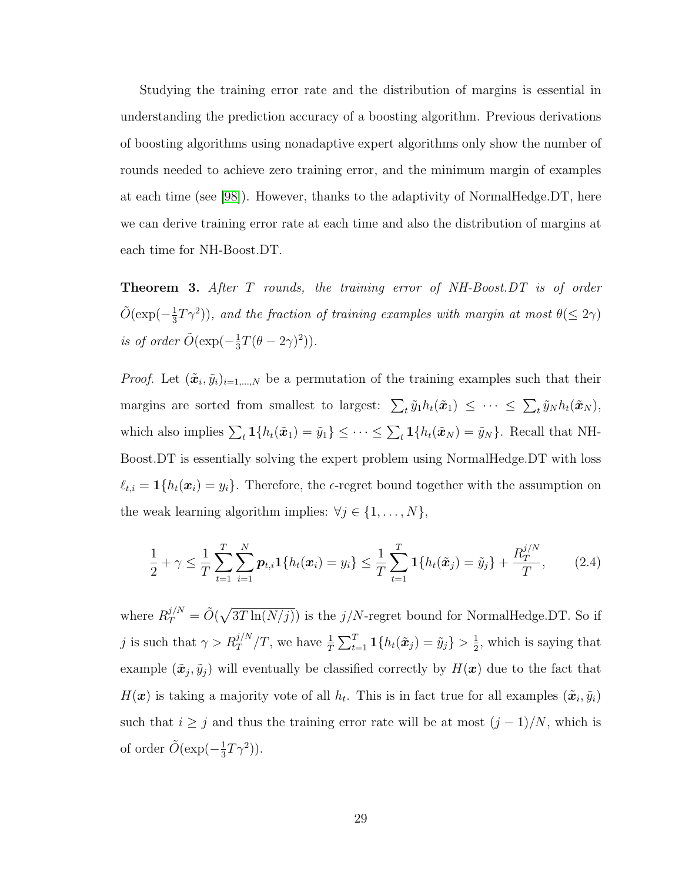Studying the training error rate and the distribution of margins is essential in understanding the prediction accuracy of a boosting algorithm. Previous derivations of boosting algorithms using nonadaptive expert algorithms only show the number of rounds needed to achieve zero training error, and the minimum margin of examples at each time (see [\[98\]](#page-180-2)). However, thanks to the adaptivity of NormalHedge.DT, here we can derive training error rate at each time and also the distribution of margins at each time for NH-Boost.DT.

**Theorem 3.** After T rounds, the training error of NH-Boost.DT is of order  $\tilde{O}(\exp(-\frac{1}{3}))$  $(\frac{1}{3}T\gamma^2)$ , and the fraction of training examples with margin at most  $\theta(\leq 2\gamma)$ is of order  $\tilde{O}(\exp(-\frac{1}{3}))$  $\frac{1}{3}T(\theta - 2\gamma)^2)$ ).

*Proof.* Let  $(\tilde{\boldsymbol{x}}_i, \tilde{y}_i)_{i=1,\dots,N}$  be a permutation of the training examples such that their margins are sorted from smallest to largest:  $\sum_t \tilde{y}_1 h_t(\tilde{x}_1) \leq \cdots \leq \sum_t \tilde{y}_N h_t(\tilde{x}_N)$ , which also implies  $\sum_t \mathbf{1}\{h_t(\tilde{x}_1) = \tilde{y}_1\} \leq \cdots \leq \sum_t \mathbf{1}\{h_t(\tilde{x}_N) = \tilde{y}_N\}$ . Recall that NH-Boost.DT is essentially solving the expert problem using NormalHedge.DT with loss  $\ell_{t,i} = \mathbf{1}\{h_t(\boldsymbol{x}_i) = y_i\}.$  Therefore, the  $\epsilon$ -regret bound together with the assumption on the weak learning algorithm implies:  $\forall j \in \{1, ..., N\},$ 

<span id="page-41-0"></span>
$$
\frac{1}{2} + \gamma \leq \frac{1}{T} \sum_{t=1}^{T} \sum_{i=1}^{N} p_{t,i} \mathbf{1} \{ h_t(\boldsymbol{x}_i) = y_i \} \leq \frac{1}{T} \sum_{t=1}^{T} \mathbf{1} \{ h_t(\tilde{\boldsymbol{x}}_j) = \tilde{y}_j \} + \frac{R_T^{j/N}}{T}, \qquad (2.4)
$$

where  $R_T^{j/N} = \tilde{O}(\sqrt{3T \ln(N/j)})$  is the  $j/N$ -regret bound for NormalHedge.DT. So if j is such that  $\gamma > R_T^{j/N}/T$ , we have  $\frac{1}{T} \sum_{t=1}^T \mathbf{1}\{h_t(\tilde{\boldsymbol{x}}_j) = \tilde{y}_j\} > \frac{1}{2}$  $\frac{1}{2}$ , which is saying that example  $(\tilde{\bm{x}}_j, \tilde{y}_j)$  will eventually be classified correctly by  $H(\bm{x})$  due to the fact that  $H(\boldsymbol{x})$  is taking a majority vote of all  $h_t$ . This is in fact true for all examples  $(\tilde{\boldsymbol{x}}_i, \tilde{y}_i)$ such that  $i \geq j$  and thus the training error rate will be at most  $(j-1)/N$ , which is of order  $\tilde{O}(\exp(-\frac{1}{3}))$  $(\frac{1}{3}T\gamma^2)$ ).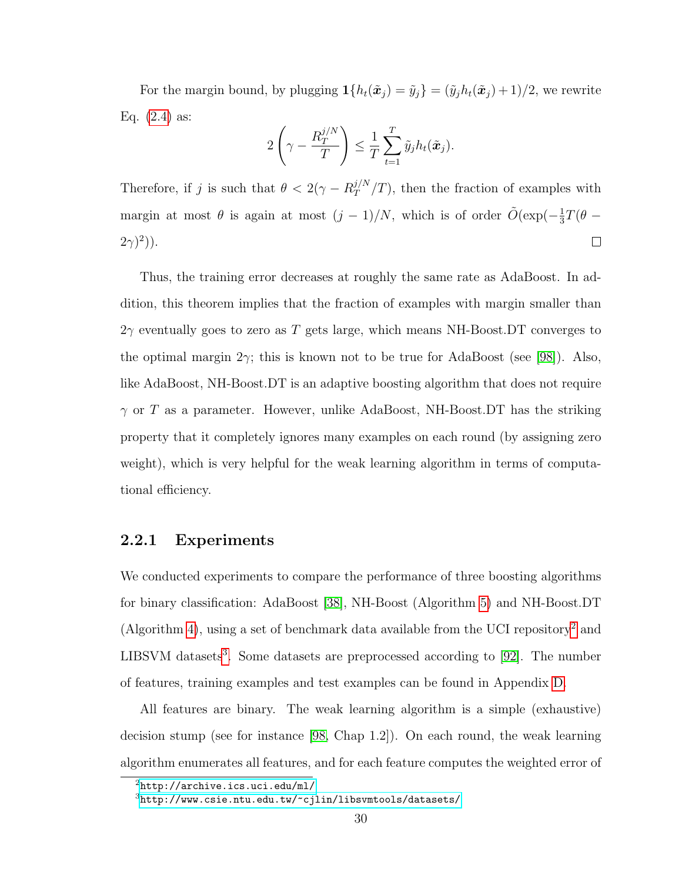For the margin bound, by plugging  $\mathbf{1}{h_t(\tilde{x}_j) = \tilde{y}_j} = (\tilde{y}_j h_t(\tilde{x}_j) + 1)/2$ , we rewrite Eq.  $(2.4)$  as:

$$
2\left(\gamma - \frac{R_T^{j/N}}{T}\right) \leq \frac{1}{T} \sum_{t=1}^T \tilde{y}_j h_t(\tilde{\boldsymbol{x}}_j).
$$

Therefore, if j is such that  $\theta < 2(\gamma - R_T^{j/N})$  $T^{J/N}/T$ , then the fraction of examples with margin at most  $\theta$  is again at most  $(j-1)/N$ , which is of order  $\tilde{O}(\exp(-\frac{1}{3}))$  $\frac{1}{3}T(\theta - )$  $(2\gamma)^2$ )).  $\Box$ 

Thus, the training error decreases at roughly the same rate as AdaBoost. In addition, this theorem implies that the fraction of examples with margin smaller than  $2\gamma$  eventually goes to zero as T gets large, which means NH-Boost.DT converges to the optimal margin  $2\gamma$ ; this is known not to be true for AdaBoost (see [\[98\]](#page-180-2)). Also, like AdaBoost, NH-Boost.DT is an adaptive boosting algorithm that does not require  $\gamma$  or T as a parameter. However, unlike AdaBoost, NH-Boost.DT has the striking property that it completely ignores many examples on each round (by assigning zero weight), which is very helpful for the weak learning algorithm in terms of computational efficiency.

# 2.2.1 Experiments

We conducted experiments to compare the performance of three boosting algorithms for binary classification: AdaBoost [\[38\]](#page-176-0), NH-Boost (Algorithm [5\)](#page-40-0) and NH-Boost.DT (Algorithm [4\)](#page-39-0), using a set of benchmark data available from the UCI repository<sup>[2](#page-42-0)</sup> and LIBSVM datasets<sup>[3](#page-42-1)</sup>. Some datasets are preprocessed according to [\[92\]](#page-179-1). The number of features, training examples and test examples can be found in Appendix [D.](#page-169-0)

All features are binary. The weak learning algorithm is a simple (exhaustive) decision stump (see for instance [\[98,](#page-180-2) Chap 1.2]). On each round, the weak learning algorithm enumerates all features, and for each feature computes the weighted error of

<span id="page-42-0"></span><sup>2</sup><http://archive.ics.uci.edu/ml/>

<span id="page-42-1"></span> $3$ <http://www.csie.ntu.edu.tw/~cjlin/libsvmtools/datasets/>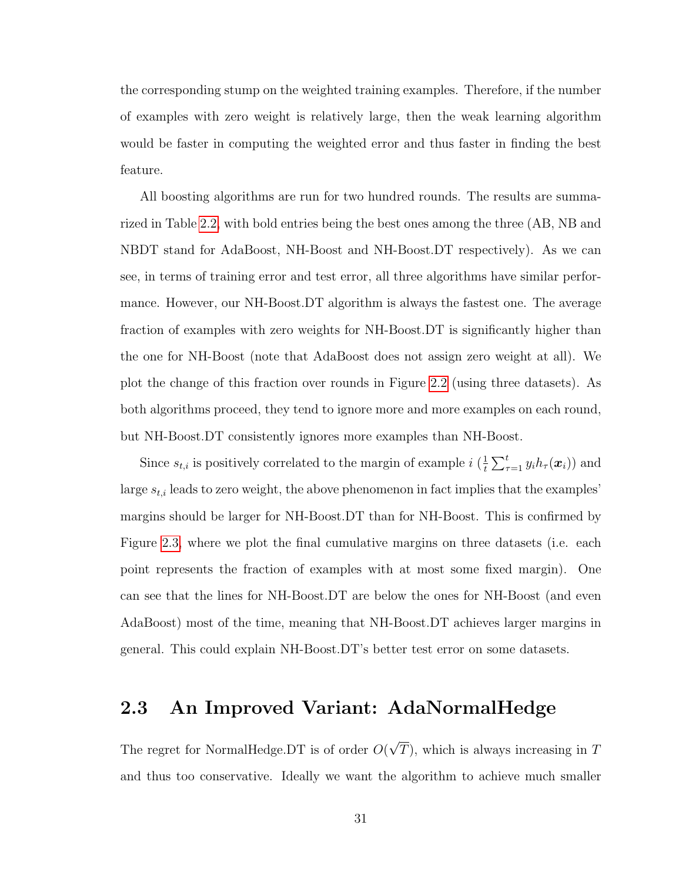the corresponding stump on the weighted training examples. Therefore, if the number of examples with zero weight is relatively large, then the weak learning algorithm would be faster in computing the weighted error and thus faster in finding the best feature.

All boosting algorithms are run for two hundred rounds. The results are summarized in Table [2.2,](#page-44-0) with bold entries being the best ones among the three (AB, NB and NBDT stand for AdaBoost, NH-Boost and NH-Boost.DT respectively). As we can see, in terms of training error and test error, all three algorithms have similar performance. However, our NH-Boost.DT algorithm is always the fastest one. The average fraction of examples with zero weights for NH-Boost.DT is significantly higher than the one for NH-Boost (note that AdaBoost does not assign zero weight at all). We plot the change of this fraction over rounds in Figure [2.2](#page-44-1) (using three datasets). As both algorithms proceed, they tend to ignore more and more examples on each round, but NH-Boost.DT consistently ignores more examples than NH-Boost.

Since  $s_{t,i}$  is positively correlated to the margin of example  $i\left(\frac{1}{t}\right)$  $\frac{1}{t} \sum_{\tau=1}^t y_i h_{\tau}(\boldsymbol{x}_i)$  and large  $s_{t,i}$  leads to zero weight, the above phenomenon in fact implies that the examples' margins should be larger for NH-Boost.DT than for NH-Boost. This is confirmed by Figure [2.3,](#page-45-0) where we plot the final cumulative margins on three datasets (i.e. each point represents the fraction of examples with at most some fixed margin). One can see that the lines for NH-Boost.DT are below the ones for NH-Boost (and even AdaBoost) most of the time, meaning that NH-Boost.DT achieves larger margins in general. This could explain NH-Boost.DT's better test error on some datasets.

# 2.3 An Improved Variant: AdaNormalHedge

The regret for NormalHedge.DT is of order O( √  $T$ , which is always increasing in  $T$ and thus too conservative. Ideally we want the algorithm to achieve much smaller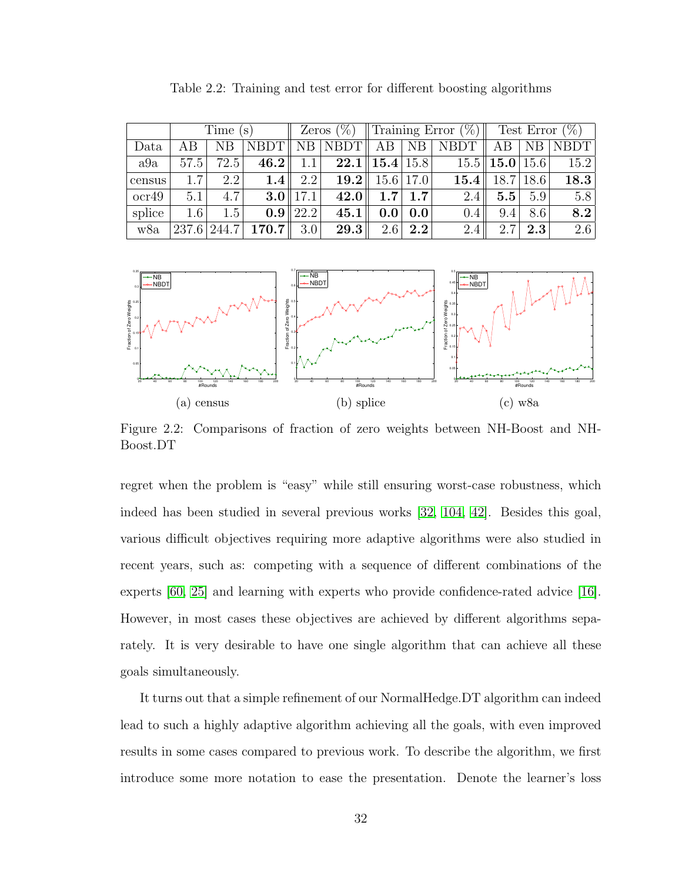<span id="page-44-0"></span>

|        |         | Time $(s)$ |       |                  | Zeros $(\%)$                                                           | Training Error $(\%)$ |           |                    | Test Error $(\%)$    |                |      |
|--------|---------|------------|-------|------------------|------------------------------------------------------------------------|-----------------------|-----------|--------------------|----------------------|----------------|------|
| Data   | AB      | NΒ         |       |                  | $\overline{\text{NBDT} \parallel \text{NB}}$ $\vert \text{NBDT} \Vert$ | AB                    | <b>NB</b> | <b>NBDT</b>        | AB.                  | N <sub>B</sub> | NBDT |
| a9a    | 57.5    | 72.5       | 46.2  | 1.1              |                                                                        | $22.1$   15.4   15.8  |           |                    | $15.5$   15.0   15.6 |                | 15.2 |
| census | 1.7     | 2.2        | 1.4   | 2.2              | 19.2                                                                   | 15.6                  | 17.0      | $15.4$ $\parallel$ | 18.7                 | 18.6           | 18.3 |
| ocr49  | 5.1     | 4.7        |       | $3.0$   17.1     | 42.0                                                                   | 1.7 <sup>1</sup>      | 1.7       | 2.4                | 5.5                  | 5.9            | 5.8  |
| splice | $1.6\,$ | 1.5        |       | $0.9 \, \, 22.2$ | 45.1                                                                   | $0.0\,$               | 0.0       | $0.4\,$            | 9.4                  | 8.6            | 8.2  |
| w8a    | 237.6   | 244.7      | 170.7 | 3.0              | 29.3                                                                   | 2.6                   | 2.2       | 2.4                | 2.7                  | $2.3\,$        | 2.6  |

Table 2.2: Training and test error for different boosting algorithms

<span id="page-44-1"></span>

Figure 2.2: Comparisons of fraction of zero weights between NH-Boost and NH-Boost.DT

regret when the problem is "easy" while still ensuring worst-case robustness, which indeed has been studied in several previous works [\[32,](#page-175-1) [104,](#page-180-3) [42\]](#page-176-1). Besides this goal, various difficult objectives requiring more adaptive algorithms were also studied in recent years, such as: competing with a sequence of different combinations of the experts [\[60,](#page-177-1) [25\]](#page-175-2) and learning with experts who provide confidence-rated advice [\[16\]](#page-174-1). However, in most cases these objectives are achieved by different algorithms separately. It is very desirable to have one single algorithm that can achieve all these goals simultaneously.

It turns out that a simple refinement of our NormalHedge.DT algorithm can indeed lead to such a highly adaptive algorithm achieving all the goals, with even improved results in some cases compared to previous work. To describe the algorithm, we first introduce some more notation to ease the presentation. Denote the learner's loss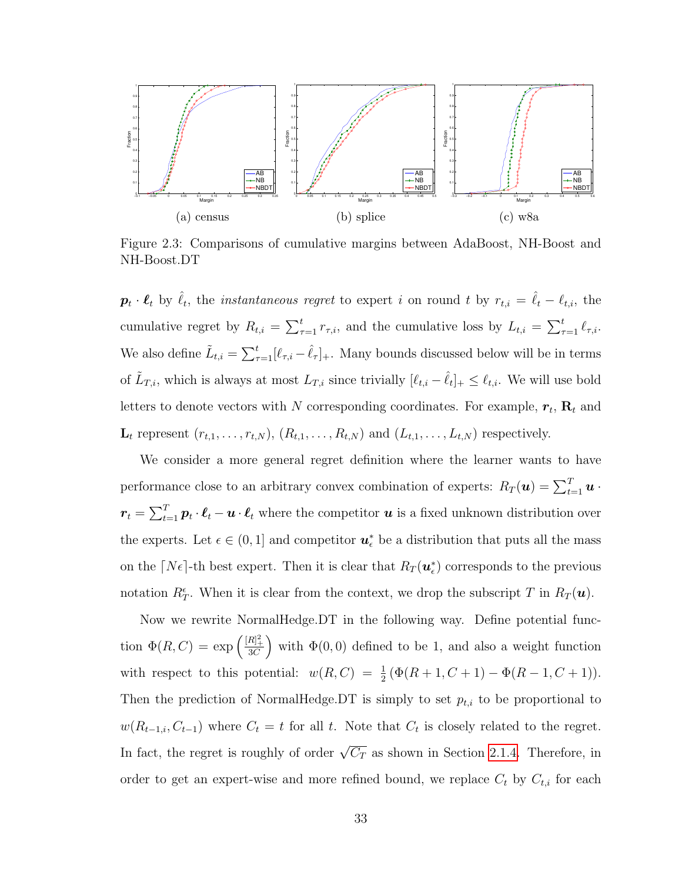<span id="page-45-0"></span>

Figure 2.3: Comparisons of cumulative margins between AdaBoost, NH-Boost and NH-Boost.DT

 $\boldsymbol{p}_t \cdot \boldsymbol{\ell}_t$  by  $\hat{\ell}_t$ , the *instantaneous regret* to expert i on round t by  $r_{t,i} = \hat{\ell}_t - \ell_{t,i}$ , the cumulative regret by  $R_{t,i} = \sum_{\tau=1}^t r_{\tau,i}$ , and the cumulative loss by  $L_{t,i} = \sum_{\tau=1}^t \ell_{\tau,i}$ . We also define  $\tilde{L}_{t,i} = \sum_{\tau=1}^t [\ell_{\tau,i} - \hat{\ell}_{\tau}]_+$ . Many bounds discussed below will be in terms of  $\tilde{L}_{T,i}$ , which is always at most  $L_{T,i}$  since trivially  $[\ell_{t,i} - \hat{\ell}_t]_+ \leq \ell_{t,i}$ . We will use bold letters to denote vectors with N corresponding coordinates. For example,  $r_t$ ,  $\mathbf{R}_t$  and  $\mathbf{L}_t$  represent  $(r_{t,1},\ldots,r_{t,N}), (R_{t,1},\ldots,R_{t,N})$  and  $(L_{t,1},\ldots,L_{t,N})$  respectively.

We consider a more general regret definition where the learner wants to have performance close to an arbitrary convex combination of experts:  $R_T(\mathbf{u}) = \sum_{t=1}^T \mathbf{u}$ .  $\bm{r}_t = \sum_{t=1}^T \bm{p}_t \cdot \bm{\ell}_t - \bm{u} \cdot \bm{\ell}_t$  where the competitor  $\bm{u}$  is a fixed unknown distribution over the experts. Let  $\epsilon \in (0,1]$  and competitor  $\mathbf{u}_{\epsilon}^*$  be a distribution that puts all the mass on the  $[N\epsilon]$ -th best expert. Then it is clear that  $R_T(\mathbf{u}_{\epsilon}^*)$  corresponds to the previous notation  $R_T^{\epsilon}$ . When it is clear from the context, we drop the subscript T in  $R_T(\boldsymbol{u})$ .

Now we rewrite NormalHedge.DT in the following way. Define potential function  $\Phi(R, C) = \exp\left(\frac{[R]_+^2}{3C}\right)$  with  $\Phi(0, 0)$  defined to be 1, and also a weight function with respect to this potential:  $w(R, C) = \frac{1}{2} (\Phi(R + 1, C + 1) - \Phi(R - 1, C + 1)).$ Then the prediction of NormalHedge.DT is simply to set  $p_{t,i}$  to be proportional to  $w(R_{t-1,i}, C_{t-1})$  where  $C_t = t$  for all t. Note that  $C_t$  is closely related to the regret. In fact, the regret is roughly of order  $\sqrt{C_T}$  as shown in Section [2.1.4.](#page-31-0) Therefore, in order to get an expert-wise and more refined bound, we replace  $C_t$  by  $C_{t,i}$  for each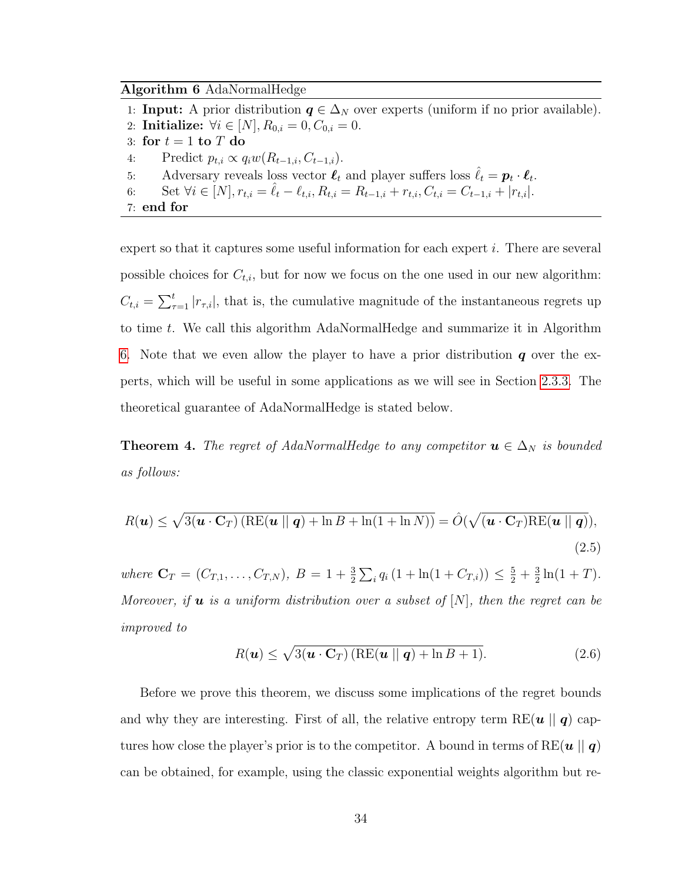<span id="page-46-0"></span>Algorithm 6 AdaNormalHedge

1: **Input:** A prior distribution  $q \in \Delta_N$  over experts (uniform if no prior available). 2: **Initialize:**  $\forall i \in [N], R_{0,i} = 0, C_{0,i} = 0.$ 3: for  $t = 1$  to  $T$  do 4: Predict  $p_{t,i} \propto q_i w(R_{t-1,i}, C_{t-1,i}).$ 5: Adversary reveals loss vector  $\ell_t$  and player suffers loss  $\hat{\ell}_t = p_t \cdot \ell_t$ . 6: Set  $\forall i \in [N], r_{t,i} = \hat{\ell}_t - \ell_{t,i}, R_{t,i} = R_{t-1,i} + r_{t,i}, C_{t,i} = C_{t-1,i} + |r_{t,i}|.$ 7: end for

expert so that it captures some useful information for each expert i. There are several possible choices for  $C_{t,i}$ , but for now we focus on the one used in our new algorithm:  $C_{t,i} = \sum_{\tau=1}^{t} |r_{\tau,i}|$ , that is, the cumulative magnitude of the instantaneous regrets up to time t. We call this algorithm AdaNormalHedge and summarize it in Algorithm [6.](#page-46-0) Note that we even allow the player to have a prior distribution  $q$  over the experts, which will be useful in some applications as we will see in Section [2.3.3.](#page-54-0) The theoretical guarantee of AdaNormalHedge is stated below.

<span id="page-46-2"></span>**Theorem 4.** The regret of AdaNormalHedge to any competitor  $u \in \Delta_N$  is bounded as follows:

<span id="page-46-3"></span>
$$
R(\mathbf{u}) \leq \sqrt{3(\mathbf{u} \cdot \mathbf{C}_T) \left( \text{RE}(\mathbf{u} \mid \mid \mathbf{q}) + \ln B + \ln(1 + \ln N) \right)} = \hat{O}(\sqrt{(\mathbf{u} \cdot \mathbf{C}_T) \text{RE}(\mathbf{u} \mid \mid \mathbf{q})}),
$$
\n(2.5)

where  $\mathbf{C}_T = (C_{T,1}, \ldots, C_{T,N}), B = 1 + \frac{3}{2} \sum_i q_i (1 + \ln(1 + C_{T,i})) \leq \frac{5}{2} + \frac{3}{2}$  $\frac{3}{2}\ln(1+T)$ . Moreover, if **u** is a uniform distribution over a subset of  $[N]$ , then the regret can be improved to

<span id="page-46-1"></span>
$$
R(\boldsymbol{u}) \leq \sqrt{3(\boldsymbol{u} \cdot \mathbf{C}_T) \left( \text{RE}(\boldsymbol{u} \mid \mid \boldsymbol{q}) + \ln B + 1 \right)}. \tag{2.6}
$$

Before we prove this theorem, we discuss some implications of the regret bounds and why they are interesting. First of all, the relative entropy term RE( $u \mid q$ ) captures how close the player's prior is to the competitor. A bound in terms of RE( $u \parallel q$ ) can be obtained, for example, using the classic exponential weights algorithm but re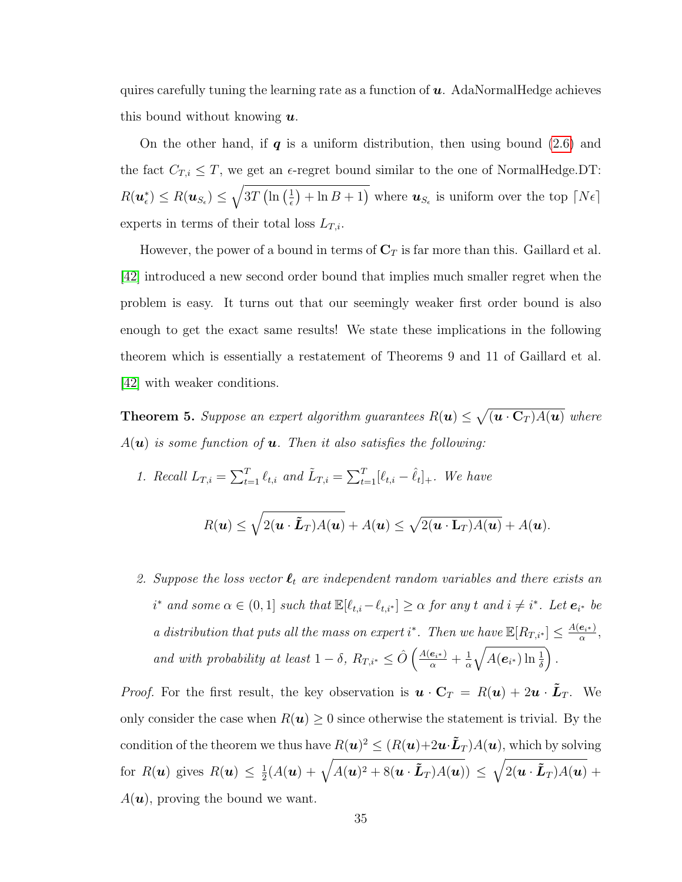quires carefully tuning the learning rate as a function of  $u$ . AdaNormalHedge achieves this bound without knowing  $\boldsymbol{u}$ .

On the other hand, if  $q$  is a uniform distribution, then using bound [\(2.6\)](#page-46-1) and the fact  $C_{T,i} \leq T$ , we get an  $\epsilon$ -regret bound similar to the one of NormalHedge.DT:  $R(\boldsymbol{u}_\epsilon^*) \leq R(\boldsymbol{u}_{S_\epsilon}) \leq \sqrt{3T\left(\ln\left(\frac{1}{\epsilon}\right)\right)}$  $(\frac{1}{\epsilon}) + \ln B + 1$ ) where  $u_{S_{\epsilon}}$  is uniform over the top  $[N\epsilon]$ experts in terms of their total loss  $L_{T,i}$ .

However, the power of a bound in terms of  $\mathbb{C}_T$  is far more than this. Gaillard et al. [\[42\]](#page-176-1) introduced a new second order bound that implies much smaller regret when the problem is easy. It turns out that our seemingly weaker first order bound is also enough to get the exact same results! We state these implications in the following theorem which is essentially a restatement of Theorems 9 and 11 of Gaillard et al. [\[42\]](#page-176-1) with weaker conditions.

<span id="page-47-0"></span>**Theorem 5.** Suppose an expert algorithm guarantees  $R(\boldsymbol{u}) \leq \sqrt{(\boldsymbol{u} \cdot \mathbf{C}_T)A(\boldsymbol{u})}$  where  $A(\mathbf{u})$  is some function of **u**. Then it also satisfies the following:

1. Recall  $L_{T,i} = \sum_{t=1}^{T} \ell_{t,i}$  and  $\tilde{L}_{T,i} = \sum_{t=1}^{T} [\ell_{t,i} - \hat{\ell}_{t}]_{+}$ . We have

$$
R(\mathbf{u}) \leq \sqrt{2(\mathbf{u} \cdot \tilde{\mathbf{L}}_T)A(\mathbf{u})} + A(\mathbf{u}) \leq \sqrt{2(\mathbf{u} \cdot \mathbf{L}_T)A(\mathbf{u})} + A(\mathbf{u}).
$$

2. Suppose the loss vector  $\ell_t$  are independent random variables and there exists an  $i^*$  and some  $\alpha \in (0,1]$  such that  $\mathbb{E}[\ell_{t,i}-\ell_{t,i^*}] \geq \alpha$  for any t and  $i \neq i^*$ . Let  $e_{i^*}$  be a distribution that puts all the mass on expert i<sup>\*</sup>. Then we have  $\mathbb{E}[R_{T,i^*}] \leq \frac{A(e_{i^*})}{\alpha}$  $\frac{\bm{e}_{i^*})}{\alpha},$ and with probability at least  $1 - \delta$ ,  $R_{T,i^*} \leq \hat{O}\left(\frac{A(e_{i^*})}{\alpha} + \frac{1}{\alpha}\right)$ α  $\sqrt{A(\boldsymbol{e}_{i^*})\ln\frac{1}{\delta}}$ .

*Proof.* For the first result, the key observation is  $\mathbf{u} \cdot \mathbf{C}_T = R(\mathbf{u}) + 2\mathbf{u} \cdot \mathbf{L}_T$ . We only consider the case when  $R(\mathbf{u}) \geq 0$  since otherwise the statement is trivial. By the condition of the theorem we thus have  $R(\bm{u})^2 \leq (R(\bm{u})+2\bm{u}\!\cdot\!\tilde{\bm{L}}_T)A(\bm{u}),$  which by solving for  $R(\boldsymbol{u})$  gives  $R(\boldsymbol{u}) \leq \frac{1}{2}$  $\frac{1}{2}(A(\boldsymbol{u})+\sqrt{A(\boldsymbol{u})^2+8(\boldsymbol{u}\cdot\boldsymbol{\tilde{L}}_T)A(\boldsymbol{u})})\,\leq\,\sqrt{2(\boldsymbol{u}\cdot\boldsymbol{\tilde{L}}_T)A(\boldsymbol{u})}\,+\,$  $A(\mathbf{u})$ , proving the bound we want.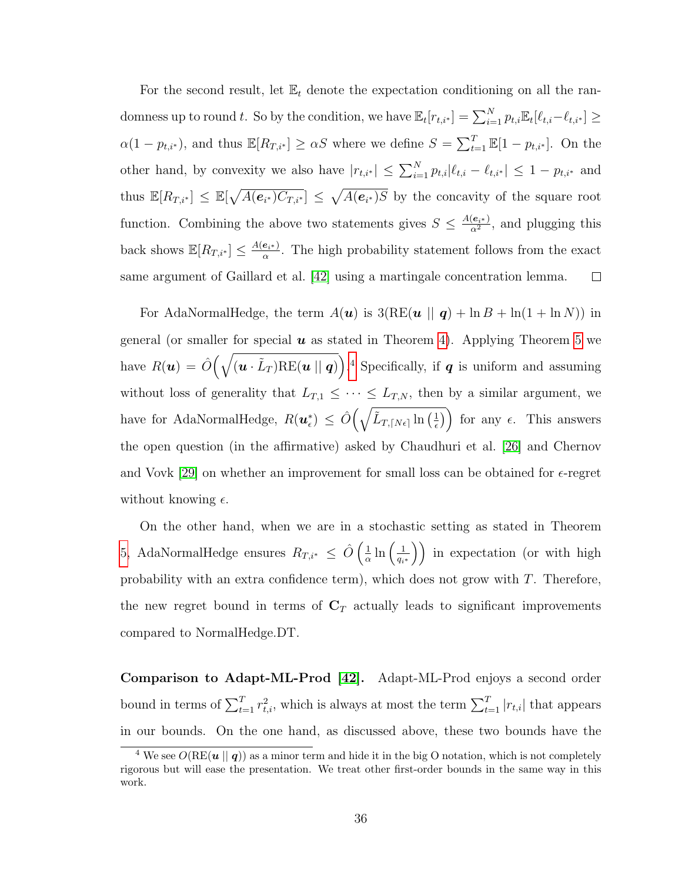For the second result, let  $\mathbb{E}_t$  denote the expectation conditioning on all the randomness up to round t. So by the condition, we have  $\mathbb{E}_t[r_{t,i^*}] = \sum_{i=1}^N p_{t,i} \mathbb{E}_t[\ell_{t,i} - \ell_{t,i^*}] \geq$  $\alpha(1-p_{t,i^*})$ , and thus  $\mathbb{E}[R_{T,i^*}] \geq \alpha S$  where we define  $S = \sum_{t=1}^T \mathbb{E}[1-p_{t,i^*}]$ . On the other hand, by convexity we also have  $|r_{t,i^*}| \leq \sum_{i=1}^N p_{t,i} |\ell_{t,i} - \ell_{t,i^*}| \leq 1 - p_{t,i^*}$  and thus  $\mathbb{E}[R_{T,i^*}] \leq \mathbb{E}[\sqrt{A(e_{i^*})C_{T,i^*}}] \leq \sqrt{A(e_{i^*})S}$  by the concavity of the square root function. Combining the above two statements gives  $S \n\t\leq \frac{A(e_{i*})}{\sigma^2}$  $\frac{(e_{i^*})}{\alpha^2}$ , and plugging this back shows  $\mathbb{E}[R_{T,i^*}] \leq \frac{A(e_{i^*})}{\alpha}$  $\frac{e_{i^*}}{\alpha}$ . The high probability statement follows from the exact same argument of Gaillard et al. [\[42\]](#page-176-1) using a martingale concentration lemma.  $\Box$ 

For AdaNormalHedge, the term  $A(\boldsymbol{u})$  is  $3(RE(\boldsymbol{u} \parallel \boldsymbol{q}) + \ln B + \ln(1 + \ln N))$  in general (or smaller for special  $u$  as stated in Theorem [4\)](#page-46-2). Applying Theorem [5](#page-47-0) we have  $R(u) = \hat{O}(\sqrt{(u \cdot \tilde{L}_T)RE(u \mid q)})$ .<sup>[4](#page-48-0)</sup> Specifically, if  $q$  is uniform and assuming without loss of generality that  $L_{T,1} \leq \cdots \leq L_{T,N}$ , then by a similar argument, we have for AdaNormalHedge,  $R(\boldsymbol{u}_\epsilon^*) \leq \hat{O} \left( \sqrt{\tilde{L}_{T, \lceil N \epsilon \rceil} \ln \left( \frac{1}{\epsilon} \right)} \right)$  $\left(\frac{1}{\epsilon}\right)$  for any  $\epsilon$ . This answers the open question (in the affirmative) asked by Chaudhuri et al. [\[26\]](#page-175-3) and Chernov and Vovk [\[29\]](#page-175-4) on whether an improvement for small loss can be obtained for  $\epsilon$ -regret without knowing  $\epsilon$ .

On the other hand, when we are in a stochastic setting as stated in Theorem [5,](#page-47-0) AdaNormalHedge ensures  $R_{T,i^*} \leq \hat{O}\left(\frac{1}{\alpha}\right)$  $\frac{1}{\alpha}\ln\left(\frac{1}{q_i}\right)$  $\left(\frac{1}{q_{i^*}}\right)$  in expectation (or with high probability with an extra confidence term), which does not grow with  $T$ . Therefore, the new regret bound in terms of  $C_T$  actually leads to significant improvements compared to NormalHedge.DT.

Comparison to Adapt-ML-Prod [\[42\]](#page-176-1). Adapt-ML-Prod enjoys a second order bound in terms of  $\sum_{t=1}^{T} r_{t,i}^2$ , which is always at most the term  $\sum_{t=1}^{T} |r_{t,i}|$  that appears in our bounds. On the one hand, as discussed above, these two bounds have the

<span id="page-48-0"></span><sup>&</sup>lt;sup>4</sup> We see  $O(RE(u || q))$  as a minor term and hide it in the big O notation, which is not completely rigorous but will ease the presentation. We treat other first-order bounds in the same way in this work.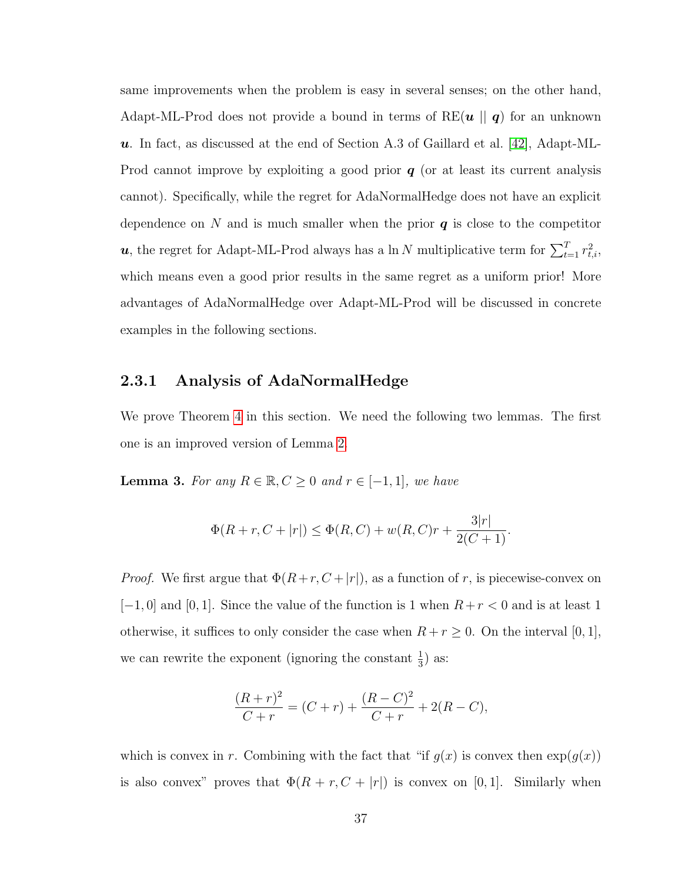same improvements when the problem is easy in several senses; on the other hand, Adapt-ML-Prod does not provide a bound in terms of RE $(u || q)$  for an unknown  $u$ . In fact, as discussed at the end of Section A.3 of Gaillard et al. [\[42\]](#page-176-1), Adapt-ML-Prod cannot improve by exploiting a good prior  $q$  (or at least its current analysis cannot). Specifically, while the regret for AdaNormalHedge does not have an explicit dependence on N and is much smaller when the prior  $q$  is close to the competitor u, the regret for Adapt-ML-Prod always has a ln N multiplicative term for  $\sum_{t=1}^{T} r_{t,i}^2$ , which means even a good prior results in the same regret as a uniform prior! More advantages of AdaNormalHedge over Adapt-ML-Prod will be discussed in concrete examples in the following sections.

### 2.3.1 Analysis of AdaNormalHedge

We prove Theorem [4](#page-46-2) in this section. We need the following two lemmas. The first one is an improved version of Lemma [2.](#page-34-0)

<span id="page-49-0"></span>**Lemma 3.** For any  $R \in \mathbb{R}, C \geq 0$  and  $r \in [-1, 1]$ , we have

$$
\Phi(R+r, C+|r|) \le \Phi(R, C) + w(R, C)r + \frac{3|r|}{2(C+1)}.
$$

*Proof.* We first argue that  $\Phi(R+r, C+|r|)$ , as a function of r, is piecewise-convex on  $[-1, 0]$  and  $[0, 1]$ . Since the value of the function is 1 when  $R + r < 0$  and is at least 1 otherwise, it suffices to only consider the case when  $R + r \geq 0$ . On the interval [0, 1], we can rewrite the exponent (ignoring the constant  $\frac{1}{3}$ ) as:

$$
\frac{(R+r)^2}{C+r} = (C+r) + \frac{(R-C)^2}{C+r} + 2(R-C),
$$

which is convex in r. Combining with the fact that "if  $g(x)$  is convex then  $\exp(g(x))$ is also convex" proves that  $\Phi(R + r, C + |r|)$  is convex on [0, 1]. Similarly when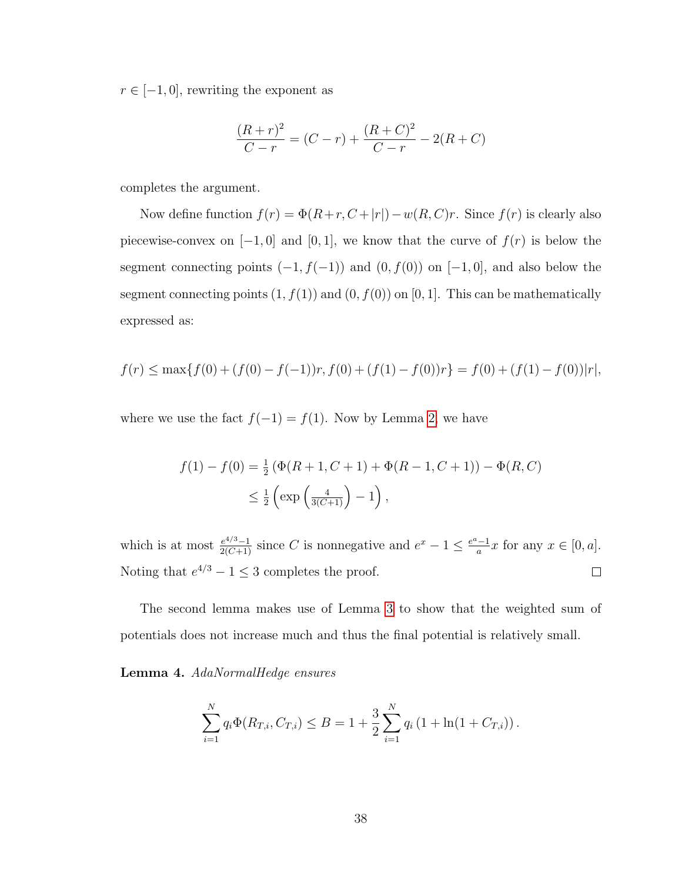$r \in [-1, 0]$ , rewriting the exponent as

$$
\frac{(R+r)^2}{C-r} = (C-r) + \frac{(R+C)^2}{C-r} - 2(R+C)
$$

completes the argument.

Now define function  $f(r) = \Phi(R+r, C+|r|)-w(R, C)r$ . Since  $f(r)$  is clearly also piecewise-convex on  $[-1, 0]$  and  $[0, 1]$ , we know that the curve of  $f(r)$  is below the segment connecting points  $(-1, f(-1))$  and  $(0, f(0))$  on  $[-1, 0]$ , and also below the segment connecting points  $(1, f(1))$  and  $(0, f(0))$  on  $[0, 1]$ . This can be mathematically expressed as:

$$
f(r) \le \max\{f(0) + (f(0) - f(-1))r, f(0) + (f(1) - f(0))r\} = f(0) + (f(1) - f(0))|r|,
$$

where we use the fact  $f(-1) = f(1)$ . Now by Lemma [2,](#page-34-0) we have

$$
f(1) - f(0) = \frac{1}{2} (\Phi(R + 1, C + 1) + \Phi(R - 1, C + 1)) - \Phi(R, C)
$$
  

$$
\leq \frac{1}{2} \left( \exp\left(\frac{4}{3(C+1)}\right) - 1 \right),
$$

which is at most  $\frac{e^{4/3}-1}{2(C+1)}$  since C is nonnegative and  $e^x-1 \leq \frac{e^a-1}{a}$  $\frac{-1}{a}x$  for any  $x \in [0, a]$ . Noting that  $e^{4/3} - 1 \leq 3$  completes the proof.  $\Box$ 

The second lemma makes use of Lemma [3](#page-49-0) to show that the weighted sum of potentials does not increase much and thus the final potential is relatively small.

#### <span id="page-50-0"></span>Lemma 4. AdaNormalHedge ensures

$$
\sum_{i=1}^{N} q_i \Phi(R_{T,i}, C_{T,i}) \leq B = 1 + \frac{3}{2} \sum_{i=1}^{N} q_i \left(1 + \ln(1 + C_{T,i})\right).
$$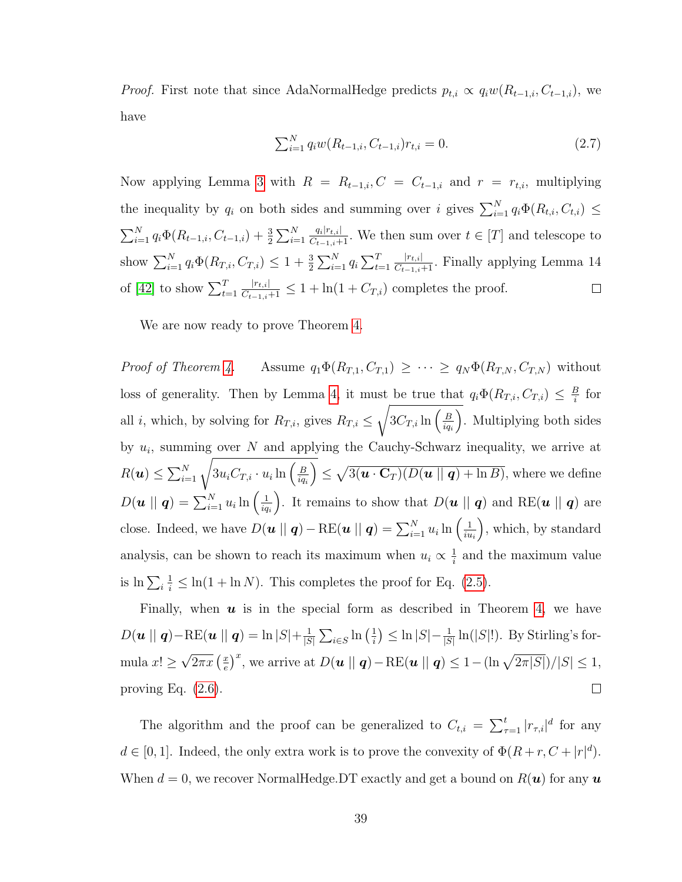*Proof.* First note that since AdaNormalHedge predicts  $p_{t,i} \propto q_i w(R_{t-1,i}, C_{t-1,i})$ , we have

<span id="page-51-0"></span>
$$
\sum_{i=1}^{N} q_i w(R_{t-1,i}, C_{t-1,i}) r_{t,i} = 0.
$$
\n(2.7)

Now applying Lemma [3](#page-49-0) with  $R = R_{t-1,i}, C = C_{t-1,i}$  and  $r = r_{t,i}$ , multiplying the inequality by  $q_i$  on both sides and summing over i gives  $\sum_{i=1}^{N} q_i \Phi(R_{t,i}, C_{t,i}) \leq$  $\sum_{i=1}^{N} q_i \Phi(R_{t-1,i}, C_{t-1,i}) + \frac{3}{2} \sum_{i=1}^{N}$  $\frac{q_i|r_{t,i}|}{C_{t-1,i}+1}$ . We then sum over  $t \in [T]$  and telescope to  $\frac{|r_{t,i}|}{C_{t-1,i}+1}$ . Finally applying Lemma 14 show  $\sum_{i=1}^{N} q_i \Phi(R_{T,i}, C_{T,i}) \leq 1 + \frac{3}{2} \sum_{i=1}^{N} q_i \sum_{t=1}^{T}$  $\frac{|r_{t,i}|}{C_{t-1,i+1}} \leq 1 + \ln(1 + C_{T,i})$  completes the proof. of [\[42\]](#page-176-1) to show  $\sum_{t=1}^{T}$  $\Box$ 

We are now ready to prove Theorem [4.](#page-46-2)

Proof of Theorem [4.](#page-46-2) Assume  $q_1\Phi(R_{T,1}, C_{T,1}) \geq \cdots \geq q_N\Phi(R_{T,N}, C_{T,N})$  without loss of generality. Then by Lemma [4,](#page-50-0) it must be true that  $q_i \Phi(R_{T,i}, C_{T,i}) \leq \frac{B}{i}$  $rac{B}{i}$  for all *i*, which, by solving for  $R_{T,i}$ , gives  $R_{T,i} \leq$  $\sqrt{3C_{T,i}\ln\left(\frac{B}{ia}\right)}$  $iq_i$  . Multiplying both sides by  $u_i$ , summing over N and applying the Cauchy-Schwarz inequality, we arrive at  $R(\boldsymbol{u}) \leq \sum_{i=1}^N \sqrt{3 u_i C_{T,i} \cdot u_i \ln \left(\frac{B}{iq_i}\right)}$  $iq_i$  $\left( \sum_{i=1}^{n} \frac{1}{2} \left( \mathbf{u} \cdot \mathbf{C}_{T} \right) \left( D(\mathbf{u} \mid \mid \mathbf{q}) + \ln B \right) \right)$ , where we define  $D(\boldsymbol{u} \mid \mid \boldsymbol{q}) = \sum_{i=1}^N u_i \ln \Big(\frac{1}{iq}$  $iq_i$ ). It remains to show that  $D(\boldsymbol{u} \parallel \boldsymbol{q})$  and RE( $\boldsymbol{u} \parallel \boldsymbol{q}$ ) are close. Indeed, we have  $D(u \mid || q) - \text{RE}(u || q) = \sum_{i=1}^{N} u_i \ln \left( \frac{1}{iu} \right)$ iu<sup>i</sup> , which, by standard analysis, can be shown to reach its maximum when  $u_i \propto \frac{1}{i}$  $\frac{1}{i}$  and the maximum value is  $\ln\sum_i$  $\frac{1}{i} \leq \ln(1 + \ln N)$ . This completes the proof for Eq. [\(2.5\)](#page-46-3).

Finally, when  $u$  is in the special form as described in Theorem [4,](#page-46-2) we have  $D(u || q) - \text{RE}(u || q) = \ln |S| + \frac{1}{|S|}$  $\frac{1}{|S|}\sum_{i\in S}\ln\left(\frac{1}{i}\right)$  $\frac{1}{i}$ )  $\leq \ln |S| - \frac{1}{|S|} \ln(|S|!)$ . By Stirling's for-√  $\frac{x}{e} \big)^x$ , we arrive at  $D(u \mid || q) - \text{RE}(u || q) \leq 1 - (\ln \sqrt{2\pi |S|})/|S| \leq 1$ ,  $\sqrt{2\pi x}\left(\frac{x}{e}\right)$ mula  $x! \geq$  $\Box$ proving Eq.  $(2.6)$ .

The algorithm and the proof can be generalized to  $C_{t,i} = \sum_{\tau=1}^{t} |r_{\tau,i}|^d$  for any  $d \in [0,1]$ . Indeed, the only extra work is to prove the convexity of  $\Phi(R+r, C+|r|^d)$ . When  $d = 0$ , we recover NormalHedge. DT exactly and get a bound on  $R(u)$  for any u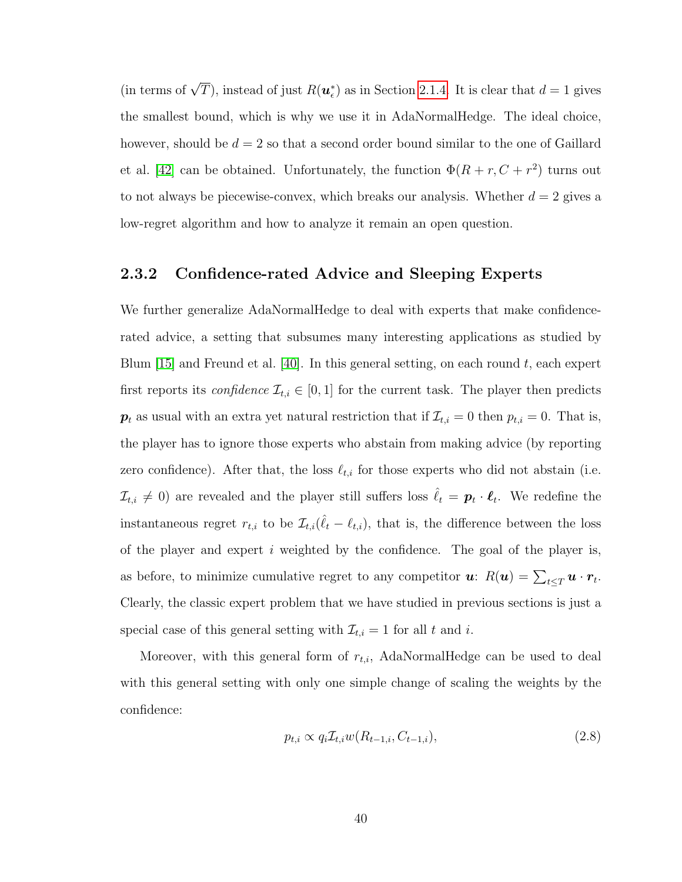(in terms of  $\sqrt{T}$ ), instead of just  $R(\boldsymbol{u}_{\epsilon}^*)$  as in Section [2.1.4.](#page-31-0) It is clear that  $d=1$  gives the smallest bound, which is why we use it in AdaNormalHedge. The ideal choice, however, should be  $d = 2$  so that a second order bound similar to the one of Gaillard et al. [\[42\]](#page-176-1) can be obtained. Unfortunately, the function  $\Phi(R + r, C + r^2)$  turns out to not always be piecewise-convex, which breaks our analysis. Whether  $d = 2$  gives a low-regret algorithm and how to analyze it remain an open question.

# 2.3.2 Confidence-rated Advice and Sleeping Experts

We further generalize AdaNormalHedge to deal with experts that make confidencerated advice, a setting that subsumes many interesting applications as studied by Blum [\[15\]](#page-174-2) and Freund et al. [\[40\]](#page-176-2). In this general setting, on each round  $t$ , each expert first reports its *confidence*  $\mathcal{I}_{t,i} \in [0,1]$  for the current task. The player then predicts  $p_t$  as usual with an extra yet natural restriction that if  $\mathcal{I}_{t,i} = 0$  then  $p_{t,i} = 0$ . That is, the player has to ignore those experts who abstain from making advice (by reporting zero confidence). After that, the loss  $\ell_{t,i}$  for those experts who did not abstain (i.e.  $\mathcal{I}_{t,i} \neq 0$  are revealed and the player still suffers loss  $\hat{\ell}_t = \boldsymbol{p}_t \cdot \boldsymbol{\ell}_t$ . We redefine the instantaneous regret  $r_{t,i}$  to be  $\mathcal{I}_{t,i}(\hat{\ell}_t - \ell_{t,i})$ , that is, the difference between the loss of the player and expert  $i$  weighted by the confidence. The goal of the player is, as before, to minimize cumulative regret to any competitor  $u: R(u) = \sum_{t \leq T} u \cdot r_t$ . Clearly, the classic expert problem that we have studied in previous sections is just a special case of this general setting with  $\mathcal{I}_{t,i} = 1$  for all t and i.

Moreover, with this general form of  $r_{t,i}$ , AdaNormalHedge can be used to deal with this general setting with only one simple change of scaling the weights by the confidence:

<span id="page-52-0"></span>
$$
p_{t,i} \propto q_i \mathcal{I}_{t,i} w(R_{t-1,i}, C_{t-1,i}),\tag{2.8}
$$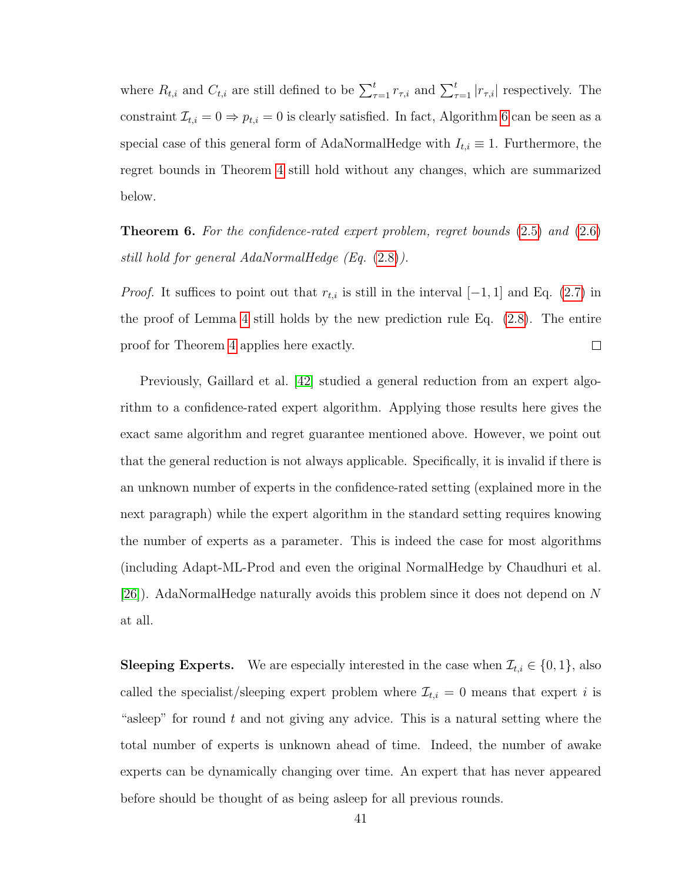where  $R_{t,i}$  and  $C_{t,i}$  are still defined to be  $\sum_{\tau=1}^{t} r_{\tau,i}$  and  $\sum_{\tau=1}^{t} |r_{\tau,i}|$  respectively. The constraint  $\mathcal{I}_{t,i} = 0 \Rightarrow p_{t,i} = 0$  is clearly satisfied. In fact, Algorithm [6](#page-46-0) can be seen as a special case of this general form of AdaNormalHedge with  $I_{t,i} \equiv 1$ . Furthermore, the regret bounds in Theorem [4](#page-46-2) still hold without any changes, which are summarized below.

<span id="page-53-0"></span>**Theorem 6.** For the confidence-rated expert problem, regret bounds  $(2.5)$  and  $(2.6)$ still hold for general AdaNormalHedge (Eq. [\(2.8\)](#page-52-0)).

*Proof.* It suffices to point out that  $r_{t,i}$  is still in the interval [−1, 1] and Eq. [\(2.7\)](#page-51-0) in the proof of Lemma [4](#page-50-0) still holds by the new prediction rule Eq. [\(2.8\)](#page-52-0). The entire  $\Box$ proof for Theorem [4](#page-46-2) applies here exactly.

Previously, Gaillard et al. [\[42\]](#page-176-1) studied a general reduction from an expert algorithm to a confidence-rated expert algorithm. Applying those results here gives the exact same algorithm and regret guarantee mentioned above. However, we point out that the general reduction is not always applicable. Specifically, it is invalid if there is an unknown number of experts in the confidence-rated setting (explained more in the next paragraph) while the expert algorithm in the standard setting requires knowing the number of experts as a parameter. This is indeed the case for most algorithms (including Adapt-ML-Prod and even the original NormalHedge by Chaudhuri et al. [\[26\]](#page-175-3)). AdaNormalHedge naturally avoids this problem since it does not depend on N at all.

**Sleeping Experts.** We are especially interested in the case when  $\mathcal{I}_{t,i} \in \{0,1\}$ , also called the specialist/sleeping expert problem where  $\mathcal{I}_{t,i} = 0$  means that expert *i* is "asleep" for round  $t$  and not giving any advice. This is a natural setting where the total number of experts is unknown ahead of time. Indeed, the number of awake experts can be dynamically changing over time. An expert that has never appeared before should be thought of as being asleep for all previous rounds.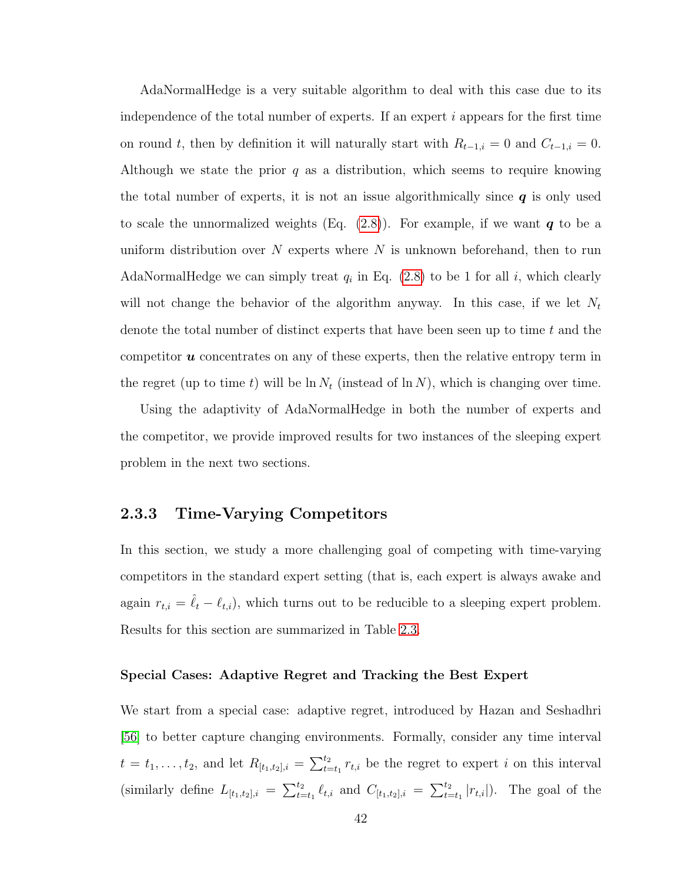AdaNormalHedge is a very suitable algorithm to deal with this case due to its independence of the total number of experts. If an expert  $i$  appears for the first time on round t, then by definition it will naturally start with  $R_{t-1,i} = 0$  and  $C_{t-1,i} = 0$ . Although we state the prior  $q$  as a distribution, which seems to require knowing the total number of experts, it is not an issue algorithmically since  $q$  is only used to scale the unnormalized weights (Eq.  $(2.8)$ ). For example, if we want q to be a uniform distribution over  $N$  experts where  $N$  is unknown beforehand, then to run AdaNormalHedge we can simply treat  $q_i$  in Eq. [\(2.8\)](#page-52-0) to be 1 for all i, which clearly will not change the behavior of the algorithm anyway. In this case, if we let  $N_t$ denote the total number of distinct experts that have been seen up to time  $t$  and the competitor  $\boldsymbol{u}$  concentrates on any of these experts, then the relative entropy term in the regret (up to time t) will be  $\ln N_t$  (instead of  $\ln N$ ), which is changing over time.

Using the adaptivity of AdaNormalHedge in both the number of experts and the competitor, we provide improved results for two instances of the sleeping expert problem in the next two sections.

# <span id="page-54-0"></span>2.3.3 Time-Varying Competitors

In this section, we study a more challenging goal of competing with time-varying competitors in the standard expert setting (that is, each expert is always awake and again  $r_{t,i} = \hat{\ell}_t - \ell_{t,i}$ , which turns out to be reducible to a sleeping expert problem. Results for this section are summarized in Table [2.3.](#page-57-0)

#### Special Cases: Adaptive Regret and Tracking the Best Expert

We start from a special case: adaptive regret, introduced by Hazan and Seshadhri [\[56\]](#page-177-2) to better capture changing environments. Formally, consider any time interval  $t = t_1, \ldots, t_2$ , and let  $R_{[t_1,t_2],i} = \sum_{t=t_1}^{t_2} r_{t,i}$  be the regret to expert i on this interval (similarly define  $L_{[t_1,t_2],i} = \sum_{t=t_1}^{t_2} \ell_{t,i}$  and  $C_{[t_1,t_2],i} = \sum_{t=t_1}^{t_2} |r_{t,i}|$ ). The goal of the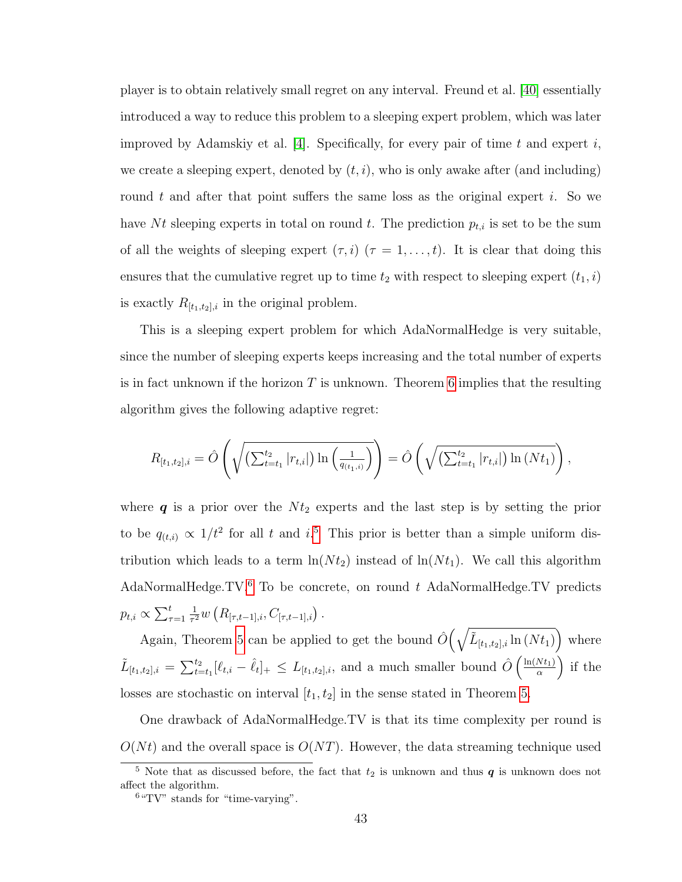player is to obtain relatively small regret on any interval. Freund et al. [\[40\]](#page-176-2) essentially introduced a way to reduce this problem to a sleeping expert problem, which was later improved by Adamskiy et al. [\[4\]](#page-173-3). Specifically, for every pair of time t and expert i, we create a sleeping expert, denoted by  $(t, i)$ , who is only awake after (and including) round t and after that point suffers the same loss as the original expert i. So we have Nt sleeping experts in total on round t. The prediction  $p_{t,i}$  is set to be the sum of all the weights of sleeping expert  $(\tau, i)$   $(\tau = 1, \ldots, t)$ . It is clear that doing this ensures that the cumulative regret up to time  $t_2$  with respect to sleeping expert  $(t_1, i)$ is exactly  $R_{[t_1,t_2],i}$  in the original problem.

This is a sleeping expert problem for which AdaNormalHedge is very suitable, since the number of sleeping experts keeps increasing and the total number of experts is in fact unknown if the horizon  $T$  is unknown. Theorem [6](#page-53-0) implies that the resulting algorithm gives the following adaptive regret:

$$
R_{[t_1,t_2],i} = \hat{O}\left(\sqrt{\left(\sum_{t=t_1}^{t_2} |r_{t,i}|\right) \ln\left(\frac{1}{q_{(t_1,i)}}\right)}\right) = \hat{O}\left(\sqrt{\left(\sum_{t=t_1}^{t_2} |r_{t,i}|\right) \ln\left(Nt_1\right)}\right),
$$

where  $q$  is a prior over the  $N t_2$  experts and the last step is by setting the prior to be  $q_{(t,i)} \propto 1/t^2$  for all t and i.<sup>[5](#page-55-0)</sup> This prior is better than a simple uniform distribution which leads to a term  $ln(N t_2)$  instead of  $ln(N t_1)$ . We call this algorithm AdaNormalHedge.TV. $6$  To be concrete, on round t AdaNormalHedge.TV predicts  $p_{t,i} \propto \sum_{\tau=1}^t$ 1  $\frac{1}{\tau^2} w\left(R_{[\tau,t-1],i},C_{[\tau,t-1],i}\right).$ 

Again, Theorem [5](#page-47-0) can be applied to get the bound  $\hat{O}(\sqrt{\tilde{L}_{[t_1,t_2],i}\ln(N t_1)})$  where  $\tilde{L}_{[t_1,t_2],i} = \sum_{t=t_1}^{t_2} [\ell_{t,i} - \hat{\ell}_t]_+ \le L_{[t_1,t_2],i}$ , and a much smaller bound  $\hat{O}\left(\frac{\ln(Nt_1)}{\alpha}\right)$  $\frac{Nt_1)}{\alpha}$  if the losses are stochastic on interval  $[t_1, t_2]$  in the sense stated in Theorem [5.](#page-47-0)

One drawback of AdaNormalHedge.TV is that its time complexity per round is  $O(Nt)$  and the overall space is  $O(NT)$ . However, the data streaming technique used

<span id="page-55-0"></span><sup>&</sup>lt;sup>5</sup> Note that as discussed before, the fact that  $t_2$  is unknown and thus  $q$  is unknown does not affect the algorithm.

<span id="page-55-1"></span> $6\,\mathrm{``TV''}$  stands for "time-varying".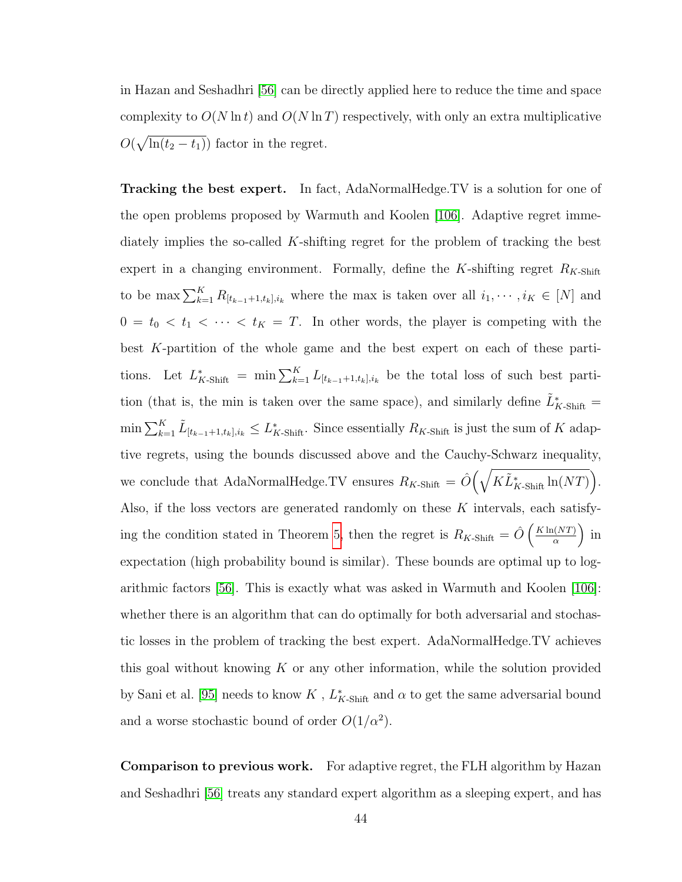in Hazan and Seshadhri [\[56\]](#page-177-2) can be directly applied here to reduce the time and space complexity to  $O(N \ln t)$  and  $O(N \ln T)$  respectively, with only an extra multiplicative  $O(\sqrt{\ln(t_2 - t_1)})$  factor in the regret.

Tracking the best expert. In fact, AdaNormalHedge.TV is a solution for one of the open problems proposed by Warmuth and Koolen [\[106\]](#page-180-4). Adaptive regret immediately implies the so-called K-shifting regret for the problem of tracking the best expert in a changing environment. Formally, define the K-shifting regret  $R_{K\text{-Shift}}$ to be max  $\sum_{k=1}^K R_{[t_{k-1}+1,t_k],i_k}$  where the max is taken over all  $i_1, \dots, i_K \in [N]$  and  $0 = t_0 < t_1 < \cdots < t_K = T$ . In other words, the player is competing with the best K-partition of the whole game and the best expert on each of these partitions. Let  $L_{K\text{-}Shift}^* = \min \sum_{k=1}^K L_{[t_{k-1}+1,t_k],i_k}$  be the total loss of such best partition (that is, the min is taken over the same space), and similarly define  $\tilde{L}_{K\text{-Shift}}^* =$  $\min \sum_{k=1}^K \tilde{L}_{[t_{k-1}+1,t_k],i_k} \leq L^*_{K\text{-Shift}}$ . Since essentially  $R_{K\text{-Shift}}$  is just the sum of K adaptive regrets, using the bounds discussed above and the Cauchy-Schwarz inequality, we conclude that AdaNormalHedge.TV ensures  $R_{K\text{-Shift}} = \hat{O}(\sqrt{K\tilde{L}_{K\text{-Shift}}^* \ln(NT)})$ . Also, if the loss vectors are generated randomly on these  $K$  intervals, each satisfy-ing the condition stated in Theorem [5,](#page-47-0) then the regret is  $R_{K\text{-Shift}} = \hat{O}\left(\frac{K\ln(NT)}{\alpha}\right)$  $rac{(NT)}{\alpha}$  in expectation (high probability bound is similar). These bounds are optimal up to logarithmic factors [\[56\]](#page-177-2). This is exactly what was asked in Warmuth and Koolen [\[106\]](#page-180-4): whether there is an algorithm that can do optimally for both adversarial and stochastic losses in the problem of tracking the best expert. AdaNormalHedge.TV achieves this goal without knowing  $K$  or any other information, while the solution provided by Sani et al. [\[95\]](#page-180-5) needs to know  $K$  ,  $L_{K\text{-Shift}}^*$  and  $\alpha$  to get the same adversarial bound and a worse stochastic bound of order  $O(1/\alpha^2)$ .

Comparison to previous work. For adaptive regret, the FLH algorithm by Hazan and Seshadhri [\[56\]](#page-177-2) treats any standard expert algorithm as a sleeping expert, and has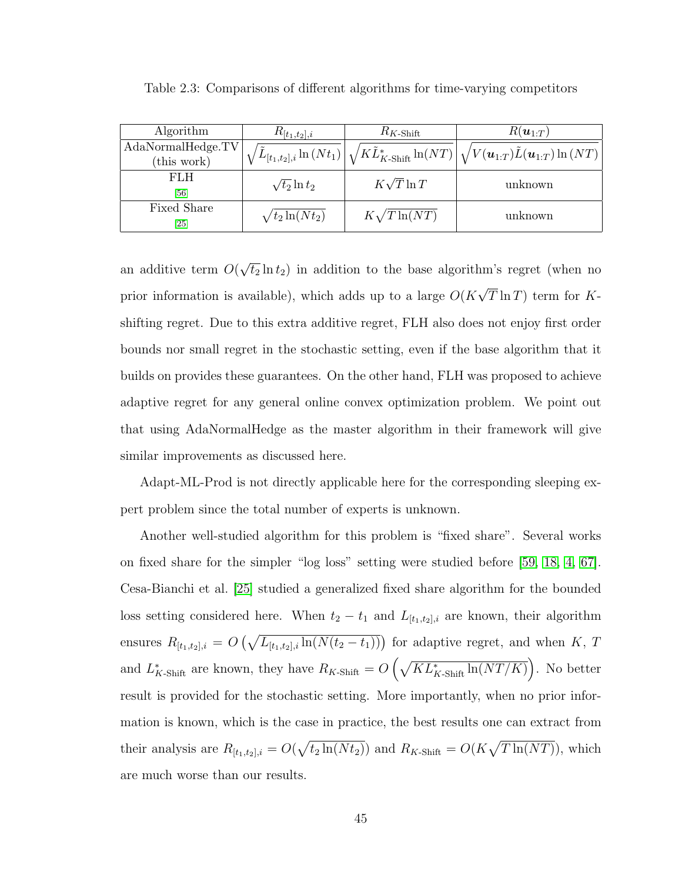| Algorithm          | $R_{[t_1,t_2],i}$      | $R_{K\hbox{\rm -Shift}}$ | $R(\boldsymbol{u}_{1:T})$                                                                                                                                                              |  |  |
|--------------------|------------------------|--------------------------|----------------------------------------------------------------------------------------------------------------------------------------------------------------------------------------|--|--|
| AdaNormalHedge.TV  |                        |                          | $\left\langle \tilde{L}_{[t_1,t_2],i}\ln{(Nt_1)}\right \sqrt{K}\tilde{L}^*_{K\text{-Shift}}\ln(NT)\left \sqrt{V(\boldsymbol{u}_{1:T})}\tilde{L}(\boldsymbol{u}_{1:T})\ln{(NT)}\right $ |  |  |
| (this work)        |                        |                          |                                                                                                                                                                                        |  |  |
| FLH                | $\sqrt{t_2} \ln t_2$   | $K\sqrt{T}\ln T$         | unknown                                                                                                                                                                                |  |  |
| [56]               |                        |                          |                                                                                                                                                                                        |  |  |
| Fixed Share        | $\sqrt{t_2 \ln(Nt_2)}$ | $K\sqrt{T}\ln(NT)$       | unknown                                                                                                                                                                                |  |  |
| $\left[ 25\right]$ |                        |                          |                                                                                                                                                                                        |  |  |

<span id="page-57-0"></span>Table 2.3: Comparisons of different algorithms for time-varying competitors

an additive term O( √  $\overline{t_2} \ln t_2$ ) in addition to the base algorithm's regret (when no prior information is available), which adds up to a large  $O(K)$ √  $T \ln T$ ) term for Kshifting regret. Due to this extra additive regret, FLH also does not enjoy first order bounds nor small regret in the stochastic setting, even if the base algorithm that it builds on provides these guarantees. On the other hand, FLH was proposed to achieve adaptive regret for any general online convex optimization problem. We point out that using AdaNormalHedge as the master algorithm in their framework will give similar improvements as discussed here.

Adapt-ML-Prod is not directly applicable here for the corresponding sleeping expert problem since the total number of experts is unknown.

Another well-studied algorithm for this problem is "fixed share". Several works on fixed share for the simpler "log loss" setting were studied before [\[59,](#page-177-3) [18,](#page-174-3) [4,](#page-173-3) [67\]](#page-178-0). Cesa-Bianchi et al. [\[25\]](#page-175-2) studied a generalized fixed share algorithm for the bounded loss setting considered here. When  $t_2 - t_1$  and  $L_{[t_1,t_2],i}$  are known, their algorithm ensures  $R_{[t_1,t_2],i} = O\left(\sqrt{L_{[t_1,t_2],i}\ln(N(t_2-t_1))}\right)$  for adaptive regret, and when K, T and  $L_{K\text{-Shift}}^*$  are known, they have  $R_{K\text{-Shift}} = O\left(\sqrt{KL_{K\text{-Shift}}^* \ln(NT/K)}\right)$ . No better result is provided for the stochastic setting. More importantly, when no prior information is known, which is the case in practice, the best results one can extract from their analysis are  $R_{[t_1,t_2],i} = O(\sqrt{t_2 \ln(Nt_2)})$  and  $R_{K\text{-Shift}} = O(K\sqrt{T \ln(NT)})$ , which are much worse than our results.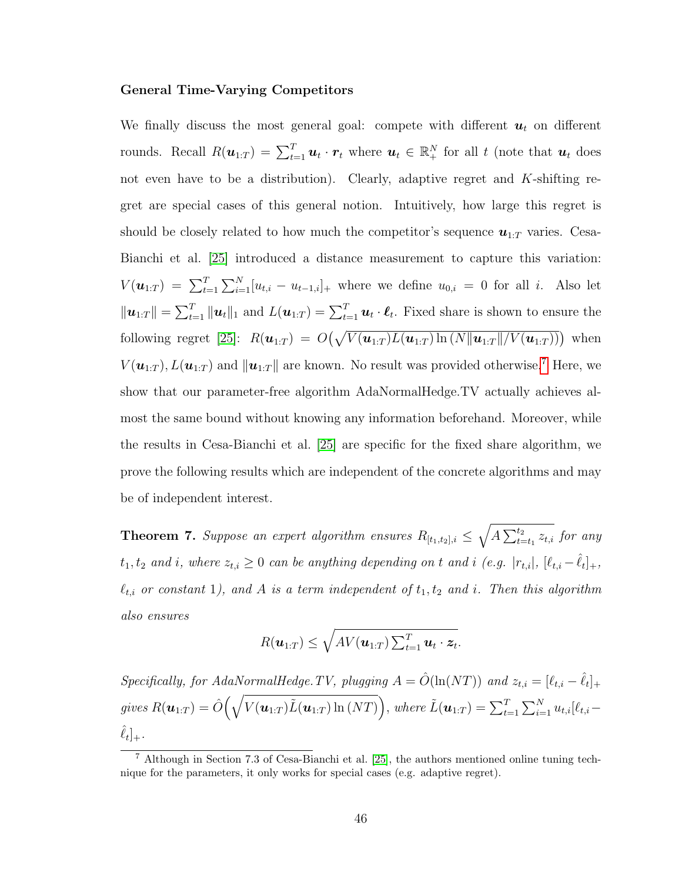#### General Time-Varying Competitors

We finally discuss the most general goal: compete with different  $u_t$  on different rounds. Recall  $R(\boldsymbol{u}_{1:T}) = \sum_{t=1}^T \boldsymbol{u}_t \cdot \boldsymbol{r}_t$  where  $\boldsymbol{u}_t \in \mathbb{R}_+^N$  for all t (note that  $\boldsymbol{u}_t$  does not even have to be a distribution). Clearly, adaptive regret and K-shifting regret are special cases of this general notion. Intuitively, how large this regret is should be closely related to how much the competitor's sequence  $u_{1:T}$  varies. Cesa-Bianchi et al. [\[25\]](#page-175-2) introduced a distance measurement to capture this variation:  $V(\bm{u}_{1:T}) = \sum_{t=1}^{T} \sum_{i=1}^{N} [u_{t,i} - u_{t-1,i}]_{+}$  where we define  $u_{0,i} = 0$  for all i. Also let  $\|\boldsymbol{u}_{1:T}\| = \sum_{t=1}^T \|\boldsymbol{u}_t\|_1$  and  $L(\boldsymbol{u}_{1:T}) = \sum_{t=1}^T \boldsymbol{u}_t \cdot \boldsymbol{\ell}_t$ . Fixed share is shown to ensure the following regret [\[25\]](#page-175-2):  $R(\boldsymbol{u}_{1:T}) = O(\sqrt{V(\boldsymbol{u}_{1:T})L(\boldsymbol{u}_{1:T})\ln(N||\boldsymbol{u}_{1:T}||/V(\boldsymbol{u}_{1:T}))})$  when  $V(\boldsymbol{u}_{1:T})$ ,  $L(\boldsymbol{u}_{1:T})$  and  $\|\boldsymbol{u}_{1:T}\|$  are known. No result was provided otherwise.<sup>[7](#page-58-0)</sup> Here, we show that our parameter-free algorithm AdaNormalHedge.TV actually achieves almost the same bound without knowing any information beforehand. Moreover, while the results in Cesa-Bianchi et al. [\[25\]](#page-175-2) are specific for the fixed share algorithm, we prove the following results which are independent of the concrete algorithms and may be of independent interest.

<span id="page-58-1"></span>**Theorem 7.** Suppose an expert algorithm ensures  $R_{[t_1,t_2],i} \leq \sqrt{A \sum_{t=t_1}^{t_2} z_{t,i}}$  for any  $t_1, t_2$  and i, where  $z_{t,i} \geq 0$  can be anything depending on t and i (e.g.  $|r_{t,i}|$ ,  $[\ell_{t,i} - \hat{\ell}_t]_+,$  $\ell_{t,i}$  or constant 1), and A is a term independent of  $t_1, t_2$  and i. Then this algorithm also ensures

$$
R(\boldsymbol{u}_{1:T}) \leq \sqrt{AV(\boldsymbol{u}_{1:T})\sum_{t=1}^T \boldsymbol{u}_t \cdot \boldsymbol{z}_t}.
$$

Specifically, for AdaNormalHedge.TV, plugging  $A = \hat{O}(\ln(NT))$  and  $z_{t,i} = [\ell_{t,i} - \hat{\ell}_t]_+$  $gives\ R(\boldsymbol{u}_{1:T}) = \hat{O}\Big(\sqrt{V(\boldsymbol{u}_{1:T})\tilde{L}(\boldsymbol{u}_{1:T})\ln{(NT)}}\Big),\ where\ \tilde{L}(\boldsymbol{u}_{1:T}) = \sum_{t=1}^{T}\sum_{i=1}^{N}u_{t,i}[\ell_{t,i}-1]$  $\hat{\ell}_t]_+.$ 

<span id="page-58-0"></span><sup>7</sup> Although in Section 7.3 of Cesa-Bianchi et al. [\[25\]](#page-175-2), the authors mentioned online tuning technique for the parameters, it only works for special cases (e.g. adaptive regret).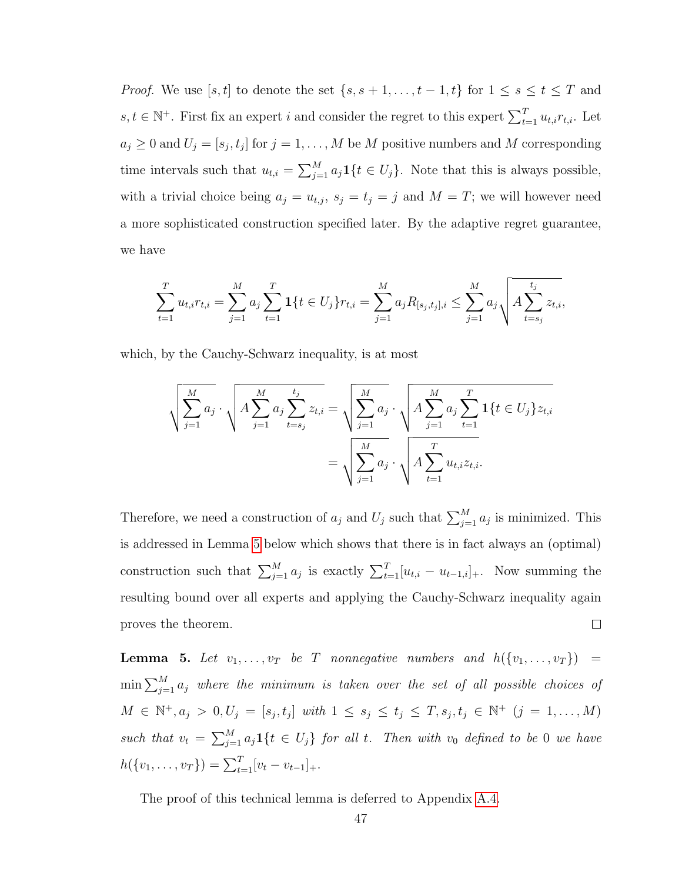*Proof.* We use [s, t] to denote the set  $\{s, s+1, \ldots, t-1, t\}$  for  $1 \leq s \leq t \leq T$  and  $s, t \in \mathbb{N}^+$ . First fix an expert i and consider the regret to this expert  $\sum_{t=1}^T u_{t,i} r_{t,i}$ . Let  $a_j \geq 0$  and  $U_j = [s_j, t_j]$  for  $j = 1, ..., M$  be M positive numbers and M corresponding time intervals such that  $u_{t,i} = \sum_{j=1}^{M} a_j \mathbf{1}\{t \in U_j\}$ . Note that this is always possible, with a trivial choice being  $a_j = u_{t,j}$ ,  $s_j = t_j = j$  and  $M = T$ ; we will however need a more sophisticated construction specified later. By the adaptive regret guarantee, we have

$$
\sum_{t=1}^{T} u_{t,i} r_{t,i} = \sum_{j=1}^{M} a_j \sum_{t=1}^{T} \mathbf{1}\{t \in U_j\} r_{t,i} = \sum_{j=1}^{M} a_j R_{[s_j,t_j],i} \le \sum_{j=1}^{M} a_j \sqrt{A \sum_{t=s_j}^{t_j} z_{t,i}},
$$

which, by the Cauchy-Schwarz inequality, is at most

$$
\sqrt{\sum_{j=1}^{M} a_j} \cdot \sqrt{A \sum_{j=1}^{M} a_j \sum_{t=s_j}^{t_j} z_{t,i}} = \sqrt{\sum_{j=1}^{M} a_j} \cdot \sqrt{A \sum_{j=1}^{M} a_j \sum_{t=1}^{T} 1\{t \in U_j\} z_{t,i}}
$$

$$
= \sqrt{\sum_{j=1}^{M} a_j} \cdot \sqrt{A \sum_{t=1}^{T} u_{t,i} z_{t,i}}.
$$

Therefore, we need a construction of  $a_j$  and  $U_j$  such that  $\sum_{j=1}^{M} a_j$  is minimized. This is addressed in Lemma [5](#page-59-0) below which shows that there is in fact always an (optimal) construction such that  $\sum_{j=1}^{M} a_j$  is exactly  $\sum_{t=1}^{T} [u_{t,i} - u_{t-1,i}]_+$ . Now summing the resulting bound over all experts and applying the Cauchy-Schwarz inequality again proves the theorem.  $\Box$ 

<span id="page-59-0"></span>**Lemma 5.** Let  $v_1, \ldots, v_T$  be T nonnegative numbers and  $h(\lbrace v_1, \ldots, v_T \rbrace)$  $\min\sum_{j=1}^M a_j$  where the minimum is taken over the set of all possible choices of  $M \in \mathbb{N}^+, a_j > 0, U_j = [s_j, t_j]$  with  $1 \leq s_j \leq t_j \leq T, s_j, t_j \in \mathbb{N}^+$   $(j = 1, ..., M)$ such that  $v_t = \sum_{j=1}^{M} a_j \mathbf{1}\{t \in U_j\}$  for all t. Then with  $v_0$  defined to be 0 we have  $h({v_1, \ldots, v_T}) = \sum_{t=1}^T [v_t - v_{t-1}]_+.$ 

The proof of this technical lemma is deferred to Appendix [A.4.](#page-153-0)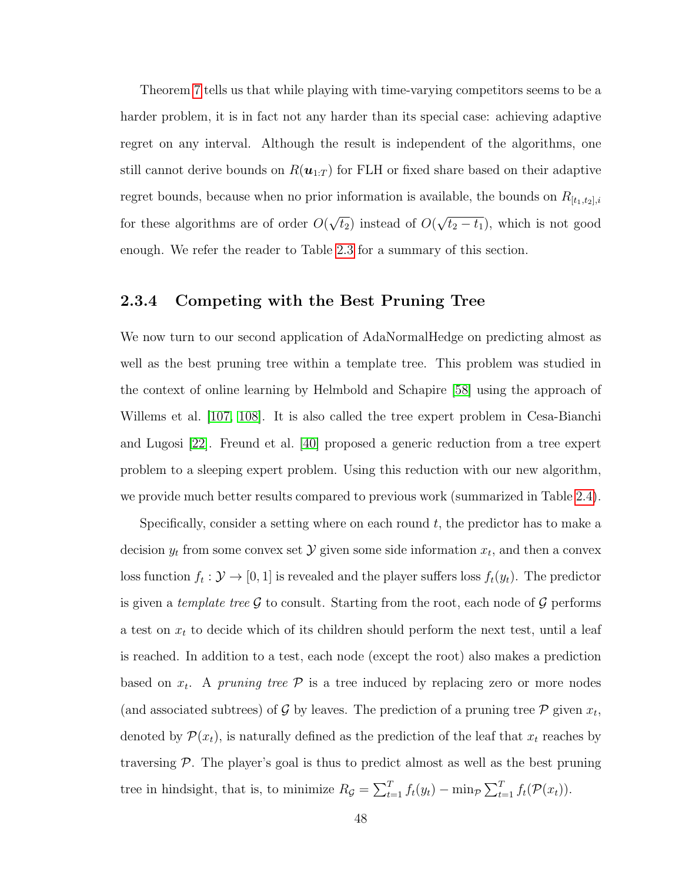Theorem [7](#page-58-1) tells us that while playing with time-varying competitors seems to be a harder problem, it is in fact not any harder than its special case: achieving adaptive regret on any interval. Although the result is independent of the algorithms, one still cannot derive bounds on  $R(\mathbf{u}_{1:T})$  for FLH or fixed share based on their adaptive regret bounds, because when no prior information is available, the bounds on  $R_{[t_1,t_2],i}$ for these algorithms are of order O( √  $\overline{t_2}$ ) instead of  $O($ √  $\overline{t_2 - t_1}$ , which is not good enough. We refer the reader to Table [2.3](#page-57-0) for a summary of this section.

# 2.3.4 Competing with the Best Pruning Tree

We now turn to our second application of AdaNormalHedge on predicting almost as well as the best pruning tree within a template tree. This problem was studied in the context of online learning by Helmbold and Schapire [\[58\]](#page-177-4) using the approach of Willems et al. [\[107,](#page-180-6) [108\]](#page-181-1). It is also called the tree expert problem in Cesa-Bianchi and Lugosi [\[22\]](#page-174-0). Freund et al. [\[40\]](#page-176-2) proposed a generic reduction from a tree expert problem to a sleeping expert problem. Using this reduction with our new algorithm, we provide much better results compared to previous work (summarized in Table [2.4\)](#page-62-0).

Specifically, consider a setting where on each round  $t$ , the predictor has to make a decision  $y_t$  from some convex set  $\mathcal Y$  given some side information  $x_t$ , and then a convex loss function  $f_t: \mathcal{Y} \to [0, 1]$  is revealed and the player suffers loss  $f_t(y_t)$ . The predictor is given a template tree  $\mathcal G$  to consult. Starting from the root, each node of  $\mathcal G$  performs a test on  $x_t$  to decide which of its children should perform the next test, until a leaf is reached. In addition to a test, each node (except the root) also makes a prediction based on  $x_t$ . A pruning tree  $\mathcal P$  is a tree induced by replacing zero or more nodes (and associated subtrees) of G by leaves. The prediction of a pruning tree  $P$  given  $x_t$ , denoted by  $\mathcal{P}(x_t)$ , is naturally defined as the prediction of the leaf that  $x_t$  reaches by traversing  $P$ . The player's goal is thus to predict almost as well as the best pruning tree in hindsight, that is, to minimize  $R_{\mathcal{G}} = \sum_{t=1}^{T} f_t(y_t) - \min_{\mathcal{P}} \sum_{t=1}^{T} f_t(\mathcal{P}(x_t)).$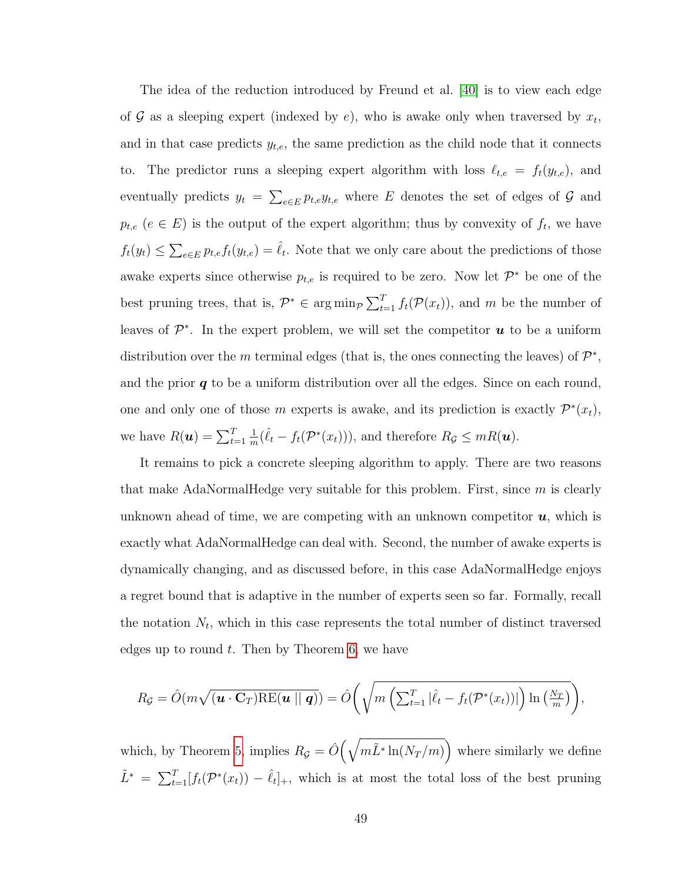The idea of the reduction introduced by Freund et al. [\[40\]](#page-176-2) is to view each edge of  $G$  as a sleeping expert (indexed by e), who is awake only when traversed by  $x_t$ , and in that case predicts  $y_{t,e}$ , the same prediction as the child node that it connects to. The predictor runs a sleeping expert algorithm with loss  $\ell_{t,e} = f_t(y_{t,e})$ , and eventually predicts  $y_t = \sum_{e \in E} p_{t,e} y_{t,e}$  where E denotes the set of edges of G and  $p_{t,e}$  ( $e \in E$ ) is the output of the expert algorithm; thus by convexity of  $f_t$ , we have  $f_t(y_t) \leq \sum_{e \in E} p_{t,e} f_t(y_{t,e}) = \hat{\ell}_t$ . Note that we only care about the predictions of those awake experts since otherwise  $p_{t,e}$  is required to be zero. Now let  $\mathcal{P}^*$  be one of the best pruning trees, that is,  $\mathcal{P}^* \in \arg\min_{\mathcal{P}} \sum_{t=1}^T f_t(\mathcal{P}(x_t))$ , and m be the number of leaves of  $\mathcal{P}^*$ . In the expert problem, we will set the competitor  $\boldsymbol{u}$  to be a uniform distribution over the m terminal edges (that is, the ones connecting the leaves) of  $\mathcal{P}^*$ , and the prior  $q$  to be a uniform distribution over all the edges. Since on each round, one and only one of those m experts is awake, and its prediction is exactly  $\mathcal{P}^*(x_t)$ , we have  $R(\boldsymbol{u}) = \sum_{t=1}^{T}$ 1  $\frac{1}{m}(\hat{\ell}_t - f_t(\mathcal{P}^*(x_t))),$  and therefore  $R_{\mathcal{G}} \leq mR(\mathbf{u}).$ 

It remains to pick a concrete sleeping algorithm to apply. There are two reasons that make AdaNormalHedge very suitable for this problem. First, since  $m$  is clearly unknown ahead of time, we are competing with an unknown competitor  $u$ , which is exactly what AdaNormalHedge can deal with. Second, the number of awake experts is dynamically changing, and as discussed before, in this case AdaNormalHedge enjoys a regret bound that is adaptive in the number of experts seen so far. Formally, recall the notation  $N_t$ , which in this case represents the total number of distinct traversed edges up to round  $t$ . Then by Theorem [6,](#page-53-0) we have

$$
R_{\mathcal{G}} = \hat{O}(m\sqrt{(\boldsymbol{u} \cdot \mathbf{C}_{T})\text{RE}(\boldsymbol{u} \mid \mid \boldsymbol{q})}) = \hat{O}\bigg(\sqrt{m\left(\sum_{t=1}^{T}|\hat{\ell}_{t}-f_{t}(\mathcal{P}^{*}(x_{t}))|\right)\ln\left(\frac{N_{T}}{m}\right)}\bigg),
$$

which, by Theorem [5,](#page-47-0) implies  $R_{\mathcal{G}} = \hat{O}(\sqrt{m\tilde{L}^* \ln(N_T/m)})$  where similarly we define  $\tilde{L}^* = \sum_{t=1}^T [f_t(\mathcal{P}^*(x_t)) - \hat{\ell}_t]_+,$  which is at most the total loss of the best pruning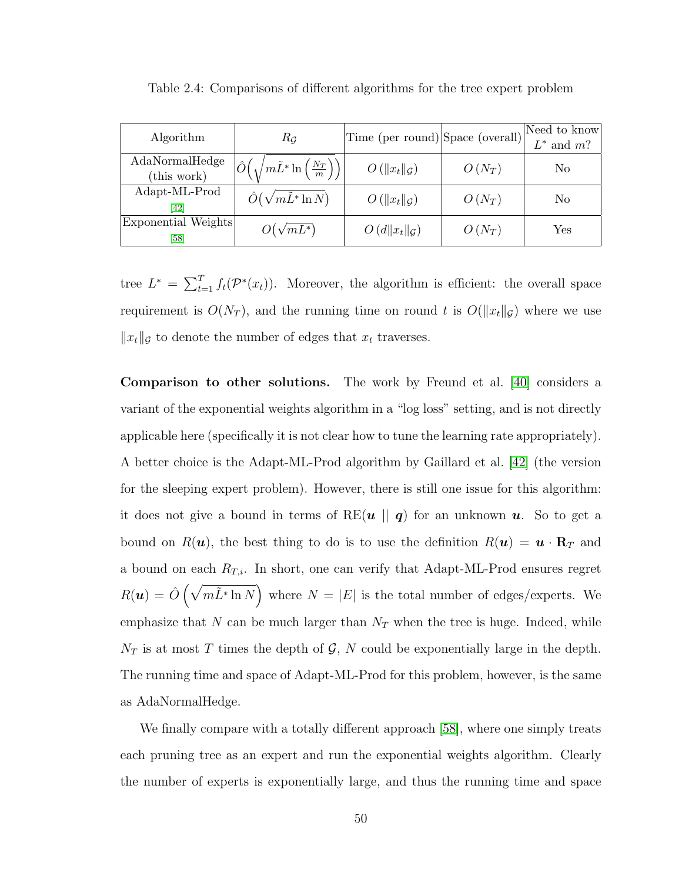| Algorithm                     | $R_G$                                                           | Time (per round) Space (overall) |          | Need to know<br>$L^*$ and $m$ ? |
|-------------------------------|-----------------------------------------------------------------|----------------------------------|----------|---------------------------------|
| AdaNormalHedge<br>(this work) | $\left(\sqrt{m\tilde{L}^*\ln\left(\frac{N_T}{m}\right)}\right)$ | $O(  x_t  _G)$                   | $O(N_T)$ | No                              |
| Adapt-ML-Prod<br>[42]         | $\hat{O}(\sqrt{m}\tilde{L}^*\ln N)$                             | $O(  x_t  _G)$                   | $O(N_T)$ | No                              |
| Exponential Weights<br>[58]   | $O(\sqrt{mL^*})$                                                | $O(d  x_t  _{\mathcal{G}})$      | $O(N_T)$ | ${\rm Yes}$                     |

<span id="page-62-0"></span>Table 2.4: Comparisons of different algorithms for the tree expert problem

tree  $L^* = \sum_{t=1}^T f_t(\mathcal{P}^*(x_t))$ . Moreover, the algorithm is efficient: the overall space requirement is  $O(N_T)$ , and the running time on round t is  $O(||x_t||_{\mathcal{G}})$  where we use  $||x_t||_{\mathcal{G}}$  to denote the number of edges that  $x_t$  traverses.

Comparison to other solutions. The work by Freund et al. [\[40\]](#page-176-2) considers a variant of the exponential weights algorithm in a "log loss" setting, and is not directly applicable here (specifically it is not clear how to tune the learning rate appropriately). A better choice is the Adapt-ML-Prod algorithm by Gaillard et al. [\[42\]](#page-176-1) (the version for the sleeping expert problem). However, there is still one issue for this algorithm: it does not give a bound in terms of RE( $u \parallel q$ ) for an unknown  $u$ . So to get a bound on  $R(\mathbf{u})$ , the best thing to do is to use the definition  $R(\mathbf{u}) = \mathbf{u} \cdot \mathbf{R}_T$  and a bound on each  $R_{T,i}$ . In short, one can verify that Adapt-ML-Prod ensures regret  $R(\boldsymbol{u}) = \hat{O}(\sqrt{m \tilde{L}^* \ln N})$  where  $N = |E|$  is the total number of edges/experts. We emphasize that N can be much larger than  $N_T$  when the tree is huge. Indeed, while  $N_T$  is at most T times the depth of G, N could be exponentially large in the depth. The running time and space of Adapt-ML-Prod for this problem, however, is the same as AdaNormalHedge.

We finally compare with a totally different approach [\[58\]](#page-177-4), where one simply treats each pruning tree as an expert and run the exponential weights algorithm. Clearly the number of experts is exponentially large, and thus the running time and space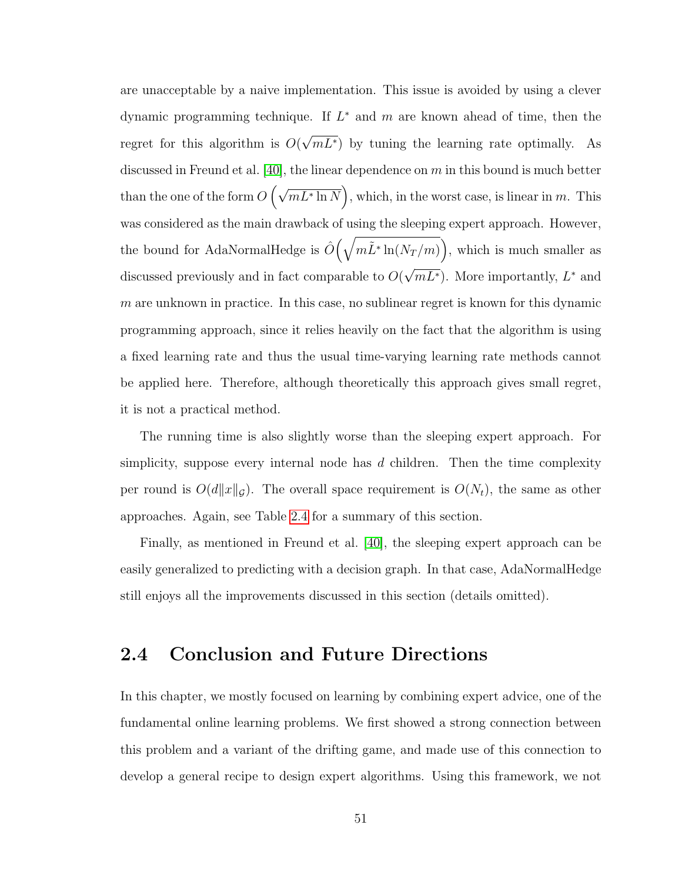are unacceptable by a naive implementation. This issue is avoided by using a clever dynamic programming technique. If  $L^*$  and m are known ahead of time, then the regret for this algorithm is O( √  $mL^*$ ) by tuning the learning rate optimally. As discussed in Freund et al. [\[40\]](#page-176-2), the linear dependence on  $m$  in this bound is much better than the one of the form  $O(\sqrt{mL^*\ln N})$ , which, in the worst case, is linear in m. This was considered as the main drawback of using the sleeping expert approach. However, the bound for AdaNormalHedge is  $\hat{O}(\sqrt{m\tilde{L}^*\ln(N_T/m)})$ , which is much smaller as discussed previously and in fact comparable to O( √  $\overline{mL^*}$ ). More importantly,  $L^*$  and  $m$  are unknown in practice. In this case, no sublinear regret is known for this dynamic programming approach, since it relies heavily on the fact that the algorithm is using a fixed learning rate and thus the usual time-varying learning rate methods cannot be applied here. Therefore, although theoretically this approach gives small regret, it is not a practical method.

The running time is also slightly worse than the sleeping expert approach. For simplicity, suppose every internal node has d children. Then the time complexity per round is  $O(d||x||_{\mathcal{G}})$ . The overall space requirement is  $O(N_t)$ , the same as other approaches. Again, see Table [2.4](#page-62-0) for a summary of this section.

Finally, as mentioned in Freund et al. [\[40\]](#page-176-2), the sleeping expert approach can be easily generalized to predicting with a decision graph. In that case, AdaNormalHedge still enjoys all the improvements discussed in this section (details omitted).

# 2.4 Conclusion and Future Directions

In this chapter, we mostly focused on learning by combining expert advice, one of the fundamental online learning problems. We first showed a strong connection between this problem and a variant of the drifting game, and made use of this connection to develop a general recipe to design expert algorithms. Using this framework, we not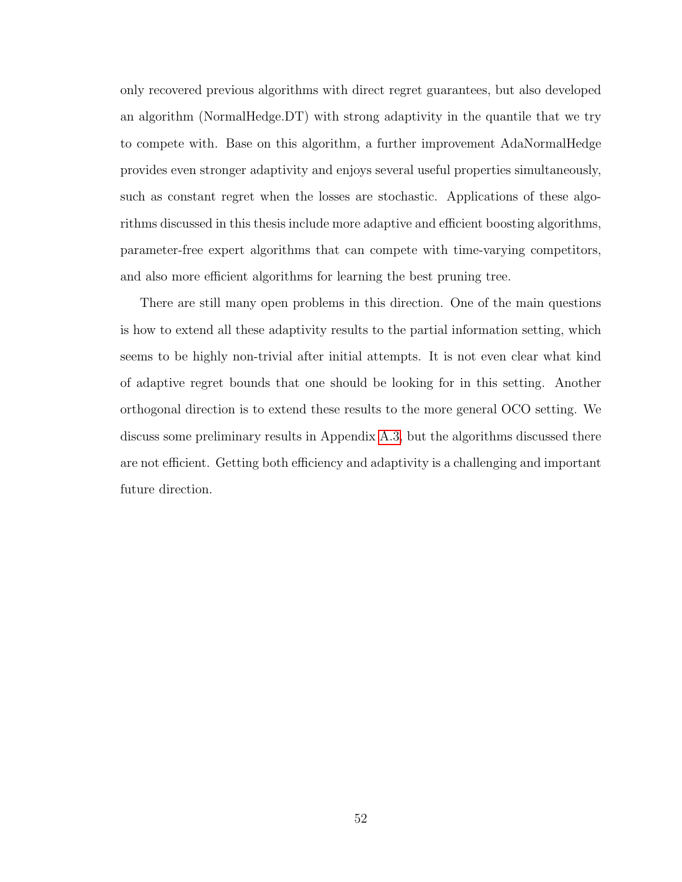only recovered previous algorithms with direct regret guarantees, but also developed an algorithm (NormalHedge.DT) with strong adaptivity in the quantile that we try to compete with. Base on this algorithm, a further improvement AdaNormalHedge provides even stronger adaptivity and enjoys several useful properties simultaneously, such as constant regret when the losses are stochastic. Applications of these algorithms discussed in this thesis include more adaptive and efficient boosting algorithms, parameter-free expert algorithms that can compete with time-varying competitors, and also more efficient algorithms for learning the best pruning tree.

There are still many open problems in this direction. One of the main questions is how to extend all these adaptivity results to the partial information setting, which seems to be highly non-trivial after initial attempts. It is not even clear what kind of adaptive regret bounds that one should be looking for in this setting. Another orthogonal direction is to extend these results to the more general OCO setting. We discuss some preliminary results in Appendix [A.3,](#page-151-0) but the algorithms discussed there are not efficient. Getting both efficiency and adaptivity is a challenging and important future direction.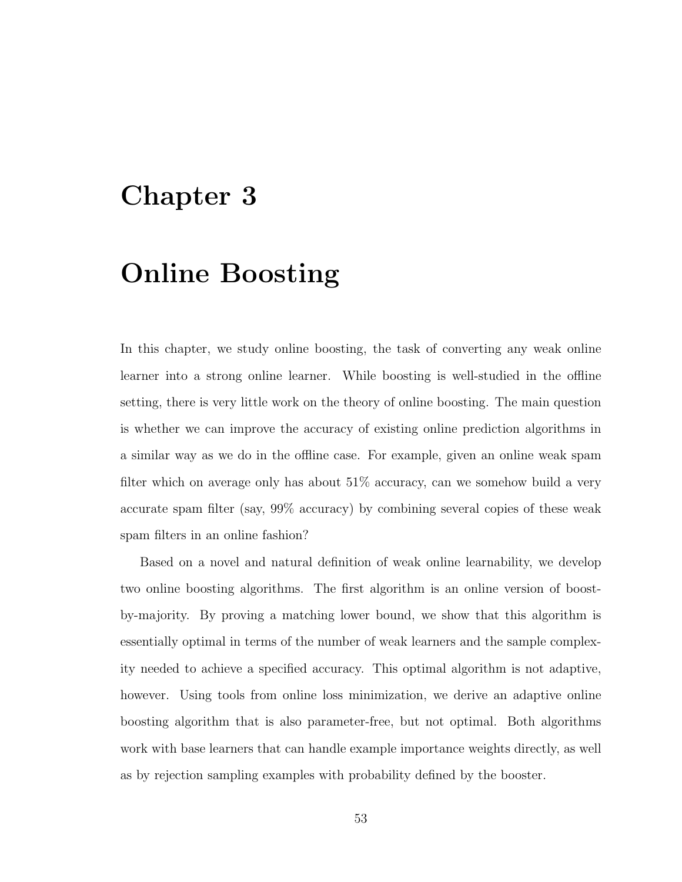# Chapter 3

# Online Boosting

In this chapter, we study online boosting, the task of converting any weak online learner into a strong online learner. While boosting is well-studied in the offline setting, there is very little work on the theory of online boosting. The main question is whether we can improve the accuracy of existing online prediction algorithms in a similar way as we do in the offline case. For example, given an online weak spam filter which on average only has about 51% accuracy, can we somehow build a very accurate spam filter (say, 99% accuracy) by combining several copies of these weak spam filters in an online fashion?

Based on a novel and natural definition of weak online learnability, we develop two online boosting algorithms. The first algorithm is an online version of boostby-majority. By proving a matching lower bound, we show that this algorithm is essentially optimal in terms of the number of weak learners and the sample complexity needed to achieve a specified accuracy. This optimal algorithm is not adaptive, however. Using tools from online loss minimization, we derive an adaptive online boosting algorithm that is also parameter-free, but not optimal. Both algorithms work with base learners that can handle example importance weights directly, as well as by rejection sampling examples with probability defined by the booster.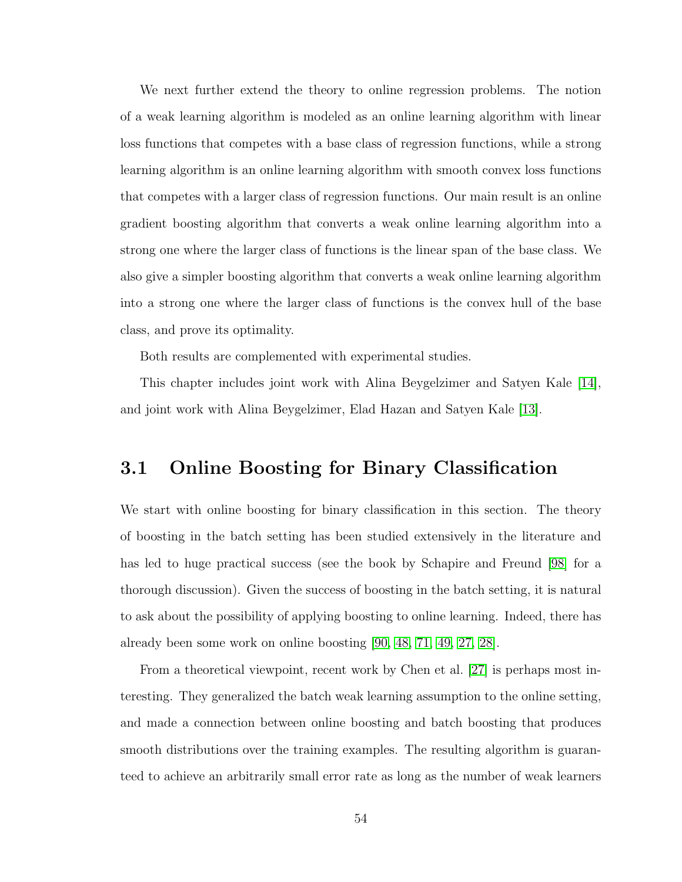We next further extend the theory to online regression problems. The notion of a weak learning algorithm is modeled as an online learning algorithm with linear loss functions that competes with a base class of regression functions, while a strong learning algorithm is an online learning algorithm with smooth convex loss functions that competes with a larger class of regression functions. Our main result is an online gradient boosting algorithm that converts a weak online learning algorithm into a strong one where the larger class of functions is the linear span of the base class. We also give a simpler boosting algorithm that converts a weak online learning algorithm into a strong one where the larger class of functions is the convex hull of the base class, and prove its optimality.

Both results are complemented with experimental studies.

This chapter includes joint work with Alina Beygelzimer and Satyen Kale [\[14\]](#page-174-4), and joint work with Alina Beygelzimer, Elad Hazan and Satyen Kale [\[13\]](#page-174-5).

# 3.1 Online Boosting for Binary Classification

We start with online boosting for binary classification in this section. The theory of boosting in the batch setting has been studied extensively in the literature and has led to huge practical success (see the book by Schapire and Freund [\[98\]](#page-180-2) for a thorough discussion). Given the success of boosting in the batch setting, it is natural to ask about the possibility of applying boosting to online learning. Indeed, there has already been some work on online boosting [\[90,](#page-179-2) [48,](#page-176-3) [71,](#page-178-1) [49,](#page-176-4) [27,](#page-175-5) [28\]](#page-175-6).

From a theoretical viewpoint, recent work by Chen et al. [\[27\]](#page-175-5) is perhaps most interesting. They generalized the batch weak learning assumption to the online setting, and made a connection between online boosting and batch boosting that produces smooth distributions over the training examples. The resulting algorithm is guaranteed to achieve an arbitrarily small error rate as long as the number of weak learners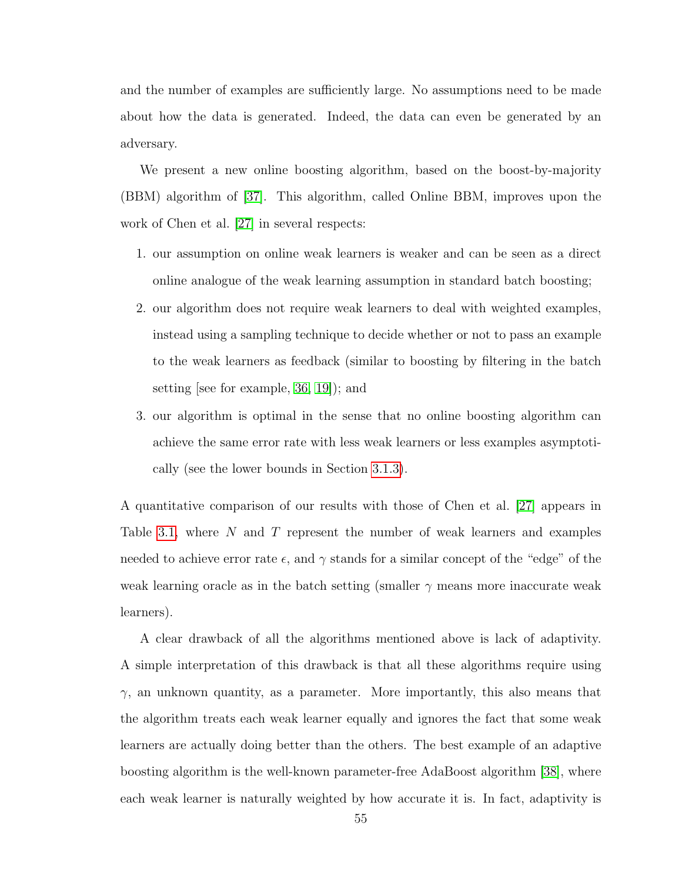and the number of examples are sufficiently large. No assumptions need to be made about how the data is generated. Indeed, the data can even be generated by an adversary.

We present a new online boosting algorithm, based on the boost-by-majority (BBM) algorithm of [\[37\]](#page-175-7). This algorithm, called Online BBM, improves upon the work of Chen et al. [\[27\]](#page-175-5) in several respects:

- 1. our assumption on online weak learners is weaker and can be seen as a direct online analogue of the weak learning assumption in standard batch boosting;
- 2. our algorithm does not require weak learners to deal with weighted examples, instead using a sampling technique to decide whether or not to pass an example to the weak learners as feedback (similar to boosting by filtering in the batch setting [see for example, [36,](#page-175-8) [19\]](#page-174-6)); and
- 3. our algorithm is optimal in the sense that no online boosting algorithm can achieve the same error rate with less weak learners or less examples asymptotically (see the lower bounds in Section [3.1.3\)](#page-79-0).

A quantitative comparison of our results with those of Chen et al. [\[27\]](#page-175-5) appears in Table [3.1,](#page-68-0) where  $N$  and  $T$  represent the number of weak learners and examples needed to achieve error rate  $\epsilon$ , and  $\gamma$  stands for a similar concept of the "edge" of the weak learning oracle as in the batch setting (smaller  $\gamma$  means more inaccurate weak learners).

A clear drawback of all the algorithms mentioned above is lack of adaptivity. A simple interpretation of this drawback is that all these algorithms require using  $\gamma$ , an unknown quantity, as a parameter. More importantly, this also means that the algorithm treats each weak learner equally and ignores the fact that some weak learners are actually doing better than the others. The best example of an adaptive boosting algorithm is the well-known parameter-free AdaBoost algorithm [\[38\]](#page-176-0), where each weak learner is naturally weighted by how accurate it is. In fact, adaptivity is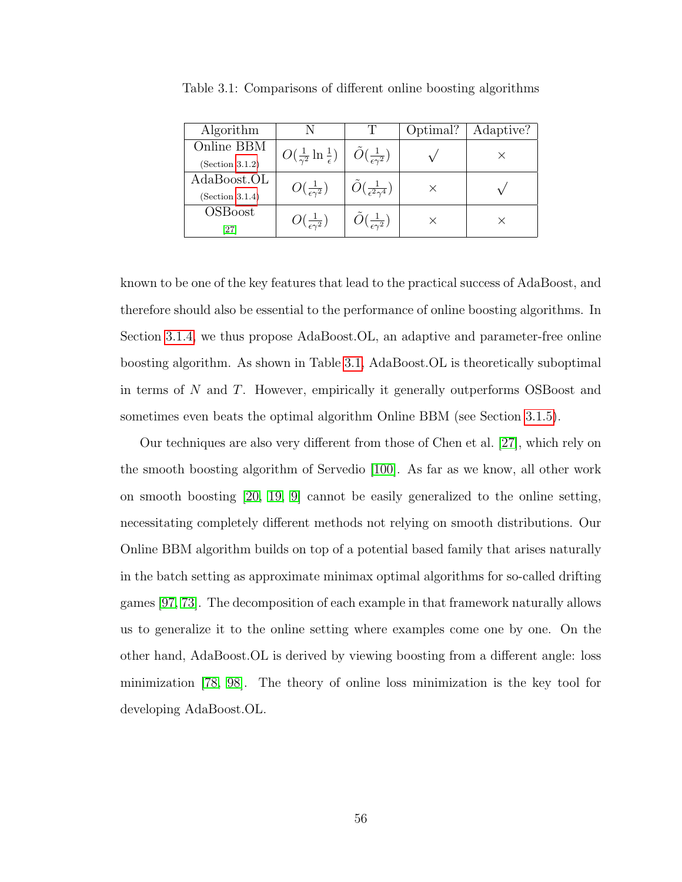| Algorithm       |                                                |                                                      | Optimal? | Adaptive? |
|-----------------|------------------------------------------------|------------------------------------------------------|----------|-----------|
| Online BBM      | $O(\frac{1}{\gamma^2} \ln \frac{1}{\epsilon})$ | $\tilde{O}(\frac{1}{\epsilon \gamma^2})$             |          |           |
| (Section 3.1.2) |                                                |                                                      |          |           |
| AdaBoost.OL     | $O(\frac{1}{\epsilon \gamma^2})$               | $\tilde{O}(\frac{1}{\epsilon^2\gamma^4})$            |          |           |
| (Section 3.1.4) |                                                |                                                      |          |           |
| <b>OSBoost</b>  | $O(\frac{1}{\epsilon \gamma^2})$               | $\bigcap \left( \frac{1}{\epsilon \gamma^2} \right)$ |          |           |
| [27]            |                                                |                                                      |          |           |

<span id="page-68-0"></span>Table 3.1: Comparisons of different online boosting algorithms

known to be one of the key features that lead to the practical success of AdaBoost, and therefore should also be essential to the performance of online boosting algorithms. In Section [3.1.4,](#page-81-0) we thus propose AdaBoost.OL, an adaptive and parameter-free online boosting algorithm. As shown in Table [3.1,](#page-68-0) AdaBoost.OL is theoretically suboptimal in terms of N and T. However, empirically it generally outperforms OSBoost and sometimes even beats the optimal algorithm Online BBM (see Section [3.1.5\)](#page-87-0).

Our techniques are also very different from those of Chen et al. [\[27\]](#page-175-5), which rely on the smooth boosting algorithm of Servedio [\[100\]](#page-180-7). As far as we know, all other work on smooth boosting [\[20,](#page-174-7) [19,](#page-174-6) [9\]](#page-173-4) cannot be easily generalized to the online setting, necessitating completely different methods not relying on smooth distributions. Our Online BBM algorithm builds on top of a potential based family that arises naturally in the batch setting as approximate minimax optimal algorithms for so-called drifting games [\[97,](#page-180-8) [73\]](#page-178-2). The decomposition of each example in that framework naturally allows us to generalize it to the online setting where examples come one by one. On the other hand, AdaBoost.OL is derived by viewing boosting from a different angle: loss minimization [\[78,](#page-178-3) [98\]](#page-180-2). The theory of online loss minimization is the key tool for developing AdaBoost.OL.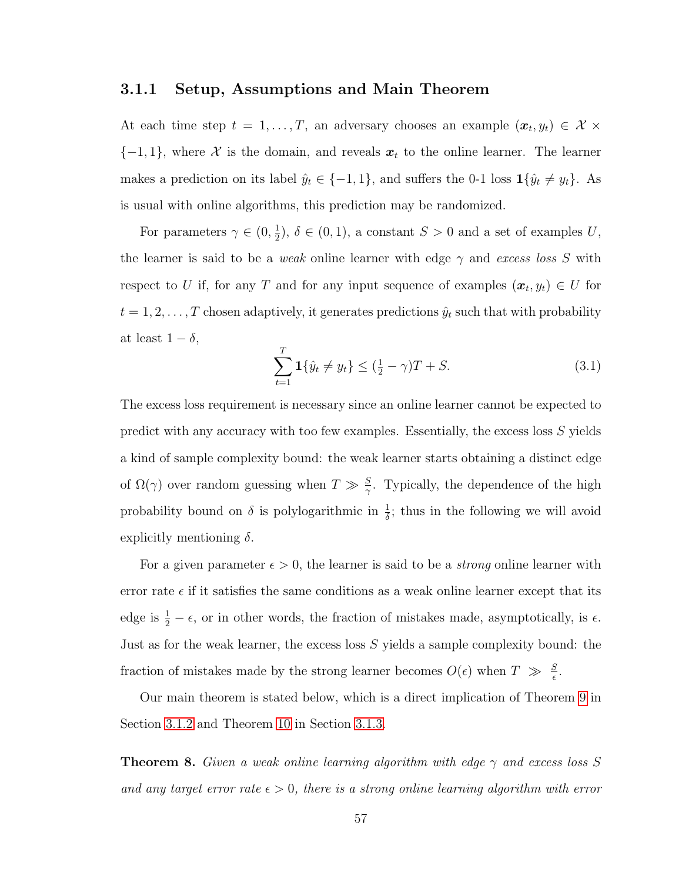#### 3.1.1 Setup, Assumptions and Main Theorem

At each time step  $t = 1, \ldots, T$ , an adversary chooses an example  $(\boldsymbol{x}_t, y_t) \in \mathcal{X} \times \mathcal{Y}$  ${-1, 1}$ , where X is the domain, and reveals  $x_t$  to the online learner. The learner makes a prediction on its label  $\hat{y}_t \in \{-1, 1\}$ , and suffers the 0-1 loss  $\mathbf{1}\{\hat{y}_t \neq y_t\}$ . As is usual with online algorithms, this prediction may be randomized.

For parameters  $\gamma \in (0, \frac{1}{2})$  $\frac{1}{2}$ ,  $\delta \in (0,1)$ , a constant  $S > 0$  and a set of examples U, the learner is said to be a *weak* online learner with edge  $\gamma$  and excess loss S with respect to U if, for any T and for any input sequence of examples  $(x_t, y_t) \in U$  for  $t = 1, 2, \ldots, T$  chosen adaptively, it generates predictions  $\hat{y}_t$  such that with probability at least  $1 - \delta$ ,

<span id="page-69-0"></span>
$$
\sum_{t=1}^{T} \mathbf{1} \{\hat{y}_t \neq y_t\} \le (\frac{1}{2} - \gamma)T + S. \tag{3.1}
$$

The excess loss requirement is necessary since an online learner cannot be expected to predict with any accuracy with too few examples. Essentially, the excess loss S yields a kind of sample complexity bound: the weak learner starts obtaining a distinct edge of  $\Omega(\gamma)$  over random guessing when  $T \gg \frac{S}{\gamma}$ . Typically, the dependence of the high probability bound on  $\delta$  is polylogarithmic in  $\frac{1}{\delta}$ ; thus in the following we will avoid explicitly mentioning  $\delta$ .

For a given parameter  $\epsilon > 0$ , the learner is said to be a *strong* online learner with error rate  $\epsilon$  if it satisfies the same conditions as a weak online learner except that its edge is  $\frac{1}{2} - \epsilon$ , or in other words, the fraction of mistakes made, asymptotically, is  $\epsilon$ . Just as for the weak learner, the excess loss  $S$  yields a sample complexity bound: the fraction of mistakes made by the strong learner becomes  $O(\epsilon)$  when  $T \gg \frac{S}{\epsilon}$ .

Our main theorem is stated below, which is a direct implication of Theorem [9](#page-78-0) in Section [3.1.2](#page-74-0) and Theorem [10](#page-79-1) in Section [3.1.3.](#page-79-0)

**Theorem 8.** Given a weak online learning algorithm with edge  $\gamma$  and excess loss S and any target error rate  $\epsilon > 0$ , there is a strong online learning algorithm with error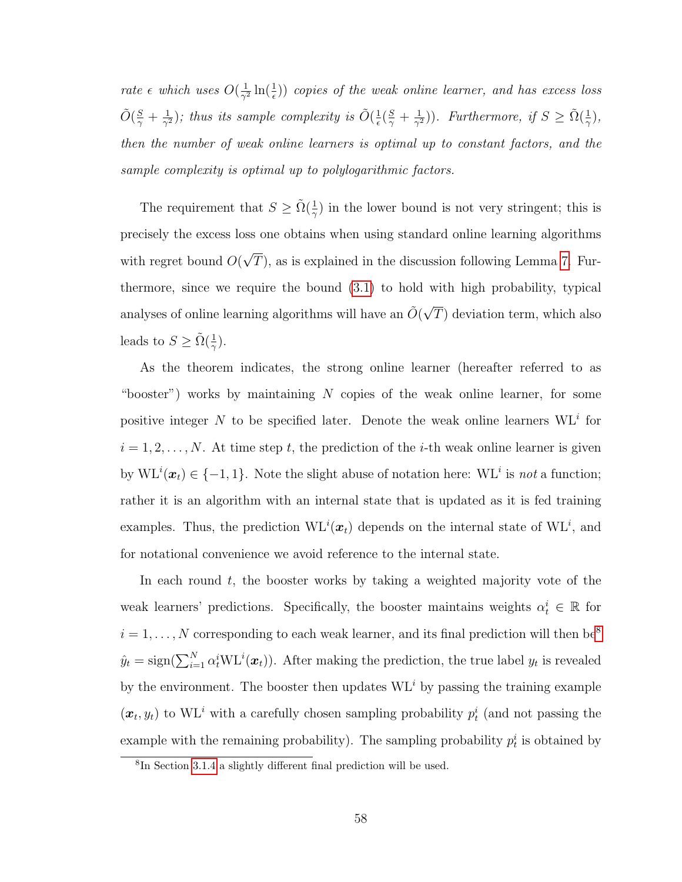rate  $\epsilon$  which uses  $O(\frac{1}{\gamma^2})$  $\frac{1}{\gamma^2} \ln(\frac{1}{\epsilon})$ ) copies of the weak online learner, and has excess loss  $\tilde{O}(\frac{S}{\gamma}+\frac{1}{\gamma^2}$  $\frac{1}{\gamma^2}$ ); thus its sample complexity is  $\tilde{O}(\frac{1}{\epsilon})$  $\frac{1}{\epsilon}(\frac{S}{\gamma}+\frac{1}{\gamma^2})$  $(\frac{1}{\gamma^2})$ ). Furthermore, if  $S \geq \tilde{\Omega}(\frac{1}{\gamma})$ , then the number of weak online learners is optimal up to constant factors, and the sample complexity is optimal up to polylogarithmic factors.

The requirement that  $S \geq \tilde{\Omega}(\frac{1}{\gamma})$  in the lower bound is not very stringent; this is precisely the excess loss one obtains when using standard online learning algorithms with regret bound  $O($ √  $T$ ), as is explained in the discussion following Lemma [7.](#page-74-1) Furthermore, since we require the bound [\(3.1\)](#page-69-0) to hold with high probability, typical analyses of online learning algorithms will have an  $\tilde{O}(\sqrt{2})$ T) deviation term, which also leads to  $S \geq \tilde{\Omega}(\frac{1}{\gamma}).$ 

As the theorem indicates, the strong online learner (hereafter referred to as "booster") works by maintaining  $N$  copies of the weak online learner, for some positive integer N to be specified later. Denote the weak online learners  $\mathrm{WL}^{i}$  for  $i = 1, 2, \ldots, N$ . At time step t, the prediction of the *i*-th weak online learner is given by  $\mathrm{WL}^{i}(\boldsymbol{x}_{t}) \in \{-1,1\}$ . Note the slight abuse of notation here:  $\mathrm{WL}^{i}$  is not a function; rather it is an algorithm with an internal state that is updated as it is fed training examples. Thus, the prediction  $\mathrm{WL}^i(\bm{x}_t)$  depends on the internal state of  $\mathrm{WL}^i$ , and for notational convenience we avoid reference to the internal state.

In each round t, the booster works by taking a weighted majority vote of the weak learners' predictions. Specifically, the booster maintains weights  $\alpha_t^i \in \mathbb{R}$  for  $i = 1, \ldots, N$  corresponding to each weak learner, and its final prediction will then be<sup>[8](#page-70-0)</sup>  $\hat{y}_t = \text{sign}(\sum_{i=1}^N \alpha_t^i \text{WL}^i(\boldsymbol{x}_t)).$  After making the prediction, the true label  $y_t$  is revealed by the environment. The booster then updates  $WL<sup>i</sup>$  by passing the training example  $(x_t, y_t)$  to WL<sup>*i*</sup> with a carefully chosen sampling probability  $p_t^i$  (and not passing the example with the remaining probability). The sampling probability  $p_t^i$  is obtained by

<span id="page-70-0"></span><sup>8</sup> In Section [3.1.4](#page-81-0) a slightly different final prediction will be used.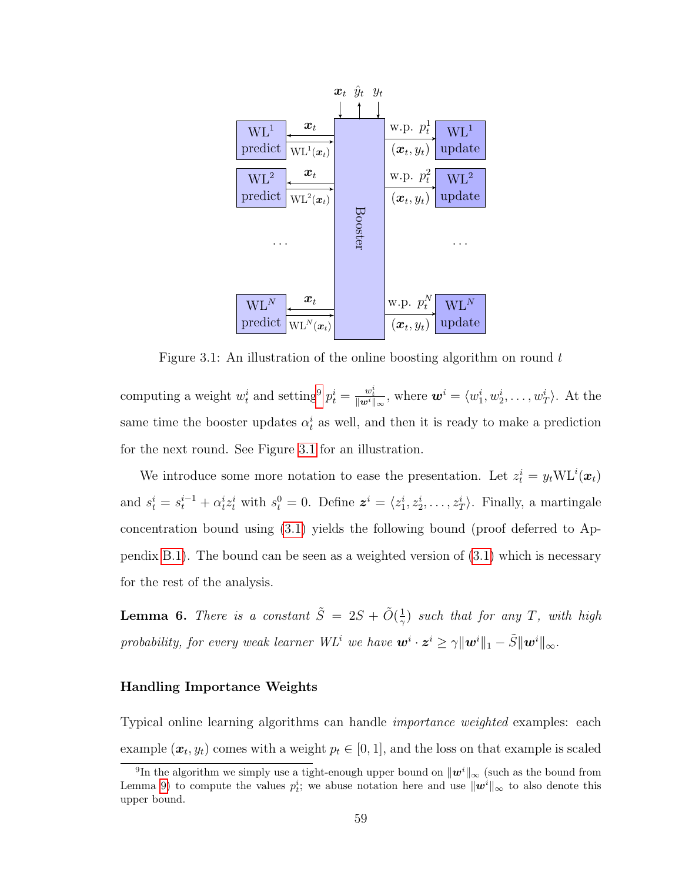<span id="page-71-1"></span>

Figure 3.1: An illustration of the online boosting algorithm on round  $t$ 

computing a weight  $w_t^i$  and setting<sup>[9](#page-71-0)</sup>  $p_t^i = \frac{w_t^i}{\|w^i\|_{\infty}}$ , where  $\boldsymbol{w}^i = \langle w_1^i, w_2^i, \dots, w_T^i \rangle$ . At the same time the booster updates  $\alpha_t^i$  as well, and then it is ready to make a prediction for the next round. See Figure [3.1](#page-71-1) for an illustration.

We introduce some more notation to ease the presentation. Let  $z_t^i = y_t \text{WL}^i(\boldsymbol{x}_t)$ and  $s_t^i = s_t^{i-1} + \alpha_t^i z_t^i$  with  $s_t^0 = 0$ . Define  $\boldsymbol{z}^i = \langle z_1^i, z_2^i, \dots, z_T^i \rangle$ . Finally, a martingale concentration bound using [\(3.1\)](#page-69-0) yields the following bound (proof deferred to Appendix [B.1\)](#page-156-0). The bound can be seen as a weighted version of [\(3.1\)](#page-69-0) which is necessary for the rest of the analysis.

**Lemma 6.** There is a constant  $\tilde{S} = 2S + \tilde{O}(\frac{1}{\alpha})$  $(\frac{1}{\gamma})$  such that for any T, with high probability, for every weak learner WL<sup>i</sup> we have  $\bm{w}^i\cdot\bm{z}^i\geq\gamma\|\bm{w}^i\|_1-\tilde{S}\|\bm{w}^i\|_\infty.$ 

#### Handling Importance Weights

Typical online learning algorithms can handle importance weighted examples: each example  $(\boldsymbol{x}_t, y_t)$  comes with a weight  $p_t \in [0, 1]$ , and the loss on that example is scaled

<span id="page-71-0"></span><sup>&</sup>lt;sup>9</sup>In the algorithm we simply use a tight-enough upper bound on  $\|\boldsymbol{w}^i\|_{\infty}$  (such as the bound from Lemma [9\)](#page-76-0) to compute the values  $p_t^i$ ; we abuse notation here and use  $\|\mathbf{w}^i\|_{\infty}$  to also denote this upper bound.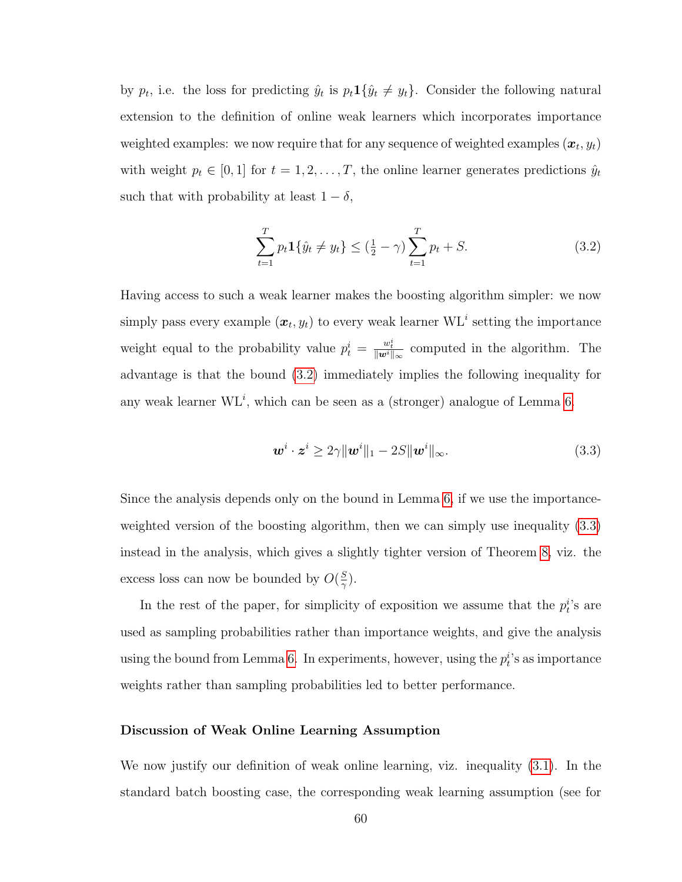by  $p_t$ , i.e. the loss for predicting  $\hat{y}_t$  is  $p_t \mathbf{1} \{ \hat{y}_t \neq y_t \}$ . Consider the following natural extension to the definition of online weak learners which incorporates importance weighted examples: we now require that for any sequence of weighted examples  $(\boldsymbol{x}_t, y_t)$ with weight  $p_t \in [0, 1]$  for  $t = 1, 2, ..., T$ , the online learner generates predictions  $\hat{y}_t$ such that with probability at least  $1 - \delta$ ,

<span id="page-72-0"></span>
$$
\sum_{t=1}^{T} p_t \mathbf{1} \{ \hat{y}_t \neq y_t \} \leq (\frac{1}{2} - \gamma) \sum_{t=1}^{T} p_t + S.
$$
 (3.2)

Having access to such a weak learner makes the boosting algorithm simpler: we now simply pass every example  $(x_t, y_t)$  to every weak learner WL<sup>i</sup> setting the importance weight equal to the probability value  $p_t^i = \frac{w_t^i}{\|\mathbf{w}^i\|_{\infty}}$  computed in the algorithm. The advantage is that the bound [\(3.2\)](#page-72-0) immediately implies the following inequality for any weak learner  $W L<sup>i</sup>$ , which can be seen as a (stronger) analogue of Lemma [6.](#page-71-0)

<span id="page-72-1"></span>
$$
\boldsymbol{w}^i \cdot \boldsymbol{z}^i \ge 2\gamma \|\boldsymbol{w}^i\|_1 - 2S \|\boldsymbol{w}^i\|_{\infty}.
$$
\n(3.3)

Since the analysis depends only on the bound in Lemma [6,](#page-71-0) if we use the importanceweighted version of the boosting algorithm, then we can simply use inequality [\(3.3\)](#page-72-1) instead in the analysis, which gives a slightly tighter version of Theorem [8,](#page-69-0) viz. the excess loss can now be bounded by  $O(\frac{S}{\gamma})$  $\frac{S}{\gamma}).$ 

In the rest of the paper, for simplicity of exposition we assume that the  $p_t^i$ 's are used as sampling probabilities rather than importance weights, and give the analysis using the bound from Lemma [6.](#page-71-0) In experiments, however, using the  $p_t^i$ 's as importance weights rather than sampling probabilities led to better performance.

#### Discussion of Weak Online Learning Assumption

We now justify our definition of weak online learning, viz. inequality [\(3.1\)](#page-69-1). In the standard batch boosting case, the corresponding weak learning assumption (see for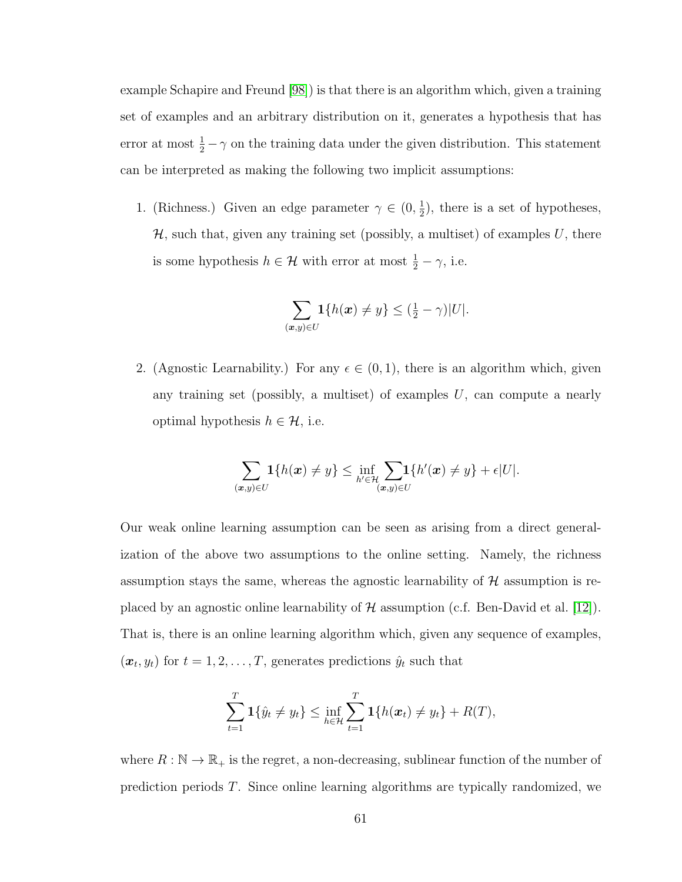example Schapire and Freund [\[98\]](#page-180-0)) is that there is an algorithm which, given a training set of examples and an arbitrary distribution on it, generates a hypothesis that has error at most  $\frac{1}{2} - \gamma$  on the training data under the given distribution. This statement can be interpreted as making the following two implicit assumptions:

1. (Richness.) Given an edge parameter  $\gamma \in (0, \frac{1}{2})$  $(\frac{1}{2})$ , there is a set of hypotheses,  $H$ , such that, given any training set (possibly, a multiset) of examples U, there is some hypothesis  $h \in \mathcal{H}$  with error at most  $\frac{1}{2} - \gamma$ , i.e.

$$
\sum_{(\boldsymbol{x},y)\in U} \mathbf{1}\{h(\boldsymbol{x}) \neq y\} \leq (\frac{1}{2} - \gamma)|U|.
$$

2. (Agnostic Learnability.) For any  $\epsilon \in (0,1)$ , there is an algorithm which, given any training set (possibly, a multiset) of examples  $U$ , can compute a nearly optimal hypothesis  $h \in \mathcal{H}$ , i.e.

$$
\sum_{(\boldsymbol{x},y)\in U}1\{h(\boldsymbol{x})\neq y\}\leq \inf_{h'\in\mathcal{H}}\sum_{(\boldsymbol{x},y)\in U}1\{h'(\boldsymbol{x})\neq y\}+\epsilon |U|.
$$

Our weak online learning assumption can be seen as arising from a direct generalization of the above two assumptions to the online setting. Namely, the richness assumption stays the same, whereas the agnostic learnability of  $H$  assumption is replaced by an agnostic online learnability of  $\mathcal H$  assumption (c.f. Ben-David et al. [\[12\]](#page-174-0)). That is, there is an online learning algorithm which, given any sequence of examples,  $(\boldsymbol{x}_t, y_t)$  for  $t = 1, 2, \dots, T$ , generates predictions  $\hat{y}_t$  such that

$$
\sum_{t=1}^{T} \mathbf{1} \{\hat{y}_t \neq y_t\} \le \inf_{h \in \mathcal{H}} \sum_{t=1}^{T} \mathbf{1} \{h(\bm{x}_t) \neq y_t\} + R(T),
$$

where  $R : \mathbb{N} \to \mathbb{R}_+$  is the regret, a non-decreasing, sublinear function of the number of prediction periods T. Since online learning algorithms are typically randomized, we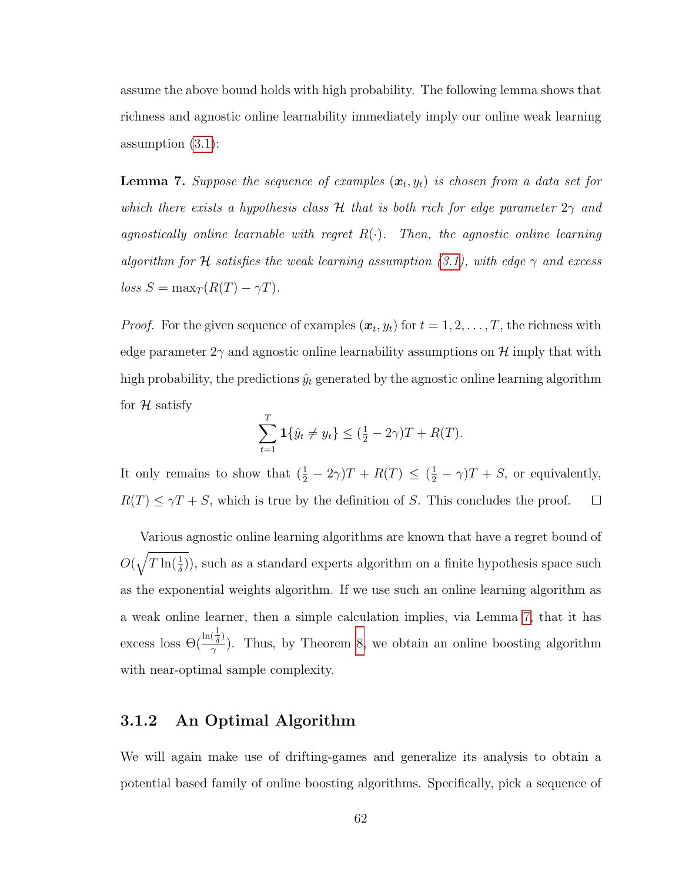assume the above bound holds with high probability. The following lemma shows that richness and agnostic online learnability immediately imply our online weak learning assumption [\(3.1\)](#page-69-1):

<span id="page-74-0"></span>**Lemma 7.** Suppose the sequence of examples  $(x_t, y_t)$  is chosen from a data set for which there exists a hypothesis class H that is both rich for edge parameter  $2\gamma$  and agnostically online learnable with regret  $R(\cdot)$ . Then, the agnostic online learning algorithm for H satisfies the weak learning assumption [\(3.1\)](#page-69-1), with edge  $\gamma$  and excess  $loss S = \max_T (R(T) - \gamma T).$ 

*Proof.* For the given sequence of examples  $(x_t, y_t)$  for  $t = 1, 2, ..., T$ , the richness with edge parameter  $2\gamma$  and agnostic online learnability assumptions on H imply that with high probability, the predictions  $\hat{y}_t$  generated by the agnostic online learning algorithm for  $H$  satisfy

$$
\sum_{t=1}^{T} \mathbf{1} \{ \hat{y}_t \neq y_t \} \leq (\frac{1}{2} - 2\gamma)T + R(T).
$$

It only remains to show that  $(\frac{1}{2} - 2\gamma)T + R(T) \leq (\frac{1}{2} - \gamma)T + S$ , or equivalently,  $R(T) \leq \gamma T + S$ , which is true by the definition of S. This concludes the proof.  $\Box$ 

Various agnostic online learning algorithms are known that have a regret bound of  $O(\sqrt{T \ln(\frac{1}{\delta})})$ , such as a standard experts algorithm on a finite hypothesis space such as the exponential weights algorithm. If we use such an online learning algorithm as a weak online learner, then a simple calculation implies, via Lemma [7,](#page-74-0) that it has excess loss  $\Theta(\frac{\ln(\frac{1}{\delta})}{\gamma})$  $(\frac{\delta}{\gamma})$ . Thus, by Theorem [8,](#page-69-0) we obtain an online boosting algorithm with near-optimal sample complexity.

## 3.1.2 An Optimal Algorithm

We will again make use of drifting-games and generalize its analysis to obtain a potential based family of online boosting algorithms. Specifically, pick a sequence of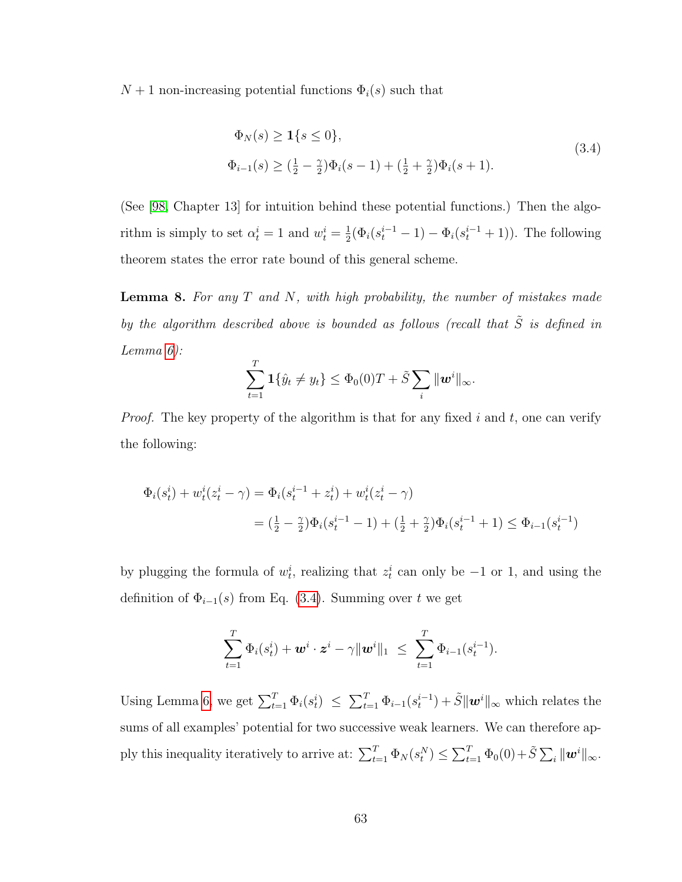<span id="page-75-0"></span> $N+1$  non-increasing potential functions  $\Phi_i(s)$  such that

$$
\Phi_N(s) \ge \mathbf{1}\{s \le 0\},\tag{3.4}
$$
\n
$$
\Phi_{i-1}(s) \ge (\frac{1}{2} - \frac{\gamma}{2})\Phi_i(s-1) + (\frac{1}{2} + \frac{\gamma}{2})\Phi_i(s+1).
$$

(See [\[98,](#page-180-0) Chapter 13] for intuition behind these potential functions.) Then the algorithm is simply to set  $\alpha_t^i = 1$  and  $w_t^i = \frac{1}{2}$  $\frac{1}{2}(\Phi_i(s_t^{i-1} - 1) - \Phi_i(s_t^{i-1} + 1)).$  The following theorem states the error rate bound of this general scheme.

<span id="page-75-1"></span>**Lemma 8.** For any  $T$  and  $N$ , with high probability, the number of mistakes made by the algorithm described above is bounded as follows (recall that  $\tilde{S}$  is defined in Lemma [6\)](#page-71-0):

$$
\sum_{t=1}^{T} \mathbf{1} \{\hat{y}_t \neq y_t\} \leq \Phi_0(0)T + \tilde{S} \sum_i \|\mathbf{w}^i\|_{\infty}.
$$

*Proof.* The key property of the algorithm is that for any fixed i and t, one can verify the following:

$$
\Phi_i(s_t^i) + w_t^i(z_t^i - \gamma) = \Phi_i(s_t^{i-1} + z_t^i) + w_t^i(z_t^i - \gamma)
$$
  
=  $(\frac{1}{2} - \frac{\gamma}{2})\Phi_i(s_t^{i-1} - 1) + (\frac{1}{2} + \frac{\gamma}{2})\Phi_i(s_t^{i-1} + 1) \le \Phi_{i-1}(s_t^{i-1})$ 

by plugging the formula of  $w_t^i$ , realizing that  $z_t^i$  can only be  $-1$  or 1, and using the definition of  $\Phi_{i-1}(s)$  from Eq. [\(3.4\)](#page-75-0). Summing over t we get

$$
\sum_{t=1}^T \Phi_i(s_t^i) + \boldsymbol{w}^i \cdot \boldsymbol{z}^i - \gamma ||\boldsymbol{w}^i||_1 \ \leq \ \sum_{t=1}^T \Phi_{i-1}(s_t^{i-1}).
$$

Using Lemma [6,](#page-71-0) we get  $\sum_{t=1}^T \Phi_i(s_t^i) \leq \sum_{t=1}^T \Phi_{i-1}(s_t^{i-1}) + \tilde{S} ||\mathbf{w}^i||_{\infty}$  which relates the sums of all examples' potential for two successive weak learners. We can therefore apply this inequality iteratively to arrive at:  $\sum_{t=1}^{T} \Phi_N(s_t^N) \leq \sum_{t=1}^{T} \Phi_0(0) + \tilde{S} \sum_i ||\mathbf{w}^i||_{\infty}$ .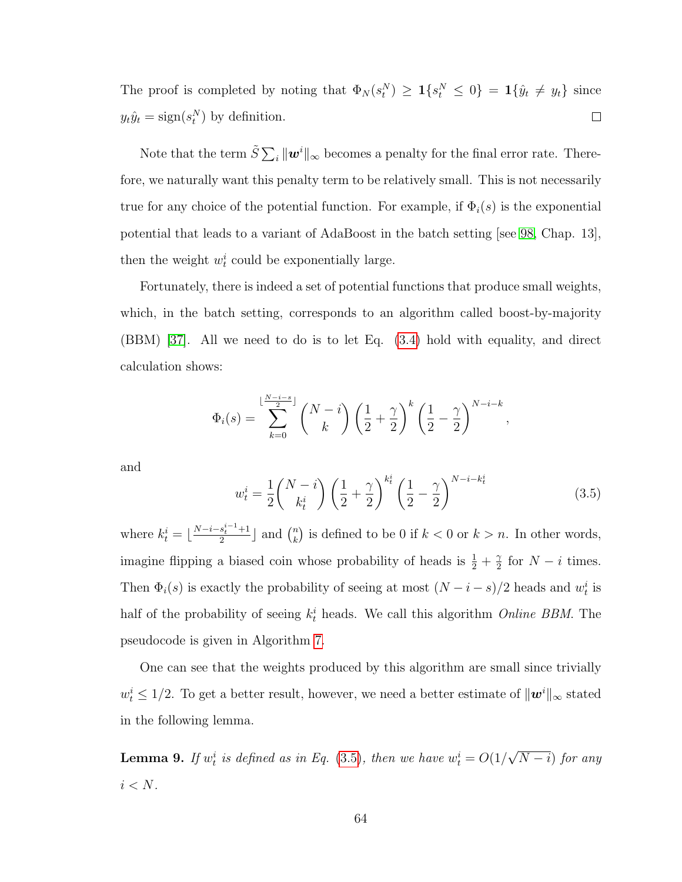The proof is completed by noting that  $\Phi_N(s_t^N) \geq \mathbf{1}\{s_t^N \leq 0\} = \mathbf{1}\{\hat{y}_t \neq y_t\}$  since  $y_t\hat{y}_t = \text{sign}(s_t^N)$  by definition.  $\Box$ 

Note that the term  $\tilde{S} \sum_i ||\bm{w}^i||_{\infty}$  becomes a penalty for the final error rate. Therefore, we naturally want this penalty term to be relatively small. This is not necessarily true for any choice of the potential function. For example, if  $\Phi_i(s)$  is the exponential potential that leads to a variant of AdaBoost in the batch setting [see [98,](#page-180-0) Chap. 13], then the weight  $w_t^i$  could be exponentially large.

Fortunately, there is indeed a set of potential functions that produce small weights, which, in the batch setting, corresponds to an algorithm called boost-by-majority (BBM) [\[37\]](#page-175-0). All we need to do is to let Eq. [\(3.4\)](#page-75-0) hold with equality, and direct calculation shows:

$$
\Phi_i(s) = \sum_{k=0}^{\lfloor \frac{N-i-s}{2} \rfloor} {N-i \choose k} \left(\frac{1}{2} + \frac{\gamma}{2}\right)^k \left(\frac{1}{2} - \frac{\gamma}{2}\right)^{N-i-k},
$$

and

<span id="page-76-0"></span>
$$
w_t^i = \frac{1}{2} \binom{N-i}{k_t^i} \left(\frac{1}{2} + \frac{\gamma}{2}\right)^{k_t^i} \left(\frac{1}{2} - \frac{\gamma}{2}\right)^{N-i-k_t^i}
$$
(3.5)

where  $k_t^i = \lfloor \frac{N-i-s_t^{i-1}+1}{2} \rfloor$  $\frac{s_t^{i-1}+1}{2}$  and  $\binom{n}{k}$  $\binom{n}{k}$  is defined to be 0 if  $k < 0$  or  $k > n$ . In other words, imagine flipping a biased coin whose probability of heads is  $\frac{1}{2} + \frac{\gamma}{2}$  $\frac{\gamma}{2}$  for  $N - i$  times. Then  $\Phi_i(s)$  is exactly the probability of seeing at most  $(N-i-s)/2$  heads and  $w_t^i$  is half of the probability of seeing  $k_t^i$  heads. We call this algorithm *Online BBM*. The pseudocode is given in Algorithm [7.](#page-77-0)

One can see that the weights produced by this algorithm are small since trivially  $w_t^i \leq 1/2$ . To get a better result, however, we need a better estimate of  $\|\mathbf{w}^i\|_{\infty}$  stated in the following lemma.

<span id="page-76-1"></span>**Lemma 9.** If  $w_t^i$  is defined as in Eq. [\(3.5\)](#page-76-0), then we have  $w_t^i = O(1)$ √  $(N - i)$  for any  $i < N$ .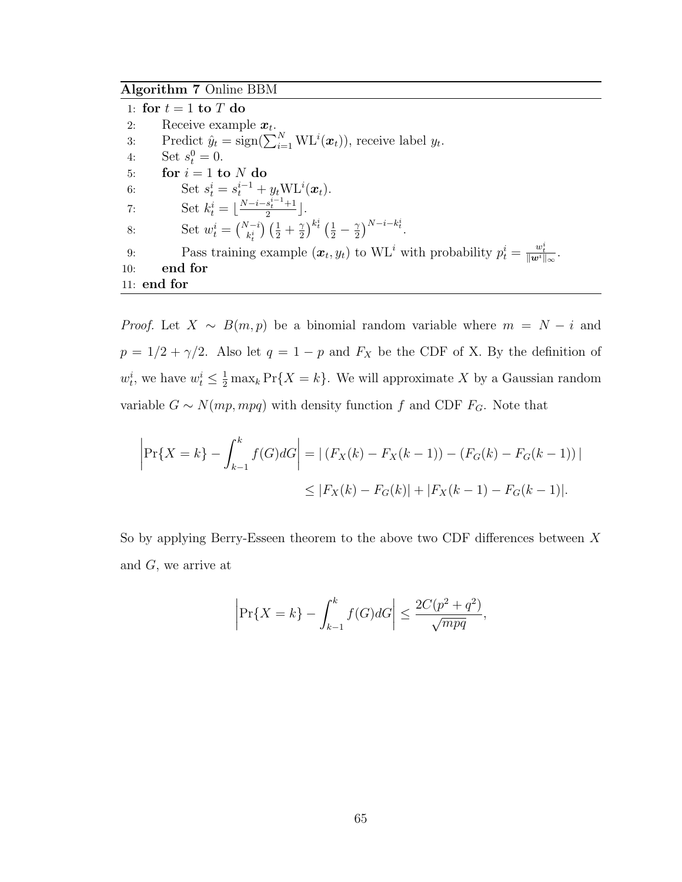## <span id="page-77-0"></span>Algorithm 7 Online BBM

|     | 1: for $t = 1$ to T do                                                                                                                        |
|-----|-----------------------------------------------------------------------------------------------------------------------------------------------|
| 2:  | Receive example $x_t$ .                                                                                                                       |
| 3:  | Predict $\hat{y}_t = \text{sign}(\sum_{i=1}^N \text{WL}^i(\boldsymbol{x}_t))$ , receive label $y_t$ .                                         |
| 4:  | Set $s_t^0 = 0$ .                                                                                                                             |
| 5:  | for $i = 1$ to N do                                                                                                                           |
| 6:  | Set $s_t^i = s_t^{i-1} + y_t \text{WL}^i(\bm{x}_t)$ .                                                                                         |
| 7:  | Set $k_t^i = \lfloor \frac{N-i-s_t^{i-1}+1}{2} \rfloor$ .                                                                                     |
| 8:  | Set $w_t^i = \binom{N-i}{k} \left(\frac{1}{2} + \frac{\gamma}{2}\right)^{k_t^i} \left(\frac{1}{2} - \frac{\gamma}{2}\right)^{N-i-k_t^i}$ .    |
| 9:  | Pass training example $(\boldsymbol{x}_t, y_t)$ to WL <sup>i</sup> with probability $p_t^i = \frac{w_t^i}{\ \boldsymbol{w}_t^i\ _{\infty}}$ . |
| 10: | end for                                                                                                                                       |
|     | $11:$ end for                                                                                                                                 |

*Proof.* Let  $X \sim B(m, p)$  be a binomial random variable where  $m = N - i$  and  $p = 1/2 + \gamma/2$ . Also let  $q = 1 - p$  and  $F_X$  be the CDF of X. By the definition of  $w_t^i$ , we have  $w_t^i \leq \frac{1}{2} \max_k \Pr\{X = k\}.$  We will approximate X by a Gaussian random variable  $G \sim N(mp, mpq)$  with density function f and CDF  $F_G$ . Note that

$$
\left| \Pr\{X = k\} - \int_{k-1}^{k} f(G) dG \right| = \left| \left( F_X(k) - F_X(k-1) \right) - \left( F_G(k) - F_G(k-1) \right) \right|
$$
  

$$
\leq \left| F_X(k) - F_G(k) \right| + \left| F_X(k-1) - F_G(k-1) \right|.
$$

So by applying Berry-Esseen theorem to the above two CDF differences between  $X$ and  $G$ , we arrive at

$$
\left| \Pr\{X = k\} - \int_{k-1}^{k} f(G) dG \right| \le \frac{2C(p^2 + q^2)}{\sqrt{mpq}},
$$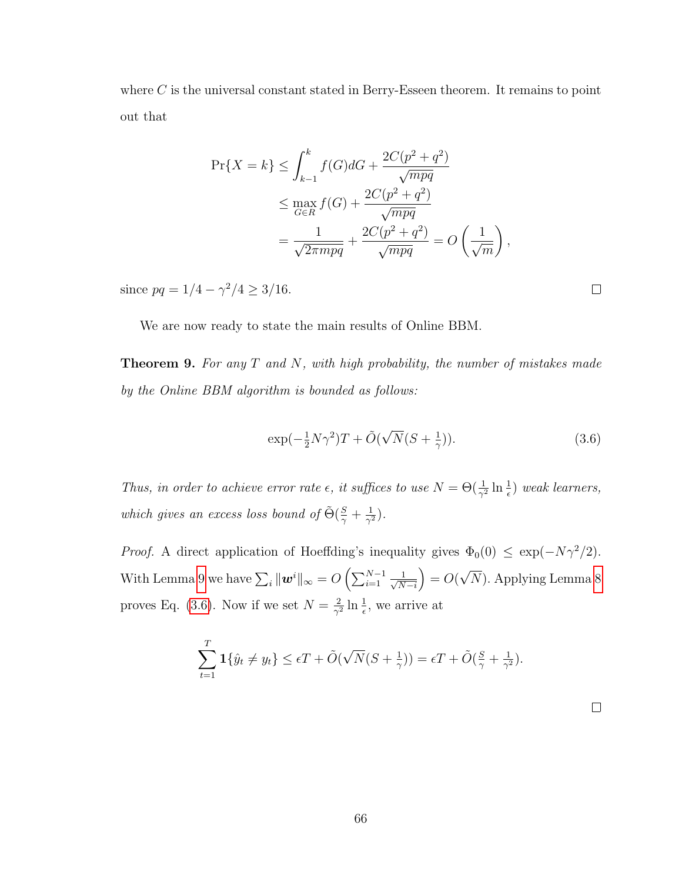where  $C$  is the universal constant stated in Berry-Esseen theorem. It remains to point out that

$$
\Pr\{X = k\} \le \int_{k-1}^{k} f(G) dG + \frac{2C(p^2 + q^2)}{\sqrt{mpq}} \le \max_{G \in R} f(G) + \frac{2C(p^2 + q^2)}{\sqrt{mpq}} \le \frac{1}{\sqrt{2\pi mpq}} + \frac{2C(p^2 + q^2)}{\sqrt{mpq}} = O\left(\frac{1}{\sqrt{m}}\right),
$$

since  $pq = 1/4 - \gamma^2/4 \geq 3/16$ .

We are now ready to state the main results of Online BBM.

**Theorem 9.** For any  $T$  and  $N$ , with high probability, the number of mistakes made by the Online BBM algorithm is bounded as follows:

<span id="page-78-0"></span>
$$
\exp(-\frac{1}{2}N\gamma^2)T + \tilde{O}(\sqrt{N}(S + \frac{1}{\gamma})).
$$
\n(3.6)

Thus, in order to achieve error rate  $\epsilon$ , it suffices to use  $N = \Theta(\frac{1}{\gamma^2} \ln \frac{1}{\epsilon})$  weak learners, which gives an excess loss bound of  $\tilde{\Theta}(\frac{S}{\gamma} + \frac{1}{\gamma^2})$  $\frac{1}{\gamma^2}$ ).

*Proof.* A direct application of Hoeffding's inequality gives  $\Phi_0(0) \leq \exp(-N\gamma^2/2)$ . With Lemma [9](#page-76-1) we have  $\sum_i \|\boldsymbol{w}^i\|_{\infty} = O\left(\sum_{i=1}^{N-1} \frac{1}{\sqrt{N}}\right)$  $N-i$  $= O($ √ N). Applying Lemma [8](#page-75-1) proves Eq. [\(3.6\)](#page-78-0). Now if we set  $N=\frac{2}{\sqrt{3}}$  $\frac{2}{\gamma^2} \ln \frac{1}{\epsilon}$ , we arrive at

$$
\sum_{t=1}^{T} \mathbf{1} \{ \hat{y}_t \neq y_t \} \leq \epsilon T + \tilde{O}(\sqrt{N}(S + \frac{1}{\gamma})) = \epsilon T + \tilde{O}(\frac{S}{\gamma} + \frac{1}{\gamma^2}).
$$

 $\Box$ 

 $\Box$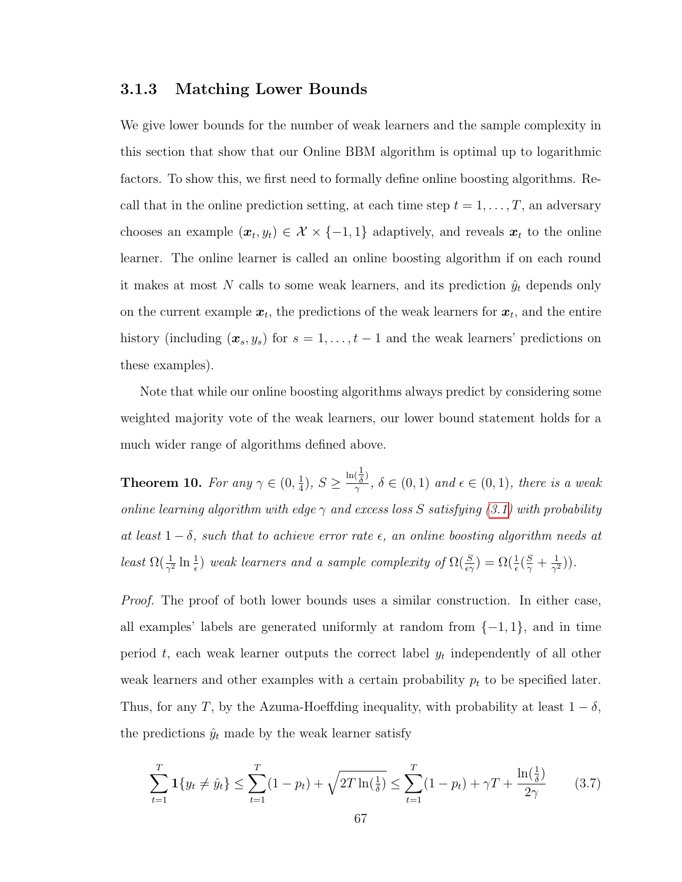### <span id="page-79-1"></span>3.1.3 Matching Lower Bounds

We give lower bounds for the number of weak learners and the sample complexity in this section that show that our Online BBM algorithm is optimal up to logarithmic factors. To show this, we first need to formally define online boosting algorithms. Recall that in the online prediction setting, at each time step  $t = 1, \ldots, T$ , an adversary chooses an example  $(x_t, y_t) \in \mathcal{X} \times \{-1, 1\}$  adaptively, and reveals  $x_t$  to the online learner. The online learner is called an online boosting algorithm if on each round it makes at most N calls to some weak learners, and its prediction  $\hat{y}_t$  depends only on the current example  $x_t$ , the predictions of the weak learners for  $x_t$ , and the entire history (including  $(x_s, y_s)$  for  $s = 1, \ldots, t-1$  and the weak learners' predictions on these examples).

Note that while our online boosting algorithms always predict by considering some weighted majority vote of the weak learners, our lower bound statement holds for a much wider range of algorithms defined above.

**Theorem 10.** For any  $\gamma \in (0, \frac{1}{4})$  $(\frac{1}{4}), S \geq$  $\ln(\frac{1}{\delta})$  $\frac{\partial \delta}{\partial \gamma}$ ,  $\delta \in (0,1)$  and  $\epsilon \in (0,1)$ , there is a weak online learning algorithm with edge  $\gamma$  and excess loss S satisfying [\(3.1\)](#page-69-1) with probability at least  $1 - \delta$ , such that to achieve error rate  $\epsilon$ , an online boosting algorithm needs at least  $\Omega(\frac{1}{\gamma^2} \ln \frac{1}{\epsilon})$  weak learners and a sample complexity of  $\Omega(\frac{S}{\epsilon \gamma}) = \Omega(\frac{1}{\epsilon}(\frac{S}{\gamma} + \frac{1}{\gamma^2}))$  $\frac{1}{\gamma^2})$ ).

Proof. The proof of both lower bounds uses a similar construction. In either case, all examples' labels are generated uniformly at random from  $\{-1, 1\}$ , and in time period  $t$ , each weak learner outputs the correct label  $y_t$  independently of all other weak learners and other examples with a certain probability  $p_t$  to be specified later. Thus, for any T, by the Azuma-Hoeffding inequality, with probability at least  $1 - \delta$ , the predictions  $\hat{y}_t$  made by the weak learner satisfy

<span id="page-79-0"></span>
$$
\sum_{t=1}^{T} \mathbf{1} \{ y_t \neq \hat{y}_t \} \le \sum_{t=1}^{T} (1 - p_t) + \sqrt{2T \ln(\frac{1}{\delta})} \le \sum_{t=1}^{T} (1 - p_t) + \gamma T + \frac{\ln(\frac{1}{\delta})}{2\gamma}
$$
(3.7)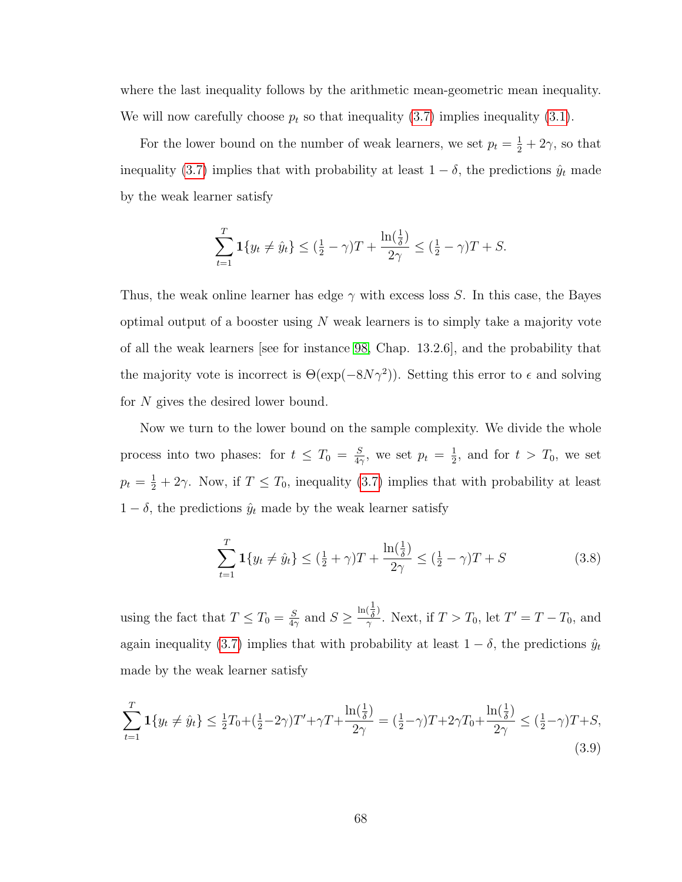where the last inequality follows by the arithmetic mean-geometric mean inequality. We will now carefully choose  $p_t$  so that inequality [\(3.7\)](#page-79-0) implies inequality [\(3.1\)](#page-69-1).

For the lower bound on the number of weak learners, we set  $p_t = \frac{1}{2} + 2\gamma$ , so that inequality [\(3.7\)](#page-79-0) implies that with probability at least  $1 - \delta$ , the predictions  $\hat{y}_t$  made by the weak learner satisfy

$$
\sum_{t=1}^{T} \mathbf{1} \{ y_t \neq \hat{y}_t \} \leq (\frac{1}{2} - \gamma)T + \frac{\ln(\frac{1}{\delta})}{2\gamma} \leq (\frac{1}{2} - \gamma)T + S.
$$

Thus, the weak online learner has edge  $\gamma$  with excess loss S. In this case, the Bayes optimal output of a booster using  $N$  weak learners is to simply take a majority vote of all the weak learners [see for instance [98,](#page-180-0) Chap. 13.2.6], and the probability that the majority vote is incorrect is  $\Theta(\exp(-8N\gamma^2))$ . Setting this error to  $\epsilon$  and solving for N gives the desired lower bound.

Now we turn to the lower bound on the sample complexity. We divide the whole process into two phases: for  $t \leq T_0 = \frac{S}{4\epsilon}$  $\frac{S}{4\gamma}$ , we set  $p_t = \frac{1}{2}$  $\frac{1}{2}$ , and for  $t > T_0$ , we set  $p_t = \frac{1}{2} + 2\gamma$ . Now, if  $T \leq T_0$ , inequality [\(3.7\)](#page-79-0) implies that with probability at least  $1 - \delta$ , the predictions  $\hat{y}_t$  made by the weak learner satisfy

<span id="page-80-0"></span>
$$
\sum_{t=1}^{T} \mathbf{1} \{ y_t \neq \hat{y}_t \} \le (\frac{1}{2} + \gamma)T + \frac{\ln(\frac{1}{\delta})}{2\gamma} \le (\frac{1}{2} - \gamma)T + S
$$
\n(3.8)

using the fact that  $T \leq T_0 = \frac{S}{4\pi}$  $\frac{S}{4\gamma}$  and  $S \geq$  $\ln(\frac{1}{\delta})$  $\frac{(\overline{\delta})}{\gamma}$ . Next, if  $T > T_0$ , let  $T' = T - T_0$ , and again inequality [\(3.7\)](#page-79-0) implies that with probability at least  $1 - \delta$ , the predictions  $\hat{y}_t$ made by the weak learner satisfy

<span id="page-80-1"></span>
$$
\sum_{t=1}^{T} \mathbf{1} \{ y_t \neq \hat{y}_t \} \le \frac{1}{2} T_0 + (\frac{1}{2} - 2\gamma) T' + \gamma T + \frac{\ln(\frac{1}{\delta})}{2\gamma} = (\frac{1}{2} - \gamma) T + 2\gamma T_0 + \frac{\ln(\frac{1}{\delta})}{2\gamma} \le (\frac{1}{2} - \gamma) T + S,
$$
\n(3.9)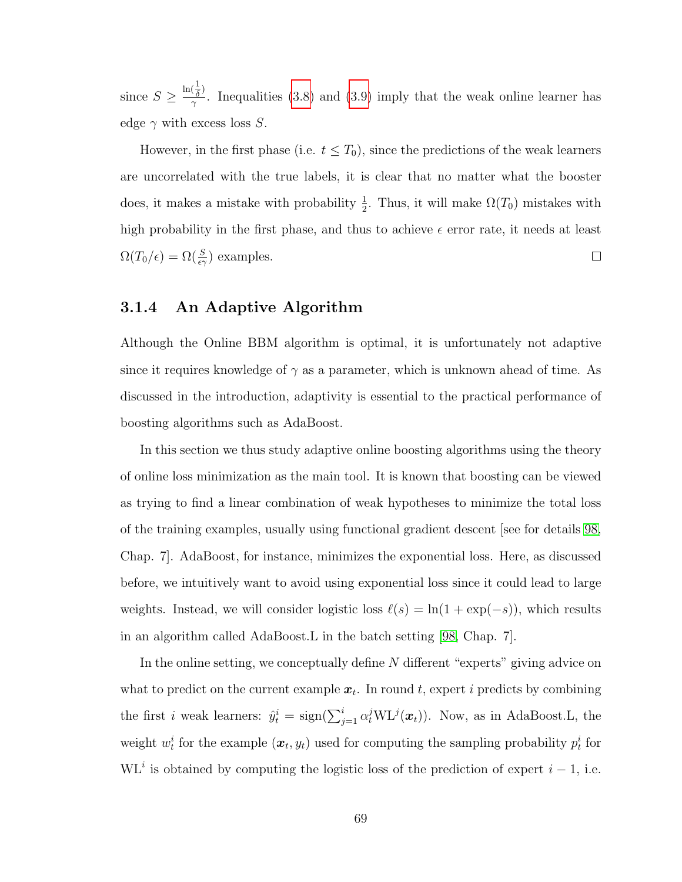since  $S \geq$  $\ln(\frac{1}{\delta})$  $\frac{\delta}{\gamma}$ . Inequalities [\(3.8\)](#page-80-0) and [\(3.9\)](#page-80-1) imply that the weak online learner has edge  $\gamma$  with excess loss S.

However, in the first phase (i.e.  $t \leq T_0$ ), since the predictions of the weak learners are uncorrelated with the true labels, it is clear that no matter what the booster does, it makes a mistake with probability  $\frac{1}{2}$ . Thus, it will make  $\Omega(T_0)$  mistakes with high probability in the first phase, and thus to achieve  $\epsilon$  error rate, it needs at least  $\Omega(T_0/\epsilon) = \Omega(\frac{S}{\epsilon \gamma})$  examples.  $\Box$ 

## 3.1.4 An Adaptive Algorithm

Although the Online BBM algorithm is optimal, it is unfortunately not adaptive since it requires knowledge of  $\gamma$  as a parameter, which is unknown ahead of time. As discussed in the introduction, adaptivity is essential to the practical performance of boosting algorithms such as AdaBoost.

In this section we thus study adaptive online boosting algorithms using the theory of online loss minimization as the main tool. It is known that boosting can be viewed as trying to find a linear combination of weak hypotheses to minimize the total loss of the training examples, usually using functional gradient descent [see for details [98,](#page-180-0) Chap. 7]. AdaBoost, for instance, minimizes the exponential loss. Here, as discussed before, we intuitively want to avoid using exponential loss since it could lead to large weights. Instead, we will consider logistic loss  $\ell(s) = \ln(1 + \exp(-s))$ , which results in an algorithm called AdaBoost.L in the batch setting [\[98,](#page-180-0) Chap. 7].

In the online setting, we conceptually define N different "experts" giving advice on what to predict on the current example  $x_t$ . In round t, expert i predicts by combining the first *i* weak learners:  $\hat{y}_t^i = \text{sign}(\sum_{j=1}^i \alpha_t^j \text{WL}^j(\boldsymbol{x}_t)).$  Now, as in AdaBoost.L, the weight  $w_t^i$  for the example  $(x_t, y_t)$  used for computing the sampling probability  $p_t^i$  for WL<sup>i</sup> is obtained by computing the logistic loss of the prediction of expert  $i - 1$ , i.e.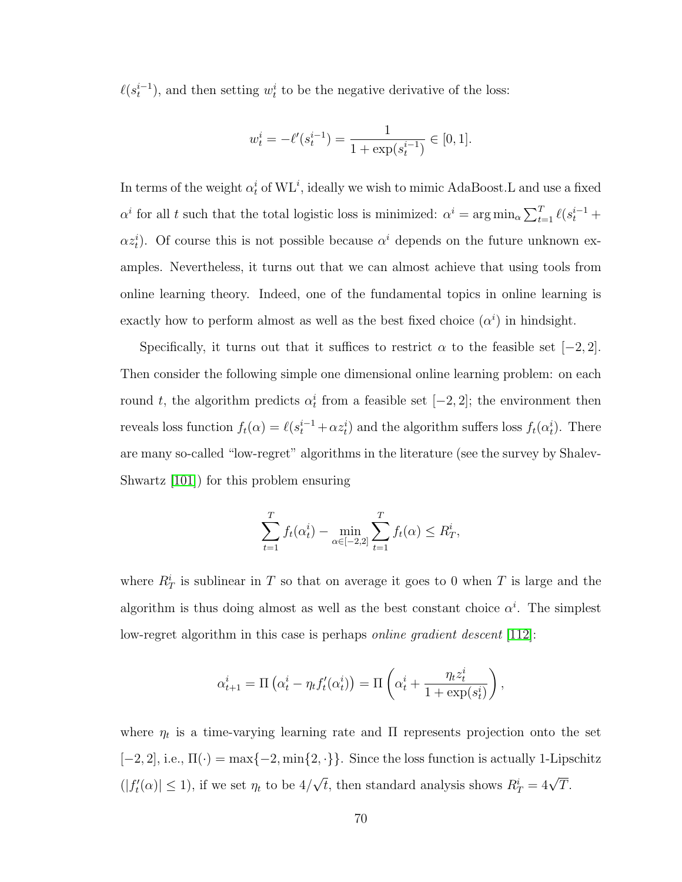$\ell(s_t^{i-1})$ , and then setting  $w_t^i$  to be the negative derivative of the loss:

$$
w_t^i = -\ell'(s_t^{i-1}) = \frac{1}{1 + \exp(s_t^{i-1})} \in [0, 1].
$$

In terms of the weight  $\alpha_t^i$  of  $\mathrm{WL}^i$ , ideally we wish to mimic AdaBoost.L and use a fixed  $\alpha^i$  for all t such that the total logistic loss is minimized:  $\alpha^i = \arg \min_{\alpha} \sum_{t=1}^T \ell(s_t^{i-1} +$  $\alpha z_t^i$ ). Of course this is not possible because  $\alpha^i$  depends on the future unknown examples. Nevertheless, it turns out that we can almost achieve that using tools from online learning theory. Indeed, one of the fundamental topics in online learning is exactly how to perform almost as well as the best fixed choice  $(\alpha^i)$  in hindsight.

Specifically, it turns out that it suffices to restrict  $\alpha$  to the feasible set [−2, 2]. Then consider the following simple one dimensional online learning problem: on each round t, the algorithm predicts  $\alpha_t^i$  from a feasible set [−2, 2]; the environment then reveals loss function  $f_t(\alpha) = \ell(s_t^{i-1} + \alpha z_t^i)$  and the algorithm suffers loss  $f_t(\alpha_t^i)$ . There are many so-called "low-regret" algorithms in the literature (see the survey by Shalev-Shwartz [\[101\]](#page-180-1)) for this problem ensuring

$$
\sum_{t=1}^{T} f_t(\alpha_t^i) - \min_{\alpha \in [-2,2]} \sum_{t=1}^{T} f_t(\alpha) \le R_T^i,
$$

where  $R_T^i$  is sublinear in T so that on average it goes to 0 when T is large and the algorithm is thus doing almost as well as the best constant choice  $\alpha^i$ . The simplest low-regret algorithm in this case is perhaps *online gradient descent*  $|112|$ :

$$
\alpha_{t+1}^i = \Pi \left( \alpha_t^i - \eta_t f_t'(\alpha_t^i) \right) = \Pi \left( \alpha_t^i + \frac{\eta_t z_t^i}{1 + \exp(s_t^i)} \right),
$$

where  $\eta_t$  is a time-varying learning rate and  $\Pi$  represents projection onto the set [−2, 2], i.e.,  $\Pi(\cdot) = \max\{-2, \min\{2, \cdot\}\}\$ . Since the loss function is actually 1-Lipschitz  $(|f'_t(\alpha)| \leq 1)$ , if we set  $\eta_t$  to be  $4/$ √  $\overline{t}$ , then standard analysis shows  $R_T^i = 4\sqrt{T}$ .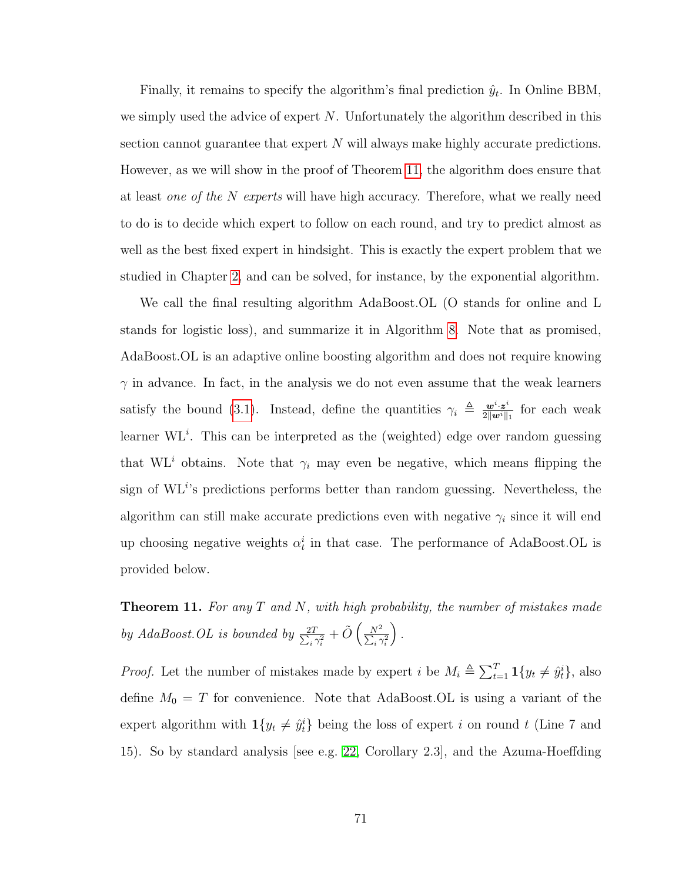Finally, it remains to specify the algorithm's final prediction  $\hat{y}_t$ . In Online BBM, we simply used the advice of expert  $N$ . Unfortunately the algorithm described in this section cannot guarantee that expert  $N$  will always make highly accurate predictions. However, as we will show in the proof of Theorem [11,](#page-83-0) the algorithm does ensure that at least one of the N experts will have high accuracy. Therefore, what we really need to do is to decide which expert to follow on each round, and try to predict almost as well as the best fixed expert in hindsight. This is exactly the expert problem that we studied in Chapter [2,](#page-21-0) and can be solved, for instance, by the exponential algorithm.

We call the final resulting algorithm AdaBoost.OL (O stands for online and L stands for logistic loss), and summarize it in Algorithm [8.](#page-84-0) Note that as promised, AdaBoost.OL is an adaptive online boosting algorithm and does not require knowing  $\gamma$  in advance. In fact, in the analysis we do not even assume that the weak learners satisfy the bound [\(3.1\)](#page-69-1). Instead, define the quantities  $\gamma_i \triangleq \frac{\mathbf{w}^i \cdot \mathbf{z}^i}{2\|\mathbf{w}^i\|}$  $\frac{\bm{w}^i \cdot \bm{z}^i}{2\|\bm{w}^i\|_1}$  for each weak learner  $\mathrm{WL}^i$ . This can be interpreted as the (weighted) edge over random guessing that  $W L<sup>i</sup>$  obtains. Note that  $\gamma_i$  may even be negative, which means flipping the sign of  $\mathrm{WL}^{i}$ 's predictions performs better than random guessing. Nevertheless, the algorithm can still make accurate predictions even with negative  $\gamma_i$  since it will end up choosing negative weights  $\alpha_t^i$  in that case. The performance of AdaBoost.OL is provided below.

<span id="page-83-0"></span>**Theorem 11.** For any  $T$  and  $N$ , with high probability, the number of mistakes made by AdaBoost.OL is bounded by  $\frac{2T}{\sum_{i}$  $\frac{2T}{i\,\gamma_i^2}+\tilde{O}\left(\frac{N^2}{\sum_i\gamma_i^2}\right)$  $\sum_i \gamma_i^2$ .

*Proof.* Let the number of mistakes made by expert *i* be  $M_i \triangleq \sum_{t=1}^T \mathbf{1}\{y_t \neq \hat{y}_t^i\}$ , also define  $M_0 = T$  for convenience. Note that AdaBoost.OL is using a variant of the expert algorithm with  $\mathbf{1}\{y_t \neq \hat{y}_t^i\}$  being the loss of expert i on round t (Line 7 and 15). So by standard analysis [see e.g. [22,](#page-174-1) Corollary 2.3], and the Azuma-Hoeffding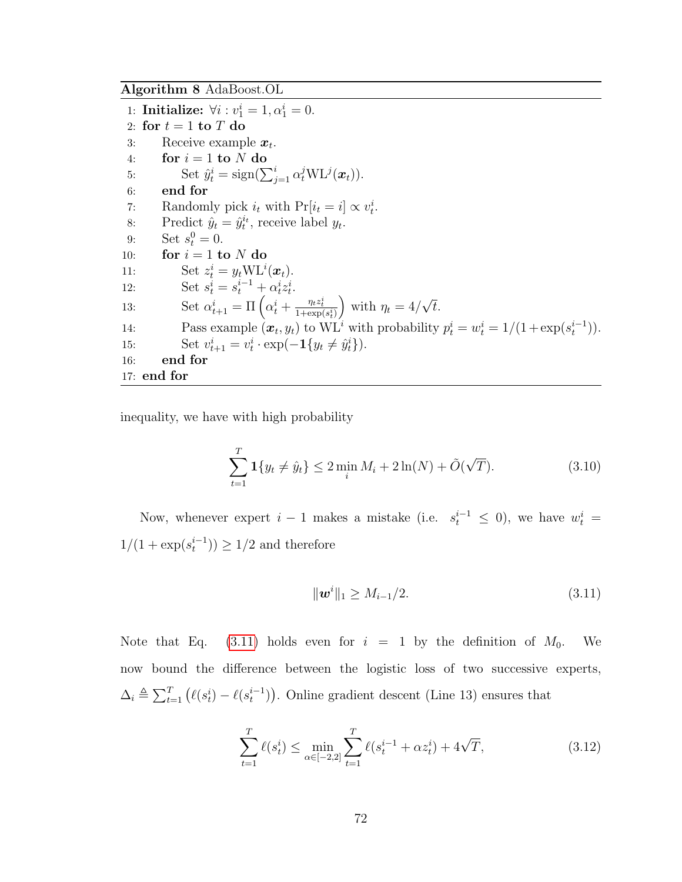<span id="page-84-0"></span>Algorithm 8 AdaBoost.OL

1: **Initialize:**  $\forall i : v_1^i = 1, \alpha_1^i = 0.$ 2: for  $t = 1$  to  $T$  do 3: Receive example  $x_t$ . 4: for  $i = 1$  to N do 5: Set  $\hat{y}_t^i = \text{sign}(\sum_{j=1}^i \alpha_t^j \text{WL}^j(\boldsymbol{x}_t)).$ 6: end for 7: Randomly pick  $i_t$  with  $Pr[i_t = i] \propto v_t^i$ . 8: Predict  $\hat{y}_t = \hat{y}_t^{i_t}$ , receive label  $y_t$ . 9: Set  $s_t^0 = 0$ . 10: for  $i = 1$  to N do 11: Set  $z_t^i = y_t \text{WL}^i(\boldsymbol{x}_t)$ . 12: Set  $s_t^i = s_t^{i-1} + \alpha_t^i z_t^i$ . 13: Set  $\alpha_{t+1}^i = \Pi \left( \alpha_t^i + \frac{\eta_t z_t^i}{1 + \exp(s_t^i)} \right)$ ) with  $\eta_t = 4/$ √ t. 14: Pass example  $(\boldsymbol{x}_t, y_t)$  to  $\mathrm{WL}^i$  with probability  $p_t^i = w_t^i = 1/(1 + \exp(s_t^{i-1}))$ . 15: Set  $v_{t+1}^i = v_t^i \cdot \exp(-\mathbf{1}\{y_t \neq \hat{y}_t^i\}).$ 16: end for 17: end for

inequality, we have with high probability

<span id="page-84-3"></span>
$$
\sum_{t=1}^{T} \mathbf{1} \{ y_t \neq \hat{y}_t \} \leq 2 \min_i M_i + 2 \ln(N) + \tilde{O}(\sqrt{T}). \tag{3.10}
$$

Now, whenever expert  $i-1$  makes a mistake (i.e.  $s_t^{i-1} \leq 0$ ), we have  $w_t^i =$  $1/(1 + \exp(s_t^{i-1})) \ge 1/2$  and therefore

<span id="page-84-1"></span>
$$
\|\mathbf{w}^i\|_1 \ge M_{i-1}/2. \tag{3.11}
$$

Note that Eq. [\(3.11\)](#page-84-1) holds even for  $i = 1$  by the definition of  $M_0$ . We now bound the difference between the logistic loss of two successive experts,  $\Delta_i \triangleq \sum_{t=1}^T (\ell(s_t^i) - \ell(s_t^{i-1}))$ . Online gradient descent (Line 13) ensures that

<span id="page-84-2"></span>
$$
\sum_{t=1}^{T} \ell(s_t^i) \le \min_{\alpha \in [-2,2]} \sum_{t=1}^{T} \ell(s_t^{i-1} + \alpha z_t^i) + 4\sqrt{T},
$$
\n(3.12)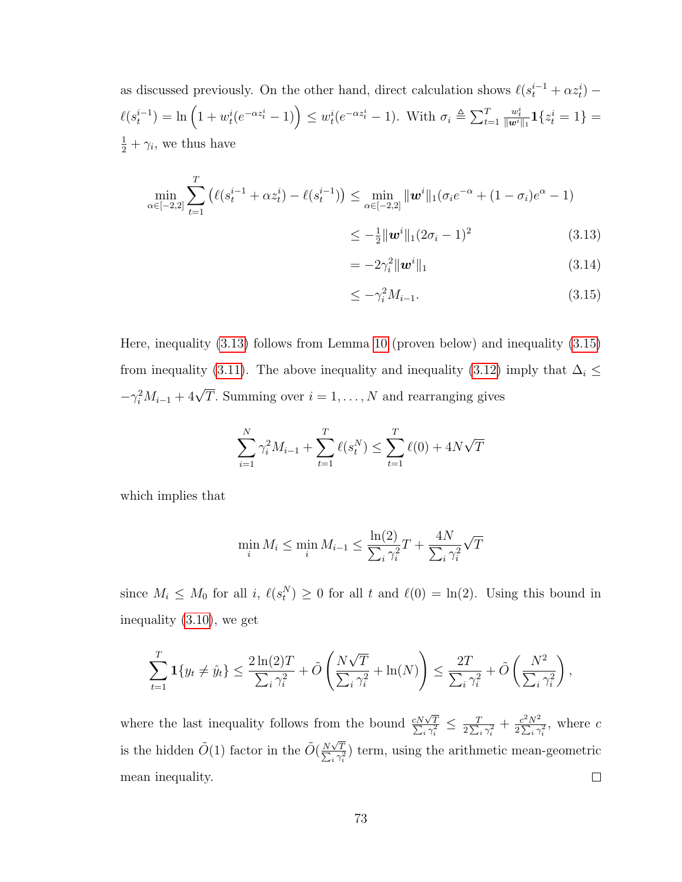as discussed previously. On the other hand, direct calculation shows  $\ell(s_t^{i-1} + \alpha z_t^i)$  $\ell(s_t^{i-1}) = \ln\left(1 + w_t^i(e^{-\alpha z_t^i} - 1)\right) \leq w_t^i(e^{-\alpha z_t^i} - 1)$ . With  $\sigma_i \triangleq \sum_{t=1}^T$  $\frac{w_t^i}{\| \bm{w}^i \|_1} \bm{1} \{ z_t^i = 1 \} =$  $\frac{1}{2} + \gamma_i$ , we thus have

$$
\min_{\alpha \in [-2,2]} \sum_{t=1}^{T} \left( \ell(s_t^{i-1} + \alpha z_t^i) - \ell(s_t^{i-1}) \right) \le \min_{\alpha \in [-2,2]} ||\boldsymbol{w}^i||_1 (\sigma_i e^{-\alpha} + (1 - \sigma_i) e^{\alpha} - 1)
$$
\n
$$
\le -\frac{1}{2} ||\boldsymbol{w}^i||_1 (2\sigma_i - 1)^2 \tag{3.13}
$$

<span id="page-85-2"></span><span id="page-85-0"></span>
$$
= -2\gamma_i^2 \|\mathbf{w}^i\|_1 \tag{3.14}
$$

<span id="page-85-1"></span>
$$
\leq -\gamma_i^2 M_{i-1}.\tag{3.15}
$$

Here, inequality [\(3.13\)](#page-85-0) follows from Lemma [10](#page-86-0) (proven below) and inequality [\(3.15\)](#page-85-1) from inequality [\(3.11\)](#page-84-1). The above inequality and inequality [\(3.12\)](#page-84-2) imply that  $\Delta_i \leq$  $-\gamma_i^2 M_{i-1} + 4\sqrt{T}$ . Summing over  $i = 1, ..., N$  and rearranging gives

$$
\sum_{i=1}^{N} \gamma_i^2 M_{i-1} + \sum_{t=1}^{T} \ell(s_t^N) \le \sum_{t=1}^{T} \ell(0) + 4N\sqrt{T}
$$

which implies that

$$
\min_{i} M_i \le \min_{i} M_{i-1} \le \frac{\ln(2)}{\sum_{i} \gamma_i^2} T + \frac{4N}{\sum_{i} \gamma_i^2} \sqrt{T}
$$

since  $M_i \leq M_0$  for all  $i, \ell(s_t^N) \geq 0$  for all t and  $\ell(0) = \ln(2)$ . Using this bound in inequality [\(3.10\)](#page-84-3), we get

$$
\sum_{t=1}^T \mathbf{1}\{y_t \neq \hat{y}_t\} \le \frac{2\ln(2)T}{\sum_i \gamma_i^2} + \tilde{O}\left(\frac{N\sqrt{T}}{\sum_i \gamma_i^2} + \ln(N)\right) \le \frac{2T}{\sum_i \gamma_i^2} + \tilde{O}\left(\frac{N^2}{\sum_i \gamma_i^2}\right),
$$

where the last inequality follows from the bound  $\frac{cN\sqrt{}}{\sum_i x_i}$  $\frac{T}{2\sum_i\gamma_i^2}+\frac{c^2N^2}{2\sum_i\gamma}$  $\frac{d^2y}{dx^2_i} \leq \frac{T}{2\sum_i}$ T  $rac{c^2 N^2}{2 \sum_i \gamma_i^2}$ , where c is the hidden  $\tilde{O}(1)$  factor in the  $\tilde{O}(\frac{N\sqrt{N}}{N})$ T  $\frac{\sqrt{T}}{i \gamma_i^2}$  term, using the arithmetic mean-geometric  $\sum_{}^{}% \left( \sum_{}^{}% \left( \sum_{}^{}% \left( \sum_{}^{}% \left( \sum_{}^{}% \left( \sum_{}^{}% \left( \sum_{}^{}% \left( \sum_{}^{}% \left( \sum_{}^{}% \left( \sum_{}^{}% \right) \right) \right) \right) \right) \right) \right) \right)$ mean inequality.  $\Box$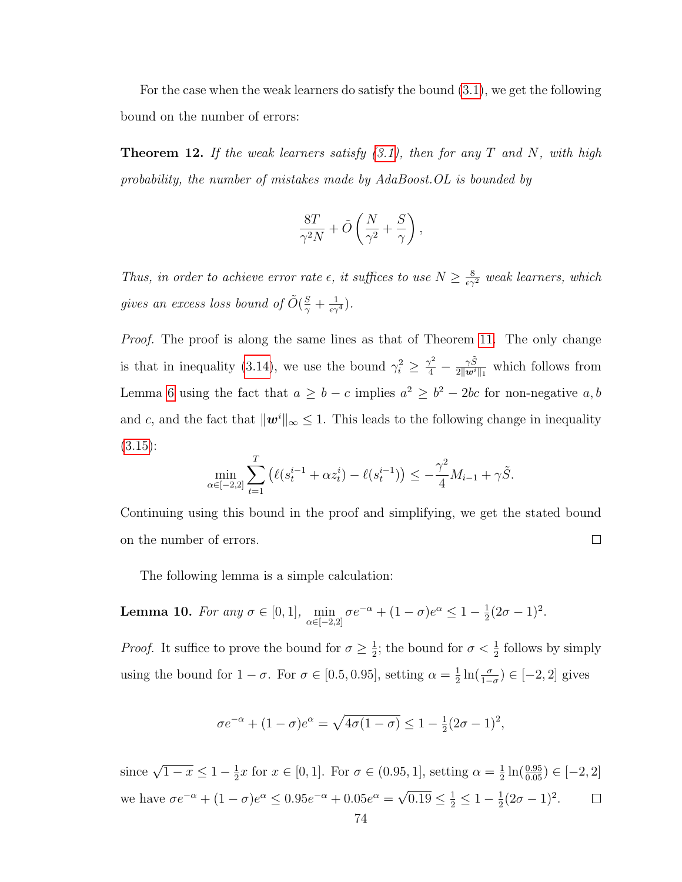For the case when the weak learners do satisfy the bound [\(3.1\)](#page-69-1), we get the following bound on the number of errors:

**Theorem 12.** If the weak learners satisfy  $(3.1)$ , then for any T and N, with high probability, the number of mistakes made by AdaBoost.OL is bounded by

$$
\frac{8T}{\gamma^2 N} + \tilde{O}\left(\frac{N}{\gamma^2} + \frac{S}{\gamma}\right),\,
$$

Thus, in order to achieve error rate  $\epsilon$ , it suffices to use  $N \geq \frac{8}{\epsilon \gamma^2}$  weak learners, which gives an excess loss bound of  $\tilde{O}(\frac{S}{\gamma} + \frac{1}{\epsilon \gamma^4})$ .

*Proof.* The proof is along the same lines as that of Theorem [11.](#page-83-0) The only change is that in inequality [\(3.14\)](#page-85-2), we use the bound  $\gamma_i^2 \geq \frac{\gamma^2}{4} - \frac{\gamma \tilde{S}}{2 \|\mathbf{w}^i\|}$  $\frac{\gamma S}{2\|\boldsymbol{w}^i\|_1}$  which follows from Lemma [6](#page-71-0) using the fact that  $a \geq b - c$  implies  $a^2 \geq b^2 - 2bc$  for non-negative  $a, b$ and c, and the fact that  $\|\mathbf{w}^i\|_{\infty} \leq 1$ . This leads to the following change in inequality  $(3.15):$  $(3.15):$ 

$$
\min_{\alpha \in [-2,2]} \sum_{t=1}^{T} \left( \ell(s_t^{i-1} + \alpha z_t^i) - \ell(s_t^{i-1}) \right) \leq -\frac{\gamma^2}{4} M_{i-1} + \gamma \tilde{S}.
$$

Continuing using this bound in the proof and simplifying, we get the stated bound on the number of errors.  $\Box$ 

The following lemma is a simple calculation:

<span id="page-86-0"></span>**Lemma 10.** For any 
$$
\sigma \in [0, 1]
$$
,  $\min_{\alpha \in [-2, 2]} \sigma e^{-\alpha} + (1 - \sigma) e^{\alpha} \leq 1 - \frac{1}{2} (2\sigma - 1)^2$ .

*Proof.* It suffice to prove the bound for  $\sigma \geq \frac{1}{2}$  $\frac{1}{2}$ ; the bound for  $\sigma < \frac{1}{2}$  follows by simply using the bound for  $1 - \sigma$ . For  $\sigma \in [0.5, 0.95]$ , setting  $\alpha = \frac{1}{2}$  $\frac{1}{2}\ln(\frac{\sigma}{1-\sigma}) \in [-2,2]$  gives

$$
\sigma e^{-\alpha} + (1 - \sigma)e^{\alpha} = \sqrt{4\sigma(1 - \sigma)} \le 1 - \frac{1}{2}(2\sigma - 1)^2,
$$

since  $\sqrt{1-x} \leq 1-\frac{1}{2}$  $\frac{1}{2}x$  for  $x \in [0,1]$ . For  $\sigma \in (0.95,1]$ , setting  $\alpha = \frac{1}{2}$  $\frac{1}{2}\ln(\frac{0.95}{0.05}) \in [-2,2]$ √ we have  $\sigma e^{-\alpha} + (1 - \sigma)e^{\alpha} \leq 0.95e^{-\alpha} + 0.05e^{\alpha} =$  $\overline{0.19} \leq \frac{1}{2} \leq 1 - \frac{1}{2}$  $\frac{1}{2}(2\sigma - 1)^2$ .  $\Box$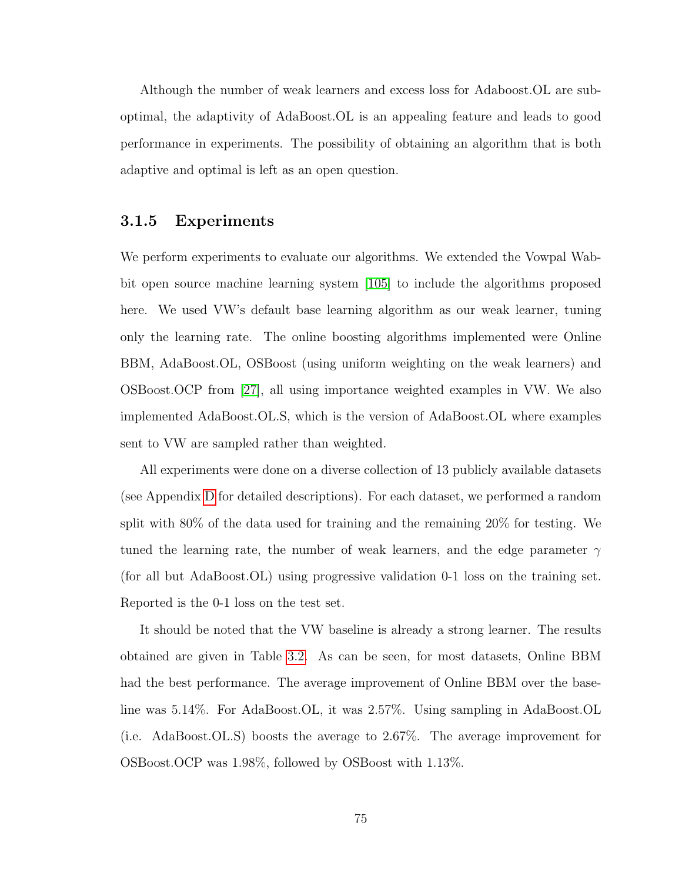Although the number of weak learners and excess loss for Adaboost.OL are suboptimal, the adaptivity of AdaBoost.OL is an appealing feature and leads to good performance in experiments. The possibility of obtaining an algorithm that is both adaptive and optimal is left as an open question.

### 3.1.5 Experiments

We perform experiments to evaluate our algorithms. We extended the Vowpal Wabbit open source machine learning system [\[105\]](#page-180-2) to include the algorithms proposed here. We used VW's default base learning algorithm as our weak learner, tuning only the learning rate. The online boosting algorithms implemented were Online BBM, AdaBoost.OL, OSBoost (using uniform weighting on the weak learners) and OSBoost.OCP from [\[27\]](#page-175-1), all using importance weighted examples in VW. We also implemented AdaBoost.OL.S, which is the version of AdaBoost.OL where examples sent to VW are sampled rather than weighted.

All experiments were done on a diverse collection of 13 publicly available datasets (see Appendix [D](#page-169-0) for detailed descriptions). For each dataset, we performed a random split with 80% of the data used for training and the remaining 20% for testing. We tuned the learning rate, the number of weak learners, and the edge parameter  $\gamma$ (for all but AdaBoost.OL) using progressive validation 0-1 loss on the training set. Reported is the 0-1 loss on the test set.

It should be noted that the VW baseline is already a strong learner. The results obtained are given in Table [3.2.](#page-88-0) As can be seen, for most datasets, Online BBM had the best performance. The average improvement of Online BBM over the baseline was 5.14%. For AdaBoost.OL, it was 2.57%. Using sampling in AdaBoost.OL (i.e. AdaBoost.OL.S) boosts the average to 2.67%. The average improvement for OSBoost.OCP was 1.98%, followed by OSBoost with 1.13%.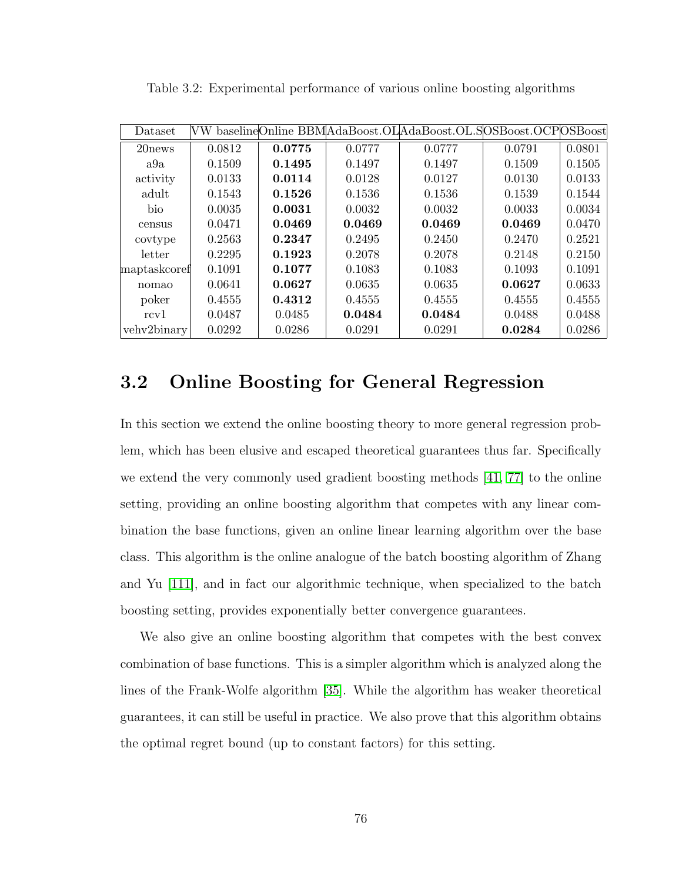| Dataset        | VW     |        |        | baselineOnline BBMAdaBoost.OLAdaBoost.OL.SOSBoost.OCPOSBoost |        |        |
|----------------|--------|--------|--------|--------------------------------------------------------------|--------|--------|
| 20 news        | 0.0812 | 0.0775 | 0.0777 | 0.0777                                                       | 0.0791 | 0.0801 |
| a9a            | 0.1509 | 0.1495 | 0.1497 | 0.1497                                                       | 0.1509 | 0.1505 |
| activity       | 0.0133 | 0.0114 | 0.0128 | 0.0127                                                       | 0.0130 | 0.0133 |
| adult          | 0.1543 | 0.1526 | 0.1536 | 0.1536                                                       | 0.1539 | 0.1544 |
| <sub>bio</sub> | 0.0035 | 0.0031 | 0.0032 | 0.0032                                                       | 0.0033 | 0.0034 |
| census         | 0.0471 | 0.0469 | 0.0469 | 0.0469                                                       | 0.0469 | 0.0470 |
| covtype        | 0.2563 | 0.2347 | 0.2495 | 0.2450                                                       | 0.2470 | 0.2521 |
| letter         | 0.2295 | 0.1923 | 0.2078 | 0.2078                                                       | 0.2148 | 0.2150 |
| maptaskcoref   | 0.1091 | 0.1077 | 0.1083 | 0.1083                                                       | 0.1093 | 0.1091 |
| nomao          | 0.0641 | 0.0627 | 0.0635 | 0.0635                                                       | 0.0627 | 0.0633 |
| poker          | 0.4555 | 0.4312 | 0.4555 | 0.4555                                                       | 0.4555 | 0.4555 |
| rcv1           | 0.0487 | 0.0485 | 0.0484 | 0.0484                                                       | 0.0488 | 0.0488 |
| vehv2binary    | 0.0292 | 0.0286 | 0.0291 | 0.0291                                                       | 0.0284 | 0.0286 |

<span id="page-88-0"></span>Table 3.2: Experimental performance of various online boosting algorithms

# 3.2 Online Boosting for General Regression

In this section we extend the online boosting theory to more general regression problem, which has been elusive and escaped theoretical guarantees thus far. Specifically we extend the very commonly used gradient boosting methods [\[41,](#page-176-0) [77\]](#page-178-0) to the online setting, providing an online boosting algorithm that competes with any linear combination the base functions, given an online linear learning algorithm over the base class. This algorithm is the online analogue of the batch boosting algorithm of Zhang and Yu [\[111\]](#page-181-1), and in fact our algorithmic technique, when specialized to the batch boosting setting, provides exponentially better convergence guarantees.

We also give an online boosting algorithm that competes with the best convex combination of base functions. This is a simpler algorithm which is analyzed along the lines of the Frank-Wolfe algorithm [\[35\]](#page-175-2). While the algorithm has weaker theoretical guarantees, it can still be useful in practice. We also prove that this algorithm obtains the optimal regret bound (up to constant factors) for this setting.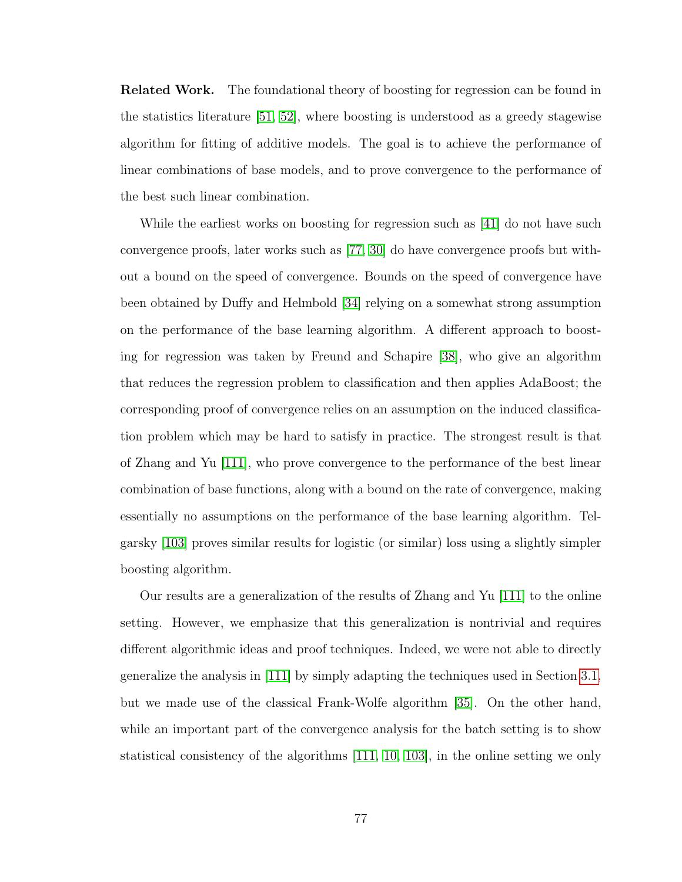**Related Work.** The foundational theory of boosting for regression can be found in the statistics literature [\[51,](#page-177-0) [52\]](#page-177-1), where boosting is understood as a greedy stagewise algorithm for fitting of additive models. The goal is to achieve the performance of linear combinations of base models, and to prove convergence to the performance of the best such linear combination.

While the earliest works on boosting for regression such as [\[41\]](#page-176-0) do not have such convergence proofs, later works such as [\[77,](#page-178-0) [30\]](#page-175-3) do have convergence proofs but without a bound on the speed of convergence. Bounds on the speed of convergence have been obtained by Duffy and Helmbold [\[34\]](#page-175-4) relying on a somewhat strong assumption on the performance of the base learning algorithm. A different approach to boosting for regression was taken by Freund and Schapire [\[38\]](#page-176-1), who give an algorithm that reduces the regression problem to classification and then applies AdaBoost; the corresponding proof of convergence relies on an assumption on the induced classification problem which may be hard to satisfy in practice. The strongest result is that of Zhang and Yu [\[111\]](#page-181-1), who prove convergence to the performance of the best linear combination of base functions, along with a bound on the rate of convergence, making essentially no assumptions on the performance of the base learning algorithm. Telgarsky [\[103\]](#page-180-3) proves similar results for logistic (or similar) loss using a slightly simpler boosting algorithm.

Our results are a generalization of the results of Zhang and Yu [\[111\]](#page-181-1) to the online setting. However, we emphasize that this generalization is nontrivial and requires different algorithmic ideas and proof techniques. Indeed, we were not able to directly generalize the analysis in [\[111\]](#page-181-1) by simply adapting the techniques used in Section [3.1,](#page-66-0) but we made use of the classical Frank-Wolfe algorithm [\[35\]](#page-175-2). On the other hand, while an important part of the convergence analysis for the batch setting is to show statistical consistency of the algorithms [\[111,](#page-181-1) [10,](#page-173-0) [103\]](#page-180-3), in the online setting we only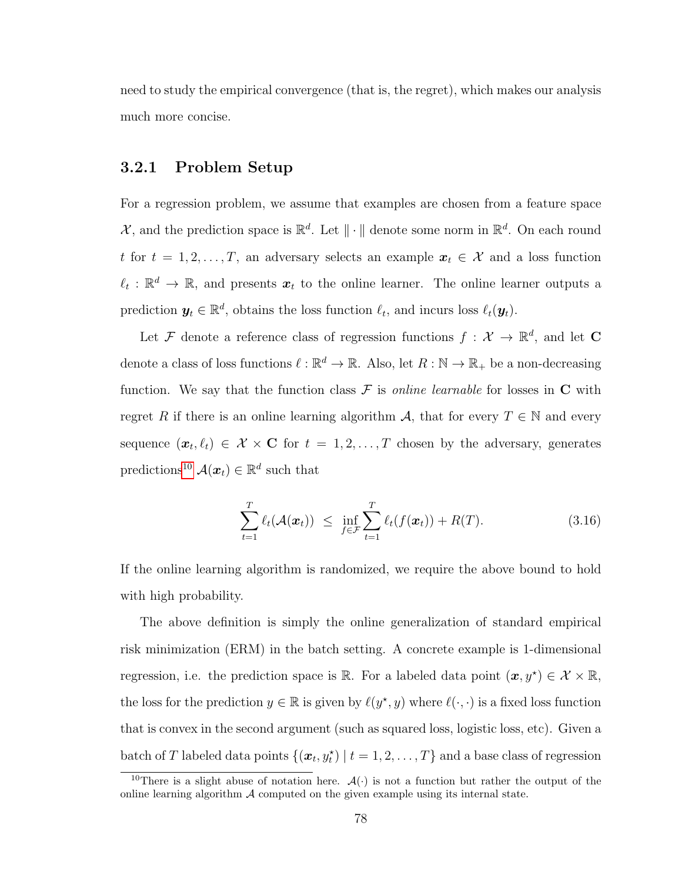need to study the empirical convergence (that is, the regret), which makes our analysis much more concise.

## 3.2.1 Problem Setup

For a regression problem, we assume that examples are chosen from a feature space  $\mathcal{X}$ , and the prediction space is  $\mathbb{R}^d$ . Let  $\|\cdot\|$  denote some norm in  $\mathbb{R}^d$ . On each round t for  $t = 1, 2, ..., T$ , an adversary selects an example  $x_t \in \mathcal{X}$  and a loss function  $\ell_t : \mathbb{R}^d \to \mathbb{R}$ , and presents  $x_t$  to the online learner. The online learner outputs a prediction  $y_t \in \mathbb{R}^d$ , obtains the loss function  $\ell_t$ , and incurs loss  $\ell_t(y_t)$ .

Let F denote a reference class of regression functions  $f: \mathcal{X} \to \mathbb{R}^d$ , and let C denote a class of loss functions  $\ell : \mathbb{R}^d \to \mathbb{R}$ . Also, let  $R : \mathbb{N} \to \mathbb{R}_+$  be a non-decreasing function. We say that the function class  $\mathcal F$  is *online learnable* for losses in  $C$  with regret R if there is an online learning algorithm A, that for every  $T \in \mathbb{N}$  and every sequence  $(x_t, \ell_t) \in \mathcal{X} \times \mathbf{C}$  for  $t = 1, 2, \ldots, T$  chosen by the adversary, generates predictions<sup>[10](#page-90-0)</sup>  $\mathcal{A}(\boldsymbol{x}_t) \in \mathbb{R}^d$  such that

<span id="page-90-1"></span>
$$
\sum_{t=1}^{T} \ell_t(\mathcal{A}(\boldsymbol{x}_t)) \leq \inf_{f \in \mathcal{F}} \sum_{t=1}^{T} \ell_t(f(\boldsymbol{x}_t)) + R(T). \tag{3.16}
$$

If the online learning algorithm is randomized, we require the above bound to hold with high probability.

The above definition is simply the online generalization of standard empirical risk minimization (ERM) in the batch setting. A concrete example is 1-dimensional regression, i.e. the prediction space is R. For a labeled data point  $(\boldsymbol{x}, y^{\star}) \in \mathcal{X} \times \mathbb{R}$ , the loss for the prediction  $y \in \mathbb{R}$  is given by  $\ell(y^*, y)$  where  $\ell(\cdot, \cdot)$  is a fixed loss function that is convex in the second argument (such as squared loss, logistic loss, etc). Given a batch of T labeled data points  $\{(\boldsymbol{x}_t, y_t^\star) \mid t = 1, 2, \dots, T\}$  and a base class of regression

<span id="page-90-0"></span><sup>&</sup>lt;sup>10</sup>There is a slight abuse of notation here.  $\mathcal{A}(\cdot)$  is not a function but rather the output of the online learning algorithm  $\mathcal A$  computed on the given example using its internal state.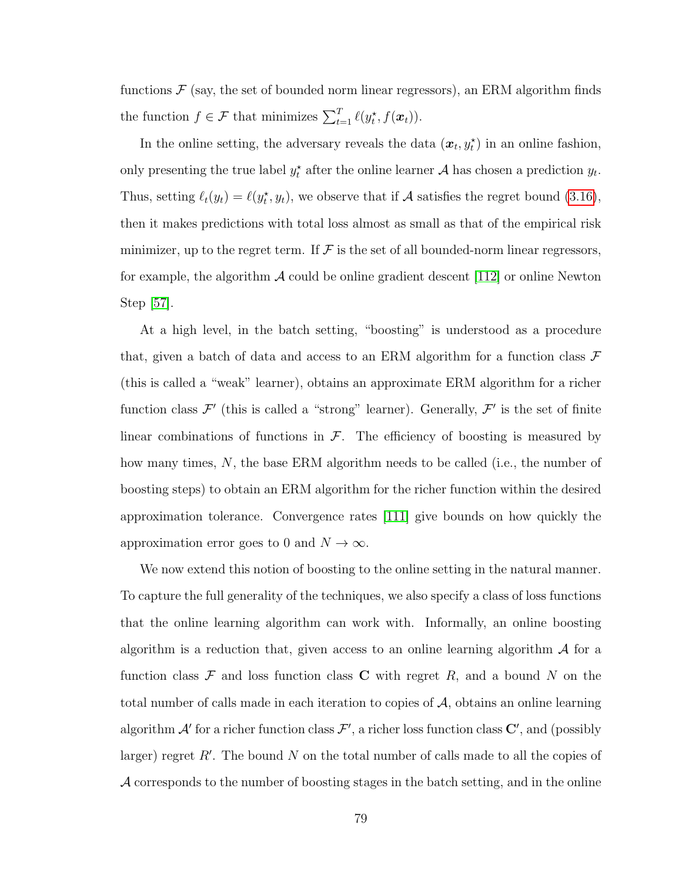functions  $\mathcal F$  (say, the set of bounded norm linear regressors), an ERM algorithm finds the function  $f \in \mathcal{F}$  that minimizes  $\sum_{t=1}^T \ell(y_t^*, f(\boldsymbol{x}_t)).$ 

In the online setting, the adversary reveals the data  $(x_t, y_t^{\star})$  in an online fashion, only presenting the true label  $y_t^*$  after the online learner A has chosen a prediction  $y_t$ . Thus, setting  $\ell_t(y_t) = \ell(y_t^*, y_t)$ , we observe that if A satisfies the regret bound [\(3.16\)](#page-90-1), then it makes predictions with total loss almost as small as that of the empirical risk minimizer, up to the regret term. If  $\mathcal F$  is the set of all bounded-norm linear regressors, for example, the algorithm  $\mathcal A$  could be online gradient descent [\[112\]](#page-181-0) or online Newton Step [\[57\]](#page-177-2).

At a high level, in the batch setting, "boosting" is understood as a procedure that, given a batch of data and access to an ERM algorithm for a function class  $\mathcal F$ (this is called a "weak" learner), obtains an approximate ERM algorithm for a richer function class  $\mathcal{F}'$  (this is called a "strong" learner). Generally,  $\mathcal{F}'$  is the set of finite linear combinations of functions in  $\mathcal{F}$ . The efficiency of boosting is measured by how many times, N, the base ERM algorithm needs to be called (i.e., the number of boosting steps) to obtain an ERM algorithm for the richer function within the desired approximation tolerance. Convergence rates [\[111\]](#page-181-1) give bounds on how quickly the approximation error goes to 0 and  $N \to \infty$ .

We now extend this notion of boosting to the online setting in the natural manner. To capture the full generality of the techniques, we also specify a class of loss functions that the online learning algorithm can work with. Informally, an online boosting algorithm is a reduction that, given access to an online learning algorithm  $\mathcal A$  for a function class  $\mathcal F$  and loss function class  $C$  with regret  $R$ , and a bound  $N$  on the total number of calls made in each iteration to copies of  $A$ , obtains an online learning algorithm  $\mathcal{A}'$  for a richer function class  $\mathcal{F}'$ , a richer loss function class  $\mathbf{C}'$ , and (possibly larger) regret  $R'$ . The bound N on the total number of calls made to all the copies of A corresponds to the number of boosting stages in the batch setting, and in the online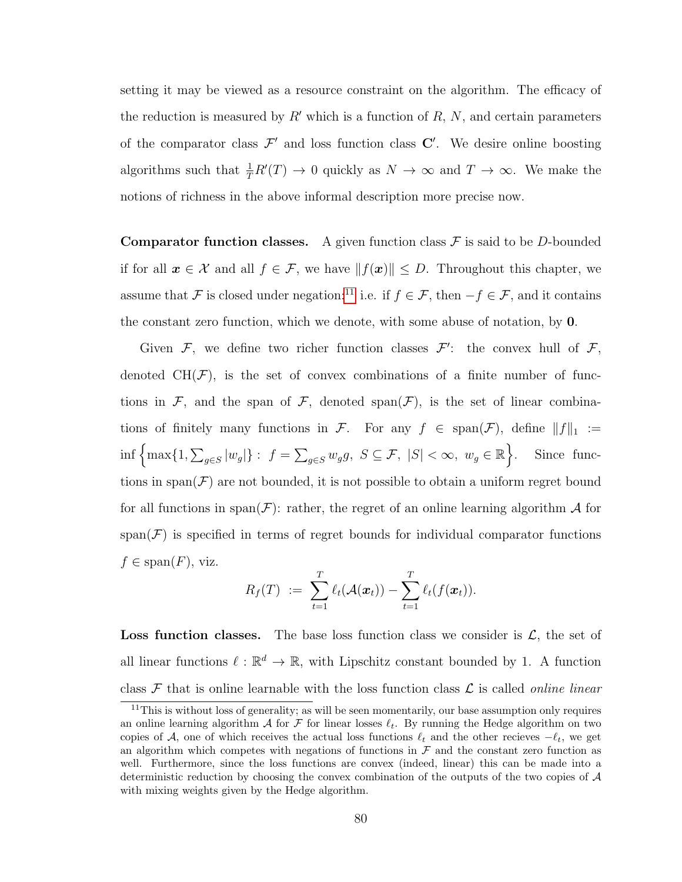setting it may be viewed as a resource constraint on the algorithm. The efficacy of the reduction is measured by  $R'$  which is a function of R, N, and certain parameters of the comparator class  $\mathcal{F}'$  and loss function class  $\mathbb{C}'$ . We desire online boosting algorithms such that  $\frac{1}{T}R'(T) \to 0$  quickly as  $N \to \infty$  and  $T \to \infty$ . We make the notions of richness in the above informal description more precise now.

**Comparator function classes.** A given function class  $\mathcal F$  is said to be D-bounded if for all  $x \in \mathcal{X}$  and all  $f \in \mathcal{F}$ , we have  $||f(x)|| \leq D$ . Throughout this chapter, we assume that F is closed under negation:<sup>[11](#page-92-0)</sup> i.e. if  $f \in \mathcal{F}$ , then  $-f \in \mathcal{F}$ , and it contains the constant zero function, which we denote, with some abuse of notation, by 0.

Given  $\mathcal{F}$ , we define two richer function classes  $\mathcal{F}'$ : the convex hull of  $\mathcal{F}$ , denoted  $CH(\mathcal{F})$ , is the set of convex combinations of a finite number of functions in F, and the span of F, denoted span $(F)$ , is the set of linear combinations of finitely many functions in F. For any  $f \in \text{span}(\mathcal{F})$ , define  $||f||_1 :=$  $\inf \left\{ \max \{1, \sum_{g \in S} |w_g| \}: f = \sum_{g \in S} w_g g, S \subseteq \mathcal{F}, |S| < \infty, w_g \in \mathbb{R} \right\}$ . Since functions in span( $\mathcal F$ ) are not bounded, it is not possible to obtain a uniform regret bound for all functions in span $(F)$ : rather, the regret of an online learning algorithm A for  $span(\mathcal{F})$  is specified in terms of regret bounds for individual comparator functions  $f \in \text{span}(F)$ , viz.

$$
R_f(T) := \sum_{t=1}^T \ell_t(\mathcal{A}(\boldsymbol{x}_t)) - \sum_{t=1}^T \ell_t(f(\boldsymbol{x}_t)).
$$

**Loss function classes.** The base loss function class we consider is  $\mathcal{L}$ , the set of all linear functions  $\ell : \mathbb{R}^d \to \mathbb{R}$ , with Lipschitz constant bounded by 1. A function class  $\mathcal F$  that is online learnable with the loss function class  $\mathcal L$  is called *online linear* 

<span id="page-92-0"></span> $11$ This is without loss of generality; as will be seen momentarily, our base assumption only requires an online learning algorithm A for F for linear losses  $\ell_t$ . By running the Hedge algorithm on two copies of A, one of which receives the actual loss functions  $\ell_t$  and the other recieves  $-\ell_t$ , we get an algorithm which competes with negations of functions in  $\mathcal F$  and the constant zero function as well. Furthermore, since the loss functions are convex (indeed, linear) this can be made into a deterministic reduction by choosing the convex combination of the outputs of the two copies of  $A$ with mixing weights given by the Hedge algorithm.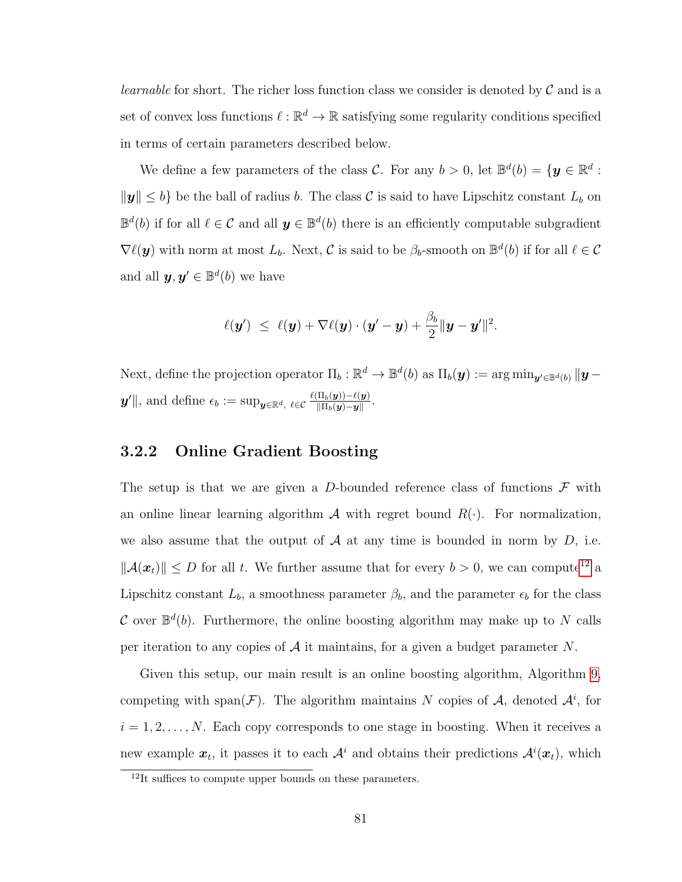*learnable* for short. The richer loss function class we consider is denoted by  $\mathcal C$  and is a set of convex loss functions  $\ell : \mathbb{R}^d \to \mathbb{R}$  satisfying some regularity conditions specified in terms of certain parameters described below.

We define a few parameters of the class C. For any  $b > 0$ , let  $\mathbb{B}^d(b) = \{y \in \mathbb{R}^d :$  $\|\mathbf{y}\| \leq b$  be the ball of radius b. The class C is said to have Lipschitz constant  $L_b$  on  $\mathbb{B}^d(b)$  if for all  $\ell \in \mathcal{C}$  and all  $\mathbf{y} \in \mathbb{B}^d(b)$  there is an efficiently computable subgradient  $\nabla \ell(\mathbf{y})$  with norm at most  $L_b$ . Next, C is said to be  $\beta_b$ -smooth on  $\mathbb{B}^d(b)$  if for all  $\ell \in \mathcal{C}$ and all  $y, y' \in \mathbb{B}^d(b)$  we have

$$
\ell(\boldsymbol{y}') \ \leq \ \ell(\boldsymbol{y}) + \nabla \ell(\boldsymbol{y}) \cdot (\boldsymbol{y}' - \boldsymbol{y}) + \frac{\beta_b}{2} \|\boldsymbol{y} - \boldsymbol{y}'\|^2.
$$

Next, define the projection operator  $\Pi_b : \mathbb{R}^d \to \mathbb{B}^d(b)$  as  $\Pi_b(\mathbf{y}) := \arg \min_{\mathbf{y}' \in \mathbb{B}^d(b)} \|\mathbf{y} - \mathbf{y}\|_2^2$  $\bm{y}'\Vert$ , and define  $\epsilon_b := \sup_{\bm{y} \in \mathbb{R}^d,} \ell \in \mathcal{C} \frac{\ell(\Pi_b(\bm{y})) - \ell(\bm{y})}{\|\Pi_b(\bm{y}) - \bm{y}\|}$  $\frac{\Pi_b(\boldsymbol{y})) - \ell(\boldsymbol{y})}{\|\Pi_b(\boldsymbol{y})-\boldsymbol{y}\|}.$ 

### 3.2.2 Online Gradient Boosting

The setup is that we are given a D-bounded reference class of functions  $\mathcal F$  with an online linear learning algorithm  $\mathcal A$  with regret bound  $R(\cdot)$ . For normalization, we also assume that the output of  $A$  at any time is bounded in norm by  $D$ , i.e.  $\|\mathcal{A}(\boldsymbol{x}_t)\| \leq D$  for all t. We further assume that for every  $b > 0$ , we can compute<sup>[12](#page-93-0)</sup> a Lipschitz constant  $L_b$ , a smoothness parameter  $\beta_b$ , and the parameter  $\epsilon_b$  for the class C over  $\mathbb{B}^d(b)$ . Furthermore, the online boosting algorithm may make up to N calls per iteration to any copies of  $A$  it maintains, for a given a budget parameter N.

Given this setup, our main result is an online boosting algorithm, Algorithm [9,](#page-94-0) competing with span $(\mathcal{F})$ . The algorithm maintains N copies of A, denoted  $\mathcal{A}^i$ , for  $i = 1, 2, \ldots, N$ . Each copy corresponds to one stage in boosting. When it receives a new example  $x_t$ , it passes it to each  $\mathcal{A}^i$  and obtains their predictions  $\mathcal{A}^i(x_t)$ , which

<span id="page-93-0"></span> $12$ It suffices to compute upper bounds on these parameters.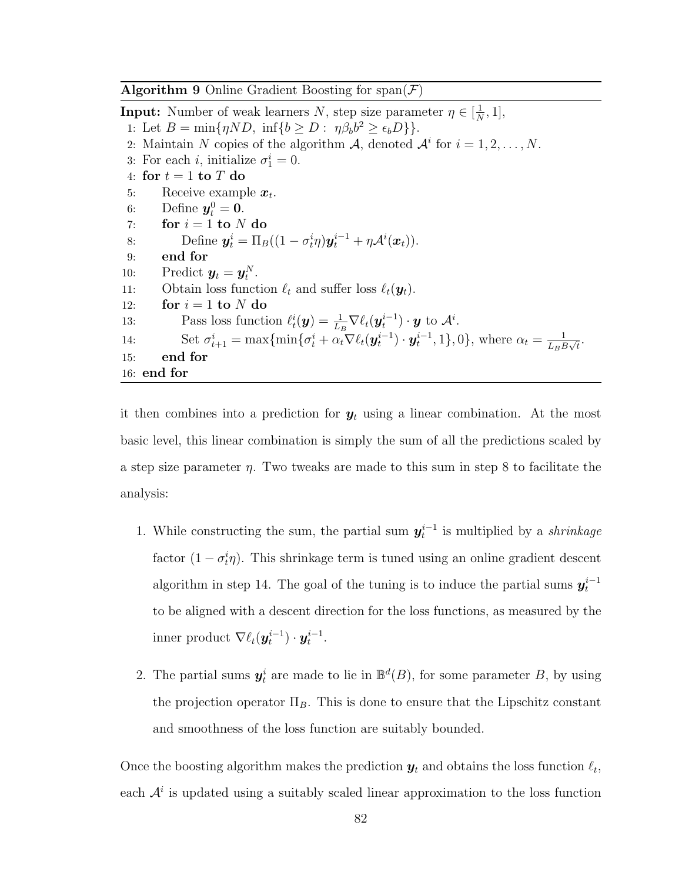<span id="page-94-0"></span>**Algorithm 9** Online Gradient Boosting for span $(\mathcal{F})$ 

**Input:** Number of weak learners N, step size parameter  $\eta \in \left[\frac{1}{N}\right]$  $\frac{1}{N}, 1],$ 1: Let  $B = \min\{\eta ND, \inf\{b \ge D : \eta \beta_b b^2 \ge \epsilon_b D\}\}.$ 2: Maintain N copies of the algorithm A, denoted  $A^i$  for  $i = 1, 2, ..., N$ . 3: For each *i*, initialize  $\sigma_1^i = 0$ . 4: for  $t = 1$  to  $T$  do 5: Receive example  $x_t$ . 6: Define  $y_t^0 = 0$ . 7: for  $i = 1$  to  $N$  do 8: Define  $\mathbf{y}_t^i = \Pi_B((1 - \sigma_t^i \eta)\mathbf{y}_t^{i-1} + \eta \mathcal{A}^i(\mathbf{x}_t)).$ 9: end for 10: Predict  $y_t = y_t^N$ . 11: Obtain loss function  $\ell_t$  and suffer loss  $\ell_t(\mathbf{y}_t)$ . 12: for  $i = 1$  to N do 13: Pass loss function  $\ell_t^i(\boldsymbol{y}) = \frac{1}{L_B} \nabla \ell_t(\boldsymbol{y}_t^{i-1}) \cdot \boldsymbol{y}$  to  $\mathcal{A}^i$ . 14: Set  $\sigma_{t+1}^i = \max\{\min\{\sigma_t^i + \alpha_t \nabla \ell_t(\boldsymbol{y}_t^{i-1}) \cdot \boldsymbol{y}_t^{i-1}, 1\}, 0\}$ , where  $\alpha_t = \frac{1}{\ln t}$  $\frac{1}{L_B B \sqrt{t}}$ . 15: end for 16: end for

it then combines into a prediction for  $y_t$  using a linear combination. At the most basic level, this linear combination is simply the sum of all the predictions scaled by a step size parameter  $\eta$ . Two tweaks are made to this sum in step 8 to facilitate the analysis:

- 1. While constructing the sum, the partial sum  $y_t^{i-1}$  is multiplied by a *shrinkage* factor  $(1 - \sigma_t^i \eta)$ . This shrinkage term is tuned using an online gradient descent algorithm in step 14. The goal of the tuning is to induce the partial sums  $y_t^{i-1}$ to be aligned with a descent direction for the loss functions, as measured by the inner product  $\nabla \ell_t(\boldsymbol{y}_t^{i-1}) \cdot \boldsymbol{y}_t^{i-1}$ .
- 2. The partial sums  $y_t^i$  are made to lie in  $\mathbb{B}^d(B)$ , for some parameter B, by using the projection operator  $\Pi_B$ . This is done to ensure that the Lipschitz constant and smoothness of the loss function are suitably bounded.

Once the boosting algorithm makes the prediction  $y_t$  and obtains the loss function  $\ell_t$ , each  $\mathcal{A}^i$  is updated using a suitably scaled linear approximation to the loss function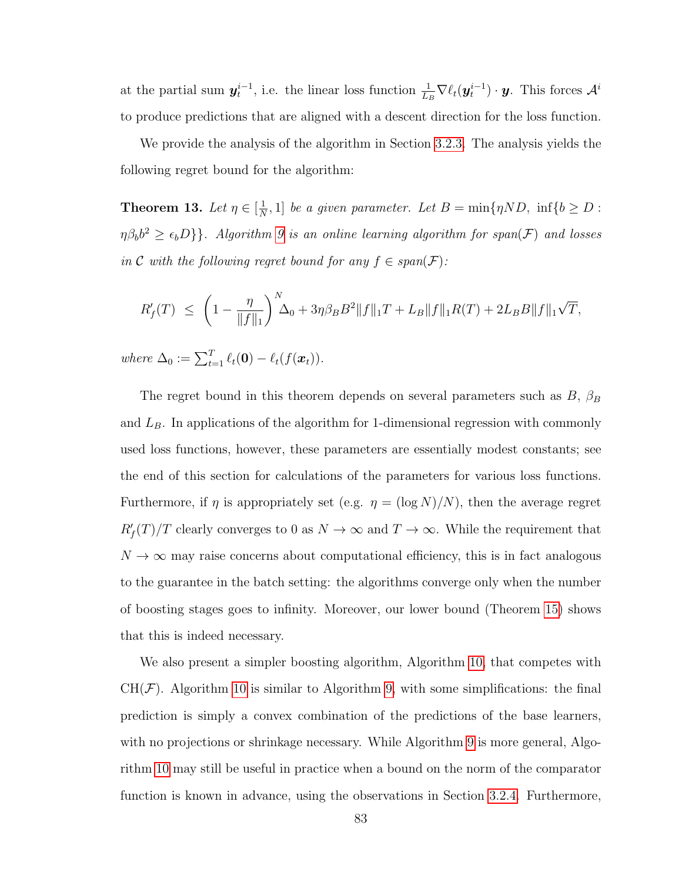at the partial sum  $y_t^{i-1}$ , i.e. the linear loss function  $\frac{1}{L_B} \nabla \ell_t(y_t^{i-1}) \cdot y$ . This forces  $\mathcal{A}^i$ to produce predictions that are aligned with a descent direction for the loss function.

We provide the analysis of the algorithm in Section [3.2.3.](#page-98-0) The analysis yields the following regret bound for the algorithm:

<span id="page-95-0"></span>Theorem 13. Let  $\eta \in \left[\frac{1}{N}\right]$  $\frac{1}{N}$ , 1] be a given parameter. Let  $B = \min\{\eta N D, \inf\{b \ge D\} \}$  $\{\eta\beta_b b^2 \geq \epsilon_b D\}$ . Algorithm [9](#page-94-0) is an online learning algorithm for span(F) and losses in C with the following regret bound for any  $f \in span(F)$ :

$$
R_f'(T) \ \leq \ \left(1 - \frac{\eta}{\|f\|_1}\right)^N \Delta_0 + 3\eta\beta_B B^2 \|f\|_1 T + L_B \|f\|_1 R(T) + 2L_B B \|f\|_1 \sqrt{T},
$$

where  $\Delta_0 := \sum_{t=1}^T \ell_t(\mathbf{0}) - \ell_t(f(\boldsymbol{x}_t)).$ 

The regret bound in this theorem depends on several parameters such as  $B$ ,  $\beta_B$ and  $L_B$ . In applications of the algorithm for 1-dimensional regression with commonly used loss functions, however, these parameters are essentially modest constants; see the end of this section for calculations of the parameters for various loss functions. Furthermore, if  $\eta$  is appropriately set (e.g.  $\eta = (\log N)/N$ ), then the average regret  $R_f'(T)/T$  clearly converges to 0 as  $N \to \infty$  and  $T \to \infty$ . While the requirement that  $N \to \infty$  may raise concerns about computational efficiency, this is in fact analogous to the guarantee in the batch setting: the algorithms converge only when the number of boosting stages goes to infinity. Moreover, our lower bound (Theorem [15\)](#page-99-0) shows that this is indeed necessary.

We also present a simpler boosting algorithm, Algorithm [10,](#page-96-0) that competes with  $CH(\mathcal{F})$ . Algorithm [10](#page-96-0) is similar to Algorithm [9,](#page-94-0) with some simplifications: the final prediction is simply a convex combination of the predictions of the base learners, with no projections or shrinkage necessary. While Algorithm [9](#page-94-0) is more general, Algorithm [10](#page-96-0) may still be useful in practice when a bound on the norm of the comparator function is known in advance, using the observations in Section [3.2.4.](#page-105-0) Furthermore,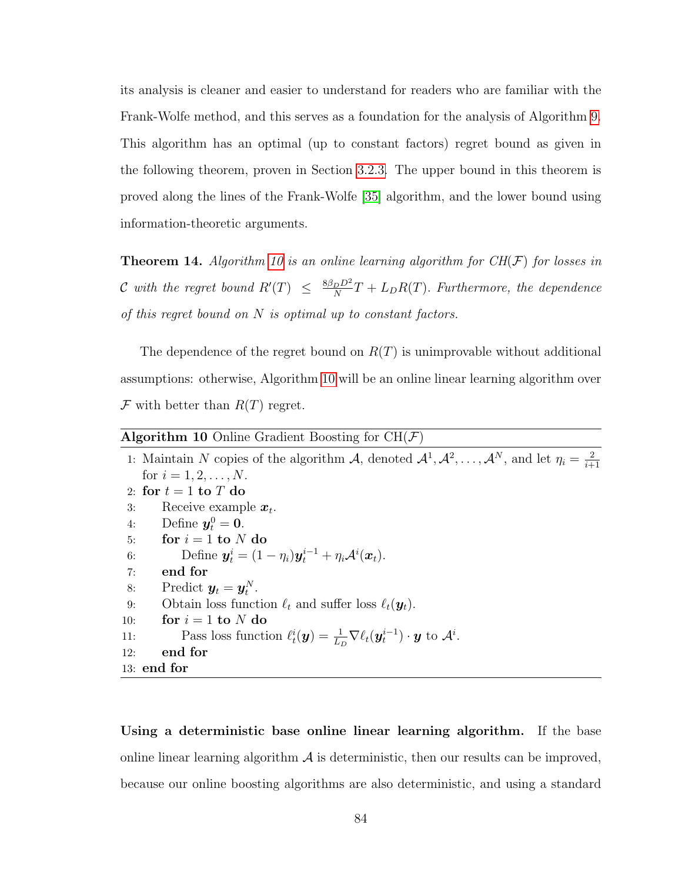its analysis is cleaner and easier to understand for readers who are familiar with the Frank-Wolfe method, and this serves as a foundation for the analysis of Algorithm [9.](#page-94-0) This algorithm has an optimal (up to constant factors) regret bound as given in the following theorem, proven in Section [3.2.3.](#page-98-0) The upper bound in this theorem is proved along the lines of the Frank-Wolfe [\[35\]](#page-175-2) algorithm, and the lower bound using information-theoretic arguments.

<span id="page-96-1"></span>**Theorem 14.** Algorithm [10](#page-96-0) is an online learning algorithm for  $CH(\mathcal{F})$  for losses in C with the regret bound  $R'(T) \leq \frac{8\beta_D D^2}{N}$  $\frac{D^{D}}{N}T + L_D R(T)$ . Furthermore, the dependence of this regret bound on  $N$  is optimal up to constant factors.

The dependence of the regret bound on  $R(T)$  is unimprovable without additional assumptions: otherwise, Algorithm [10](#page-96-0) will be an online linear learning algorithm over  $\mathcal F$  with better than  $R(T)$  regret.

<span id="page-96-0"></span>

| <b>Algorithm 10</b> Online Gradient Boosting for $CH(F)$                                                                                  |  |  |  |  |  |  |  |
|-------------------------------------------------------------------------------------------------------------------------------------------|--|--|--|--|--|--|--|
| 1: Maintain N copies of the algorithm A, denoted $\mathcal{A}^1, \mathcal{A}^2, \ldots, \mathcal{A}^N$ , and let $\eta_i = \frac{2}{i+1}$ |  |  |  |  |  |  |  |
| for $i = 1, 2, , N$ .                                                                                                                     |  |  |  |  |  |  |  |
| 2: for $t=1$ to T do                                                                                                                      |  |  |  |  |  |  |  |
| Receive example $x_t$ .<br>3:                                                                                                             |  |  |  |  |  |  |  |
| Define $y_t^0=0$ .<br>4:                                                                                                                  |  |  |  |  |  |  |  |
| for $i = 1$ to N do<br>5:                                                                                                                 |  |  |  |  |  |  |  |
| Define $\mathbf{y}_t^i = (1 - \eta_i)\mathbf{y}_t^{i-1} + \eta_i \mathcal{A}^i(\mathbf{x}_t).$<br>6:                                      |  |  |  |  |  |  |  |
| end for<br>7:                                                                                                                             |  |  |  |  |  |  |  |
| Predict $y_t = y_t^N$ .<br>8:                                                                                                             |  |  |  |  |  |  |  |
| Obtain loss function $\ell_t$ and suffer loss $\ell_t(\mathbf{y}_t)$ .<br>9:                                                              |  |  |  |  |  |  |  |
| for $i = 1$ to N do<br>10:                                                                                                                |  |  |  |  |  |  |  |
| Pass loss function $\ell_t^i(\mathbf{y}) = \frac{1}{L} \nabla \ell_t(\mathbf{y}_t^{i-1}) \cdot \mathbf{y}$ to $\mathcal{A}^i$ .<br>11:    |  |  |  |  |  |  |  |
| end for<br>12:                                                                                                                            |  |  |  |  |  |  |  |
| $13:$ end for                                                                                                                             |  |  |  |  |  |  |  |

Using a deterministic base online linear learning algorithm. If the base online linear learning algorithm  $\mathcal A$  is deterministic, then our results can be improved, because our online boosting algorithms are also deterministic, and using a standard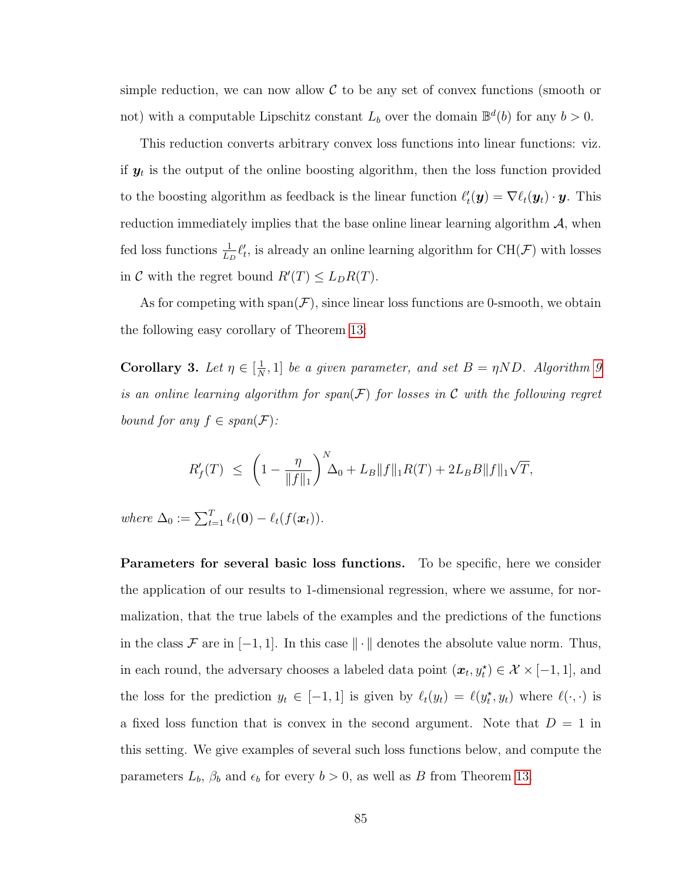simple reduction, we can now allow  $\mathcal C$  to be any set of convex functions (smooth or not) with a computable Lipschitz constant  $L_b$  over the domain  $\mathbb{B}^d(b)$  for any  $b > 0$ .

This reduction converts arbitrary convex loss functions into linear functions: viz. if  $y_t$  is the output of the online boosting algorithm, then the loss function provided to the boosting algorithm as feedback is the linear function  $\ell'_t(\mathbf{y}) = \nabla \ell_t(\mathbf{y}_t) \cdot \mathbf{y}$ . This reduction immediately implies that the base online linear learning algorithm  $A$ , when fed loss functions  $\frac{1}{L_D} \ell'_t$ , is already an online learning algorithm for CH( $\mathcal{F}$ ) with losses in C with the regret bound  $R'(T) \leq L_D R(T)$ .

As for competing with  $\text{span}(\mathcal{F})$ , since linear loss functions are 0-smooth, we obtain the following easy corollary of Theorem [13:](#page-95-0)

Corollary 3. Let  $\eta \in \left[\frac{1}{N}\right]$  $\frac{1}{N}$ , 1] be a given parameter, and set  $B = \eta ND$ . Algorithm [9](#page-94-0) is an online learning algorithm for span $(F)$  for losses in C with the following regret bound for any  $f \in span(\mathcal{F})$ :

$$
R'_f(T) \le \left(1 - \frac{\eta}{\|f\|_1}\right)^N \Delta_0 + L_B \|f\|_1 R(T) + 2L_B B \|f\|_1 \sqrt{T},
$$

where  $\Delta_0 := \sum_{t=1}^T \ell_t(\mathbf{0}) - \ell_t(f(\boldsymbol{x}_t)).$ 

Parameters for several basic loss functions. To be specific, here we consider the application of our results to 1-dimensional regression, where we assume, for normalization, that the true labels of the examples and the predictions of the functions in the class F are in  $[-1, 1]$ . In this case  $\|\cdot\|$  denotes the absolute value norm. Thus, in each round, the adversary chooses a labeled data point  $(x_t, y_t^{\star}) \in \mathcal{X} \times [-1, 1]$ , and the loss for the prediction  $y_t \in [-1, 1]$  is given by  $\ell_t(y_t) = \ell(y_t^*, y_t)$  where  $\ell(\cdot, \cdot)$  is a fixed loss function that is convex in the second argument. Note that  $D = 1$  in this setting. We give examples of several such loss functions below, and compute the parameters  $L_b$ ,  $\beta_b$  and  $\epsilon_b$  for every  $b > 0$ , as well as B from Theorem [13.](#page-95-0)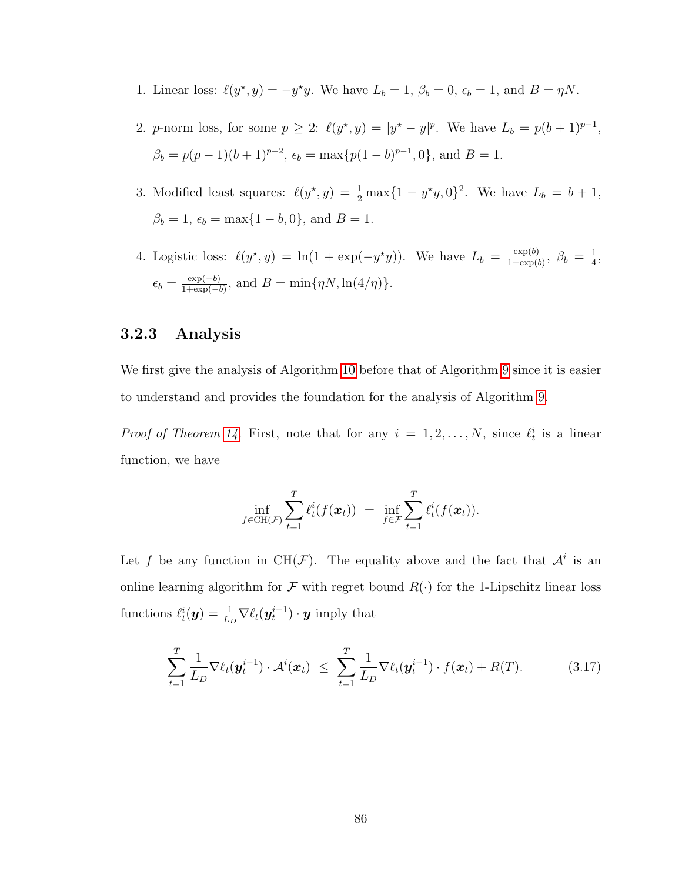- 1. Linear loss:  $\ell(y^*, y) = -y^*y$ . We have  $L_b = 1$ ,  $\beta_b = 0$ ,  $\epsilon_b = 1$ , and  $B = \eta N$ .
- 2. *p*-norm loss, for some  $p \ge 2$ :  $\ell(y^*, y) = |y^* y|^p$ . We have  $L_b = p(b+1)^{p-1}$ ,  $\beta_b = p(p-1)(b+1)^{p-2}, \epsilon_b = \max\{p(1-b)^{p-1}, 0\}, \text{ and } B = 1.$
- 3. Modified least squares:  $\ell(y^*, y) = \frac{1}{2} \max\{1 y^*y, 0\}^2$ . We have  $L_b = b + 1$ ,  $\beta_b = 1, \, \epsilon_b = \max\{1 - b, 0\}, \, \text{and } B = 1.$
- 4. Logistic loss:  $\ell(y^*, y) = \ln(1 + \exp(-y^*y))$ . We have  $L_b = \frac{\exp(b)}{1 + \exp(b)}$  $\frac{\exp(b)}{1+\exp(b)}, \ \beta_b = \frac{1}{4}$  $\frac{1}{4}$ ,  $\epsilon_b = \frac{\exp(-b)}{1+\exp(-b)}$  $\frac{\exp(-b)}{1+\exp(-b)}$ , and  $B = \min\{\eta N, \ln(4/\eta)\}.$

### <span id="page-98-0"></span>3.2.3 Analysis

We first give the analysis of Algorithm [10](#page-96-0) before that of Algorithm [9](#page-94-0) since it is easier to understand and provides the foundation for the analysis of Algorithm [9.](#page-94-0)

*Proof of Theorem [14.](#page-96-1)* First, note that for any  $i = 1, 2, ..., N$ , since  $\ell_t^i$  is a linear function, we have

$$
\inf_{f \in \text{CH}(\mathcal{F})} \sum_{t=1}^T \ell_t^i(f(\boldsymbol{x}_t)) = \inf_{f \in \mathcal{F}} \sum_{t=1}^T \ell_t^i(f(\boldsymbol{x}_t)).
$$

Let f be any function in CH(F). The equality above and the fact that  $\mathcal{A}^i$  is an online learning algorithm for F with regret bound  $R(\cdot)$  for the 1-Lipschitz linear loss functions  $\ell_t^i(\bm{y}) = \frac{1}{L_D} \nabla \ell_t(\bm{y}_t^{i-1}) \cdot \bm{y}$  imply that

<span id="page-98-1"></span>
$$
\sum_{t=1}^T \frac{1}{L_D} \nabla \ell_t(\boldsymbol{y}_t^{i-1}) \cdot \mathcal{A}^i(\boldsymbol{x}_t) \leq \sum_{t=1}^T \frac{1}{L_D} \nabla \ell_t(\boldsymbol{y}_t^{i-1}) \cdot f(\boldsymbol{x}_t) + R(T). \tag{3.17}
$$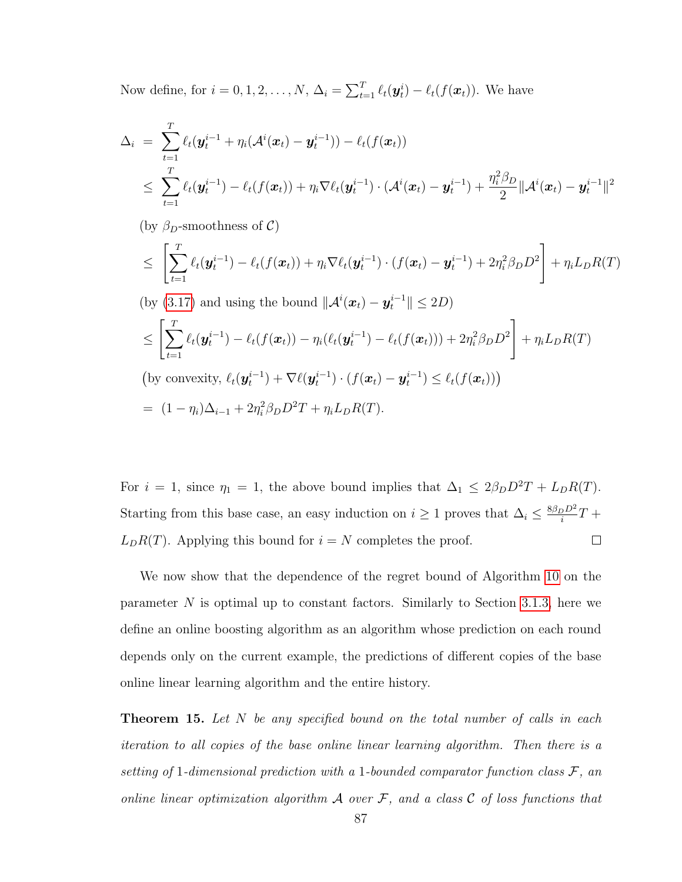Now define, for  $i = 0, 1, 2, ..., N$ ,  $\Delta_i = \sum_{t=1}^T \ell_t(\mathbf{y}_t^i) - \ell_t(f(\mathbf{x}_t))$ . We have

$$
\Delta_i = \sum_{t=1}^T \ell_t(\mathbf{y}_t^{i-1} + \eta_i(\mathcal{A}^i(\mathbf{x}_t) - \mathbf{y}_t^{i-1})) - \ell_t(f(\mathbf{x}_t))
$$
\n
$$
\leq \sum_{t=1}^T \ell_t(\mathbf{y}_t^{i-1}) - \ell_t(f(\mathbf{x}_t)) + \eta_i \nabla \ell_t(\mathbf{y}_t^{i-1}) \cdot (\mathcal{A}^i(\mathbf{x}_t) - \mathbf{y}_t^{i-1}) + \frac{\eta_i^2 \beta_D}{2} ||\mathcal{A}^i(\mathbf{x}_t) - \mathbf{y}_t^{i-1}||^2
$$

(by  $\beta_D$ -smoothness of C)

$$
\leq \left[ \sum_{t=1}^T \ell_t(\boldsymbol{y}_t^{i-1}) - \ell_t(f(\boldsymbol{x}_t)) + \eta_i \nabla \ell_t(\boldsymbol{y}_t^{i-1}) \cdot (f(\boldsymbol{x}_t) - \boldsymbol{y}_t^{i-1}) + 2\eta_i^2 \beta_D D^2 \right] + \eta_i L_D R(T)
$$

(by (3.17) and using the bound 
$$
\|\mathcal{A}^i(\boldsymbol{x}_t) - \boldsymbol{y}_t^{i-1}\| \le 2D)
$$
\n $\le \left[ \sum_{t=1}^T \ell_t(\boldsymbol{y}_t^{i-1}) - \ell_t(f(\boldsymbol{x}_t)) - \eta_i(\ell_t(\boldsymbol{y}_t^{i-1}) - \ell_t(f(\boldsymbol{x}_t))) + 2\eta_i^2 \beta_D D^2 \right] + \eta_i L_D R(T)$ \n(by convexity,  $\ell_t(\boldsymbol{y}_t^{i-1}) + \nabla \ell(\boldsymbol{y}_t^{i-1}) \cdot (f(\boldsymbol{x}_t) - \boldsymbol{y}_t^{i-1}) \le \ell_t(f(\boldsymbol{x}_t)))$ 

\n
$$
= (1 - \eta_i)\Delta_{i-1} + 2\eta_i^2 \beta_D D^2 T + \eta_i L_D R(T).
$$

For  $i = 1$ , since  $\eta_1 = 1$ , the above bound implies that  $\Delta_1 \leq 2\beta_D D^2 T + L_D R(T)$ . Starting from this base case, an easy induction on  $i \geq 1$  proves that  $\Delta_i \leq \frac{8\beta_D D^2}{i}$  $\frac{\partial D^2}{\partial t}T +$  $L_D R(T)$ . Applying this bound for  $i = N$  completes the proof.  $\Box$ 

We now show that the dependence of the regret bound of Algorithm [10](#page-96-0) on the parameter  $N$  is optimal up to constant factors. Similarly to Section [3.1.3,](#page-79-1) here we define an online boosting algorithm as an algorithm whose prediction on each round depends only on the current example, the predictions of different copies of the base online linear learning algorithm and the entire history.

<span id="page-99-0"></span>**Theorem 15.** Let N be any specified bound on the total number of calls in each iteration to all copies of the base online linear learning algorithm. Then there is a setting of 1-dimensional prediction with a 1-bounded comparator function class  $\mathcal{F},$  and online linear optimization algorithm  $A$  over  $F$ , and a class  $C$  of loss functions that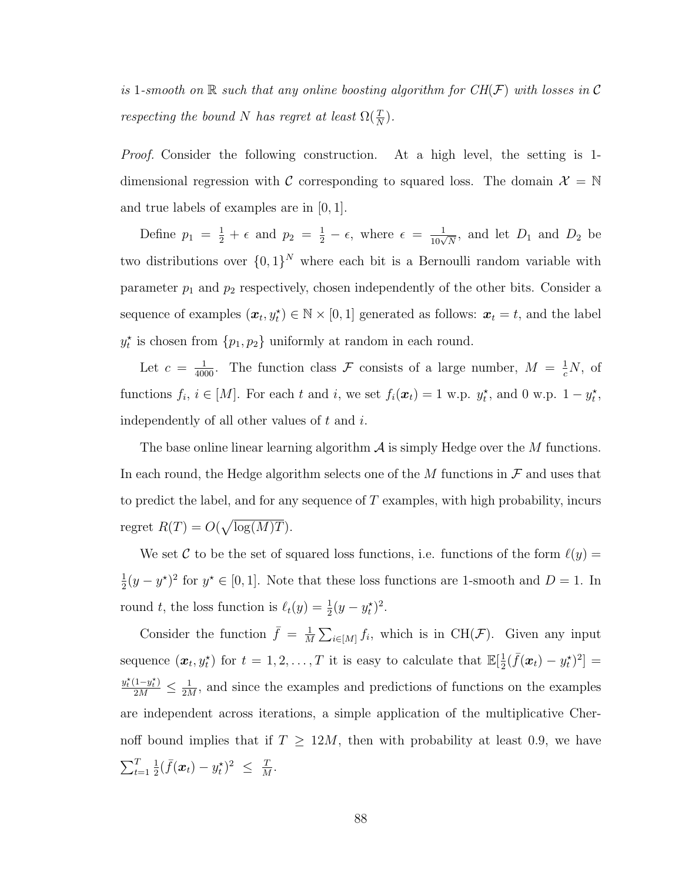is 1-smooth on  $\mathbb R$  such that any online boosting algorithm for  $CH(\mathcal{F})$  with losses in C respecting the bound N has regret at least  $\Omega(\frac{T}{N})$ .

Proof. Consider the following construction. At a high level, the setting is 1 dimensional regression with C corresponding to squared loss. The domain  $\mathcal{X} = \mathbb{N}$ and true labels of examples are in [0, 1].

Define  $p_1 = \frac{1}{2} + \epsilon$  and  $p_2 = \frac{1}{2} - \epsilon$ , where  $\epsilon = \frac{1}{10\sqrt{N}}$ , and let  $D_1$  and  $D_2$  be two distributions over  $\{0,1\}^N$  where each bit is a Bernoulli random variable with parameter  $p_1$  and  $p_2$  respectively, chosen independently of the other bits. Consider a sequence of examples  $(\boldsymbol{x}_t, y_t^{\star}) \in \mathbb{N} \times [0, 1]$  generated as follows:  $\boldsymbol{x}_t = t$ , and the label  $y_t^*$  is chosen from  $\{p_1, p_2\}$  uniformly at random in each round.

Let  $c = \frac{1}{4000}$ . The function class F consists of a large number,  $M = \frac{1}{c}N$ , of functions  $f_i$ ,  $i \in [M]$ . For each t and i, we set  $f_i(\boldsymbol{x}_t) = 1$  w.p.  $y_t^*$ , and 0 w.p.  $1 - y_t^*$ , independently of all other values of  $t$  and  $i$ .

The base online linear learning algorithm  $\mathcal A$  is simply Hedge over the M functions. In each round, the Hedge algorithm selects one of the  $M$  functions in  $\mathcal F$  and uses that to predict the label, and for any sequence of  $T$  examples, with high probability, incurs regret  $R(T) = O(\sqrt{\log(M)T}).$ 

We set C to be the set of squared loss functions, i.e. functions of the form  $\ell(y) =$ 1  $\frac{1}{2}(y - y^*)^2$  for  $y^* \in [0, 1]$ . Note that these loss functions are 1-smooth and D = 1. In round t, the loss function is  $\ell_t(y) = \frac{1}{2}(y - y_t^*)^2$ .

Consider the function  $\bar{f} = \frac{1}{M}$  $\frac{1}{M}\sum_{i\in[M]}f_i$ , which is in CH(*F*). Given any input sequence  $(\boldsymbol{x}_t, y_t^*)$  for  $t = 1, 2, ..., T$  it is easy to calculate that  $\mathbb{E}[\frac{1}{2}]$  $\frac{1}{2}(\bar{f}(\bm{x}_t) - y_t^{\star})^2] =$  $\frac{y_t^{\star}(1-y_t^{\star})}{2M} \leq \frac{1}{2M}$  $\frac{1}{2M}$ , and since the examples and predictions of functions on the examples are independent across iterations, a simple application of the multiplicative Chernoff bound implies that if  $T \geq 12M$ , then with probability at least 0.9, we have  $\sum_{t=1}^{T}$ 1  $\frac{1}{2}(\bar{f}(\boldsymbol{x}_t) - y_t^{\star})^2 \leq \frac{T}{\hbar}$  $\frac{T}{M}$  .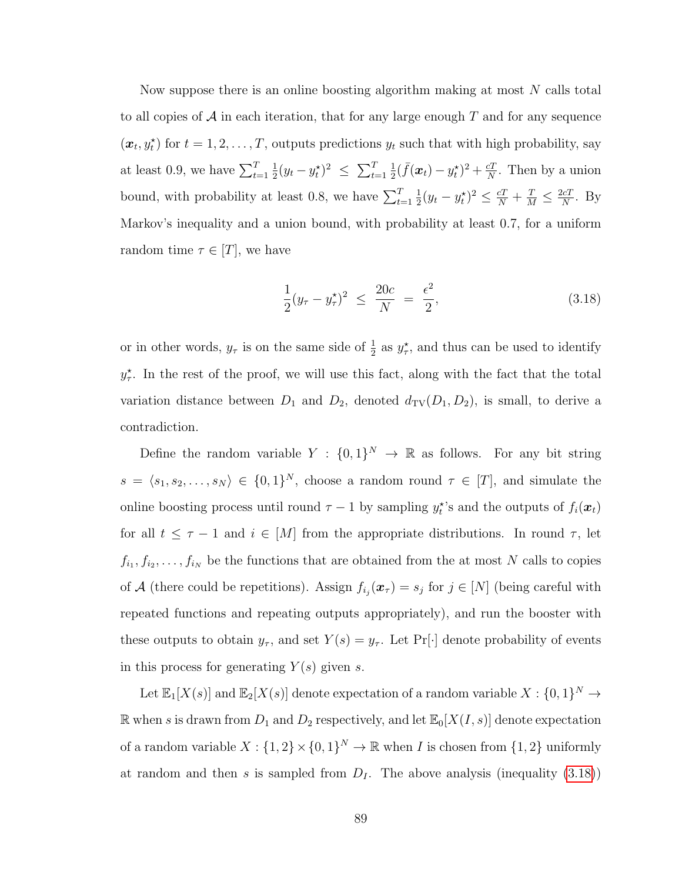Now suppose there is an online boosting algorithm making at most  $N$  calls total to all copies of  $\mathcal A$  in each iteration, that for any large enough T and for any sequence  $(\boldsymbol{x}_t, y_t^{\star})$  for  $t = 1, 2, \ldots, T$ , outputs predictions  $y_t$  such that with high probability, say at least 0.9, we have  $\sum_{t=1}^{T}$ 1  $\frac{1}{2}(y_t - y_t^{\star})^2 \leq \sum_{t=1}^T$ 1  $\frac{1}{2}(\bar{f}(\bm{x}_t) - y_t^{\star})^2 + \frac{cT}{N}$  $\frac{c}{N}$ . Then by a union bound, with probability at least 0.8, we have  $\sum_{t=1}^{T}$ 1  $\frac{1}{2}(y_t - y_t^*)^2 \leq \frac{cT}{N} + \frac{T}{M} \leq \frac{2cT}{N}$  $\frac{cT}{N}$ . By Markov's inequality and a union bound, with probability at least 0.7, for a uniform random time  $\tau \in [T]$ , we have

<span id="page-101-0"></span>
$$
\frac{1}{2}(y_{\tau} - y_{\tau}^{\star})^2 \le \frac{20c}{N} = \frac{\epsilon^2}{2},\tag{3.18}
$$

or in other words,  $y_{\tau}$  is on the same side of  $\frac{1}{2}$  as  $y_{\tau}^*$ , and thus can be used to identify  $y_{\tau}^{\star}$ . In the rest of the proof, we will use this fact, along with the fact that the total variation distance between  $D_1$  and  $D_2$ , denoted  $d_{TV}(D_1, D_2)$ , is small, to derive a contradiction.

Define the random variable  $Y : \{0,1\}^N \to \mathbb{R}$  as follows. For any bit string  $s = \langle s_1, s_2, \ldots, s_N \rangle \in \{0, 1\}^N$ , choose a random round  $\tau \in [T]$ , and simulate the online boosting process until round  $\tau - 1$  by sampling  $y_t^*$ 's and the outputs of  $f_i(x_t)$ for all  $t \leq \tau - 1$  and  $i \in [M]$  from the appropriate distributions. In round  $\tau$ , let  $f_{i_1}, f_{i_2}, \ldots, f_{i_N}$  be the functions that are obtained from the at most N calls to copies of A (there could be repetitions). Assign  $f_{i_j}(\mathbf{x}_{\tau}) = s_j$  for  $j \in [N]$  (being careful with repeated functions and repeating outputs appropriately), and run the booster with these outputs to obtain  $y_{\tau}$ , and set  $Y(s) = y_{\tau}$ . Let Pr[·] denote probability of events in this process for generating  $Y(s)$  given s.

Let  $\mathbb{E}_1[X(s)]$  and  $\mathbb{E}_2[X(s)]$  denote expectation of a random variable  $X: \{0,1\}^N \to$ R when s is drawn from  $D_1$  and  $D_2$  respectively, and let  $\mathbb{E}_0[X(I,s)]$  denote expectation of a random variable  $X: \{1,2\} \times \{0,1\}^N \to \mathbb{R}$  when I is chosen from  $\{1,2\}$  uniformly at random and then s is sampled from  $D<sub>I</sub>$ . The above analysis (inequality [\(3.18\)](#page-101-0))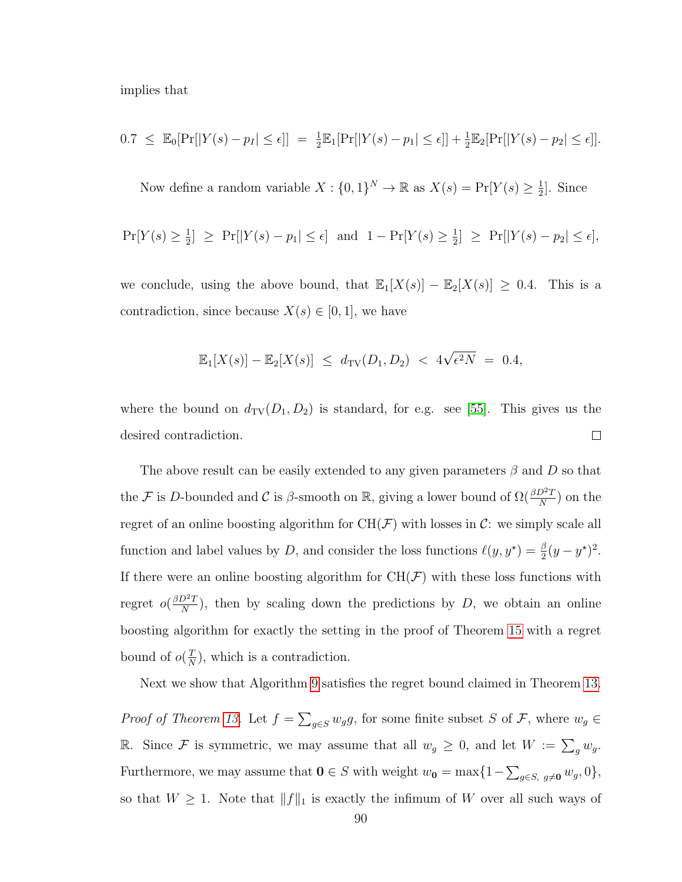implies that

$$
0.7 \leq \mathbb{E}_{0}[\Pr[|Y(s) - p_{I}| \leq \epsilon]] = \frac{1}{2} \mathbb{E}_{1}[\Pr[|Y(s) - p_{1}| \leq \epsilon]] + \frac{1}{2} \mathbb{E}_{2}[\Pr[|Y(s) - p_{2}| \leq \epsilon]].
$$

Now define a random variable  $X: \{0,1\}^N \to \mathbb{R}$  as  $X(s) = \Pr[Y(s) \geq \frac{1}{2}\]$  $\frac{1}{2}$ . Since

$$
\Pr[Y(s) \ge \frac{1}{2}] \ge \Pr[|Y(s) - p_1| \le \epsilon] \text{ and } 1 - \Pr[Y(s) \ge \frac{1}{2}] \ge \Pr[|Y(s) - p_2| \le \epsilon],
$$

we conclude, using the above bound, that  $\mathbb{E}_1[X(s)] - \mathbb{E}_2[X(s)] \geq 0.4$ . This is a contradiction, since because  $X(s) \in [0,1]$ , we have

$$
\mathbb{E}_1[X(s)] - \mathbb{E}_2[X(s)] \le d_{\text{TV}}(D_1, D_2) < 4\sqrt{\epsilon^2 N} = 0.4,
$$

where the bound on  $d_{TV}(D_1, D_2)$  is standard, for e.g. see [\[55\]](#page-177-3). This gives us the desired contradiction.  $\Box$ 

The above result can be easily extended to any given parameters  $\beta$  and D so that the F is D-bounded and C is  $\beta$ -smooth on R, giving a lower bound of  $\Omega(\frac{\beta D^2 T}{N})$  on the regret of an online boosting algorithm for  $CH(\mathcal{F})$  with losses in C: we simply scale all function and label values by D, and consider the loss functions  $\ell(y, y^*) = \frac{\beta}{2}(y - y^*)^2$ . If there were an online boosting algorithm for  $CH(\mathcal{F})$  with these loss functions with regret  $o(\frac{\beta D^2 T}{N})$  $\frac{D^2T}{N}$ , then by scaling down the predictions by D, we obtain an online boosting algorithm for exactly the setting in the proof of Theorem [15](#page-99-0) with a regret bound of  $o(\frac{T}{\lambda})$  $\frac{T}{N}$ , which is a contradiction.

Next we show that Algorithm [9](#page-94-0) satisfies the regret bound claimed in Theorem [13.](#page-95-0)

*Proof of Theorem [13.](#page-95-0)* Let  $f = \sum_{g \in S} w_g g$ , for some finite subset S of F, where  $w_g \in$ R. Since F is symmetric, we may assume that all  $w_g \geq 0$ , and let  $W := \sum_g w_g$ . Furthermore, we may assume that  $\mathbf{0} \in S$  with weight  $w_{\mathbf{0}} = \max\{1 - \sum_{g \in S, g \neq \mathbf{0}} w_g, 0\},\$ so that  $W \geq 1$ . Note that  $||f||_1$  is exactly the infimum of W over all such ways of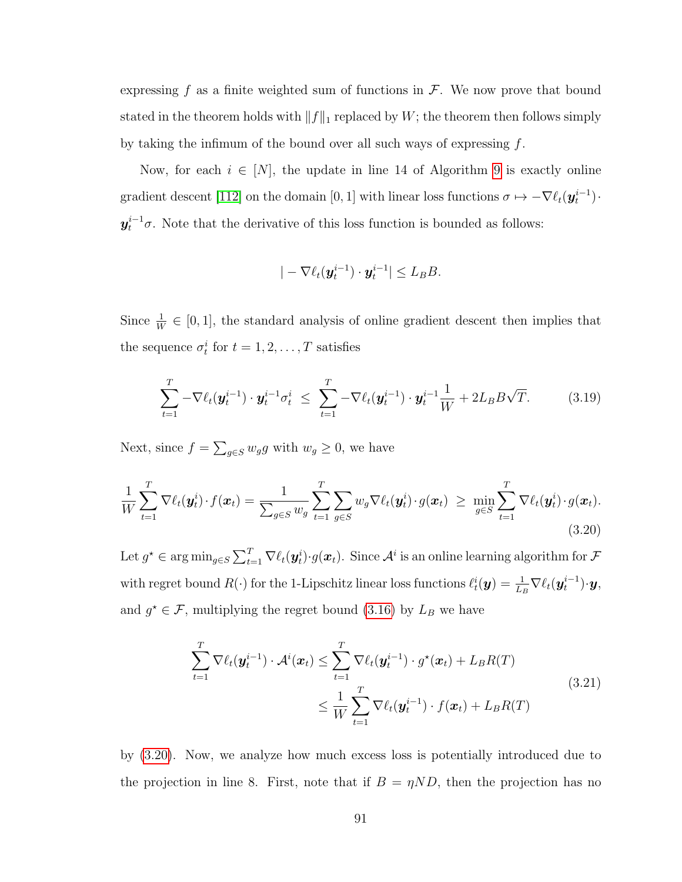expressing f as a finite weighted sum of functions in  $\mathcal{F}$ . We now prove that bound stated in the theorem holds with  $||f||_1$  replaced by W; the theorem then follows simply by taking the infimum of the bound over all such ways of expressing  $f$ .

Now, for each  $i \in [N]$ , the update in line 14 of Algorithm [9](#page-94-0) is exactly online gradient descent [\[112\]](#page-181-0) on the domain [0, 1] with linear loss functions  $\sigma \mapsto -\nabla \ell_t(\mathbf{y}_t^{i-1})$ .  $y_t^{i-1}$ , Note that the derivative of this loss function is bounded as follows:

$$
|-\nabla \ell_t(\boldsymbol{y}_t^{i-1})\cdot \boldsymbol{y}_t^{i-1}| \leq L_B B.
$$

Since  $\frac{1}{W} \in [0, 1]$ , the standard analysis of online gradient descent then implies that the sequence  $\sigma_t^i$  for  $t = 1, 2, \ldots, T$  satisfies

<span id="page-103-1"></span>
$$
\sum_{t=1}^{T} -\nabla \ell_t(\mathbf{y}_t^{i-1}) \cdot \mathbf{y}_t^{i-1} \sigma_t^i \leq \sum_{t=1}^{T} -\nabla \ell_t(\mathbf{y}_t^{i-1}) \cdot \mathbf{y}_t^{i-1} \frac{1}{W} + 2L_B B \sqrt{T}.
$$
 (3.19)

Next, since  $f = \sum_{g \in S} w_g g$  with  $w_g \geq 0$ , we have

<span id="page-103-0"></span>
$$
\frac{1}{W} \sum_{t=1}^{T} \nabla \ell_t(\boldsymbol{y}_t^i) \cdot f(\boldsymbol{x}_t) = \frac{1}{\sum_{g \in S} w_g} \sum_{t=1}^{T} \sum_{g \in S} w_g \nabla \ell_t(\boldsymbol{y}_t^i) \cdot g(\boldsymbol{x}_t) \ge \min_{g \in S} \sum_{t=1}^{T} \nabla \ell_t(\boldsymbol{y}_t^i) \cdot g(\boldsymbol{x}_t).
$$
\n(3.20)

Let  $g^\star \in \arg\min_{g \in S} \sum_{t=1}^T \nabla \ell_t(\bm{y}_t^i) \cdot g(\bm{x}_t)$ . Since  $\mathcal{A}^i$  is an online learning algorithm for  $\mathcal F$ with regret bound  $R(\cdot)$  for the 1-Lipschitz linear loss functions  $\ell_t^i(\mathbf{y}) = \frac{1}{L_B} \nabla \ell_t(\mathbf{y}_t^{i-1}) \cdot \mathbf{y}$ , and  $g^* \in \mathcal{F}$ , multiplying the regret bound [\(3.16\)](#page-90-1) by  $L_B$  we have

<span id="page-103-2"></span>
$$
\sum_{t=1}^{T} \nabla \ell_t(\boldsymbol{y}_t^{i-1}) \cdot \mathcal{A}^i(\boldsymbol{x}_t) \leq \sum_{t=1}^{T} \nabla \ell_t(\boldsymbol{y}_t^{i-1}) \cdot g^\star(\boldsymbol{x}_t) + L_B R(T)
$$
\n
$$
\leq \frac{1}{W} \sum_{t=1}^{T} \nabla \ell_t(\boldsymbol{y}_t^{i-1}) \cdot f(\boldsymbol{x}_t) + L_B R(T)
$$
\n(3.21)

by [\(3.20\)](#page-103-0). Now, we analyze how much excess loss is potentially introduced due to the projection in line 8. First, note that if  $B = \eta N D$ , then the projection has no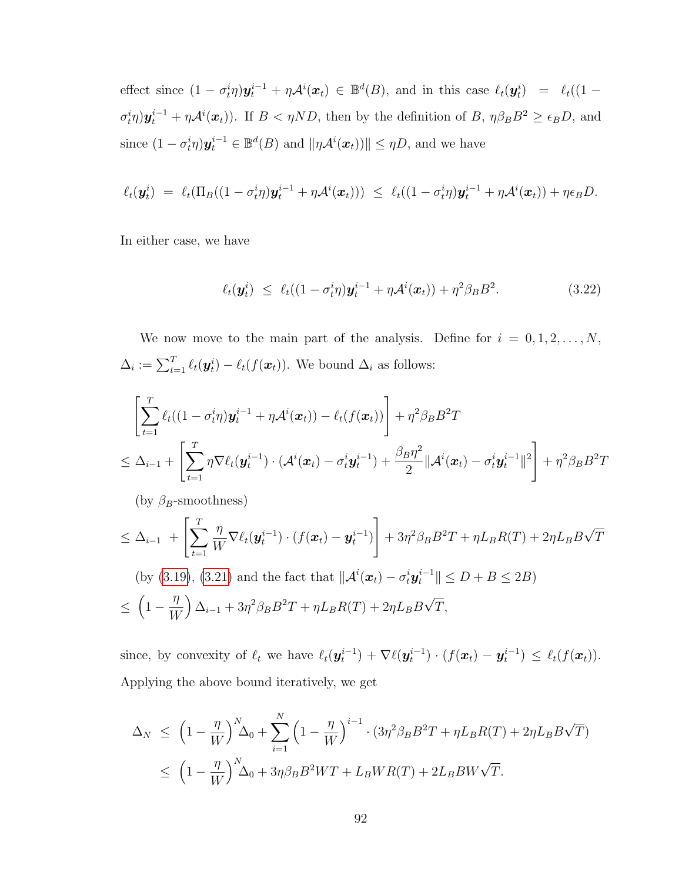effect since  $(1 - \sigma_t^i \eta) \mathbf{y}_t^{i-1} + \eta \mathcal{A}^i(\mathbf{x}_t) \in \mathbb{B}^d(B)$ , and in this case  $\ell_t(\mathbf{y}_t^i) = \ell_t((1 - \eta_t^i \eta) \mathbf{y}_t^{i-1} + \eta \mathcal{A}^i(\mathbf{x}_t))$  $\sigma_t^i \eta$ ) $y_t^{i-1} + \eta \mathcal{A}^i(x_t)$ ). If  $B < \eta ND$ , then by the definition of  $B$ ,  $\eta \beta_B B^2 \ge \epsilon_B D$ , and since  $(1 - \sigma_t^i \eta) \mathbf{y}_t^{i-1} \in \mathbb{B}^d(B)$  and  $\|\eta \mathcal{A}^i(\mathbf{x}_t))\| \leq \eta D$ , and we have

$$
\ell_t(\boldsymbol{y}_t^i) = \ell_t(\Pi_B((1-\sigma_t^i\eta)\boldsymbol{y}_t^{i-1} + \eta\mathcal{A}^i(\boldsymbol{x}_t))) \leq \ell_t((1-\sigma_t^i\eta)\boldsymbol{y}_t^{i-1} + \eta\mathcal{A}^i(\boldsymbol{x}_t)) + \eta\epsilon_B D.
$$

In either case, we have

$$
\ell_t(\boldsymbol{y}_t^i) \leq \ell_t((1-\sigma_t^i \eta)\boldsymbol{y}_t^{i-1} + \eta \mathcal{A}^i(\boldsymbol{x}_t)) + \eta^2 \beta_B B^2. \tag{3.22}
$$

We now move to the main part of the analysis. Define for  $i = 0, 1, 2, ..., N$ ,  $\Delta_i := \sum_{t=1}^T \ell_t(\mathbf{y}_t^i) - \ell_t(f(\mathbf{x}_t)).$  We bound  $\Delta_i$  as follows:

$$
\left[\sum_{t=1}^T \ell_t((1-\sigma_t^i \eta)\mathbf{y}_t^{i-1} + \eta \mathcal{A}^i(\mathbf{x}_t)) - \ell_t(f(\mathbf{x}_t))\right] + \eta^2 \beta_B B^2 T
$$
\n
$$
\leq \Delta_{i-1} + \left[\sum_{t=1}^T \eta \nabla \ell_t(\mathbf{y}_t^{i-1}) \cdot (\mathcal{A}^i(\mathbf{x}_t) - \sigma_t^i \mathbf{y}_t^{i-1}) + \frac{\beta_B \eta^2}{2} ||\mathcal{A}^i(\mathbf{x}_t) - \sigma_t^i \mathbf{y}_t^{i-1}||^2\right] + \eta^2 \beta_B B^2 T
$$

(by  $\beta_B$ -smoothness)

$$
\leq \Delta_{i-1} + \left[ \sum_{t=1}^T \frac{\eta}{W} \nabla \ell_t(\mathbf{y}_t^{i-1}) \cdot (f(\mathbf{x}_t) - \mathbf{y}_t^{i-1}) \right] + 3\eta^2 \beta_B B^2 T + \eta L_B R(T) + 2\eta L_B B \sqrt{T}
$$
  
(by (3.19), (3.21) and the fact that  $\|\mathcal{A}^i(\mathbf{x}_t) - \sigma_t^i \mathbf{y}_t^{i-1}\| \leq D + B \leq 2B$ )  

$$
\leq \left(1 - \frac{\eta}{W}\right) \Delta_{i-1} + 3\eta^2 \beta_B B^2 T + \eta L_B R(T) + 2\eta L_B B \sqrt{T},
$$

since, by convexity of  $\ell_t$  we have  $\ell_t(\mathbf{y}_t^{i-1}) + \nabla \ell(\mathbf{y}_t^{i-1}) \cdot (f(\mathbf{x}_t) - \mathbf{y}_t^{i-1}) \leq \ell_t(f(\mathbf{x}_t)).$ Applying the above bound iteratively, we get

$$
\Delta_N \leq \left(1 - \frac{\eta}{W}\right)^N \Delta_0 + \sum_{i=1}^N \left(1 - \frac{\eta}{W}\right)^{i-1} \cdot \left(3\eta^2 \beta_B B^2 T + \eta L_B R(T) + 2\eta L_B B \sqrt{T}\right)
$$
  

$$
\leq \left(1 - \frac{\eta}{W}\right)^N \Delta_0 + 3\eta \beta_B B^2 WT + L_B WR(T) + 2L_B BW\sqrt{T}.
$$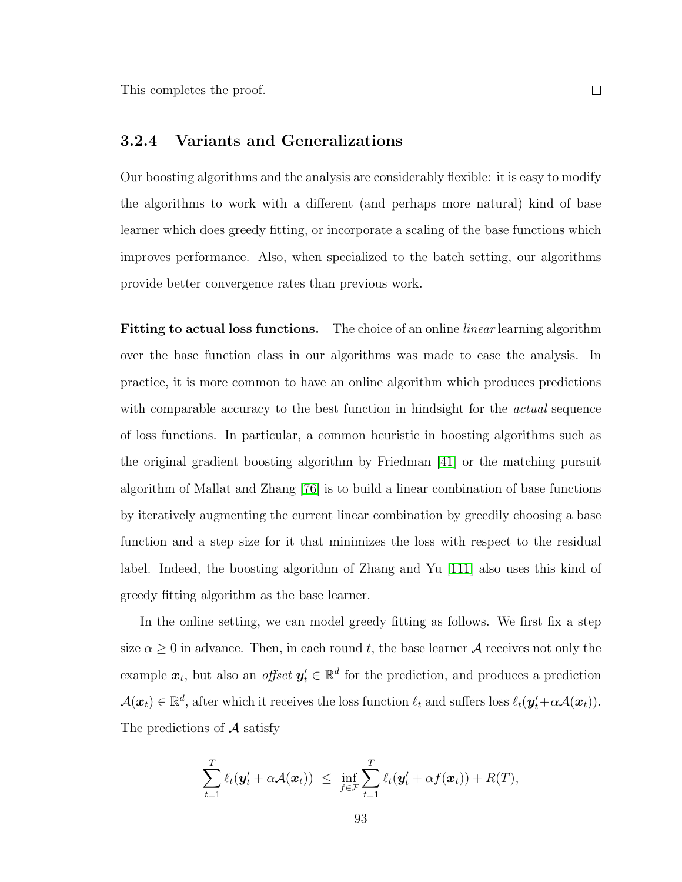### <span id="page-105-0"></span>3.2.4 Variants and Generalizations

Our boosting algorithms and the analysis are considerably flexible: it is easy to modify the algorithms to work with a different (and perhaps more natural) kind of base learner which does greedy fitting, or incorporate a scaling of the base functions which improves performance. Also, when specialized to the batch setting, our algorithms provide better convergence rates than previous work.

**Fitting to actual loss functions.** The choice of an online *linear* learning algorithm over the base function class in our algorithms was made to ease the analysis. In practice, it is more common to have an online algorithm which produces predictions with comparable accuracy to the best function in hindsight for the *actual* sequence of loss functions. In particular, a common heuristic in boosting algorithms such as the original gradient boosting algorithm by Friedman [\[41\]](#page-176-0) or the matching pursuit algorithm of Mallat and Zhang [\[76\]](#page-178-1) is to build a linear combination of base functions by iteratively augmenting the current linear combination by greedily choosing a base function and a step size for it that minimizes the loss with respect to the residual label. Indeed, the boosting algorithm of Zhang and Yu [\[111\]](#page-181-1) also uses this kind of greedy fitting algorithm as the base learner.

In the online setting, we can model greedy fitting as follows. We first fix a step size  $\alpha \geq 0$  in advance. Then, in each round t, the base learner A receives not only the example  $x_t$ , but also an *offset*  $y_t' \in \mathbb{R}^d$  for the prediction, and produces a prediction  $\mathcal{A}(\boldsymbol{x}_t) \in \mathbb{R}^d$ , after which it receives the loss function  $\ell_t$  and suffers loss  $\ell_t(\boldsymbol{y}_t' + \alpha \mathcal{A}(\boldsymbol{x}_t))$ . The predictions of  $A$  satisfy

$$
\sum_{t=1}^T \ell_t(\mathbf{y}'_t + \alpha \mathcal{A}(\mathbf{x}_t)) \leq \inf_{f \in \mathcal{F}} \sum_{t=1}^T \ell_t(\mathbf{y}'_t + \alpha f(\mathbf{x}_t)) + R(T),
$$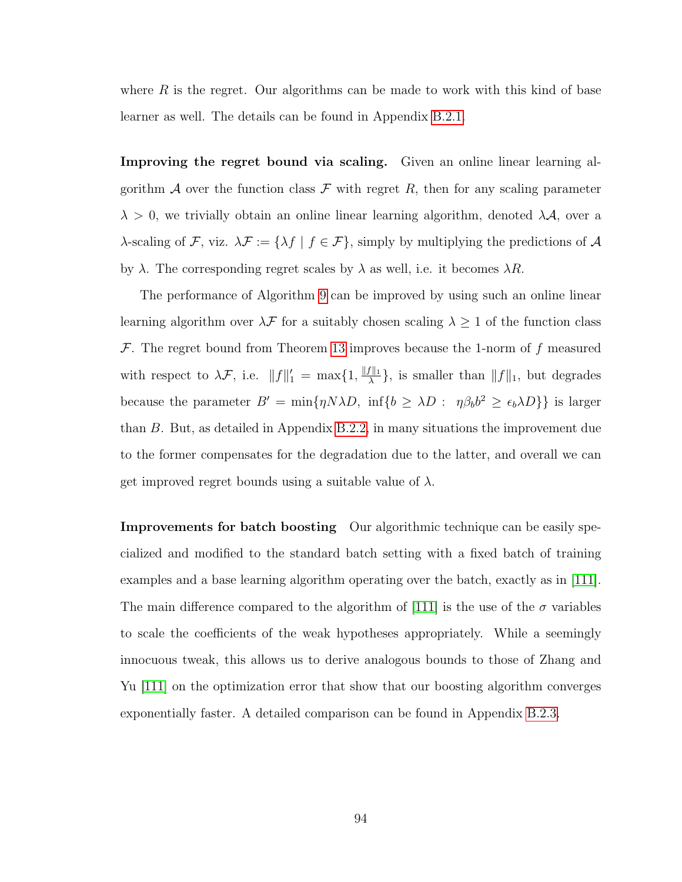where  $R$  is the regret. Our algorithms can be made to work with this kind of base learner as well. The details can be found in Appendix [B.2.1.](#page-158-0)

Improving the regret bound via scaling. Given an online linear learning algorithm A over the function class F with regret R, then for any scaling parameter  $\lambda > 0$ , we trivially obtain an online linear learning algorithm, denoted  $\lambda \mathcal{A}$ , over a  $\lambda$ -scaling of  $\mathcal{F}$ , viz.  $\lambda \mathcal{F} := {\lambda f | f \in \mathcal{F}}$ , simply by multiplying the predictions of  $\mathcal{A}$ by  $\lambda$ . The corresponding regret scales by  $\lambda$  as well, i.e. it becomes  $\lambda R$ .

The performance of Algorithm [9](#page-94-0) can be improved by using such an online linear learning algorithm over  $\lambda\mathcal{F}$  for a suitably chosen scaling  $\lambda\geq 1$  of the function class  $\mathcal F$ . The regret bound from Theorem [13](#page-95-0) improves because the 1-norm of f measured with respect to  $\lambda \mathcal{F}$ , i.e.  $||f||_1' = \max\{1, \frac{||f||_1}{\lambda}\}$  $\frac{f\|1}{\lambda}$ , is smaller than  $||f||_1$ , but degrades because the parameter  $B' = \min\{\eta N\lambda D, \inf\{b \geq \lambda D : \eta \beta_b b^2 \geq \epsilon_b \lambda D\}\}\$ is larger than B. But, as detailed in Appendix [B.2.2,](#page-160-0) in many situations the improvement due to the former compensates for the degradation due to the latter, and overall we can get improved regret bounds using a suitable value of  $\lambda$ .

Improvements for batch boosting Our algorithmic technique can be easily specialized and modified to the standard batch setting with a fixed batch of training examples and a base learning algorithm operating over the batch, exactly as in [\[111\]](#page-181-1). The main difference compared to the algorithm of [\[111\]](#page-181-1) is the use of the  $\sigma$  variables to scale the coefficients of the weak hypotheses appropriately. While a seemingly innocuous tweak, this allows us to derive analogous bounds to those of Zhang and Yu [\[111\]](#page-181-1) on the optimization error that show that our boosting algorithm converges exponentially faster. A detailed comparison can be found in Appendix [B.2.3.](#page-161-0)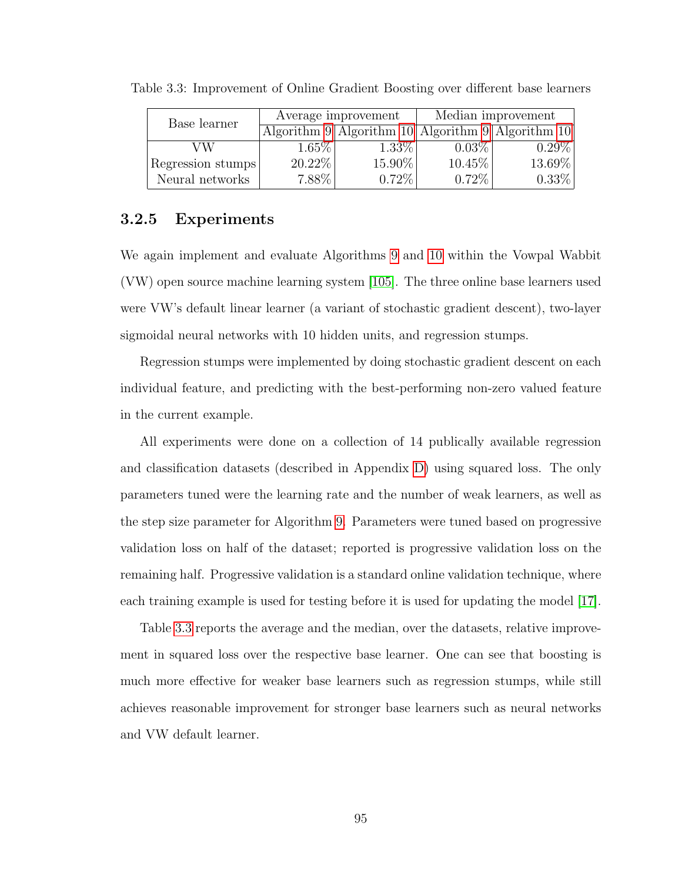| Base learner      |          | Average improvement                                                           | Median improvement |          |  |
|-------------------|----------|-------------------------------------------------------------------------------|--------------------|----------|--|
|                   |          | Algorithm $9 \mid$ Algorithm $10 \mid$ Algorithm $9 \mid$ Algorithm $10 \mid$ |                    |          |  |
| VW                | $1.65\%$ | $1.33\%$                                                                      | $0.03\%$           | $0.29\%$ |  |
| Regression stumps | 20.22%   | $15.90\%$                                                                     | $10.45\%$          | 13.69%   |  |
| Neural networks   | $7.88\%$ | $0.72\%$                                                                      | $0.72\%$           | $0.33\%$ |  |

<span id="page-107-0"></span>Table 3.3: Improvement of Online Gradient Boosting over different base learners

# 3.2.5 Experiments

We again implement and evaluate Algorithms [9](#page-94-0) and [10](#page-96-0) within the Vowpal Wabbit (VW) open source machine learning system [\[105\]](#page-180-2). The three online base learners used were VW's default linear learner (a variant of stochastic gradient descent), two-layer sigmoidal neural networks with 10 hidden units, and regression stumps.

Regression stumps were implemented by doing stochastic gradient descent on each individual feature, and predicting with the best-performing non-zero valued feature in the current example.

All experiments were done on a collection of 14 publically available regression and classification datasets (described in Appendix [D\)](#page-169-0) using squared loss. The only parameters tuned were the learning rate and the number of weak learners, as well as the step size parameter for Algorithm [9.](#page-94-0) Parameters were tuned based on progressive validation loss on half of the dataset; reported is progressive validation loss on the remaining half. Progressive validation is a standard online validation technique, where each training example is used for testing before it is used for updating the model [\[17\]](#page-174-2).

Table [3.3](#page-107-0) reports the average and the median, over the datasets, relative improvement in squared loss over the respective base learner. One can see that boosting is much more effective for weaker base learners such as regression stumps, while still achieves reasonable improvement for stronger base learners such as neural networks and VW default learner.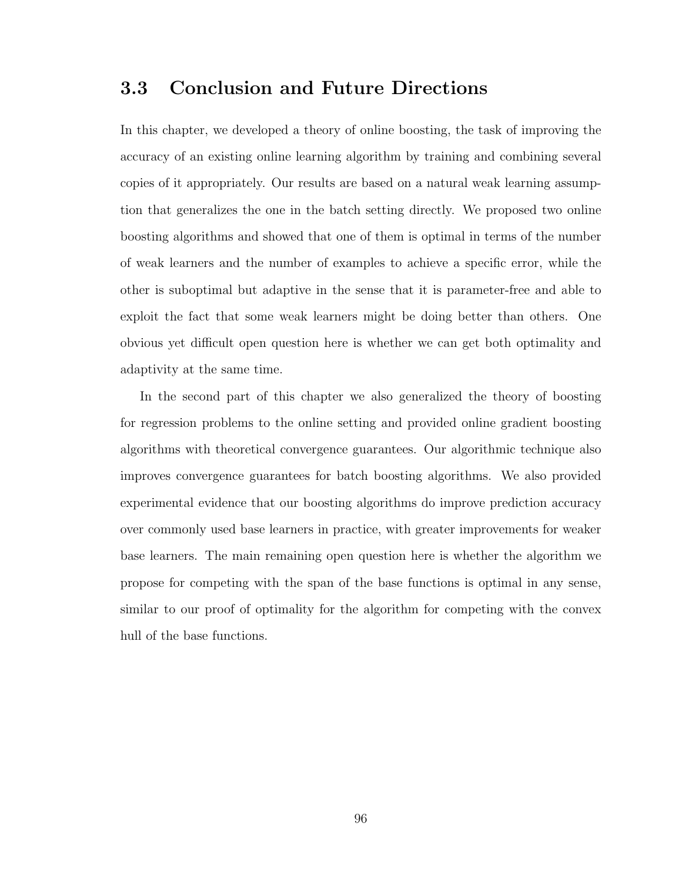# 3.3 Conclusion and Future Directions

In this chapter, we developed a theory of online boosting, the task of improving the accuracy of an existing online learning algorithm by training and combining several copies of it appropriately. Our results are based on a natural weak learning assumption that generalizes the one in the batch setting directly. We proposed two online boosting algorithms and showed that one of them is optimal in terms of the number of weak learners and the number of examples to achieve a specific error, while the other is suboptimal but adaptive in the sense that it is parameter-free and able to exploit the fact that some weak learners might be doing better than others. One obvious yet difficult open question here is whether we can get both optimality and adaptivity at the same time.

In the second part of this chapter we also generalized the theory of boosting for regression problems to the online setting and provided online gradient boosting algorithms with theoretical convergence guarantees. Our algorithmic technique also improves convergence guarantees for batch boosting algorithms. We also provided experimental evidence that our boosting algorithms do improve prediction accuracy over commonly used base learners in practice, with greater improvements for weaker base learners. The main remaining open question here is whether the algorithm we propose for competing with the span of the base functions is optimal in any sense, similar to our proof of optimality for the algorithm for competing with the convex hull of the base functions.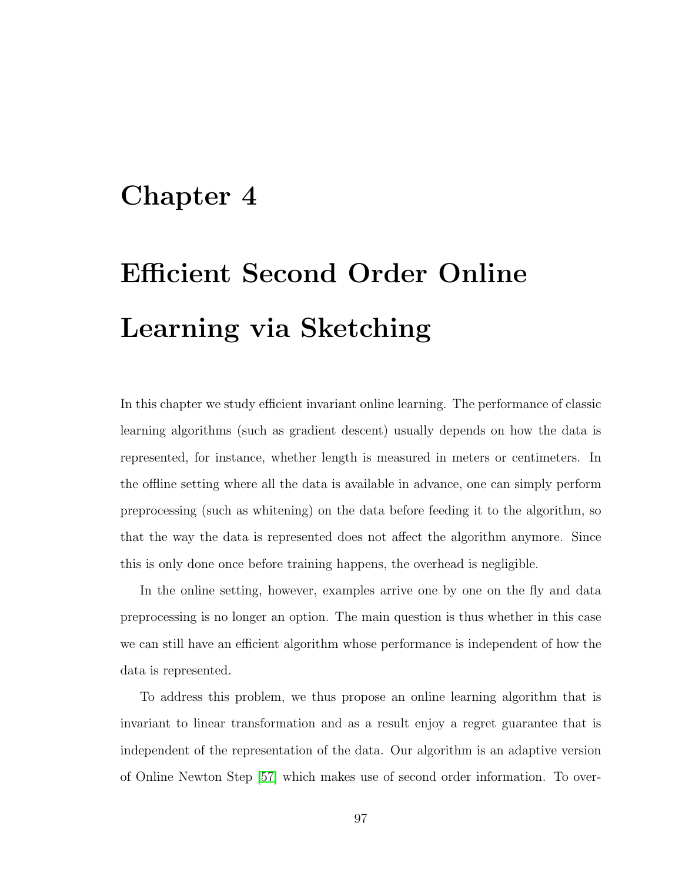# Chapter 4

# Efficient Second Order Online Learning via Sketching

In this chapter we study efficient invariant online learning. The performance of classic learning algorithms (such as gradient descent) usually depends on how the data is represented, for instance, whether length is measured in meters or centimeters. In the offline setting where all the data is available in advance, one can simply perform preprocessing (such as whitening) on the data before feeding it to the algorithm, so that the way the data is represented does not affect the algorithm anymore. Since this is only done once before training happens, the overhead is negligible.

In the online setting, however, examples arrive one by one on the fly and data preprocessing is no longer an option. The main question is thus whether in this case we can still have an efficient algorithm whose performance is independent of how the data is represented.

To address this problem, we thus propose an online learning algorithm that is invariant to linear transformation and as a result enjoy a regret guarantee that is independent of the representation of the data. Our algorithm is an adaptive version of Online Newton Step [\[57\]](#page-177-0) which makes use of second order information. To over-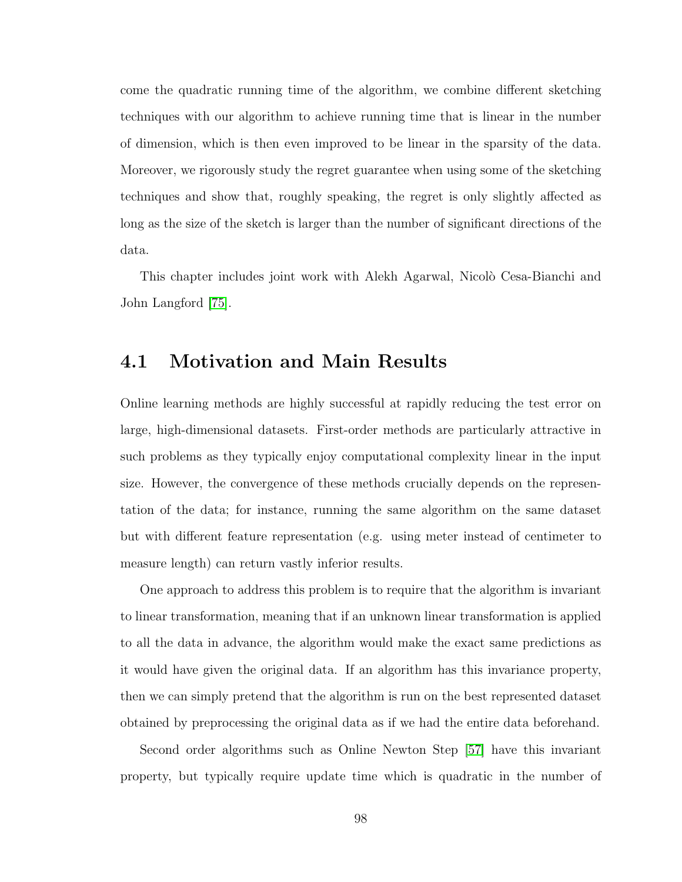come the quadratic running time of the algorithm, we combine different sketching techniques with our algorithm to achieve running time that is linear in the number of dimension, which is then even improved to be linear in the sparsity of the data. Moreover, we rigorously study the regret guarantee when using some of the sketching techniques and show that, roughly speaking, the regret is only slightly affected as long as the size of the sketch is larger than the number of significant directions of the data.

This chapter includes joint work with Alekh Agarwal, Nicolò Cesa-Bianchi and John Langford [\[75\]](#page-178-0).

# 4.1 Motivation and Main Results

Online learning methods are highly successful at rapidly reducing the test error on large, high-dimensional datasets. First-order methods are particularly attractive in such problems as they typically enjoy computational complexity linear in the input size. However, the convergence of these methods crucially depends on the representation of the data; for instance, running the same algorithm on the same dataset but with different feature representation (e.g. using meter instead of centimeter to measure length) can return vastly inferior results.

One approach to address this problem is to require that the algorithm is invariant to linear transformation, meaning that if an unknown linear transformation is applied to all the data in advance, the algorithm would make the exact same predictions as it would have given the original data. If an algorithm has this invariance property, then we can simply pretend that the algorithm is run on the best represented dataset obtained by preprocessing the original data as if we had the entire data beforehand.

Second order algorithms such as Online Newton Step [\[57\]](#page-177-0) have this invariant property, but typically require update time which is quadratic in the number of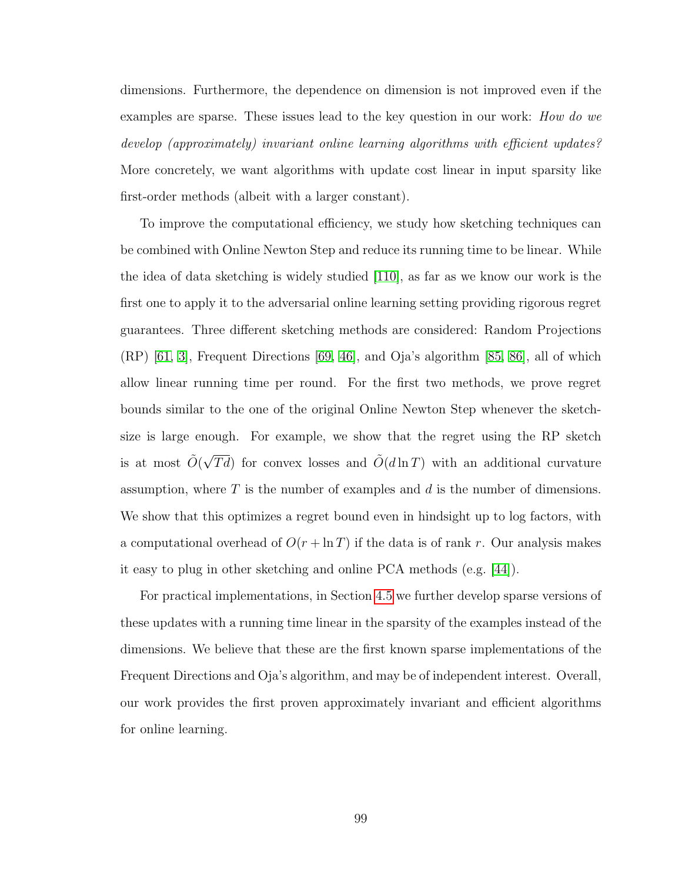dimensions. Furthermore, the dependence on dimension is not improved even if the examples are sparse. These issues lead to the key question in our work: *How do we* develop (approximately) invariant online learning algorithms with efficient updates? More concretely, we want algorithms with update cost linear in input sparsity like first-order methods (albeit with a larger constant).

To improve the computational efficiency, we study how sketching techniques can be combined with Online Newton Step and reduce its running time to be linear. While the idea of data sketching is widely studied [\[110\]](#page-181-0), as far as we know our work is the first one to apply it to the adversarial online learning setting providing rigorous regret guarantees. Three different sketching methods are considered: Random Projections (RP) [\[61,](#page-177-1) [3\]](#page-173-0), Frequent Directions [\[69,](#page-178-1) [46\]](#page-176-0), and Oja's algorithm [\[85,](#page-179-0) [86\]](#page-179-1), all of which allow linear running time per round. For the first two methods, we prove regret bounds similar to the one of the original Online Newton Step whenever the sketchsize is large enough. For example, we show that the regret using the RP sketch is at most  $\tilde{O}(\sqrt{Td})$  for convex losses and  $\tilde{O}(d \ln T)$  with an additional curvature assumption, where  $T$  is the number of examples and  $d$  is the number of dimensions. We show that this optimizes a regret bound even in hindsight up to log factors, with a computational overhead of  $O(r + \ln T)$  if the data is of rank r. Our analysis makes it easy to plug in other sketching and online PCA methods (e.g. [\[44\]](#page-176-1)).

For practical implementations, in Section [4.5](#page-127-0) we further develop sparse versions of these updates with a running time linear in the sparsity of the examples instead of the dimensions. We believe that these are the first known sparse implementations of the Frequent Directions and Oja's algorithm, and may be of independent interest. Overall, our work provides the first proven approximately invariant and efficient algorithms for online learning.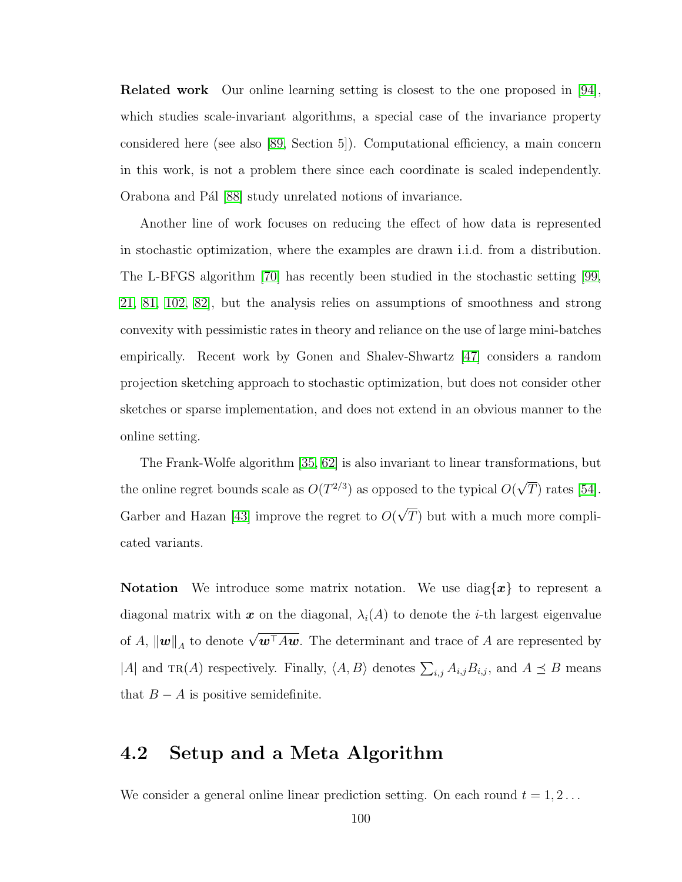Related work Our online learning setting is closest to the one proposed in [\[94\]](#page-180-0), which studies scale-invariant algorithms, a special case of the invariance property considered here (see also [\[89,](#page-179-2) Section 5]). Computational efficiency, a main concern in this work, is not a problem there since each coordinate is scaled independently. Orabona and Pál [\[88\]](#page-179-3) study unrelated notions of invariance.

Another line of work focuses on reducing the effect of how data is represented in stochastic optimization, where the examples are drawn i.i.d. from a distribution. The L-BFGS algorithm [\[70\]](#page-178-2) has recently been studied in the stochastic setting [\[99,](#page-180-1) [21,](#page-174-0) [81,](#page-179-4) [102,](#page-180-2) [82\]](#page-179-5), but the analysis relies on assumptions of smoothness and strong convexity with pessimistic rates in theory and reliance on the use of large mini-batches empirically. Recent work by Gonen and Shalev-Shwartz [\[47\]](#page-176-2) considers a random projection sketching approach to stochastic optimization, but does not consider other sketches or sparse implementation, and does not extend in an obvious manner to the online setting.

The Frank-Wolfe algorithm [\[35,](#page-175-0) [62\]](#page-177-2) is also invariant to linear transformations, but the online regret bounds scale as  $O(T^{2/3})$  as opposed to the typical  $O($ √  $T)$  rates [\[54\]](#page-177-3). Garber and Hazan [\[43\]](#page-176-3) improve the regret to  $O($ √ T) but with a much more complicated variants.

**Notation** We introduce some matrix notation. We use diag $\{x\}$  to represent a diagonal matrix with x on the diagonal,  $\lambda_i(A)$  to denote the *i*-th largest eigenvalue of A,  $\|\boldsymbol{w}\|_A$  to denote  $\sqrt{\boldsymbol{w}^{\top} A \boldsymbol{w}}$ . The determinant and trace of A are represented by |A| and TR(A) respectively. Finally,  $\langle A, B \rangle$  denotes  $\sum_{i,j} A_{i,j} B_{i,j}$ , and  $A \preceq B$  means that  $B - A$  is positive semidefinite.

## 4.2 Setup and a Meta Algorithm

We consider a general online linear prediction setting. On each round  $t = 1, 2...$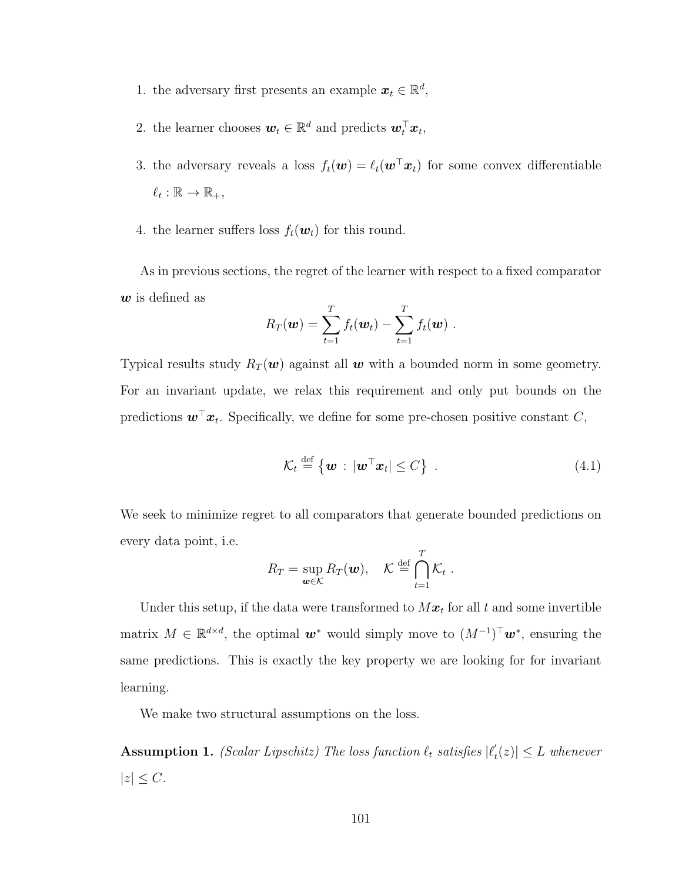- 1. the adversary first presents an example  $\mathbf{x}_t \in \mathbb{R}^d$ ,
- 2. the learner chooses  $\mathbf{w}_t \in \mathbb{R}^d$  and predicts  $\mathbf{w}_t^{\top} \mathbf{x}_t$ ,
- 3. the adversary reveals a loss  $f_t(\mathbf{w}) = \ell_t(\mathbf{w}^\top \mathbf{x}_t)$  for some convex differentiable  $\ell_t : \mathbb{R} \to \mathbb{R}_+,$
- 4. the learner suffers loss  $f_t(\boldsymbol{w}_t)$  for this round.

As in previous sections, the regret of the learner with respect to a fixed comparator  $w$  is defined as

$$
R_T(\boldsymbol{w}) = \sum_{t=1}^T f_t(\boldsymbol{w}_t) - \sum_{t=1}^T f_t(\boldsymbol{w}) .
$$

Typical results study  $R_T(\boldsymbol{w})$  against all  $\boldsymbol{w}$  with a bounded norm in some geometry. For an invariant update, we relax this requirement and only put bounds on the predictions  $\boldsymbol{w}^\top \boldsymbol{x}_t$ . Specifically, we define for some pre-chosen positive constant C,

<span id="page-113-0"></span>
$$
\mathcal{K}_t \stackrel{\text{def}}{=} \left\{ \boldsymbol{w} : |\boldsymbol{w}^\top \boldsymbol{x}_t| \le C \right\} \ . \tag{4.1}
$$

We seek to minimize regret to all comparators that generate bounded predictions on every data point, i.e.

$$
R_T = \sup_{\mathbf{w}\in\mathcal{K}} R_T(\mathbf{w}), \quad \mathcal{K} \stackrel{\text{def}}{=} \bigcap_{t=1}^T \mathcal{K}_t.
$$

Under this setup, if the data were transformed to  $Mx_t$  for all t and some invertible matrix  $M \in \mathbb{R}^{d \times d}$ , the optimal  $w^*$  would simply move to  $(M^{-1})^{\top}w^*$ , ensuring the same predictions. This is exactly the key property we are looking for for invariant learning.

We make two structural assumptions on the loss.

<span id="page-113-1"></span>**Assumption 1.** (Scalar Lipschitz) The loss function  $\ell_t$  satisfies  $|\ell_t|$  $t'_t(z) \leq L$  whenever  $|z| \leq C$ .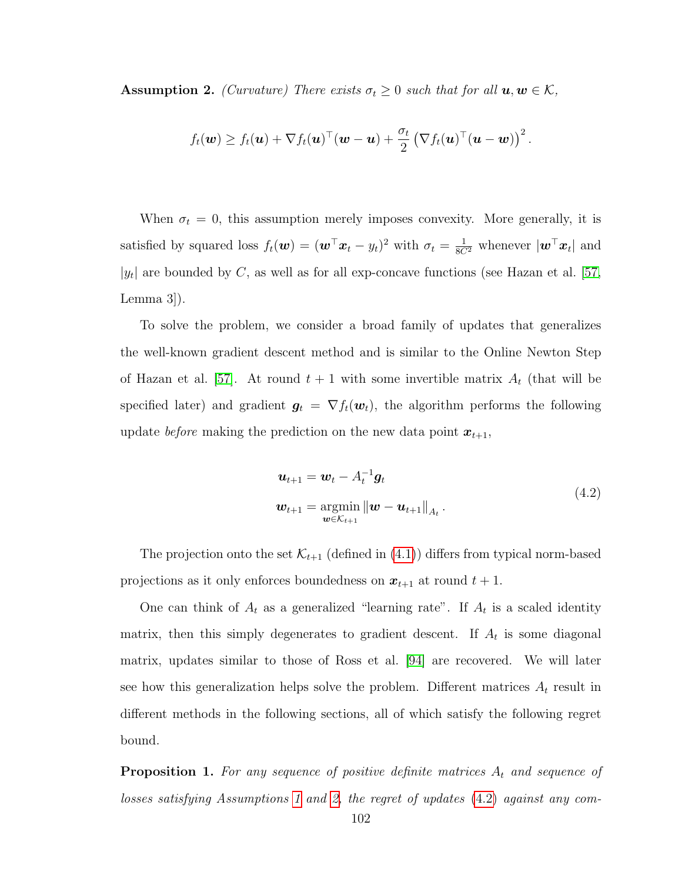<span id="page-114-0"></span>**Assumption 2.** (Curvature) There exists  $\sigma_t \geq 0$  such that for all  $u, w \in \mathcal{K}$ ,

$$
f_t(\boldsymbol{w}) \geq f_t(\boldsymbol{u}) + \nabla f_t(\boldsymbol{u})^\top (\boldsymbol{w}-\boldsymbol{u}) + \frac{\sigma_t}{2} \left(\nabla f_t(\boldsymbol{u})^\top (\boldsymbol{u}-\boldsymbol{w})\right)^2.
$$

When  $\sigma_t = 0$ , this assumption merely imposes convexity. More generally, it is satisfied by squared loss  $f_t(\boldsymbol{w}) = (\boldsymbol{w}^\top \boldsymbol{x}_t - y_t)^2$  with  $\sigma_t = \frac{1}{8C^2}$  whenever  $|\boldsymbol{w}^\top \boldsymbol{x}_t|$  and | $|y_t|$  are bounded by C, as well as for all exp-concave functions (see Hazan et al. [\[57,](#page-177-0) Lemma 3]).

To solve the problem, we consider a broad family of updates that generalizes the well-known gradient descent method and is similar to the Online Newton Step of Hazan et al. [\[57\]](#page-177-0). At round  $t + 1$  with some invertible matrix  $A_t$  (that will be specified later) and gradient  $g_t = \nabla f_t(\boldsymbol{w}_t)$ , the algorithm performs the following update *before* making the prediction on the new data point  $x_{t+1}$ ,

$$
\mathbf{u}_{t+1} = \mathbf{w}_t - A_t^{-1} \mathbf{g}_t \n\mathbf{w}_{t+1} = \operatorname*{argmin}_{\mathbf{w} \in \mathcal{K}_{t+1}} ||\mathbf{w} - \mathbf{u}_{t+1}||_{A_t}.
$$
\n(4.2)

<span id="page-114-1"></span>The projection onto the set  $\mathcal{K}_{t+1}$  (defined in  $(4.1)$ ) differs from typical norm-based projections as it only enforces boundedness on  $x_{t+1}$  at round  $t + 1$ .

One can think of  $A_t$  as a generalized "learning rate". If  $A_t$  is a scaled identity matrix, then this simply degenerates to gradient descent. If  $A_t$  is some diagonal matrix, updates similar to those of Ross et al. [\[94\]](#page-180-0) are recovered. We will later see how this generalization helps solve the problem. Different matrices  $A_t$  result in different methods in the following sections, all of which satisfy the following regret bound.

**Proposition 1.** For any sequence of positive definite matrices  $A_t$  and sequence of losses satisfying Assumptions [1](#page-113-1) and [2,](#page-114-0) the regret of updates [\(4.2\)](#page-114-1) against any com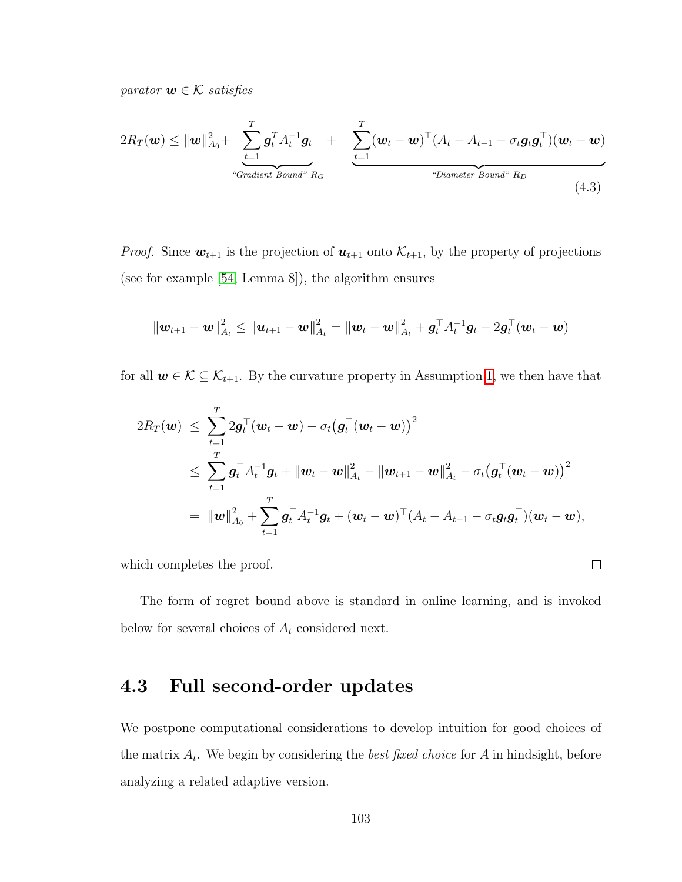parator  $w \in \mathcal{K}$  satisfies

<span id="page-115-0"></span>
$$
2R_T(\boldsymbol{w}) \leq ||\boldsymbol{w}||_{A_0}^2 + \sum_{\substack{t=1 \ \text{``Gradient Bound''}}}^T \boldsymbol{g}_t^T A_t^{-1} \boldsymbol{g}_t + \sum_{\substack{t=1 \ \text{``Gradient Bound''}}}^T (\boldsymbol{w}_t - \boldsymbol{w})^T (A_t - A_{t-1} - \sigma_t \boldsymbol{g}_t \boldsymbol{g}_t^T) (\boldsymbol{w}_t - \boldsymbol{w})
$$
\n
$$
+ \sum_{\substack{t=1 \ \text{``Diameter Bound''}}}^T \boldsymbol{g}_t^T A_t^{-1} \boldsymbol{g}_t + \sum_{\substack{t=1 \ \text{``Diameter Bound''}}}^T \boldsymbol{g}_t^T B_t^{-1} (\boldsymbol{w}_t - \boldsymbol{w})
$$
\n
$$
(4.3)
$$

*Proof.* Since  $w_{t+1}$  is the projection of  $u_{t+1}$  onto  $\mathcal{K}_{t+1}$ , by the property of projections (see for example [\[54,](#page-177-3) Lemma 8]), the algorithm ensures

$$
\left\|\bm{w}_{t+1}-\bm{w}\right\|_{A_t}^2 \leq \left\|\bm{u}_{t+1}-\bm{w}\right\|_{A_t}^2 = \left\|\bm{w}_{t}-\bm{w}\right\|_{A_t}^2 + \bm{g}_t^{\top}A_t^{-1}\bm{g}_t - 2\bm{g}_t^{\top}(\bm{w}_t-\bm{w})
$$

for all  $w \in \mathcal{K} \subseteq \mathcal{K}_{t+1}$ . By the curvature property in Assumption [1,](#page-113-1) we then have that

$$
2R_T(\boldsymbol{w}) \leq \sum_{t=1}^T 2\boldsymbol{g}_t^{\top}(\boldsymbol{w}_t - \boldsymbol{w}) - \sigma_t(\boldsymbol{g}_t^{\top}(\boldsymbol{w}_t - \boldsymbol{w}))^2
$$
  

$$
\leq \sum_{t=1}^T \boldsymbol{g}_t^{\top} A_t^{-1} \boldsymbol{g}_t + \|\boldsymbol{w}_t - \boldsymbol{w}\|_{A_t}^2 - \|\boldsymbol{w}_{t+1} - \boldsymbol{w}\|_{A_t}^2 - \sigma_t(\boldsymbol{g}_t^{\top}(\boldsymbol{w}_t - \boldsymbol{w}))^2
$$
  

$$
= \|\boldsymbol{w}\|_{A_0}^2 + \sum_{t=1}^T \boldsymbol{g}_t^{\top} A_t^{-1} \boldsymbol{g}_t + (\boldsymbol{w}_t - \boldsymbol{w})^{\top} (A_t - A_{t-1} - \sigma_t \boldsymbol{g}_t \boldsymbol{g}_t^{\top}) (\boldsymbol{w}_t - \boldsymbol{w}),
$$

which completes the proof.

The form of regret bound above is standard in online learning, and is invoked below for several choices of  $A_t$  considered next.

 $\Box$ 

# 4.3 Full second-order updates

We postpone computational considerations to develop intuition for good choices of the matrix  $A_t$ . We begin by considering the *best fixed choice* for  $A$  in hindsight, before analyzing a related adaptive version.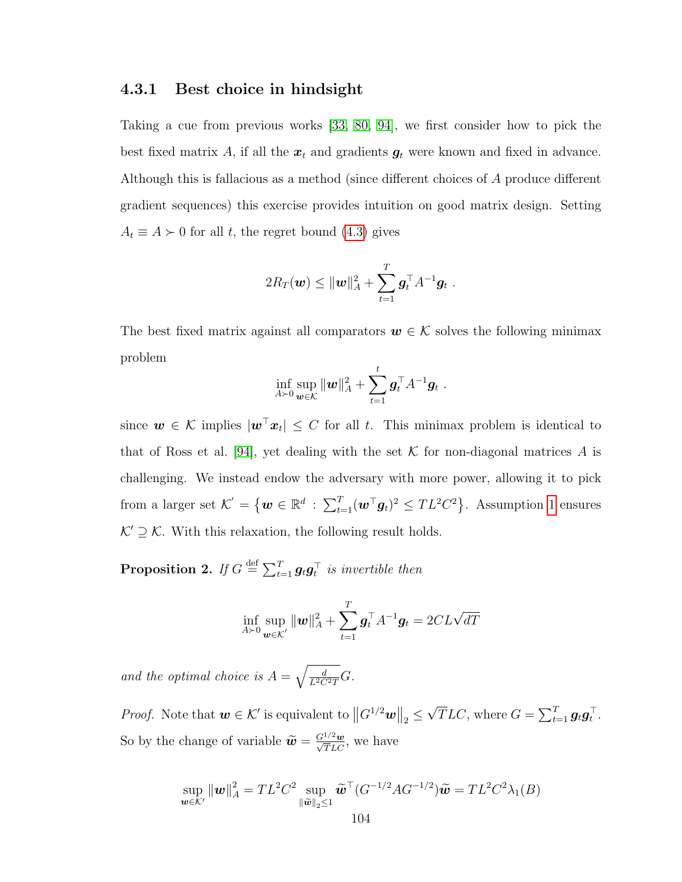#### 4.3.1 Best choice in hindsight

Taking a cue from previous works [\[33,](#page-175-1) [80,](#page-179-6) [94\]](#page-180-0), we first consider how to pick the best fixed matrix A, if all the  $x_t$  and gradients  $g_t$  were known and fixed in advance. Although this is fallacious as a method (since different choices of A produce different gradient sequences) this exercise provides intuition on good matrix design. Setting  $A_t \equiv A \succ 0$  for all t, the regret bound [\(4.3\)](#page-115-0) gives

$$
2R_T(\mathbf{w}) \leq \|\mathbf{w}\|_A^2 + \sum_{t=1}^T \mathbf{g}_t^{\top} A^{-1} \mathbf{g}_t.
$$

The best fixed matrix against all comparators  $w \in \mathcal{K}$  solves the following minimax problem

$$
\inf_{A \succ 0} \sup_{\bm{w} \in \mathcal{K}} \|\bm{w}\|_A^2 + \sum_{t=1}^t \bm{g}_t^{\top} A^{-1} \bm{g}_t.
$$

since  $w \in \mathcal{K}$  implies  $|w^{\top}x_t| \leq C$  for all t. This minimax problem is identical to that of Ross et al. [\[94\]](#page-180-0), yet dealing with the set  $K$  for non-diagonal matrices A is challenging. We instead endow the adversary with more power, allowing it to pick from a larger set  $\mathcal{K}' = \{ \boldsymbol{w} \in \mathbb{R}^d : \sum_{t=1}^T (\boldsymbol{w}^\top \boldsymbol{g}_t)^2 \leq TL^2C^2 \}$ . Assumption [1](#page-113-1) ensures  $K' \supseteq K$ . With this relaxation, the following result holds.

<span id="page-116-0"></span>**Proposition 2.** If  $G \stackrel{\text{def}}{=} \sum_{t=1}^{T} g_t g_t^{\top}$  is invertible then

$$
\inf_{A\succ 0}\sup_{\boldsymbol{w}\in\mathcal{K}^{'}}\|\boldsymbol{w}\|_{A}^{2}+\sum_{t=1}^{T}\boldsymbol{g}_{t}^{\top}A^{-1}\boldsymbol{g}_{t}=2CL\sqrt{dT}
$$

and the optimal choice is  $A = \sqrt{\frac{d}{L^2 C^2 T}} G$ .

*Proof.* Note that  $w \in \mathcal{K}'$  is equivalent to  $||G^{1/2}w||_2 \le$ √  $\overline{T}LC$ , where  $G = \sum_{t=1}^{T} g_t g_t^{\top}$ . So by the change of variable  $\widetilde{\boldsymbol{w}} = \frac{G^{1/2} \boldsymbol{w}}{\sqrt{T} L C}$ , we have

$$
\sup_{\mathbf{w}\in\mathcal{K}'} \|\mathbf{w}\|_{A}^{2} = TL^{2}C^{2} \sup_{\|\widetilde{\mathbf{w}}\|_{2}\leq 1} \widetilde{\mathbf{w}}^{\top} (G^{-1/2}AG^{-1/2})\widetilde{\mathbf{w}} = TL^{2}C^{2}\lambda_{1}(B)
$$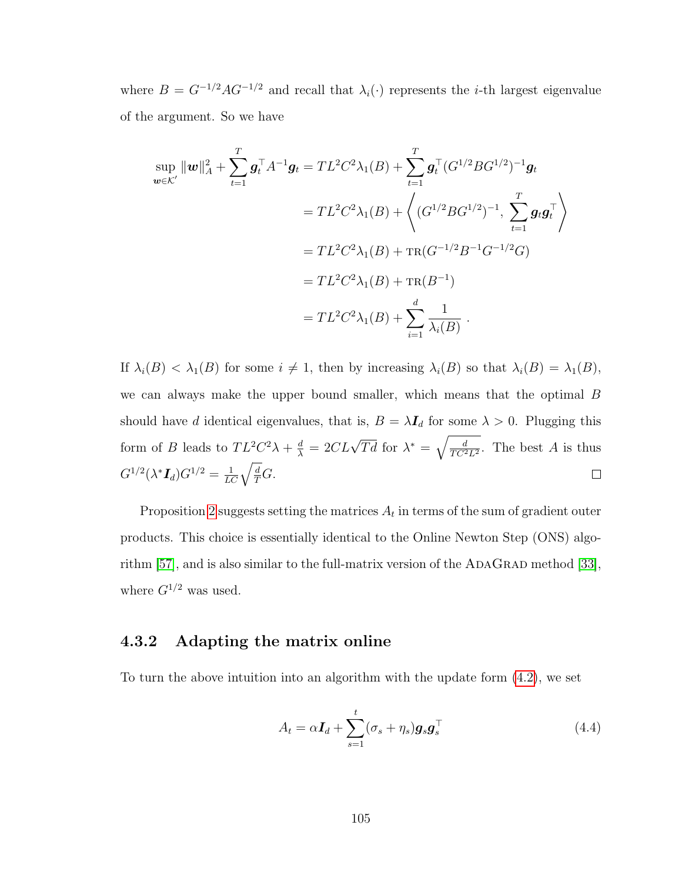where  $B = G^{-1/2} A G^{-1/2}$  and recall that  $\lambda_i(\cdot)$  represents the *i*-th largest eigenvalue of the argument. So we have

$$
\sup_{\boldsymbol{w}\in\mathcal{K}'}\|\boldsymbol{w}\|_{A}^{2} + \sum_{t=1}^{T}\boldsymbol{g}_{t}^{\top}A^{-1}\boldsymbol{g}_{t} = TL^{2}C^{2}\lambda_{1}(B) + \sum_{t=1}^{T}\boldsymbol{g}_{t}^{\top}(G^{1/2}BG^{1/2})^{-1}\boldsymbol{g}_{t}
$$
\n
$$
= TL^{2}C^{2}\lambda_{1}(B) + \left\langle (G^{1/2}BG^{1/2})^{-1}, \sum_{t=1}^{T}\boldsymbol{g}_{t}\boldsymbol{g}_{t}^{\top} \right\rangle
$$
\n
$$
= TL^{2}C^{2}\lambda_{1}(B) + TR(G^{-1/2}B^{-1}G^{-1/2}G)
$$
\n
$$
= TL^{2}C^{2}\lambda_{1}(B) + TR(B^{-1})
$$
\n
$$
= TL^{2}C^{2}\lambda_{1}(B) + \sum_{i=1}^{d}\frac{1}{\lambda_{i}(B)}.
$$

If  $\lambda_i(B) < \lambda_1(B)$  for some  $i \neq 1$ , then by increasing  $\lambda_i(B)$  so that  $\lambda_i(B) = \lambda_1(B)$ , we can always make the upper bound smaller, which means that the optimal B should have d identical eigenvalues, that is,  $B = \lambda I_d$  for some  $\lambda > 0$ . Plugging this  $\frac{d}{\lambda} = 2CL\sqrt{Td}$  for  $\lambda^* = \sqrt{\frac{d}{TC^2}}$ form of B leads to  $TL^2C^2\lambda + \frac{d}{\lambda}$  $\frac{d}{TC^2L^2}$ . The best A is thus  $G^{1/2}(\lambda^* \boldsymbol{I}_d) G^{1/2} = \frac{1}{LC}\sqrt{\frac{d}{T}} G.$  $\Box$ 

Proposition [2](#page-116-0) suggests setting the matrices  $A_t$  in terms of the sum of gradient outer products. This choice is essentially identical to the Online Newton Step (ONS) algorithm  $[57]$ , and is also similar to the full-matrix version of the ADAGRAD method  $[33]$ , where  $G^{1/2}$  was used.

## 4.3.2 Adapting the matrix online

To turn the above intuition into an algorithm with the update form [\(4.2\)](#page-114-1), we set

<span id="page-117-0"></span>
$$
A_t = \alpha \mathbf{I}_d + \sum_{s=1}^t (\sigma_s + \eta_s) \mathbf{g}_s \mathbf{g}_s^\top
$$
\n(4.4)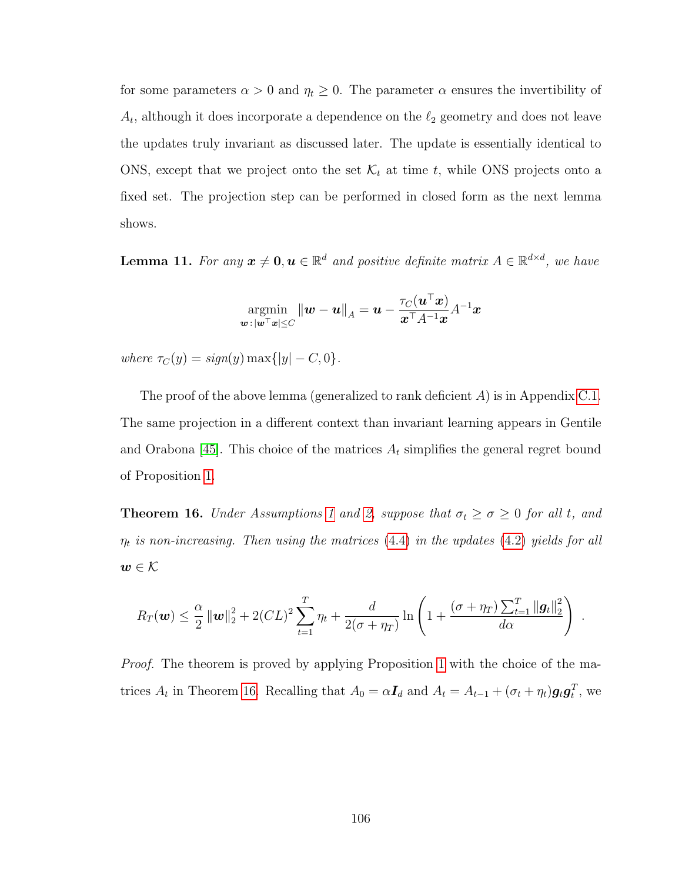for some parameters  $\alpha > 0$  and  $\eta_t \geq 0$ . The parameter  $\alpha$  ensures the invertibility of  $A_t$ , although it does incorporate a dependence on the  $\ell_2$  geometry and does not leave the updates truly invariant as discussed later. The update is essentially identical to ONS, except that we project onto the set  $\mathcal{K}_t$  at time t, while ONS projects onto a fixed set. The projection step can be performed in closed form as the next lemma shows.

**Lemma 11.** For any  $x \neq 0, u \in \mathbb{R}^d$  and positive definite matrix  $A \in \mathbb{R}^{d \times d}$ , we have

$$
\operatornamewithlimits{argmin}_{\boldsymbol w \, : \, |\boldsymbol w^\top \boldsymbol x| \leq C} \|\boldsymbol w - \boldsymbol u\|_A = \boldsymbol u - \frac{\tau_C(\boldsymbol u^\top \boldsymbol x)}{\boldsymbol x^\top A^{-1} \boldsymbol x} A^{-1} \boldsymbol x
$$

where  $\tau_C(y) = sign(y) \max\{|y| - C, 0\}.$ 

The proof of the above lemma (generalized to rank deficient A) is in Appendix [C.1.](#page-164-0) The same projection in a different context than invariant learning appears in Gentile and Orabona [\[45\]](#page-176-4). This choice of the matrices  $A_t$  simplifies the general regret bound of Proposition [1.](#page-115-0)

<span id="page-118-0"></span>**Theorem [1](#page-113-1)6.** Under Assumptions 1 and [2,](#page-114-0) suppose that  $\sigma_t \ge \sigma \ge 0$  for all t, and  $\eta_t$  is non-increasing. Then using the matrices [\(4.4\)](#page-117-0) in the updates [\(4.2\)](#page-114-1) yields for all  $\boldsymbol{w}\in\mathcal{K}$ 

$$
R_T(\boldsymbol{w}) \leq \frac{\alpha}{2} \left\| \boldsymbol{w} \right\|_2^2 + 2(CL)^2 \sum_{t=1}^T \eta_t + \frac{d}{2(\sigma + \eta_T)} \ln \left( 1 + \frac{(\sigma + \eta_T) \sum_{t=1}^T \|\boldsymbol{g}_t\|_2^2}{d\alpha} \right)
$$

.

Proof. The theorem is proved by applying Proposition [1](#page-115-0) with the choice of the matrices  $A_t$  in Theorem [16.](#page-118-0) Recalling that  $A_0 = \alpha \mathbf{I}_d$  and  $A_t = A_{t-1} + (\sigma_t + \eta_t) \mathbf{g}_t \mathbf{g}_t^T$ , we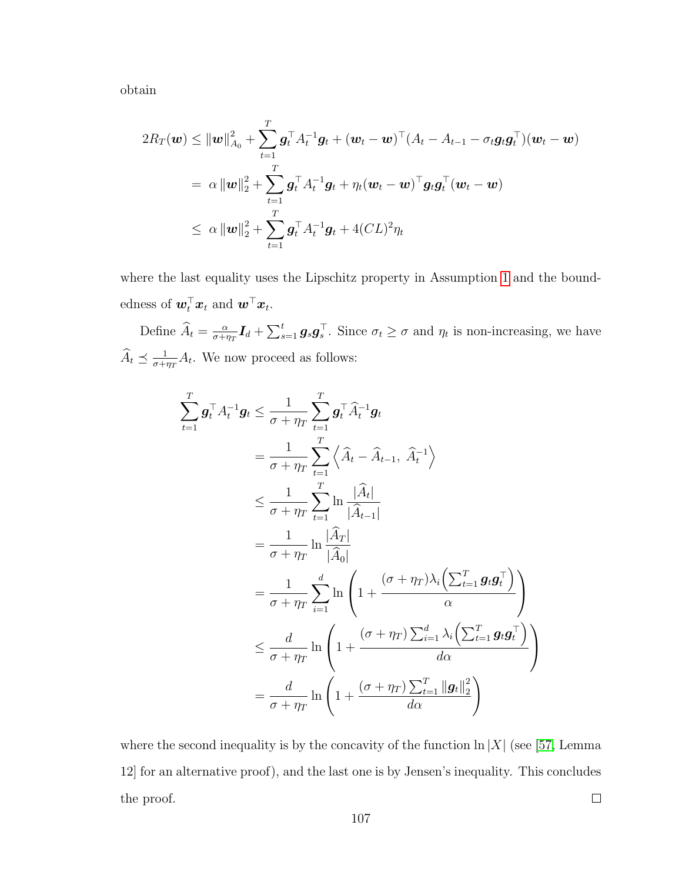obtain

T

 $t=1$ 

$$
2R_T(\boldsymbol{w}) \leq ||\boldsymbol{w}||_{A_0}^2 + \sum_{t=1}^T \boldsymbol{g}_t^{\top} A_t^{-1} \boldsymbol{g}_t + (\boldsymbol{w}_t - \boldsymbol{w})^{\top} (A_t - A_{t-1} - \sigma_t \boldsymbol{g}_t \boldsymbol{g}_t^{\top}) (\boldsymbol{w}_t - \boldsymbol{w})
$$
  
\n
$$
= \alpha ||\boldsymbol{w}||_2^2 + \sum_{t=1}^T \boldsymbol{g}_t^{\top} A_t^{-1} \boldsymbol{g}_t + \eta_t (\boldsymbol{w}_t - \boldsymbol{w})^{\top} \boldsymbol{g}_t \boldsymbol{g}_t^{\top} (\boldsymbol{w}_t - \boldsymbol{w})
$$
  
\n
$$
\leq \alpha ||\boldsymbol{w}||_2^2 + \sum_{t=1}^T \boldsymbol{g}_t^{\top} A_t^{-1} \boldsymbol{g}_t + 4 (CL)^2 \eta_t
$$

where the last equality uses the Lipschitz property in Assumption [1](#page-113-1) and the boundedness of  $\boldsymbol{w}_t^\top \boldsymbol{x}_t$  and  $\boldsymbol{w}^\top \boldsymbol{x}_t$ .

Define  $\widehat{A}_t = \frac{\alpha}{\sigma + i}$  $\frac{\alpha}{\sigma + \eta_T} I_d + \sum_{s=1}^t g_s g_s^{\top}$ . Since  $\sigma_t \ge \sigma$  and  $\eta_t$  is non-increasing, we have  $\widehat{A}_t \preceq \frac{1}{\sigma + i}$  $\frac{1}{\sigma + \eta_T} A_t$ . We now proceed as follows:

$$
\sum_{t=1}^{T} \mathbf{g}_t^{\top} A_t^{-1} \mathbf{g}_t \leq \frac{1}{\sigma + \eta_T} \sum_{t=1}^{T} \mathbf{g}_t^{\top} \widehat{A}_t^{-1} \mathbf{g}_t
$$
\n
$$
= \frac{1}{\sigma + \eta_T} \sum_{t=1}^{T} \left\langle \widehat{A}_t - \widehat{A}_{t-1}, \widehat{A}_t^{-1} \right\rangle
$$
\n
$$
\leq \frac{1}{\sigma + \eta_T} \sum_{t=1}^{T} \ln \frac{|\widehat{A}_t|}{|\widehat{A}_{t-1}|}
$$
\n
$$
= \frac{1}{\sigma + \eta_T} \ln \frac{|\widehat{A}_T|}{|\widehat{A}_0|}
$$
\n
$$
= \frac{1}{\sigma + \eta_T} \sum_{i=1}^{d} \ln \left( 1 + \frac{(\sigma + \eta_T) \lambda_i \left( \sum_{t=1}^{T} \mathbf{g}_t \mathbf{g}_t^{\top} \right)}{\alpha} \right)
$$
\n
$$
\leq \frac{d}{\sigma + \eta_T} \ln \left( 1 + \frac{(\sigma + \eta_T) \sum_{i=1}^{d} \lambda_i \left( \sum_{t=1}^{T} \mathbf{g}_t \mathbf{g}_t^{\top} \right)}{d\alpha}
$$
\n
$$
= \frac{d}{\sigma + \eta_T} \ln \left( 1 + \frac{(\sigma + \eta_T) \sum_{t=1}^{T} ||\mathbf{g}_t||_2^2}{d\alpha} \right)
$$

 $\setminus$ 

 $\overline{1}$ 

where the second inequality is by the concavity of the function  $\ln |X|$  (see [\[57,](#page-177-0) Lemma 12] for an alternative proof), and the last one is by Jensen's inequality. This concludes the proof.  $\Box$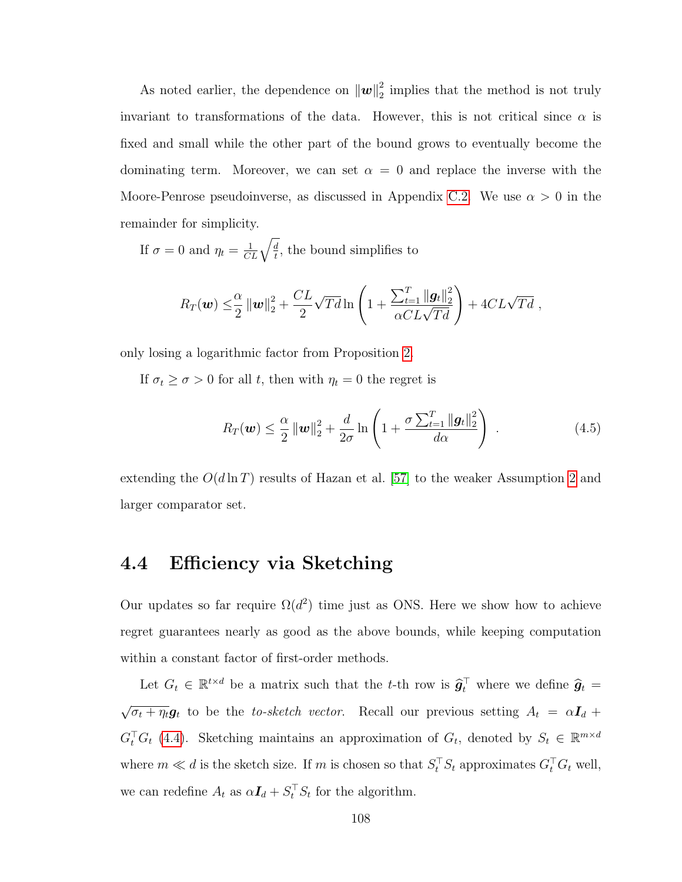As noted earlier, the dependence on  $\|\boldsymbol{w}\|_2^2$  $\frac{2}{2}$  implies that the method is not truly invariant to transformations of the data. However, this is not critical since  $\alpha$  is fixed and small while the other part of the bound grows to eventually become the dominating term. Moreover, we can set  $\alpha = 0$  and replace the inverse with the Moore-Penrose pseudoinverse, as discussed in Appendix [C.2.](#page-165-0) We use  $\alpha > 0$  in the remainder for simplicity.

If  $\sigma = 0$  and  $\eta_t = \frac{1}{CL}\sqrt{\frac{d}{t}}$  $\frac{d}{t}$ , the bound simplifies to

$$
R_T(\boldsymbol{w}) \leq \frac{\alpha}{2} \|\boldsymbol{w}\|_2^2 + \frac{CL}{2} \sqrt{Td} \ln \left( 1 + \frac{\sum_{t=1}^T \|\boldsymbol{g}_t\|_2^2}{\alpha CL\sqrt{Td}} \right) + 4CL\sqrt{Td} ,
$$

only losing a logarithmic factor from Proposition [2.](#page-116-0)

If  $\sigma_t \ge \sigma > 0$  for all t, then with  $\eta_t = 0$  the regret is

<span id="page-120-0"></span>
$$
R_T(\boldsymbol{w}) \leq \frac{\alpha}{2} \left\| \boldsymbol{w} \right\|_2^2 + \frac{d}{2\sigma} \ln \left( 1 + \frac{\sigma \sum_{t=1}^T \|\boldsymbol{g}_t\|_2^2}{d\alpha} \right) \ . \tag{4.5}
$$

extending the  $O(d \ln T)$  results of Hazan et al. [\[57\]](#page-177-0) to the weaker Assumption [2](#page-114-0) and larger comparator set.

## 4.4 Efficiency via Sketching

Our updates so far require  $\Omega(d^2)$  time just as ONS. Here we show how to achieve regret guarantees nearly as good as the above bounds, while keeping computation within a constant factor of first-order methods.

Let  $G_t \in \mathbb{R}^{t \times d}$  be a matrix such that the t-th row is  $\hat{g}_t^{\top}$  where we define  $\hat{g}_t =$ √  $\overline{\sigma_t + \eta_t} \mathbf{g}_t$  to be the to-sketch vector. Recall our previous setting  $A_t = \alpha \mathbf{I}_d + \mathbf{I}_t$  $G_t^{\top} G_t$  [\(4.4\)](#page-117-0). Sketching maintains an approximation of  $G_t$ , denoted by  $S_t \in \mathbb{R}^{m \times d}$ where  $m \ll d$  is the sketch size. If m is chosen so that  $S_t^\top S_t$  approximates  $G_t^\top G_t$  well, we can redefine  $A_t$  as  $\alpha I_d + S_t^{\top} S_t$  for the algorithm.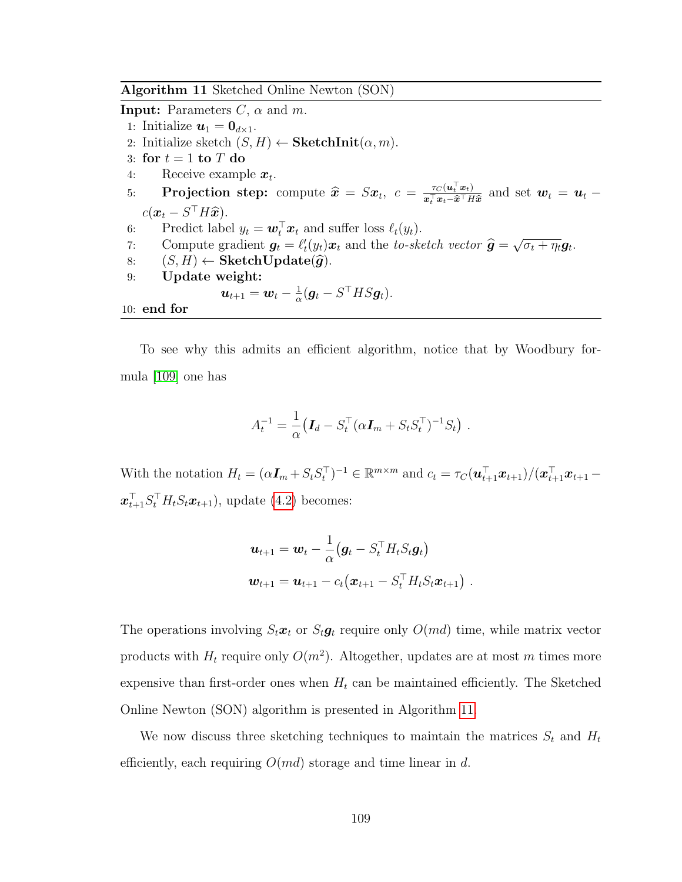<span id="page-121-0"></span>Algorithm 11 Sketched Online Newton (SON)

**Input:** Parameters  $C$ ,  $\alpha$  and  $m$ .

- 1: Initialize  $\mathbf{u}_1 = \mathbf{0}_{d \times 1}$ .
- 2: Initialize sketch  $(S, H) \leftarrow$  SketchInit $(\alpha, m)$ .
- 3: for  $t = 1$  to  $T$  do
- 4: Receive example  $x_t$ .
- 5: **Projection step:** compute  $\widehat{\mathbf{x}} = S\mathbf{x}_t$ ,  $c = \frac{\tau_C(u_t^\top \mathbf{x}_t)}{\mathbf{x}_t^\top \mathbf{x}_t \widehat{\mathbf{x}}^\top H}$  $\frac{\tau_C(\boldsymbol{u}_t|\boldsymbol{x}_t)}{\boldsymbol{x}_t^\top \boldsymbol{x}_t - \widehat{\boldsymbol{x}}^\top H \widehat{\boldsymbol{x}}}$  and set  $\boldsymbol{w}_t = \boldsymbol{u}_t$  $c(\boldsymbol{x}_t - S^\top H \widehat{\boldsymbol{x}}).$ Prodict labe
- 6: Predict label  $y_t = \boldsymbol{w}_t^{\top} \boldsymbol{x}_t$  and suffer loss  $\ell_t(y_t)$ .
- 7: Compute gradient  $g_t = \ell_t'(y_t)x_t$  and the to-sketch vector  $\hat{g} =$ <br>  $(g, H) \neq$  SketchHadato( $\hat{g}$ ) √  $\overline{\sigma_t + \eta_t} \boldsymbol{g}_t.$
- 8:  $(S, H) \leftarrow$  SketchUpdate( $\hat{g}$ ).<br>9: Update weight:
- Update weight:

$$
\boldsymbol{u}_{t+1} = \boldsymbol{w}_t - \tfrac{1}{\alpha} (\boldsymbol{g}_t - S^\top H S \boldsymbol{g}_t).
$$

```
10: end for
```
To see why this admits an efficient algorithm, notice that by Woodbury formula [\[109\]](#page-181-1) one has

$$
A_t^{-1} = \frac{1}{\alpha} \left( \mathbf{I}_d - S_t^\top (\alpha \mathbf{I}_m + S_t S_t^\top)^{-1} S_t \right) .
$$

With the notation  $H_t = (\alpha I_m + S_t S_t^{\top})^{-1} \in \mathbb{R}^{m \times m}$  and  $c_t = \tau_C(\boldsymbol{u}_{t+1}^{\top} \boldsymbol{x}_{t+1})/(\boldsymbol{x}_{t+1}^{\top} \boldsymbol{x}_{t+1} - \boldsymbol{x}_{t+1})$  $\boldsymbol{x}_{t+1}^{\top} S_t^{\top} H_t S_t \boldsymbol{x}_{t+1}$ , update [\(4.2\)](#page-114-1) becomes:

$$
\mathbf{u}_{t+1} = \mathbf{w}_t - \frac{1}{\alpha} (\mathbf{g}_t - S_t^\top H_t S_t \mathbf{g}_t)
$$
  

$$
\mathbf{w}_{t+1} = \mathbf{u}_{t+1} - c_t (\mathbf{x}_{t+1} - S_t^\top H_t S_t \mathbf{x}_{t+1}).
$$

The operations involving  $S_t \boldsymbol{x}_t$  or  $S_t \boldsymbol{g}_t$  require only  $O(md)$  time, while matrix vector products with  $H_t$  require only  $O(m^2)$ . Altogether, updates are at most m times more expensive than first-order ones when  $H_t$  can be maintained efficiently. The Sketched Online Newton (SON) algorithm is presented in Algorithm [11.](#page-121-0)

We now discuss three sketching techniques to maintain the matrices  $S_t$  and  $H_t$ efficiently, each requiring  $O(md)$  storage and time linear in d.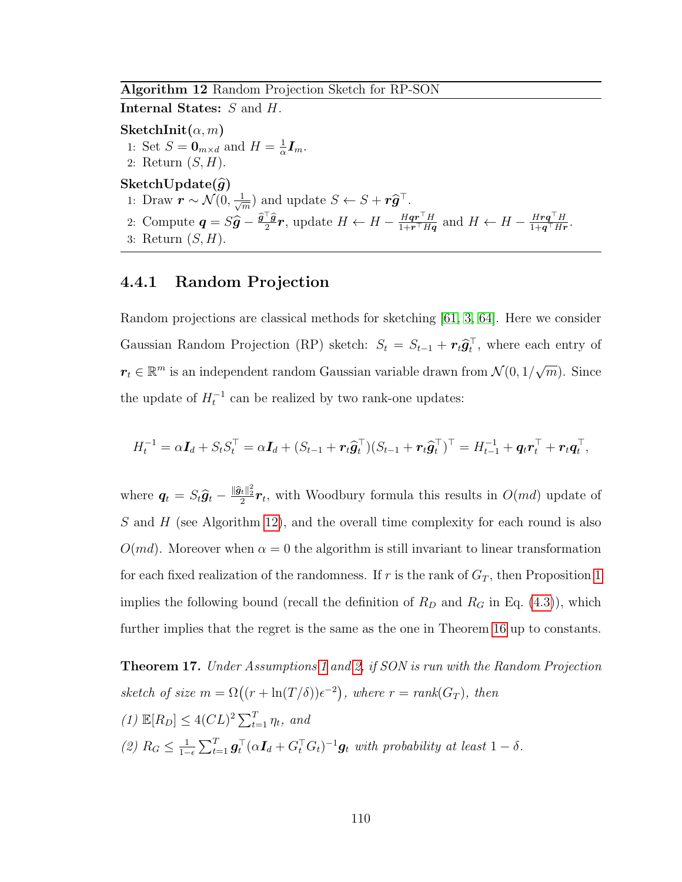<span id="page-122-0"></span>Algorithm 12 Random Projection Sketch for RP-SON

Internal States: S and H.

SketchInit $(\alpha, m)$ 

- 1: Set  $S = \mathbf{0}_{m \times d}$  and  $H = \frac{1}{\alpha}$  $\frac{1}{\alpha}\boldsymbol{I}_m.$
- 2: Return  $(S, H)$ .
- SketchUpdate $(\widehat{g})$
- 1: Draw  $\boldsymbol{r} \sim \mathcal{N}(0, \frac{1}{\sqrt{2}})$  $\frac{1}{\sqrt[m]{m}}$  and update  $S \leftarrow S + r\hat{\mathbf{g}}^{\top}$ .
- 2: Compute  $\mathbf{q} = S\hat{\mathbf{g}} \frac{\hat{\mathbf{g}}^\top \hat{\mathbf{g}}}{2}\mathbf{r}$ , update  $H \leftarrow H \frac{H\mathbf{q}\mathbf{r}^\top H}{1 + \mathbf{r}^\top H\mathbf{q}}$  $\frac{H\boldsymbol{q}\boldsymbol{r}^\top H}{1+\boldsymbol{r}^\top H\boldsymbol{q}}$  and  $H \leftarrow H - \frac{H\boldsymbol{r}\boldsymbol{q}^\top H}{1+\boldsymbol{q}^\top H\boldsymbol{r}}$  $\frac{H\bm{r}\bm{q}^\top H}{1+\bm{q}^\top H\bm{r}}.$
- 3: Return  $(S, H)$ .

## 4.4.1 Random Projection

Random projections are classical methods for sketching [\[61,](#page-177-1) [3,](#page-173-0) [64\]](#page-177-4). Here we consider Gaussian Random Projection (RP) sketch:  $S_t = S_{t-1} + r_t \hat{g}_t^{\top}$ , where each entry of  $r_t \in \mathbb{R}^m$  is an independent random Gaussian variable drawn from  $\mathcal{N}(0, 1/\sqrt{m})$  $\overline{m}$ ). Since the update of  $H_t^{-1}$  can be realized by two rank-one updates:

$$
H_t^{-1} = \alpha \mathbf{I}_d + S_t S_t^\top = \alpha \mathbf{I}_d + (S_{t-1} + \mathbf{r}_t \widehat{\mathbf{g}}_t^\top)(S_{t-1} + \mathbf{r}_t \widehat{\mathbf{g}}_t^\top)^\top = H_{t-1}^{-1} + \mathbf{q}_t \mathbf{r}_t^\top + \mathbf{r}_t \mathbf{q}_t^\top,
$$

where  $q_t = S_t \hat{g}_t - \frac{\|\hat{g}_t\|_2^2}{2} r_t$ , with Woodbury formula this results in  $O(md)$  update of S and H (see Algorithm [12\)](#page-122-0), and the overall time complexity for each round is also  $O(md)$ . Moreover when  $\alpha = 0$  the algorithm is still invariant to linear transformation for each fixed realization of the randomness. If r is the rank of  $G_T$ , then Proposition [1](#page-115-0) implies the following bound (recall the definition of  $R_D$  and  $R_G$  in Eq. [\(4.3\)](#page-115-0)), which further implies that the regret is the same as the one in Theorem [16](#page-118-0) up to constants.

<span id="page-122-1"></span>**Theorem [1](#page-113-1)7.** Under Assumptions 1 and [2,](#page-114-0) if SON is run with the Random Projection sketch of size  $m = \Omega((r + \ln(T/\delta))\epsilon^{-2})$ , where  $r = rank(G_T)$ , then (1)  $\mathbb{E}[R_D] \leq 4(CL)^2 \sum_{t=1}^{T} \eta_t$ , and (2)  $R_G \leq \frac{1}{1-}$  $\frac{1}{1-\epsilon}\sum_{t=1}^T \boldsymbol{g}_t^\top(\alpha \boldsymbol{I}_d + G_t^\top G_t)^{-1} \boldsymbol{g}_t$  with probability at least  $1-\delta$ .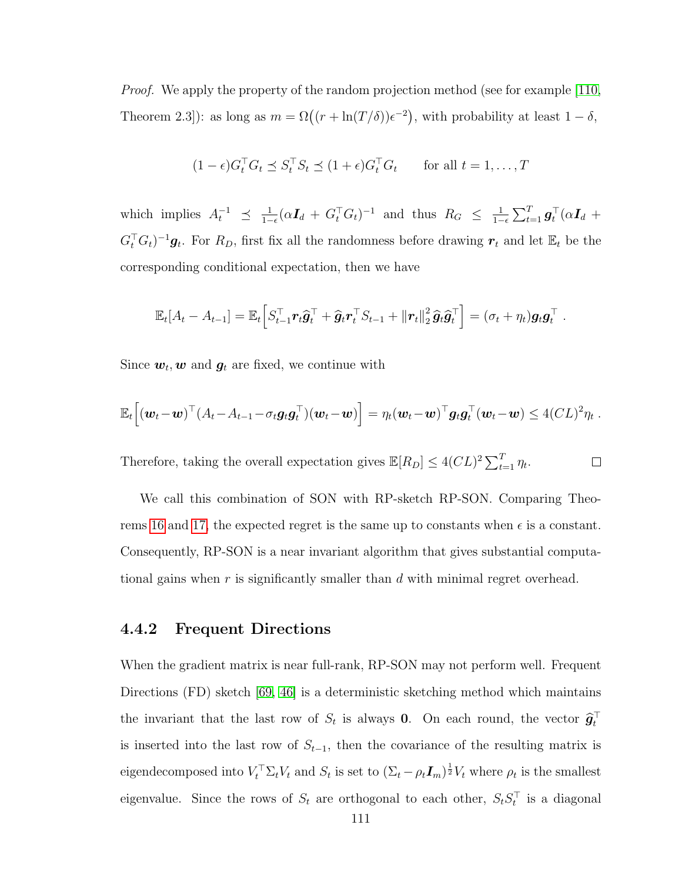Proof. We apply the property of the random projection method (see for example [\[110,](#page-181-0) Theorem 2.3): as long as  $m = \Omega((r + \ln(T/\delta))\epsilon^{-2})$ , with probability at least  $1 - \delta$ ,

$$
(1 - \epsilon)G_t^\top G_t \preceq S_t^\top S_t \preceq (1 + \epsilon)G_t^\top G_t \quad \text{for all } t = 1, \dots, T
$$

which implies  $A_t^{-1} \preceq \frac{1}{1-1}$  $\frac{1}{1-\epsilon}(\alpha I_d + G_t^{\top} G_t)^{-1}$  and thus  $R_G \leq \frac{1}{1-\epsilon}$  $\frac{1}{1-\epsilon}\sum_{t=1}^T \boldsymbol{g}_t^\top (\alpha \boldsymbol{I}_d \ +$  $G_t^{\top} G_t$ )<sup>-1</sup> $g_t$ . For  $R_D$ , first fix all the randomness before drawing  $r_t$  and let  $\mathbb{E}_t$  be the corresponding conditional expectation, then we have

$$
\mathbb{E}_t[A_t - A_{t-1}] = \mathbb{E}_t \Big[ S_{t-1}^\top \boldsymbol{r}_t \widehat{\boldsymbol{g}}_t^\top + \widehat{\boldsymbol{g}}_t \boldsymbol{r}_t^\top S_{t-1} + ||\boldsymbol{r}_t||_2^2 \widehat{\boldsymbol{g}}_t \widehat{\boldsymbol{g}}_t^\top \Big] = (\sigma_t + \eta_t) \boldsymbol{g}_t \boldsymbol{g}_t^\top.
$$

Since  $w_t, w$  and  $g_t$  are fixed, we continue with

$$
\mathbb{E}_t\Big[(\boldsymbol{w}_t-\boldsymbol{w})^{\top} (A_t-A_{t-1}-\sigma_t \boldsymbol{g}_t \boldsymbol{g}_t^{\top})(\boldsymbol{w}_t-\boldsymbol{w})\Big] = \eta_t(\boldsymbol{w}_t-\boldsymbol{w})^{\top} \boldsymbol{g}_t \boldsymbol{g}_t^{\top}(\boldsymbol{w}_t-\boldsymbol{w}) \leq 4 (CL)^2 \eta_t.
$$

Therefore, taking the overall expectation gives  $\mathbb{E}[R_D] \leq 4(CL)^2 \sum_{t=1}^T \eta_t$ .  $\Box$ 

We call this combination of SON with RP-sketch RP-SON. Comparing Theo-rems [16](#page-118-0) and [17,](#page-122-1) the expected regret is the same up to constants when  $\epsilon$  is a constant. Consequently, RP-SON is a near invariant algorithm that gives substantial computational gains when  $r$  is significantly smaller than  $d$  with minimal regret overhead.

#### 4.4.2 Frequent Directions

When the gradient matrix is near full-rank, RP-SON may not perform well. Frequent Directions (FD) sketch [\[69,](#page-178-1) [46\]](#page-176-0) is a deterministic sketching method which maintains the invariant that the last row of  $S_t$  is always **0**. On each round, the vector  $\hat{\boldsymbol{g}}_t^{\top}$ is inserted into the last row of  $S_{t-1}$ , then the covariance of the resulting matrix is eigendecomposed into  $V_t^{\top} \Sigma_t V_t$  and  $S_t$  is set to  $(\Sigma_t - \rho_t I_m)^{\frac{1}{2}} V_t$  where  $\rho_t$  is the smallest eigenvalue. Since the rows of  $S_t$  are orthogonal to each other,  $S_t S_t^{\top}$  is a diagonal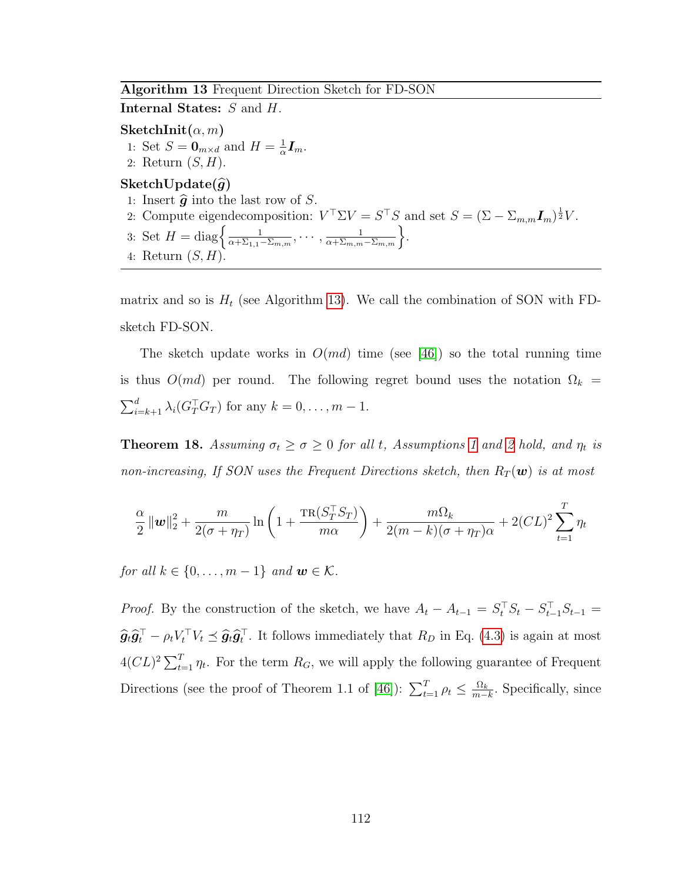#### <span id="page-124-0"></span>Algorithm 13 Frequent Direction Sketch for FD-SON

Internal States: S and H.

SketchInit $(\alpha, m)$ 1: Set  $S = \mathbf{0}_{m \times d}$  and  $H = \frac{1}{\alpha}$  $\frac{1}{\alpha}\boldsymbol{I}_m.$ 2: Return  $(S, H)$ . SketchUpdate $(\widehat{g})$ 1: Insert  $\hat{g}$  into the last row of S. 2: Compute eigendecomposition:  $V^{\top} \Sigma V = S^{\top} S$  and set  $S = (\Sigma - \Sigma_{m,m} I_m)^{\frac{1}{2}} V$ . 3: Set  $H = \text{diag}\left\{\frac{1}{\alpha + \Sigma_{1,1}}\right\}$  $\frac{1}{\alpha+\Sigma_{1,1}-\Sigma_{m,m}},\cdots,\frac{1}{\alpha+\Sigma_{m,m}-\Sigma_{m,m}}\bigg\}.$ 4: Return  $(S, H)$ 

matrix and so is  $H_t$  (see Algorithm [13\)](#page-124-0). We call the combination of SON with FDsketch FD-SON.

The sketch update works in  $O(md)$  time (see [\[46\]](#page-176-0)) so the total running time is thus  $O(md)$  per round. The following regret bound uses the notation  $\Omega_k =$  $\sum_{i=k+1}^{d} \lambda_i (G_T^{\top} G_T)$  for any  $k = 0, \ldots, m-1$ .

<span id="page-124-1"></span>**Theorem [1](#page-113-1)8.** Assuming  $\sigma_t \ge \sigma \ge 0$  for all t, Assumptions 1 and [2](#page-114-0) hold, and  $\eta_t$  is non-increasing, If SON uses the Frequent Directions sketch, then  $R_T(\boldsymbol{w})$  is at most

$$
\frac{\alpha}{2} \|\mathbf{w}\|_2^2 + \frac{m}{2(\sigma + \eta_T)} \ln\left(1 + \frac{\text{TR}(S_T^\top S_T)}{m\alpha}\right) + \frac{m\Omega_k}{2(m-k)(\sigma + \eta_T)\alpha} + 2CL)^2 \sum_{t=1}^T \eta_t
$$

for all  $k \in \{0, \ldots, m-1\}$  and  $\mathbf{w} \in \mathcal{K}$ .

*Proof.* By the construction of the sketch, we have  $A_t - A_{t-1} = S_t^{\top} S_t - S_{t-1}^{\top} S_{t-1} =$  $\hat{g}_t \hat{g}_t^\top - \rho_t V_t^\top V_t \preceq \hat{g}_t \hat{g}_t^\top$ . It follows immediately that  $R_D$  in Eq. [\(4.3\)](#page-115-0) is again at most  $4(CL)^2 \sum_{t=1}^{T} \eta_t$ . For the term  $R_G$ , we will apply the following guarantee of Frequent Directions (see the proof of Theorem 1.1 of [\[46\]](#page-176-0)):  $\sum_{t=1}^{T} \rho_t \leq \frac{\Omega_k}{m-1}$  $\frac{\Omega_k}{m-k}$ . Specifically, since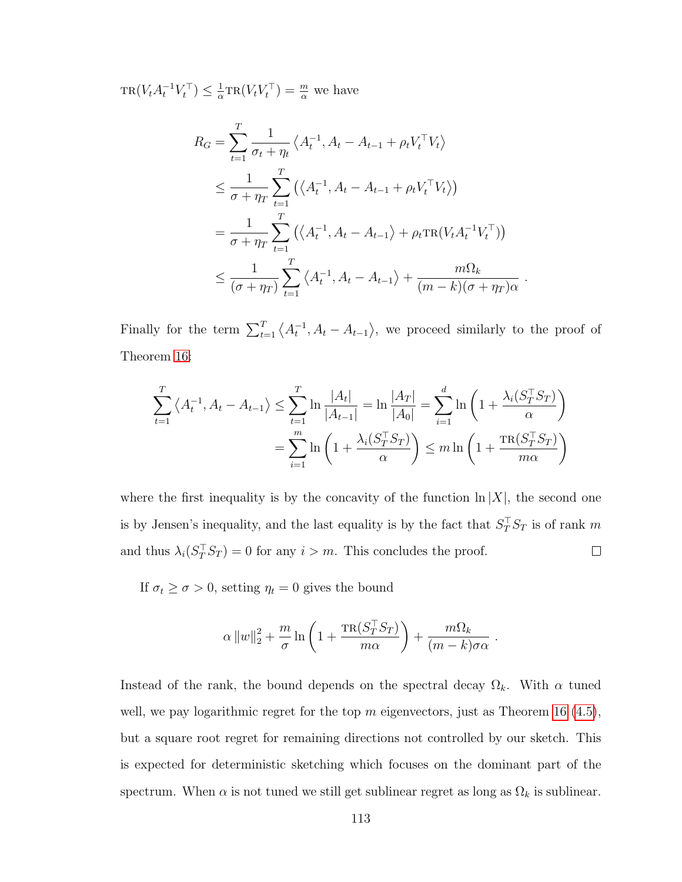$TR(V_t A_t^{-1} V_t^{\top}) \leq \frac{1}{\alpha}$  $\frac{1}{\alpha} \text{TR}(V_t V_t^{\top}) = \frac{m}{\alpha}$  we have

$$
R_G = \sum_{t=1}^T \frac{1}{\sigma_t + \eta_t} \left\langle A_t^{-1}, A_t - A_{t-1} + \rho_t V_t^\top V_t \right\rangle
$$
  
\n
$$
\leq \frac{1}{\sigma + \eta_T} \sum_{t=1}^T \left( \left\langle A_t^{-1}, A_t - A_{t-1} + \rho_t V_t^\top V_t \right\rangle \right)
$$
  
\n
$$
= \frac{1}{\sigma + \eta_T} \sum_{t=1}^T \left( \left\langle A_t^{-1}, A_t - A_{t-1} \right\rangle + \rho_t \text{TR}(V_t A_t^{-1} V_t^\top) \right)
$$
  
\n
$$
\leq \frac{1}{(\sigma + \eta_T)} \sum_{t=1}^T \left\langle A_t^{-1}, A_t - A_{t-1} \right\rangle + \frac{m\Omega_k}{(m - k)(\sigma + \eta_T)\alpha} .
$$

Finally for the term  $\sum_{t=1}^{T} \langle A_t^{-1}, A_t - A_{t-1} \rangle$ , we proceed similarly to the proof of Theorem [16:](#page-118-0)

$$
\sum_{t=1}^{T} \left\langle A_t^{-1}, A_t - A_{t-1} \right\rangle \le \sum_{t=1}^{T} \ln \frac{|A_t|}{|A_{t-1}|} = \ln \frac{|A_T|}{|A_0|} = \sum_{i=1}^{d} \ln \left( 1 + \frac{\lambda_i (S_T^\top S_T)}{\alpha} \right)
$$

$$
= \sum_{i=1}^{m} \ln \left( 1 + \frac{\lambda_i (S_T^\top S_T)}{\alpha} \right) \le m \ln \left( 1 + \frac{\text{TR}(S_T^\top S_T)}{m\alpha} \right)
$$

where the first inequality is by the concavity of the function  $\ln |X|$ , the second one is by Jensen's inequality, and the last equality is by the fact that  $S_T^\top S_T$  is of rank m and thus  $\lambda_i(S_T^{\top} S_T) = 0$  for any  $i > m$ . This concludes the proof.  $\Box$ 

If  $\sigma_t \geq \sigma > 0$ , setting  $\eta_t = 0$  gives the bound

$$
\alpha \|w\|_2^2 + \frac{m}{\sigma} \ln \left( 1 + \frac{\text{TR}(S_T^{\top} S_T)}{m\alpha} \right) + \frac{m\Omega_k}{(m-k)\sigma\alpha} .
$$

Instead of the rank, the bound depends on the spectral decay  $\Omega_k$ . With  $\alpha$  tuned well, we pay logarithmic regret for the top  $m$  eigenvectors, just as Theorem [16](#page-118-0) [\(4.5\)](#page-120-0), but a square root regret for remaining directions not controlled by our sketch. This is expected for deterministic sketching which focuses on the dominant part of the spectrum. When  $\alpha$  is not tuned we still get sublinear regret as long as  $\Omega_k$  is sublinear.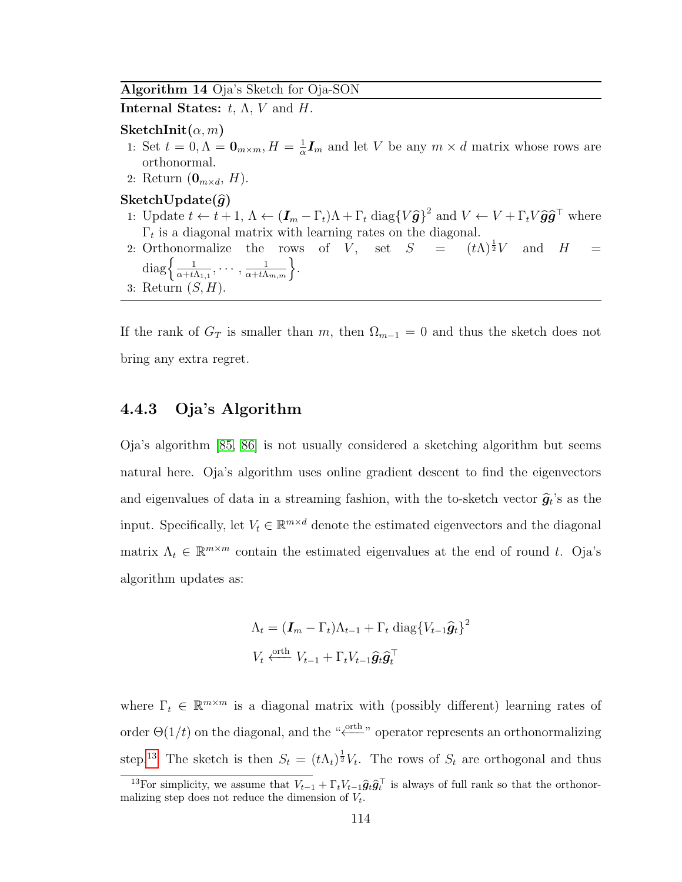#### <span id="page-126-1"></span>Algorithm 14 Oja's Sketch for Oja-SON

Internal States:  $t, \Lambda, V$  and  $H$ .

#### SketchInit $(\alpha, m)$

- 1: Set  $t=0, \Lambda=\mathbf{0}_{m\times m}, H=\frac{1}{\alpha}$  $\frac{1}{\alpha}I_m$  and let V be any  $m \times d$  matrix whose rows are orthonormal.
- 2: Return  $(\mathbf{0}_{m \times d}, H)$ .

#### SketchUpdate $(\widehat{g})$

- 1: Update  $t \leftarrow t + 1$ ,  $\Lambda \leftarrow (\mathbf{I}_m \Gamma_t)\Lambda + \Gamma_t \text{ diag}\{V\hat{\mathbf{g}}\}^2$  and  $V \leftarrow V + \Gamma_t V \hat{\mathbf{g}} \hat{\mathbf{g}}^T$  where  $\Gamma_t$  is a diagonal matrix with learning rates on the diagonal.
- 2: Orthonormalize the rows of V, set  $S = (t\Lambda)^{\frac{1}{2}}V$  and  $H =$  $\text{diag}\left\{\frac{1}{\alpha+t} \right\}$  $\frac{1}{\alpha+t\Lambda_{1,1}},\cdots,\frac{1}{\alpha+t\Lambda_{m,m}}\Big\}.$
- 3: Return  $(S, H)$ .

If the rank of  $G_T$  is smaller than m, then  $\Omega_{m-1} = 0$  and thus the sketch does not bring any extra regret.

#### 4.4.3 Oja's Algorithm

Oja's algorithm [\[85,](#page-179-0) [86\]](#page-179-1) is not usually considered a sketching algorithm but seems natural here. Oja's algorithm uses online gradient descent to find the eigenvectors and eigenvalues of data in a streaming fashion, with the to-sketch vector  $\hat{g}_t$ 's as the input. Specifically, let  $V_t \in \mathbb{R}^{m \times d}$  denote the estimated eigenvectors and the diagonal matrix  $\Lambda_t \in \mathbb{R}^{m \times m}$  contain the estimated eigenvalues at the end of round t. Oja's algorithm updates as:

$$
\Lambda_t = (\boldsymbol{I}_m - \Gamma_t)\Lambda_{t-1} + \Gamma_t \text{ diag}\{V_{t-1}\hat{\boldsymbol{g}}_t\}^2
$$

$$
V_t \xleftarrow{\text{orth}} V_{t-1} + \Gamma_t V_{t-1}\hat{\boldsymbol{g}}_t\hat{\boldsymbol{g}}_t^\top
$$

where  $\Gamma_t \in \mathbb{R}^{m \times m}$  is a diagonal matrix with (possibly different) learning rates of order  $\Theta(1/t)$  on the diagonal, and the " $\stackrel{\text{orth}}{\longleftarrow}$ " operator represents an orthonormalizing step.<sup>[13](#page-126-0)</sup> The sketch is then  $S_t = (t\Lambda_t)^{\frac{1}{2}}V_t$ . The rows of  $S_t$  are orthogonal and thus

<span id="page-126-0"></span><sup>&</sup>lt;sup>13</sup>For simplicity, we assume that  $V_{t-1} + \Gamma_t V_{t-1} \hat{g}_t \hat{g}_t^\top$  is always of full rank so that the orthonormalizing step does not reduce the dimension of  $V_t$ .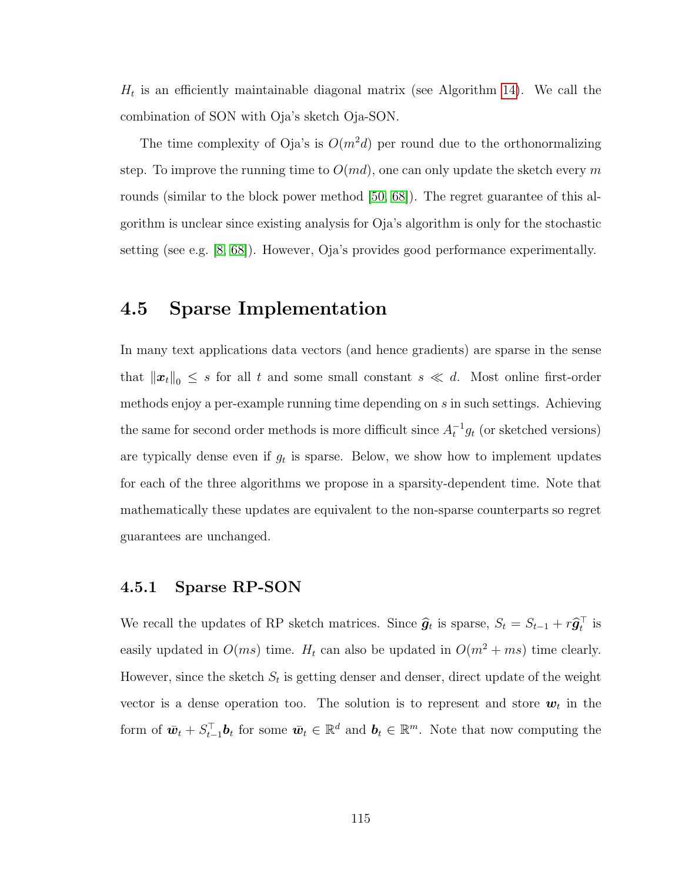$H_t$  is an efficiently maintainable diagonal matrix (see Algorithm [14\)](#page-126-1). We call the combination of SON with Oja's sketch Oja-SON.

The time complexity of Oja's is  $O(m^2d)$  per round due to the orthonormalizing step. To improve the running time to  $O(md)$ , one can only update the sketch every m rounds (similar to the block power method [\[50,](#page-176-5) [68\]](#page-178-3)). The regret guarantee of this algorithm is unclear since existing analysis for Oja's algorithm is only for the stochastic setting (see e.g. [\[8,](#page-173-1) [68\]](#page-178-3)). However, Oja's provides good performance experimentally.

# <span id="page-127-0"></span>4.5 Sparse Implementation

In many text applications data vectors (and hence gradients) are sparse in the sense that  $\|\boldsymbol{x}_t\|_0 \leq s$  for all t and some small constant  $s \ll d$ . Most online first-order methods enjoy a per-example running time depending on s in such settings. Achieving the same for second order methods is more difficult since  $A_t^{-1}g_t$  (or sketched versions) are typically dense even if  $g_t$  is sparse. Below, we show how to implement updates for each of the three algorithms we propose in a sparsity-dependent time. Note that mathematically these updates are equivalent to the non-sparse counterparts so regret guarantees are unchanged.

#### 4.5.1 Sparse RP-SON

We recall the updates of RP sketch matrices. Since  $\hat{g}_t$  is sparse,  $S_t = S_{t-1} + r\hat{g}_t^{\top}$  is easily updated in  $O(ms)$  time.  $H_t$  can also be updated in  $O(m^2 + ms)$  time clearly. However, since the sketch  $S_t$  is getting denser and denser, direct update of the weight vector is a dense operation too. The solution is to represent and store  $w_t$  in the form of  $\bar{\boldsymbol{w}}_t + S_{t-1}^{\top} \boldsymbol{b}_t$  for some  $\bar{\boldsymbol{w}}_t \in \mathbb{R}^d$  and  $\boldsymbol{b}_t \in \mathbb{R}^m$ . Note that now computing the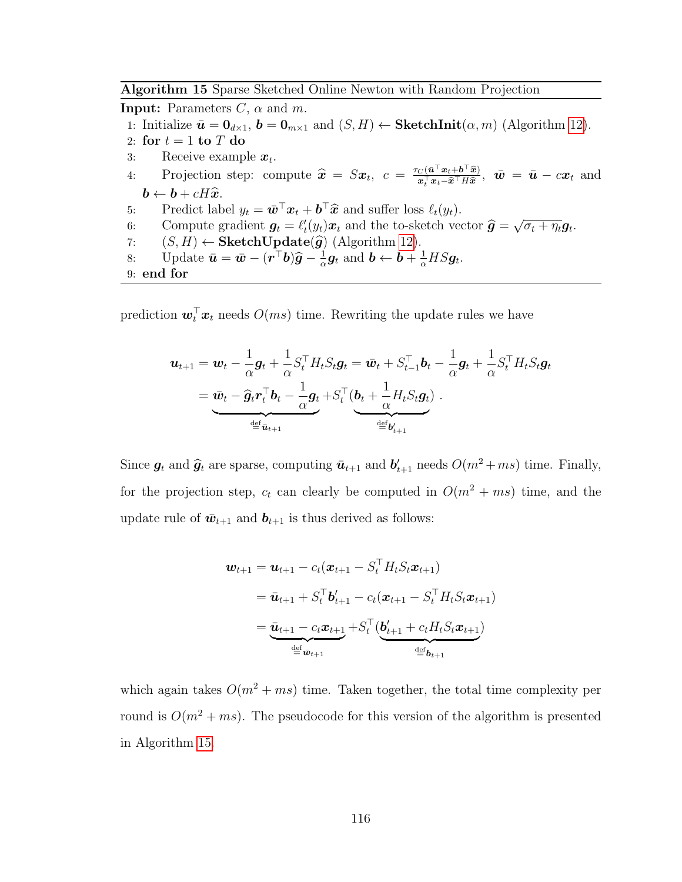<span id="page-128-0"></span>Algorithm 15 Sparse Sketched Online Newton with Random Projection

**Input:** Parameters  $C$ ,  $\alpha$  and  $m$ . 1: Initialize  $\bar{\mathbf{u}} = \mathbf{0}_{d \times 1}$ ,  $\mathbf{b} = \mathbf{0}_{m \times 1}$  and  $(S, H) \leftarrow \textbf{SketchInit}(\alpha, m)$  (Algorithm [12\)](#page-122-0). 2: for  $t = 1$  to  $T$  do 3: Receive example  $x_t$ . 4: Projection step: compute  $\hat{x} = Sx_t$ ,  $c = \frac{\tau_C(\bar{u}^\top x_t + b^\top \hat{x})}{x_t^\top x_t - \hat{x}^\top H \hat{x}}$ ,  $\bar{w} = \bar{u} - cx_t$  and  $\boldsymbol{b} \leftarrow \boldsymbol{b} + cH\widehat{\boldsymbol{x}}.$ 5: Predict label  $y_t = \bar{w}^\top x_t + \bar{b}^\top \hat{x}$  and suffer loss  $\ell_t(y_t)$ .<br>6. Compute gradient  $\bar{g} = \ell'(y_t)g$  and the to sketch you 6: Compute gradient  $g_t = \ell'_t(y_t)x_t$  and the to-sketch vector  $\hat{g} =$ <br>(S, H), Sketch Undate( $\hat{g}$ ) (Algorithm 19) √  $\overline{\sigma_t + \eta_t} \boldsymbol{g}_t.$ 7:  $(S, H) \leftarrow \textbf{SketchUpdate}(\hat{g})$  (Algorithm [12\)](#page-122-0).<br>8: Update  $\bar{u} = \bar{w} - (\mathbf{r}^{\top}b)\hat{g} - \frac{1}{2}\mathbf{g}_t$  and  $\mathbf{b} \leftarrow \mathbf{b} + \frac{1}{2}\mathbf{g}_t$ 8: Update  $\bar{\boldsymbol{u}} = \bar{\boldsymbol{w}} - (\boldsymbol{r}^\top \boldsymbol{b}) \widehat{\boldsymbol{g}} - \frac{1}{\alpha}$  $\frac{1}{\alpha}$ **g**<sub>t</sub> and **b**  $\leftarrow$  **b** +  $\frac{1}{\alpha}$  **H**S**g**<sub>t</sub>. 9: end for

prediction  $\boldsymbol{w}_t^{\top} \boldsymbol{x}_t$  needs  $O(ms)$  time. Rewriting the update rules we have

$$
\mathbf{u}_{t+1} = \mathbf{w}_t - \frac{1}{\alpha} \mathbf{g}_t + \frac{1}{\alpha} S_t^\top H_t S_t \mathbf{g}_t = \bar{\mathbf{w}}_t + S_{t-1}^\top \mathbf{b}_t - \frac{1}{\alpha} \mathbf{g}_t + \frac{1}{\alpha} S_t^\top H_t S_t \mathbf{g}_t
$$

$$
= \underbrace{\bar{\mathbf{w}}_t - \widehat{\mathbf{g}}_t \mathbf{r}_t^\top \mathbf{b}_t - \frac{1}{\alpha} \mathbf{g}_t + S_t^\top (\mathbf{b}_t + \frac{1}{\alpha} H_t S_t \mathbf{g}_t)}_{\stackrel{\text{def}}{=} \mathbf{b}'_{t+1}}.
$$

Since  $g_t$  and  $\hat{g}_t$  are sparse, computing  $\bar{u}_{t+1}$  and  $b'_{t+1}$  needs  $O(m^2 + ms)$  time. Finally, for the projection step,  $c_t$  can clearly be computed in  $O(m^2 + ms)$  time, and the update rule of  $\bar{w}_{t+1}$  and  $b_{t+1}$  is thus derived as follows:

$$
\mathbf{w}_{t+1} = \mathbf{u}_{t+1} - c_t(\mathbf{x}_{t+1} - S_t^\top H_t S_t \mathbf{x}_{t+1})
$$
  
=  $\bar{\mathbf{u}}_{t+1} + S_t^\top \mathbf{b}'_{t+1} - c_t(\mathbf{x}_{t+1} - S_t^\top H_t S_t \mathbf{x}_{t+1})$   
=  $\underbrace{\bar{\mathbf{u}}_{t+1} - c_t \mathbf{x}_{t+1}}_{\text{def } \bar{\mathbf{w}}_{t+1}} + S_t^\top (\underbrace{\mathbf{b}'_{t+1} + c_t H_t S_t \mathbf{x}_{t+1}}_{\text{def } \mathbf{b}_{t+1}})$ 

which again takes  $O(m^2 + ms)$  time. Taken together, the total time complexity per round is  $O(m^2 + ms)$ . The pseudocode for this version of the algorithm is presented in Algorithm [15.](#page-128-0)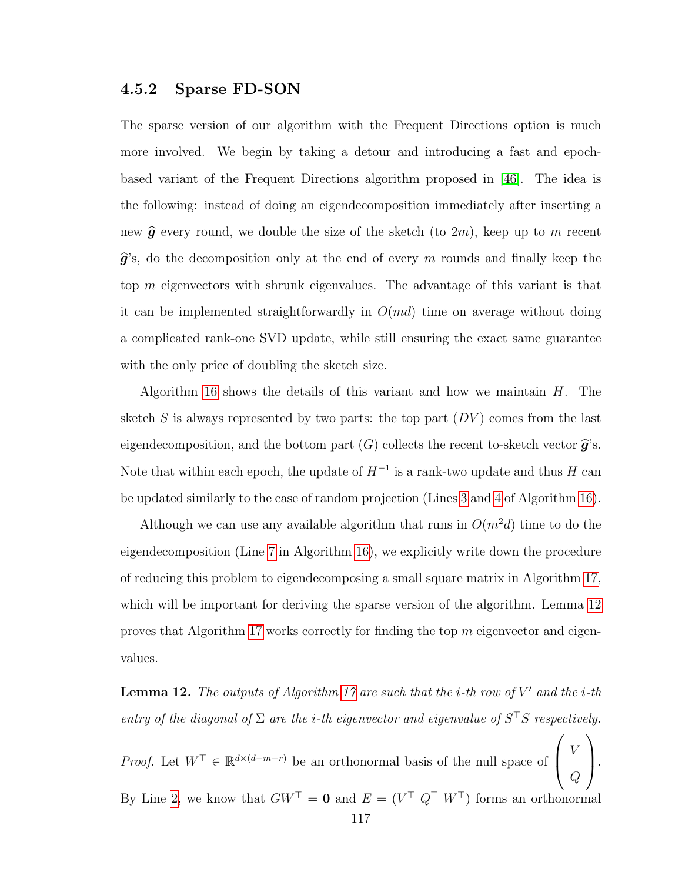#### 4.5.2 Sparse FD-SON

The sparse version of our algorithm with the Frequent Directions option is much more involved. We begin by taking a detour and introducing a fast and epochbased variant of the Frequent Directions algorithm proposed in [\[46\]](#page-176-0). The idea is the following: instead of doing an eigendecomposition immediately after inserting a new  $\hat{g}$  every round, we double the size of the sketch (to 2m), keep up to m recent  $\hat{g}$ 's, do the decomposition only at the end of every m rounds and finally keep the top m eigenvectors with shrunk eigenvalues. The advantage of this variant is that it can be implemented straightforwardly in  $O(md)$  time on average without doing a complicated rank-one SVD update, while still ensuring the exact same guarantee with the only price of doubling the sketch size.

Algorithm [16](#page-130-0) shows the details of this variant and how we maintain  $H$ . The sketch S is always represented by two parts: the top part  $(DV)$  comes from the last eigendecomposition, and the bottom part  $(G)$  collects the recent to-sketch vector  $\hat{\boldsymbol{g}}$ 's. Note that within each epoch, the update of  $H^{-1}$  is a rank-two update and thus H can be updated similarly to the case of random projection (Lines [3](#page-130-0) and [4](#page-130-0) of Algorithm [16\)](#page-130-0).

Although we can use any available algorithm that runs in  $O(m^2d)$  time to do the eigendecomposition (Line [7](#page-130-0) in Algorithm [16\)](#page-130-0), we explicitly write down the procedure of reducing this problem to eigendecomposing a small square matrix in Algorithm [17,](#page-131-0) which will be important for deriving the sparse version of the algorithm. Lemma [12](#page-129-0) proves that Algorithm [17](#page-131-0) works correctly for finding the top  $m$  eigenvector and eigenvalues.

<span id="page-129-0"></span>**Lemma 12.** The outputs of Algorithm [17](#page-131-0) are such that the *i*-th row of  $V'$  and the *i*-th entry of the diagonal of  $\Sigma$  are the *i*-th eigenvector and eigenvalue of  $S<sup>T</sup>S$  respectively.

*Proof.* Let  $W^{\top} \in \mathbb{R}^{d \times (d-m-r)}$  be an orthonormal basis of the null space of  $\sqrt{ }$  $\left\lfloor \right\rfloor$ V  $\,Q\,$  $\setminus$  $\vert \cdot$ By Line [2,](#page-131-0) we know that  $GW^{\top} = 0$  and  $E = (V^{\top} Q^{\top} W^{\top})$  forms an orthonormal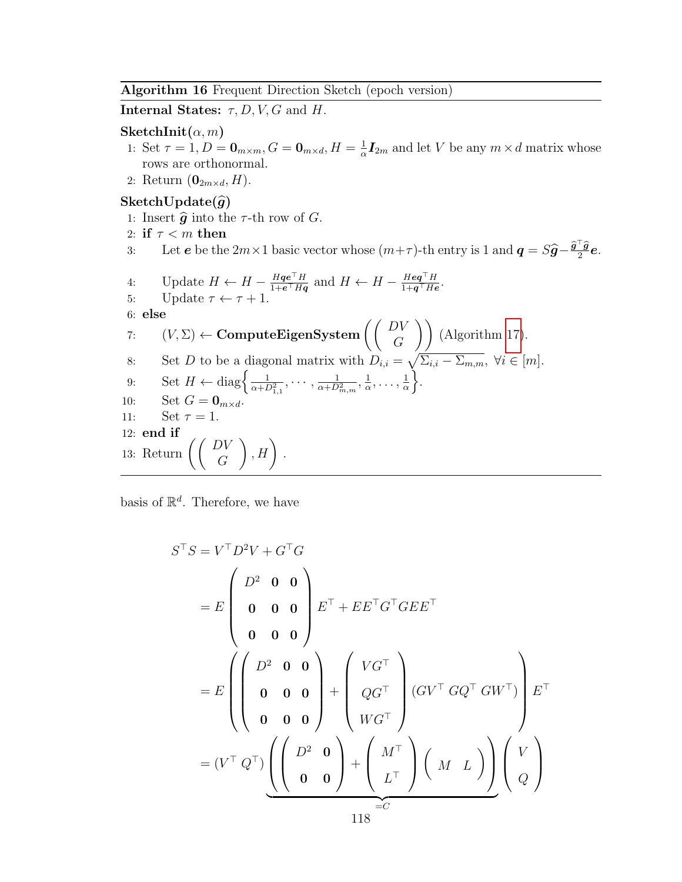<span id="page-130-0"></span>Algorithm 16 Frequent Direction Sketch (epoch version)

Internal States:  $\tau$ , D, V, G and H.

#### $\mathbf{SketchInit}(\alpha, m)$

- 1: Set  $\tau = 1, D = \mathbf{0}_{m \times m}, G = \mathbf{0}_{m \times d}, H = \frac{1}{\alpha}$  $\frac{1}{\alpha}$ **I**<sub>2m</sub> and let V be any  $m \times d$  matrix whose rows are orthonormal.
- 2: Return  $(\mathbf{0}_{2m \times d}, H)$ .

## SketchUpdate $(\widehat{g})$

- 1: Insert  $\hat{g}$  into the  $\tau$ -th row of  $G$ .
- 2: if  $\tau < m$  then
- 3: Let **e** be the 2m × 1 basic vector whose  $(m+\tau)$ -th entry is 1 and  $q = S\hat{g} \frac{\hat{g}^\top \hat{g}}{2}e$ .

4: Update 
$$
H \leftarrow H - \frac{Hq e^{\top} H}{1 + e^{\top} H q}
$$
 and  $H \leftarrow H - \frac{Hq q^{\top} H}{1 + q^{\top} H e}$ .

5: Update  $\tau \leftarrow \tau + 1$ .

6: else

7: 
$$
(V, \Sigma) \leftarrow \textbf{ComputeEigenSystem}\left(\begin{pmatrix} DV \\ G \end{pmatrix}\right)
$$
 (Algorithm 17).  
8: Set *D* to be a diagonal matrix with  $D_{i,i} = \sqrt{\Sigma_{i,i} - \Sigma_{m,m}}$ ,  $\forall i \in [m, m]$ 

8: Set *D* to be a diagonal matrix with 
$$
D_{i,i} = \sqrt{\Sigma_{i,i} - \Sigma_{m,m}}
$$
,  $\forall i \in [m]$ .  
\n9: Set  $H \leftarrow \text{diag}\left\{\frac{1}{\alpha + D_{1,1}^2}, \dots, \frac{1}{\alpha + D_{m,m}^2}, \frac{1}{\alpha}, \dots, \frac{1}{\alpha}\right\}$ .  
\n10: Set  $G = \mathbf{0}_{m \times d}$ .

$$
10: \qquad \text{Set } G = \mathbf{0}_{m \times}
$$

$$
11: \qquad \text{Set } \tau = 1.
$$

$$
12: \text{ end if } \quad
$$

13: Return  $\left(\begin{array}{c} DV \\ G \end{array}\right)$  $\Big), H\Big)$ .

basis of  $\mathbb{R}^d$ . Therefore, we have

$$
S^{\top}S = V^{\top}D^{2}V + G^{\top}G
$$
  
=  $E\begin{pmatrix} D^{2} & \mathbf{0} & \mathbf{0} \\ \mathbf{0} & \mathbf{0} & \mathbf{0} \\ \mathbf{0} & \mathbf{0} & \mathbf{0} \end{pmatrix} E^{\top} + E E^{\top}G^{\top} G E E^{\top} \mathbf{0}$   
=  $E\begin{pmatrix} D^{2} & \mathbf{0} & \mathbf{0} \\ \mathbf{0} & \mathbf{0} & \mathbf{0} \\ \mathbf{0} & \mathbf{0} & \mathbf{0} \end{pmatrix} + \begin{pmatrix} VG^{\top} \\ QG^{\top} \\ WG^{\top} \end{pmatrix} (GV^{\top} GQ^{\top} G W^{\top}) \mathbf{0}$   
=  $(V^{\top} Q^{\top}) \underbrace{\left( \begin{pmatrix} D^{2} & \mathbf{0} \\ \mathbf{0} & \mathbf{0} \end{pmatrix} + \begin{pmatrix} M^{\top} \\ L^{\top} \end{pmatrix} \begin{pmatrix} M & L \end{pmatrix} \right) \begin{pmatrix} V \\ Q \end{pmatrix}$   
 $110^{\top} = C$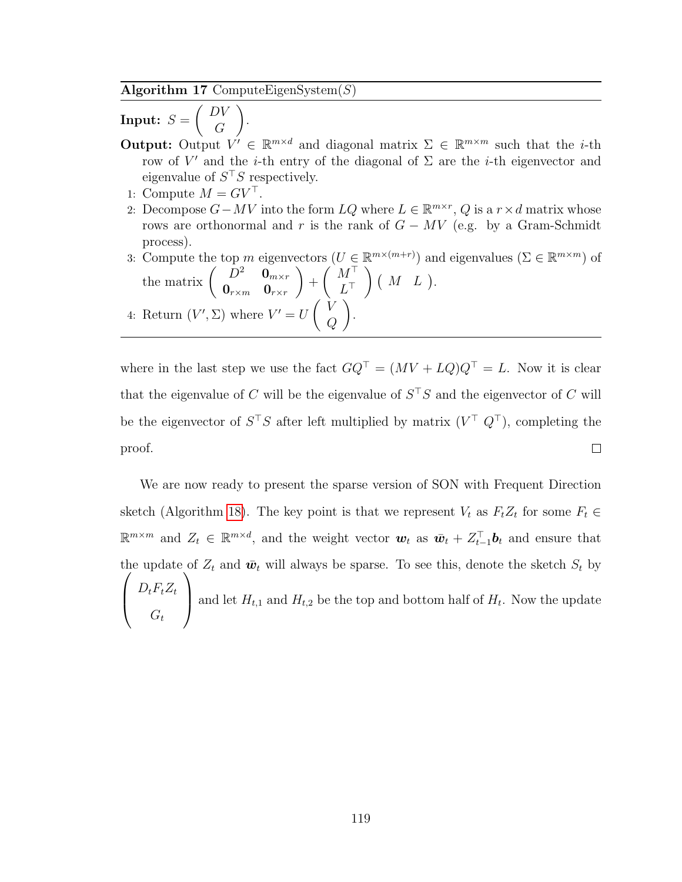<span id="page-131-0"></span>Algorithm 17 ComputeEigenSystem $(S)$ 

 $\textbf{Input:}\ \ S =$  $\bigcap$ G  $\setminus$ .

- **Output:** Output  $V' \in \mathbb{R}^{m \times d}$  and diagonal matrix  $\Sigma \in \mathbb{R}^{m \times m}$  such that the *i*-th row of V' and the *i*-th entry of the diagonal of  $\Sigma$  are the *i*-th eigenvector and eigenvalue of  $S^{\top}S$  respectively.
- 1: Compute  $M = G V^{\top}$ .
- 2: Decompose  $G MV$  into the form  $LQ$  where  $L \in \mathbb{R}^{m \times r}$ , Q is a  $r \times d$  matrix whose rows are orthonormal and r is the rank of  $G - MV$  (e.g. by a Gram-Schmidt process).
- 3: Compute the top m eigenvectors  $(U \in \mathbb{R}^{m \times (m+r)})$  and eigenvalues  $(\Sigma \in \mathbb{R}^{m \times m})$  of the matrix  $\begin{pmatrix} D^2 & \mathbf{0}_{m \times r} \\ \mathbf{0} & \mathbf{0} \end{pmatrix}$  $\mathbf{0}_{r \times m}$  o $_{r \times r}$  $\setminus$  $+$  $(M^{\top})$  $L^{\top}$  $\Big)$  (  $M$   $L$  ). 4: Return  $(V', \Sigma)$  where  $V' = U \begin{pmatrix} V \\ C \end{pmatrix}$  $\,Q$  $\setminus$ .

where in the last step we use the fact  $GQ^{\top} = (MV + LQ)Q^{\top} = L$ . Now it is clear that the eigenvalue of C will be the eigenvalue of  $S<sup>T</sup>S$  and the eigenvector of C will be the eigenvector of  $S^{\top}S$  after left multiplied by matrix  $(V^{\top} Q^{\top})$ , completing the  $\Box$ proof.

We are now ready to present the sparse version of SON with Frequent Direction sketch (Algorithm [18\)](#page-133-0). The key point is that we represent  $V_t$  as  $F_tZ_t$  for some  $F_t \in$  $\mathbb{R}^{m \times m}$  and  $Z_t \in \mathbb{R}^{m \times d}$ , and the weight vector  $\boldsymbol{w}_t$  as  $\bar{\boldsymbol{w}}_t + Z_{t-1}^{\top} \boldsymbol{b}_t$  and ensure that the update of  $Z_t$  and  $\bar{w}_t$  will always be sparse. To see this, denote the sketch  $S_t$  by  $\sqrt{ }$  $\overline{\phantom{a}}$  $D_t F_t Z_t$  $G_t$  $\setminus$ and let  $H_{t,1}$  and  $H_{t,2}$  be the top and bottom half of  $H_t$ . Now the update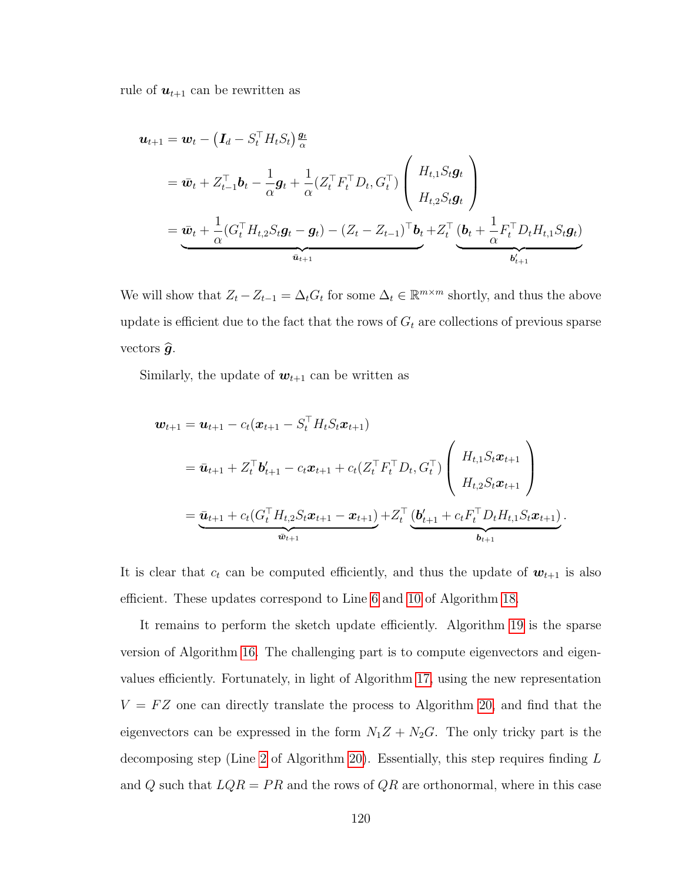rule of  $u_{t+1}$  can be rewritten as

$$
\mathbf{u}_{t+1} = \mathbf{w}_t - \left(\mathbf{I}_d - S_t^\top H_t S_t\right) \frac{\mathbf{g}_t}{\alpha}
$$
\n
$$
= \bar{\mathbf{w}}_t + Z_{t-1}^\top \mathbf{b}_t - \frac{1}{\alpha} \mathbf{g}_t + \frac{1}{\alpha} (Z_t^\top F_t^\top D_t, G_t^\top) \left(\begin{array}{c} H_{t,1} S_t \mathbf{g}_t \\ H_{t,2} S_t \mathbf{g}_t \end{array}\right)
$$
\n
$$
= \underbrace{\bar{\mathbf{w}}_t + \frac{1}{\alpha} (G_t^\top H_{t,2} S_t \mathbf{g}_t - \mathbf{g}_t) - (Z_t - Z_{t-1})^\top \mathbf{b}_t + Z_t^\top (\underbrace{\mathbf{b}_t + \frac{1}{\alpha} F_t^\top D_t H_{t,1} S_t \mathbf{g}_t}_{\mathbf{b}'_{t+1}})
$$

We will show that  $Z_t - Z_{t-1} = \Delta_t G_t$  for some  $\Delta_t \in \mathbb{R}^{m \times m}$  shortly, and thus the above update is efficient due to the fact that the rows of  $G_t$  are collections of previous sparse vectors  $\widehat{g}$ .

Similarly, the update of  $w_{t+1}$  can be written as

$$
\begin{split} \mathbf{w}_{t+1} &= \mathbf{u}_{t+1} - c_t(\mathbf{x}_{t+1} - S_t^\top H_t S_t \mathbf{x}_{t+1}) \\ &= \bar{\mathbf{u}}_{t+1} + Z_t^\top \mathbf{b}_{t+1}' - c_t \mathbf{x}_{t+1} + c_t (Z_t^\top F_t^\top D_t, G_t^\top) \left( \begin{array}{c} H_{t,1} S_t \mathbf{x}_{t+1} \\ H_{t,2} S_t \mathbf{x}_{t+1} \end{array} \right) \\ &= \underbrace{\bar{\mathbf{u}}_{t+1} + c_t (G_t^\top H_{t,2} S_t \mathbf{x}_{t+1} - \mathbf{x}_{t+1})}_{\bar{\mathbf{w}}_{t+1}} + Z_t^\top \underbrace{(\mathbf{b}_{t+1}' + c_t F_t^\top D_t H_{t,1} S_t \mathbf{x}_{t+1})}_{\mathbf{b}_{t+1}}. \end{split}
$$

It is clear that  $c_t$  can be computed efficiently, and thus the update of  $w_{t+1}$  is also efficient. These updates correspond to Line [6](#page-133-0) and [10](#page-133-0) of Algorithm [18.](#page-133-0)

It remains to perform the sketch update efficiently. Algorithm [19](#page-134-0) is the sparse version of Algorithm [16.](#page-130-0) The challenging part is to compute eigenvectors and eigenvalues efficiently. Fortunately, in light of Algorithm [17,](#page-131-0) using the new representation  $V = FZ$  one can directly translate the process to Algorithm [20,](#page-135-0) and find that the eigenvectors can be expressed in the form  $N_1Z + N_2G$ . The only tricky part is the decomposing step (Line [2](#page-135-0) of Algorithm [20\)](#page-135-0). Essentially, this step requires finding L and Q such that  $LQR = PR$  and the rows of  $QR$  are orthonormal, where in this case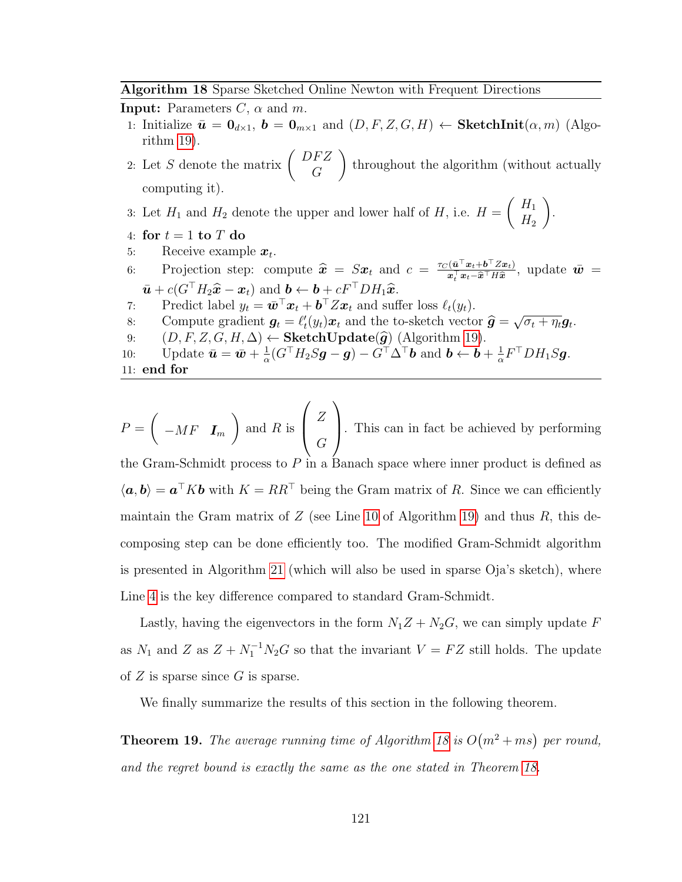<span id="page-133-0"></span>Algorithm 18 Sparse Sketched Online Newton with Frequent Directions

**Input:** Parameters  $C$ ,  $\alpha$  and  $m$ . 1: Initialize  $\bar{u} = 0_{d\times 1}$ ,  $b = 0_{m\times 1}$  and  $(D, F, Z, G, H) \leftarrow$  SketchInit $(\alpha, m)$  (Algorithm [19\)](#page-134-0). 2: Let S denote the matrix  $\begin{pmatrix} DFZ \\ C \end{pmatrix}$ G  $\setminus$ throughout the algorithm (without actually computing it).

3: Let  $H_1$  and  $H_2$  denote the upper and lower half of  $H$ , i.e.  $H =$  $H_1$  $H<sub>2</sub>$  $\setminus$ 

4: for  $t = 1$  to  $T$  do

5: Receive example  $x_t$ .

6: Projection step: compute  $\hat{\mathbf{x}} = S\mathbf{x}_t$  and  $c = \frac{\tau_C(\bar{\mathbf{u}}^\top \mathbf{x}_t + \mathbf{b}^\top Z\mathbf{x}_t)}{\mathbf{x}_t^\top \mathbf{x}_t - \hat{\mathbf{x}}^\top H \hat{\mathbf{x}}}\$  $\frac{(\boldsymbol{u}^\top\boldsymbol{x}_t+\boldsymbol{b}^\top Z\boldsymbol{x}_t)}{\boldsymbol{x}_t^\top\boldsymbol{x}_t-\widehat{\boldsymbol{x}}^\top H\widehat{\boldsymbol{x}}}, \text{ update } \bar{\boldsymbol{w}} =$  $\bar{\boldsymbol{u}} + c(G^{\top}H_2\hat{\boldsymbol{x}} - \boldsymbol{x}_t)$  and  $\boldsymbol{b} \leftarrow \boldsymbol{b} + cF^{\top}DH_1\hat{\boldsymbol{x}}$ .

.

- 7: Predict label  $y_t = \bar{\boldsymbol{w}}^\top \boldsymbol{x}_t + \boldsymbol{b}^\top Z \boldsymbol{x}_t$  and suffer loss  $\ell_t(y_t)$ .
- 8: Compute gradient  $g_t = \ell'_t(y_t)x_t$  and the to-sketch vector  $\hat{g} =$ <br>0. (D E Z C H A) (SketchUndate( $\hat{g}$ ) (Algorithm 10) √  $\overline{\sigma_t + \eta_t} \bm{g}_t.$
- 9:  $(D, F, Z, G, H, \Delta) \leftarrow \textbf{SketchUpdate}(\hat{g})$  (Algorithm [19\)](#page-134-0).<br>10: Update  $\bar{u} = \bar{w} + \frac{1}{G} (G^{\top} H_2 S g g) G^{\top} \Delta^{\top} b$  and  $b \leftarrow b$ .
- 10: Update  $\bar{\mathbf{u}} = \bar{\mathbf{w}} + \frac{1}{\alpha}$  $\frac{1}{\alpha}(G^{\top}H_{2}S\bm{g}-\bm{g})-G^{\top}\Delta^{\top}\bm{b} \text{ and } \bm{b} \leftarrow \bm{b}+\frac{1}{\alpha}$  $\frac{1}{\alpha} F^\top D H_1 S$ g.

```
11: end for
```
 $P =$  $\sqrt{ }$  $-MF$   $I_m$  $\setminus$ and  $R$  is  $\sqrt{ }$  $\left\lfloor \right\rfloor$ Z G  $\setminus$ . This can in fact be achieved by performing the Gram-Schmidt process to  $P$  in a Banach space where inner product is defined as  $\langle a, b \rangle = a^{\top} K b$  with  $K = RR^{\top}$  being the Gram matrix of R. Since we can efficiently maintain the Gram matrix of  $Z$  (see Line [10](#page-134-0) of Algorithm [19\)](#page-134-0) and thus  $R$ , this decomposing step can be done efficiently too. The modified Gram-Schmidt algorithm is presented in Algorithm [21](#page-135-1) (which will also be used in sparse Oja's sketch), where Line [4](#page-135-1) is the key difference compared to standard Gram-Schmidt.

Lastly, having the eigenvectors in the form  $N_1Z + N_2G$ , we can simply update F as  $N_1$  and Z as  $Z + N_1^{-1} N_2 G$  so that the invariant  $V = FZ$  still holds. The update of  $Z$  is sparse since  $G$  is sparse.

We finally summarize the results of this section in the following theorem.

**Theorem 19.** The average running time of Algorithm [18](#page-133-0) is  $O(m^2 + ms)$  per round, and the regret bound is exactly the same as the one stated in Theorem [18.](#page-124-1)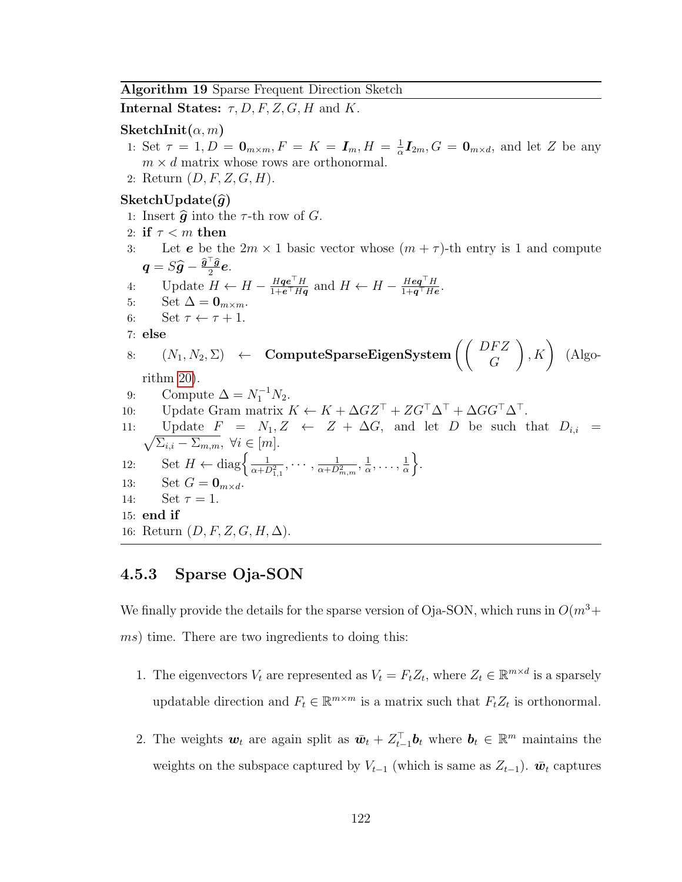<span id="page-134-0"></span>Algorithm 19 Sparse Frequent Direction Sketch

**Internal States:**  $\tau$ , D, F, Z, G, H and K.

#### SketchInit $(\alpha, m)$

- 1: Set  $\tau = 1, D = \mathbf{0}_{m \times m}, F = K = \mathbf{I}_m, H = \frac{1}{2}$  $\frac{1}{\alpha}I_{2m}$ ,  $G = \mathbf{0}_{m \times d}$ , and let Z be any  $m \times d$  matrix whose rows are orthonormal.
- 2: Return  $(D, F, Z, G, H)$ .

#### $SketchUpdate(\widehat{g})$

1: Insert  $\hat{g}$  into the  $\tau$ -th row of  $G$ . 2: if  $\tau < m$  then 3: Let **e** be the  $2m \times 1$  basic vector whose  $(m + \tau)$ -th entry is 1 and compute  $\boldsymbol{q} = S\widehat{\boldsymbol{g}} - \frac{\widehat{\boldsymbol{g}}^\top \widehat{\boldsymbol{g}}}{2}\boldsymbol{e}.$ 2 4: Update  $H \leftarrow H - \frac{Hq e^{\top} H}{1 + e^{\top} Hq}$  $\frac{H\boldsymbol{q}\boldsymbol{e}^\top H}{1+\boldsymbol{e}^\top H\boldsymbol{q}}$  and  $H \leftarrow H - \frac{H\boldsymbol{e}\boldsymbol{q}^\top H}{1+\boldsymbol{q}^\top H\boldsymbol{e}}$  $\frac{Heq^+H}{1+q^+He}.$ 5: Set  $\Delta = \mathbf{0}_{m \times m}$ . 6: Set  $\tau \leftarrow \tau + 1$ . 7: else  $\begin{array}{rcl} 8 \colon & \left( N_1, N_2, \Sigma \right) & \leftarrow & \textbf{ComputeSparseEigenSystem}\left( \left( \begin{array}{c} D F Z \ G \end{array} \right) \right) \end{array}$  $\Big)$ , K  $\Big)$  (Algorithm [20\)](#page-135-0). 9: Compute  $\Delta = N_1^{-1} N_2$ . 10: Update Gram matrix  $K \leftarrow K + \Delta G Z^{\top} + Z G^{\top} \Delta^{\top} + \Delta G G^{\top} \Delta^{\top}.$ 11:  $\sqrt{\Sigma_{i,i} - \Sigma_{m,m}}, \ \forall i \in [m].$ Update  $F = N_1, Z \leftarrow Z + \Delta G$ , and let D be such that  $D_{i,i} =$ 12: Set  $H \leftarrow \text{diag}\left\{\frac{1}{\alpha + D_{1,1}^2}, \cdots, \frac{1}{\alpha + D_{n}}\right\}$  $\frac{1}{\alpha + D_{m,m}^2}, \frac{1}{\alpha}$  $\frac{1}{\alpha}, \ldots, \frac{1}{\alpha}$  $\frac{1}{\alpha}$ . 13: Set  $G = \mathbf{0}_{m \times d}$ . 14:  $\text{Set } \tau = 1.$ 15: end if 16: Return  $(D, F, Z, G, H, \Delta)$ .

#### 4.5.3 Sparse Oja-SON

We finally provide the details for the sparse version of Oja-SON, which runs in  $O(m^3 +$  $ms$ ) time. There are two ingredients to doing this:

- 1. The eigenvectors  $V_t$  are represented as  $V_t = F_t Z_t$ , where  $Z_t \in \mathbb{R}^{m \times d}$  is a sparsely updatable direction and  $F_t \in \mathbb{R}^{m \times m}$  is a matrix such that  $F_t Z_t$  is orthonormal.
- 2. The weights  $w_t$  are again split as  $\bar{w}_t + Z_{t-1}^{\top} b_t$  where  $b_t \in \mathbb{R}^m$  maintains the weights on the subspace captured by  $V_{t-1}$  (which is same as  $Z_{t-1}$ ).  $\bar{w}_t$  captures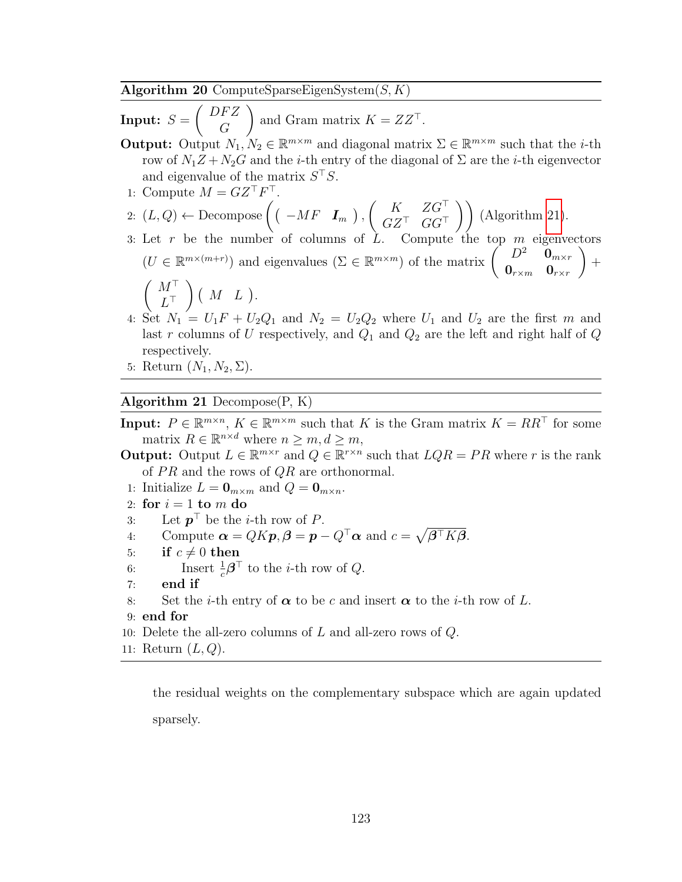<span id="page-135-0"></span>Algorithm 20 ComputeSparseEigenSystem $(S, K)$ 

 $\textbf{Input:}\ \ S =$  $\int$  DFZ G and Gram matrix  $K = ZZ^{\top}$ . **Output:** Output  $N_1, N_2 \in \mathbb{R}^{m \times m}$  and diagonal matrix  $\Sigma \in \mathbb{R}^{m \times m}$  such that the *i*-th row of  $N_1Z + N_2G$  and the *i*-th entry of the diagonal of  $\Sigma$  are the *i*-th eigenvector and eigenvalue of the matrix  $S<sup>T</sup>S$ . 1: Compute  $M = GZ^{\top}F^{\top}$ . 2:  $(L, Q) \leftarrow$  Decompose  $(( -MF \tIm_{m} ),$  $\left( K \quad ZG^{\top} \right)$  $\begin{pmatrix} K & ZG^{\top} \\ GZ^{\top} & GG^{\top} \end{pmatrix}$  (Algorithm [21\)](#page-135-1). 3: Let r be the number of columns of L. Compute the top  $m$  eigenvectors  $(U \in \mathbb{R}^{m \times (m+r)})$  and eigenvalues  $(\Sigma \in \mathbb{R}^{m \times m})$  of the matrix  $\begin{pmatrix} D^2 & \mathbf{0}_{m \times r} \\ \mathbf{0} & \mathbf{0} \end{pmatrix}$  $\mathbf{0}_{r \times m}$  o $_{r \times r}$  $\setminus$  $+$  $(M^{\top})$  $L^\top$  $\Big)$  ( M L).

- 4: Set  $N_1 = U_1F + U_2Q_1$  and  $N_2 = U_2Q_2$  where  $U_1$  and  $U_2$  are the first m and last r columns of U respectively, and  $Q_1$  and  $Q_2$  are the left and right half of Q respectively.
- 5: Return  $(N_1, N_2, \Sigma)$ .

#### <span id="page-135-1"></span>Algorithm 21 Decompose $(P, K)$

**Input:**  $P \in \mathbb{R}^{m \times n}$ ,  $K \in \mathbb{R}^{m \times m}$  such that K is the Gram matrix  $K = RR^{\top}$  for some matrix  $R \in \mathbb{R}^{n \times d}$  where  $n \geq m, d \geq m$ ,

- **Output:** Output  $L \in \mathbb{R}^{m \times r}$  and  $Q \in \mathbb{R}^{r \times n}$  such that  $LQR = PR$  where r is the rank of  $PR$  and the rows of  $QR$  are orthonormal.
- 1: Initialize  $L = \mathbf{0}_{m \times m}$  and  $Q = \mathbf{0}_{m \times n}$ .
- 2: for  $i = 1$  to m do
- 3: Let  $p^{\top}$  be the *i*-th row of *P*.
- 4: Compute  $\boldsymbol{\alpha} = QK\boldsymbol{p}, \boldsymbol{\beta} = \boldsymbol{p} Q^{\top}\boldsymbol{\alpha}$  and  $c = \sqrt{\boldsymbol{\beta}^{\top}K\boldsymbol{\beta}}$ .
- 5: if  $c \neq 0$  then
- 6: Insert  $\frac{1}{c}\boldsymbol{\beta}^{\top}$  to the *i*-th row of *Q*.
- 7: end if
- 8: Set the *i*-th entry of  $\alpha$  to be c and insert  $\alpha$  to the *i*-th row of L.
- 9: end for
- 10: Delete the all-zero columns of  $L$  and all-zero rows of  $Q$ .
- 11: Return  $(L, Q)$ .

the residual weights on the complementary subspace which are again updated sparsely.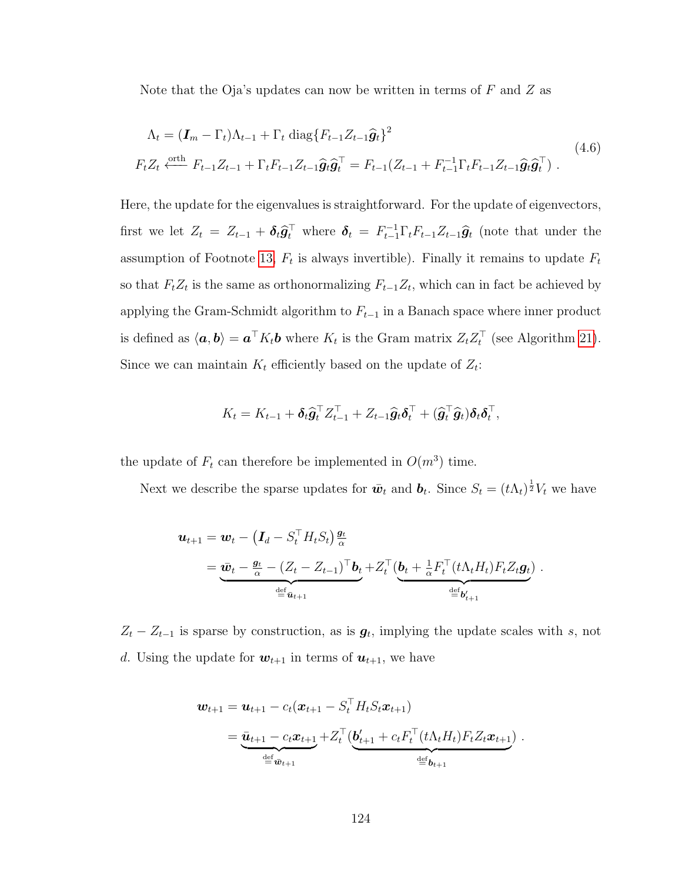Note that the Oja's updates can now be written in terms of  $F$  and  $Z$  as

$$
\Lambda_t = (\mathbf{I}_m - \Gamma_t)\Lambda_{t-1} + \Gamma_t \text{ diag}\{F_{t-1}Z_{t-1}\hat{\mathbf{g}}_t\}^2
$$
\n
$$
F_t Z_t \xleftarrow{\text{orth}} F_{t-1} Z_{t-1} + \Gamma_t F_{t-1} Z_{t-1} \hat{\mathbf{g}}_t \hat{\mathbf{g}}_t^\top = F_{t-1} (Z_{t-1} + F_{t-1}^{-1} \Gamma_t F_{t-1} Z_{t-1} \hat{\mathbf{g}}_t \hat{\mathbf{g}}_t^\top). \tag{4.6}
$$

Here, the update for the eigenvalues is straightforward. For the update of eigenvectors, first we let  $Z_t = Z_{t-1} + \delta_t \hat{g}_t^{\top}$  where  $\delta_t = F_{t-1}^{-1} \Gamma_t F_{t-1} Z_{t-1} \hat{g}_t$  (note that under the assumption of Footnote [13,](#page-126-0)  $F_t$  is always invertible). Finally it remains to update  $F_t$ so that  $F_tZ_t$  is the same as orthonormalizing  $F_{t-1}Z_t$ , which can in fact be achieved by applying the Gram-Schmidt algorithm to  $F_{t-1}$  in a Banach space where inner product is defined as  $\langle a, b \rangle = a^{\top} K_t b$  where  $K_t$  is the Gram matrix  $Z_t Z_t^{\top}$  (see Algorithm [21\)](#page-135-1). Since we can maintain  $K_t$  efficiently based on the update of  $Z_t$ :

$$
K_t = K_{t-1} + \delta_t \hat{\mathbf{g}}_t^{\top} Z_{t-1}^{\top} + Z_{t-1} \hat{\mathbf{g}}_t \delta_t^{\top} + (\hat{\mathbf{g}}_t^{\top} \hat{\mathbf{g}}_t) \delta_t \delta_t^{\top},
$$

the update of  $F_t$  can therefore be implemented in  $O(m^3)$  time.

Next we describe the sparse updates for  $\bar{w}_t$  and  $b_t$ . Since  $S_t = (t\Lambda_t)^{\frac{1}{2}}V_t$  we have

$$
\mathbf{u}_{t+1} = \mathbf{w}_t - \left(\mathbf{I}_d - S_t^\top H_t S_t\right) \frac{\mathbf{g}_t}{\alpha}
$$
\n
$$
= \underbrace{\bar{\mathbf{w}}_t - \frac{\mathbf{g}_t}{\alpha} - \left(Z_t - Z_{t-1}\right)^\top \mathbf{b}_t}_{\stackrel{\text{def}}{=} \bar{\mathbf{u}}_{t+1}} + Z_t^\top \left(\underbrace{\mathbf{b}_t + \frac{1}{\alpha} F_t^\top (t \Lambda_t H_t) F_t Z_t \mathbf{g}_t}_{\stackrel{\text{def}}{=} \mathbf{b}'_{t+1}}\right).
$$

 $Z_t - Z_{t-1}$  is sparse by construction, as is  $g_t$ , implying the update scales with s, not d. Using the update for  $w_{t+1}$  in terms of  $u_{t+1}$ , we have

$$
\mathbf{w}_{t+1} = \mathbf{u}_{t+1} - c_t (\mathbf{x}_{t+1} - S_t^\top H_t S_t \mathbf{x}_{t+1})
$$
  
= 
$$
\underbrace{\bar{\mathbf{u}}_{t+1} - c_t \mathbf{x}_{t+1}}_{\stackrel{\text{def}}{=} \bar{\mathbf{w}}_{t+1}} + Z_t^\top (\underbrace{\mathbf{b}'_{t+1} + c_t F_t^\top (t \Lambda_t H_t) F_t Z_t \mathbf{x}_{t+1}}_{\stackrel{\text{def}}{=} \mathbf{b}_{t+1}}).
$$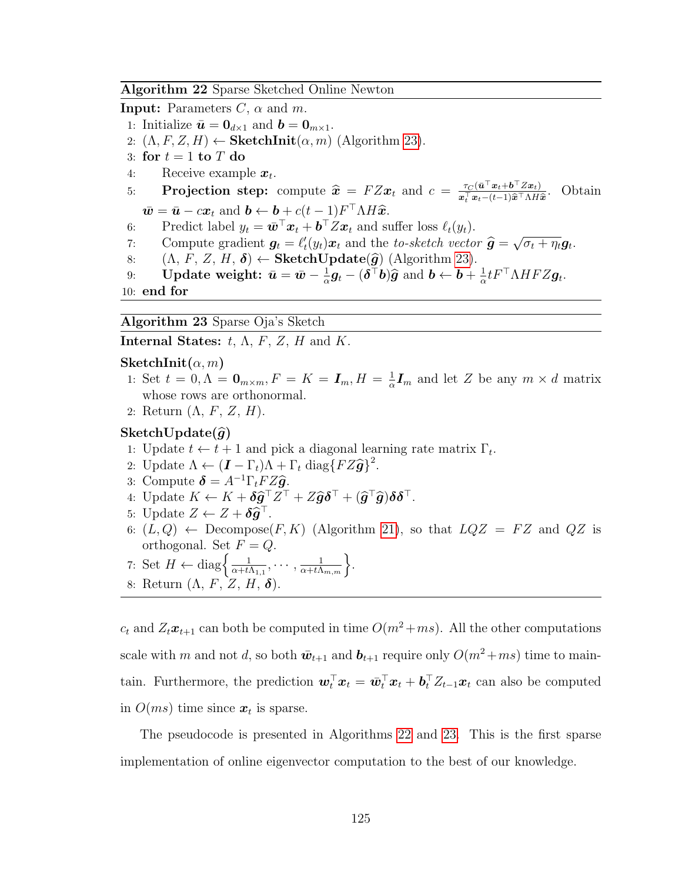#### <span id="page-137-1"></span>Algorithm 22 Sparse Sketched Online Newton

**Input:** Parameters  $C$ ,  $\alpha$  and  $m$ .

- 1: Initialize  $\bar{\mathbf{u}} = \mathbf{0}_{d \times 1}$  and  $\mathbf{b} = \mathbf{0}_{m \times 1}$ .
- 2:  $(\Lambda, F, Z, H) \leftarrow$  SketchInit $(\alpha, m)$  (Algorithm [23\)](#page-137-0).
- 3: for  $t = 1$  to  $T$  do
- 4: Receive example  $x_t$ .
- 5: **Projection step:** compute  $\hat{x} = FZx_t$  and  $c = \frac{\tau_C(\bar{u}^\top x_t + \bar{b}^\top Zx_t)}{x_t^\top x_t (t-1)\hat{x}^\top \Lambda H_t}$  $\boldsymbol{x}_t^\top \boldsymbol{x}_t-(t-1)\widehat{\boldsymbol{x}}^\top \Lambda H \widehat{\boldsymbol{x}}$ . Obtain  $\overline{\boldsymbol{w}} = \overline{\boldsymbol{u}} - c\boldsymbol{x}_t \text{ and } \boldsymbol{b} \leftarrow \boldsymbol{b} + c(t-1)F^{\top} \Lambda H \widehat{\boldsymbol{x}}.$ <br>Prodict label  $\boldsymbol{w} = c\overline{\boldsymbol{v}}^{\top} \boldsymbol{x} + \boldsymbol{b}^{\top} Z \boldsymbol{x}$  and gr
- 6: Predict label  $y_t = \bar{\boldsymbol{w}}^\top \boldsymbol{x}_t + \boldsymbol{b}^\top Z \boldsymbol{x}_t$  and suffer loss  $\ell_t(y_t)$ .
- 7: Compute gradient  $g_t = \ell_t^{\prime}(y_t)x_t$  and the to-sketch vector  $\hat{g} =$ √  $\overline{\sigma_t + \eta_t} \boldsymbol{g}_t.$
- 8:  $(\Lambda, F, Z, H, \delta) \leftarrow \textbf{SketchUpdate}(\hat{g})$  (Algorithm [23\)](#page-137-0).<br>9: **Update weight:**  $\bar{u} = \bar{w} \frac{1}{2}q_t (\delta^{\top}b)\hat{q}$  and  $b \leftarrow b +$
- 9: Update weight:  $\bar{u} = \bar{w} \frac{1}{\alpha}$  $\frac{1}{\alpha}\boldsymbol{g}_t-(\boldsymbol{\delta}^\top \boldsymbol{b})\widehat{\boldsymbol{g}}$  and  $\boldsymbol{b} \leftarrow \boldsymbol{b}+\frac{1}{\alpha}$  $\frac{1}{\alpha} t F^\top \Lambda H F Z \boldsymbol{g}_t.$
- <span id="page-137-0"></span>10: end for

Algorithm 23 Sparse Oja's Sketch

Internal States:  $t, \Lambda, F, Z, H$  and K.

#### $\mathbf{SketchInit}(\alpha, m)$

- 1: Set  $t = 0, \Lambda = \mathbf{0}_{m \times m}, F = K = \mathbf{I}_m, H = \frac{1}{\alpha}$  $\frac{1}{\alpha}$ **I**<sub>m</sub> and let Z be any  $m \times d$  matrix whose rows are orthonormal.
- 2: Return  $(\Lambda, F, Z, H)$ .

#### SketchUpdate $(\widehat{g})$

- 1: Update  $t \leftarrow t + 1$  and pick a diagonal learning rate matrix  $\Gamma_t$ .
- 2: Update  $\Lambda \leftarrow (\mathbf{I} \Gamma_t)\Lambda + \Gamma_t \text{ diag}\{FZ\hat{\mathbf{g}}\}^2$ .<br>2. Compute  $\mathbf{\hat{s}} = \Lambda^{-1}\Gamma FZ\hat{\mathbf{\hat{s}}}$
- 3: Compute  $\delta = A^{-1}\Gamma_t FZ\hat{g}$ .
- 4: Update  $K \leftarrow K + \delta \hat{g}^{\top} Z^{\top} + Z \hat{g} \delta^{\top} + (\hat{g}^{\top} \hat{g}) \delta \delta^{\top}.$
- 5: Update  $Z \leftarrow Z + \delta \hat{g}^{\top}$ .<br>6.  $(L, O)$ . December
- 6:  $(L, Q) \leftarrow$  Decompose $(F, K)$  (Algorithm [21\)](#page-135-1), so that  $LQZ = FZ$  and  $QZ$  is orthogonal. Set  ${\cal F}={\cal Q}.$
- 7: Set  $H \leftarrow \text{diag}\left\{\frac{1}{\alpha + t}\right\}$  $\frac{1}{\alpha+t\Lambda_{1,1}},\cdots,\frac{1}{\alpha+t\Lambda_{m,m}}\Big\}.$
- 8: Return  $(\Lambda, F, Z, H, \delta)$ .

 $c_t$  and  $Z_t\mathbf{x}_{t+1}$  can both be computed in time  $O(m^2+ms)$ . All the other computations scale with m and not d, so both  $\bar{w}_{t+1}$  and  $b_{t+1}$  require only  $O(m^2+ms)$  time to maintain. Furthermore, the prediction  $w_t^{\top} x_t = \bar{w}_t^{\top} x_t + \boldsymbol{b}_t^{\top} Z_{t-1} x_t$  can also be computed in  $O(ms)$  time since  $x_t$  is sparse.

The pseudocode is presented in Algorithms [22](#page-137-1) and [23.](#page-137-0) This is the first sparse implementation of online eigenvector computation to the best of our knowledge.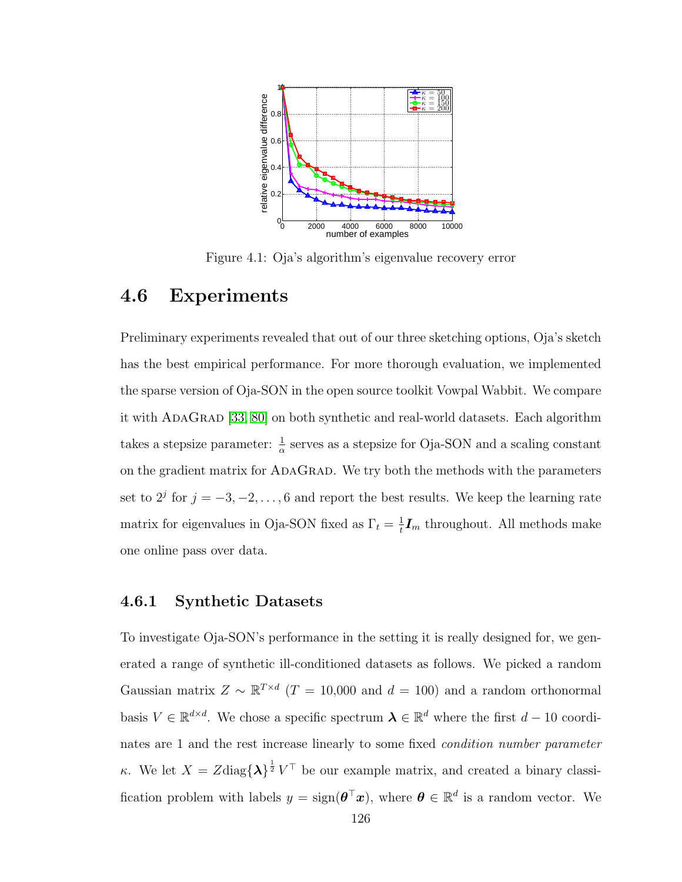<span id="page-138-0"></span>

Figure 4.1: Oja's algorithm's eigenvalue recovery error

# 4.6 Experiments

Preliminary experiments revealed that out of our three sketching options, Oja's sketch has the best empirical performance. For more thorough evaluation, we implemented the sparse version of Oja-SON in the open source toolkit Vowpal Wabbit. We compare it with AdaGrad [\[33,](#page-175-1) [80\]](#page-179-6) on both synthetic and real-world datasets. Each algorithm takes a stepsize parameter:  $\frac{1}{\alpha}$  serves as a stepsize for Oja-SON and a scaling constant on the gradient matrix for ADAGRAD. We try both the methods with the parameters set to  $2^j$  for  $j = -3, -2, \ldots, 6$  and report the best results. We keep the learning rate matrix for eigenvalues in Oja-SON fixed as  $\Gamma_t = \frac{1}{t}$  $\frac{1}{t}I_m$  throughout. All methods make one online pass over data.

#### 4.6.1 Synthetic Datasets

To investigate Oja-SON's performance in the setting it is really designed for, we generated a range of synthetic ill-conditioned datasets as follows. We picked a random Gaussian matrix  $Z \sim \mathbb{R}^{T \times d}$  (T = 10,000 and d = 100) and a random orthonormal basis  $V \in \mathbb{R}^{d \times d}$ . We chose a specific spectrum  $\boldsymbol{\lambda} \in \mathbb{R}^d$  where the first  $d-10$  coordinates are 1 and the rest increase linearly to some fixed condition number parameter κ. We let  $X = Z \text{diag} \{\lambda\}^{\frac{1}{2}} V^{\top}$  be our example matrix, and created a binary classification problem with labels  $y = sign(\boldsymbol{\theta}^\top \boldsymbol{x})$ , where  $\boldsymbol{\theta} \in \mathbb{R}^d$  is a random vector. We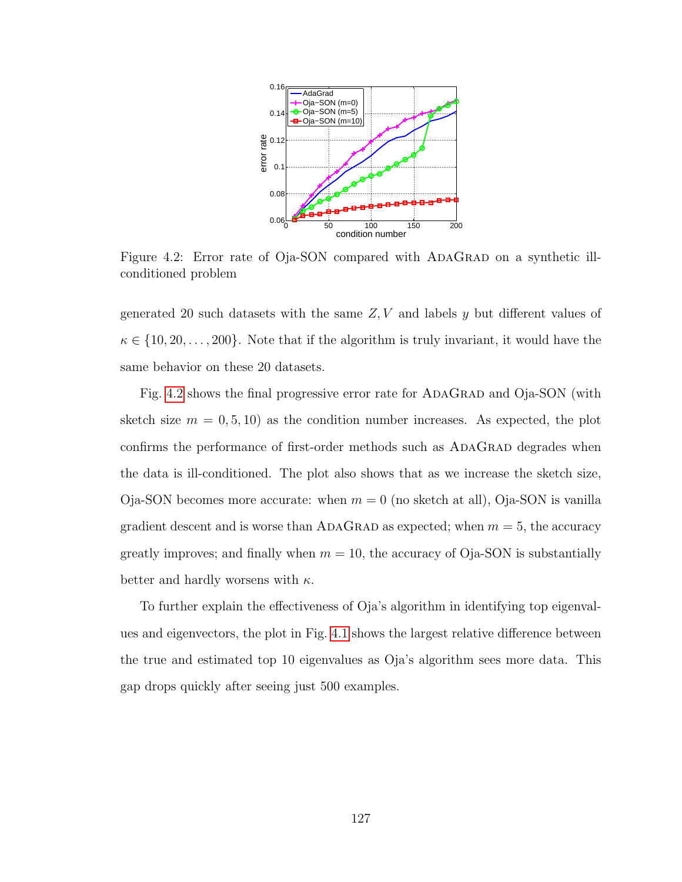<span id="page-139-0"></span>

Figure 4.2: Error rate of Oja-SON compared with ADAGRAD on a synthetic illconditioned problem

generated 20 such datasets with the same  $Z, V$  and labels y but different values of  $\kappa \in \{10, 20, \ldots, 200\}$ . Note that if the algorithm is truly invariant, it would have the same behavior on these 20 datasets.

Fig. [4.2](#page-139-0) shows the final progressive error rate for ADAGRAD and Oja-SON (with sketch size  $m = 0, 5, 10$  as the condition number increases. As expected, the plot confirms the performance of first-order methods such as ADAGRAD degrades when the data is ill-conditioned. The plot also shows that as we increase the sketch size, Oja-SON becomes more accurate: when  $m = 0$  (no sketch at all), Oja-SON is vanilla gradient descent and is worse than ADAGRAD as expected; when  $m = 5$ , the accuracy greatly improves; and finally when  $m = 10$ , the accuracy of Oja-SON is substantially better and hardly worsens with  $\kappa$ .

To further explain the effectiveness of Oja's algorithm in identifying top eigenvalues and eigenvectors, the plot in Fig. [4.1](#page-138-0) shows the largest relative difference between the true and estimated top 10 eigenvalues as Oja's algorithm sees more data. This gap drops quickly after seeing just 500 examples.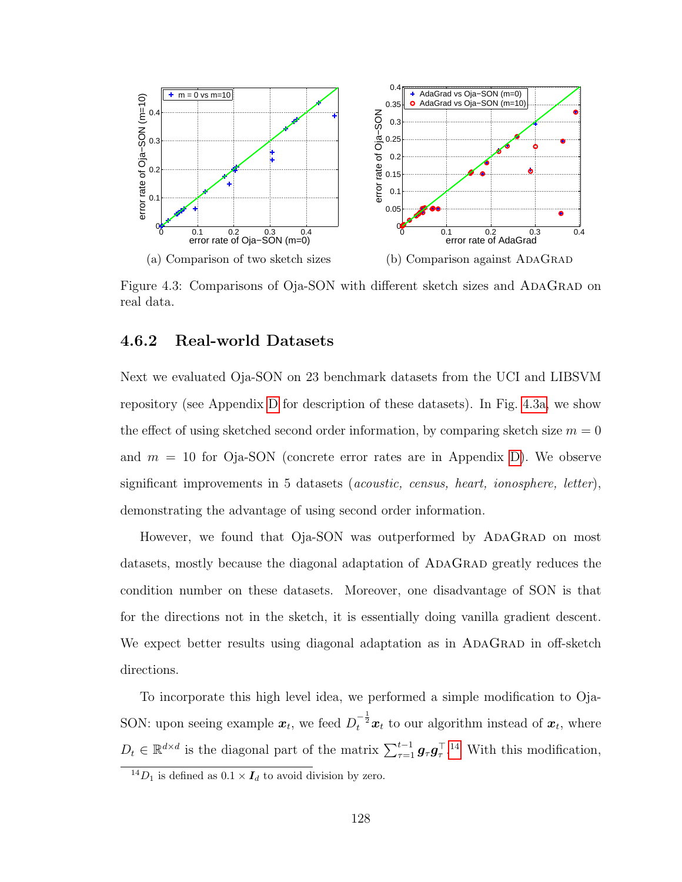<span id="page-140-0"></span>

Figure 4.3: Comparisons of Oja-SON with different sketch sizes and ADAGRAD on real data.

#### 4.6.2 Real-world Datasets

Next we evaluated Oja-SON on 23 benchmark datasets from the UCI and LIBSVM repository (see Appendix [D](#page-169-0) for description of these datasets). In Fig. [4.3a,](#page-140-0) we show the effect of using sketched second order information, by comparing sketch size  $m = 0$ and  $m = 10$  for Oja-SON (concrete error rates are in Appendix [D\)](#page-169-0). We observe significant improvements in 5 datasets (acoustic, census, heart, ionosphere, letter), demonstrating the advantage of using second order information.

However, we found that Oja-SON was outperformed by ADAGRAD on most datasets, mostly because the diagonal adaptation of ADAGRAD greatly reduces the condition number on these datasets. Moreover, one disadvantage of SON is that for the directions not in the sketch, it is essentially doing vanilla gradient descent. We expect better results using diagonal adaptation as in ADAGRAD in off-sketch directions.

To incorporate this high level idea, we performed a simple modification to Oja-SON: upon seeing example  $x_t$ , we feed  $D_t^{-\frac{1}{2}}x_t$  to our algorithm instead of  $x_t$ , where  $D_t \in \mathbb{R}^{d \times d}$  is the diagonal part of the matrix  $\sum_{\tau=1}^{t-1} g_{\tau} g_{\tau}^{\top}$ .<sup>[14](#page-140-1)</sup> With this modification,

<span id="page-140-1"></span> $14D_1$  is defined as  $0.1 \times I_d$  to avoid division by zero.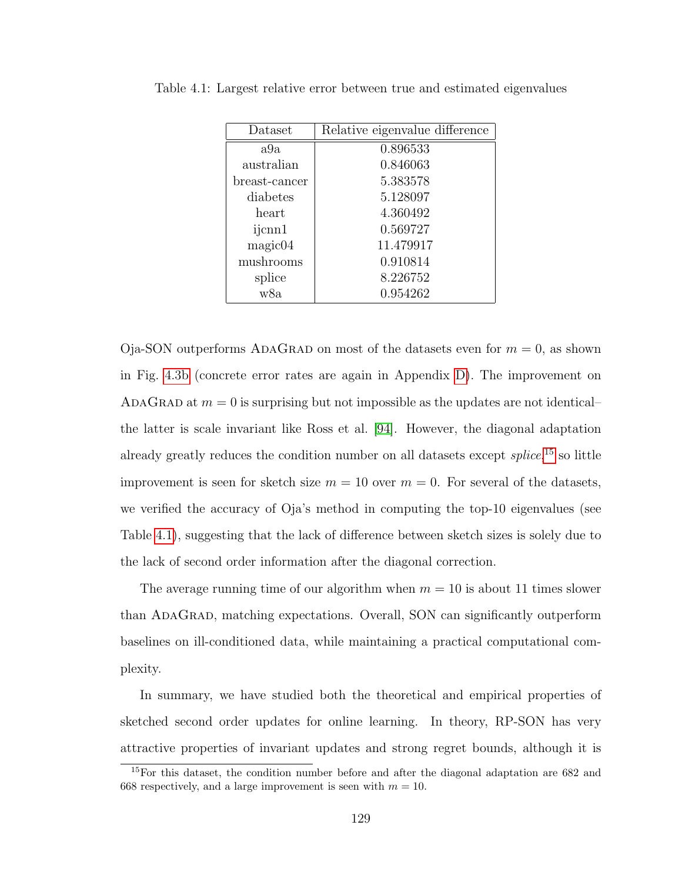| Dataset       | Relative eigenvalue difference |
|---------------|--------------------------------|
| a9a           | 0.896533                       |
| australian    | 0.846063                       |
| breast-cancer | 5.383578                       |
| diabetes      | 5.128097                       |
| heart         | 4.360492                       |
| ijcnn1        | 0.569727                       |
| magic04       | 11.479917                      |
| mushrooms     | 0.910814                       |
| splice        | 8.226752                       |
| w8a           | 0.954262                       |

<span id="page-141-1"></span>Table 4.1: Largest relative error between true and estimated eigenvalues

Oja-SON outperforms ADAGRAD on most of the datasets even for  $m = 0$ , as shown in Fig. [4.3b](#page-140-0) (concrete error rates are again in Appendix [D\)](#page-169-0). The improvement on ADAGRAD at  $m = 0$  is surprising but not impossible as the updates are not identical– the latter is scale invariant like Ross et al. [\[94\]](#page-180-0). However, the diagonal adaptation already greatly reduces the condition number on all datasets except *splice*,<sup>[15](#page-141-0)</sup> so little improvement is seen for sketch size  $m = 10$  over  $m = 0$ . For several of the datasets, we verified the accuracy of Oja's method in computing the top-10 eigenvalues (see Table [4.1\)](#page-141-1), suggesting that the lack of difference between sketch sizes is solely due to the lack of second order information after the diagonal correction.

The average running time of our algorithm when  $m = 10$  is about 11 times slower than AdaGrad, matching expectations. Overall, SON can significantly outperform baselines on ill-conditioned data, while maintaining a practical computational complexity.

In summary, we have studied both the theoretical and empirical properties of sketched second order updates for online learning. In theory, RP-SON has very attractive properties of invariant updates and strong regret bounds, although it is

<span id="page-141-0"></span><sup>15</sup>For this dataset, the condition number before and after the diagonal adaptation are 682 and 668 respectively, and a large improvement is seen with  $m = 10$ .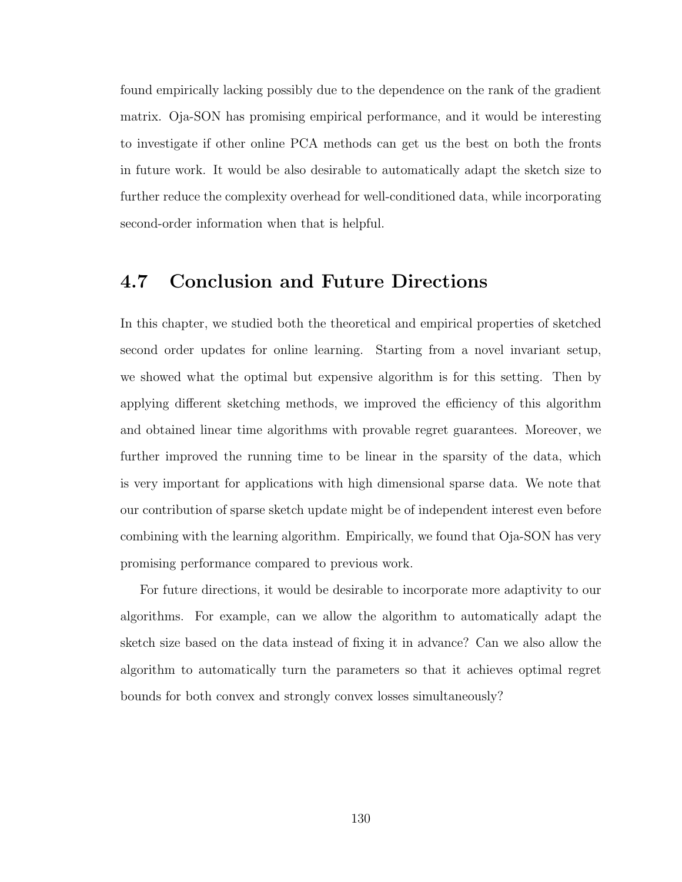found empirically lacking possibly due to the dependence on the rank of the gradient matrix. Oja-SON has promising empirical performance, and it would be interesting to investigate if other online PCA methods can get us the best on both the fronts in future work. It would be also desirable to automatically adapt the sketch size to further reduce the complexity overhead for well-conditioned data, while incorporating second-order information when that is helpful.

# 4.7 Conclusion and Future Directions

In this chapter, we studied both the theoretical and empirical properties of sketched second order updates for online learning. Starting from a novel invariant setup, we showed what the optimal but expensive algorithm is for this setting. Then by applying different sketching methods, we improved the efficiency of this algorithm and obtained linear time algorithms with provable regret guarantees. Moreover, we further improved the running time to be linear in the sparsity of the data, which is very important for applications with high dimensional sparse data. We note that our contribution of sparse sketch update might be of independent interest even before combining with the learning algorithm. Empirically, we found that Oja-SON has very promising performance compared to previous work.

For future directions, it would be desirable to incorporate more adaptivity to our algorithms. For example, can we allow the algorithm to automatically adapt the sketch size based on the data instead of fixing it in advance? Can we also allow the algorithm to automatically turn the parameters so that it achieves optimal regret bounds for both convex and strongly convex losses simultaneously?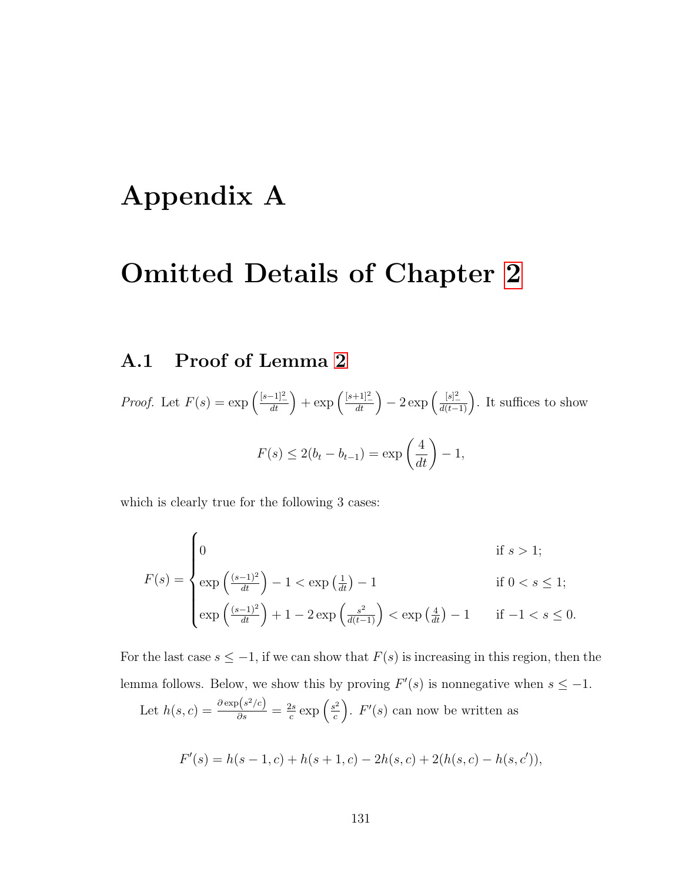# Appendix A

# Omitted Details of Chapter [2](#page-21-0)

# A.1 Proof of Lemma [2](#page-34-0)

*Proof.* Let  $F(s) = \exp\left(\frac{[s-1]^2}{dt}\right) + \exp\left(\frac{[s+1]^2}{dt}\right) - 2\exp\left(\frac{[s]^2}{d(t-1)}\right)$ . It suffices to show  $F(s) \le 2(b_t - b_{t-1}) = \exp\left(\frac{4}{dt}\right)$ − 1,

which is clearly true for the following 3 cases:

$$
F(s) = \begin{cases} 0 & \text{if } s > 1; \\ \exp\left(\frac{(s-1)^2}{dt}\right) - 1 & \text{if } 0 < s \le 1; \\ \exp\left(\frac{(s-1)^2}{dt}\right) + 1 - 2\exp\left(\frac{s^2}{d(t-1)}\right) < \exp\left(\frac{4}{dt}\right) - 1 & \text{if } -1 < s \le 0. \end{cases}
$$

For the last case  $s \leq -1$ , if we can show that  $F(s)$  is increasing in this region, then the lemma follows. Below, we show this by proving  $F'(s)$  is nonnegative when  $s \leq -1$ .

Let 
$$
h(s, c) = \frac{\partial \exp(s^2/c)}{\partial s} = \frac{2s}{c} \exp\left(\frac{s^2}{c}\right)
$$
.  $F'(s)$  can now be written as

$$
F'(s) = h(s - 1, c) + h(s + 1, c) - 2h(s, c) + 2(h(s, c) - h(s, c')),
$$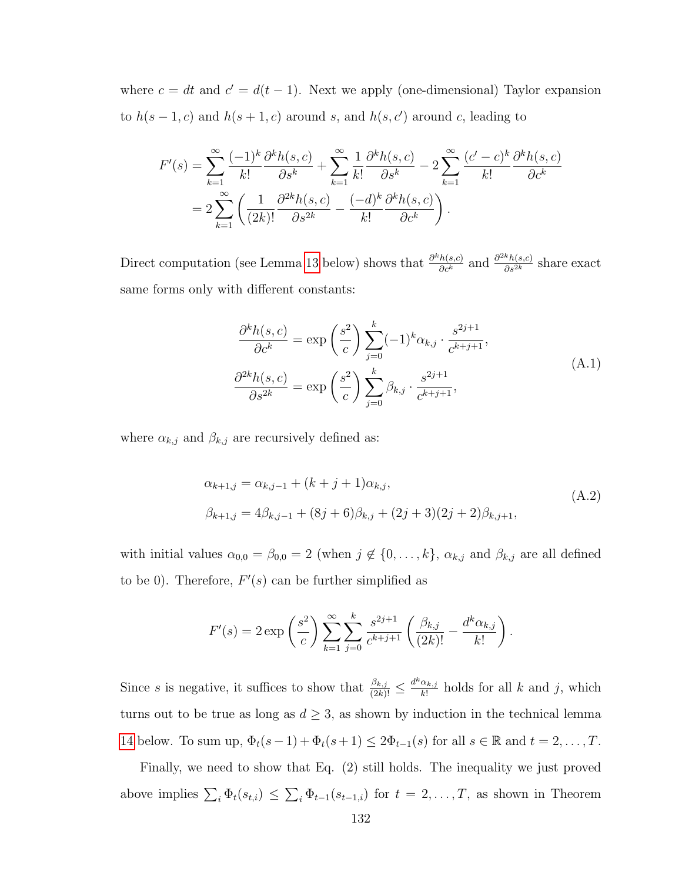where  $c = dt$  and  $c' = d(t - 1)$ . Next we apply (one-dimensional) Taylor expansion to  $h(s-1,c)$  and  $h(s+1,c)$  around s, and  $h(s,c')$  around c, leading to

$$
F'(s) = \sum_{k=1}^{\infty} \frac{(-1)^k}{k!} \frac{\partial^k h(s, c)}{\partial s^k} + \sum_{k=1}^{\infty} \frac{1}{k!} \frac{\partial^k h(s, c)}{\partial s^k} - 2 \sum_{k=1}^{\infty} \frac{(c' - c)^k}{k!} \frac{\partial^k h(s, c)}{\partial c^k}
$$
  
= 
$$
2 \sum_{k=1}^{\infty} \left( \frac{1}{(2k)!} \frac{\partial^{2k} h(s, c)}{\partial s^{2k}} - \frac{(-d)^k}{k!} \frac{\partial^k h(s, c)}{\partial c^k} \right).
$$

Direct computation (see Lemma [13](#page-145-0) below) shows that  $\frac{\partial^k h(s,c)}{\partial c^k}$  and  $\frac{\partial^{2k} h(s,c)}{\partial s^{2k}}$  share exact same forms only with different constants:

$$
\frac{\partial^k h(s, c)}{\partial c^k} = \exp\left(\frac{s^2}{c}\right) \sum_{j=0}^k (-1)^k \alpha_{k,j} \cdot \frac{s^{2j+1}}{c^{k+j+1}},
$$
  

$$
\frac{\partial^{2k} h(s, c)}{\partial s^{2k}} = \exp\left(\frac{s^2}{c}\right) \sum_{j=0}^k \beta_{k,j} \cdot \frac{s^{2j+1}}{c^{k+j+1}},
$$
\n(A.1)

<span id="page-144-1"></span><span id="page-144-0"></span>where  $\alpha_{k,j}$  and  $\beta_{k,j}$  are recursively defined as:

$$
\alpha_{k+1,j} = \alpha_{k,j-1} + (k+j+1)\alpha_{k,j},
$$
  
\n
$$
\beta_{k+1,j} = 4\beta_{k,j-1} + (8j+6)\beta_{k,j} + (2j+3)(2j+2)\beta_{k,j+1},
$$
\n(A.2)

with initial values  $\alpha_{0,0} = \beta_{0,0} = 2$  (when  $j \notin \{0, \ldots, k\}$ ,  $\alpha_{k,j}$  and  $\beta_{k,j}$  are all defined to be 0). Therefore,  $F'(s)$  can be further simplified as

$$
F'(s) = 2 \exp\left(\frac{s^2}{c}\right) \sum_{k=1}^{\infty} \sum_{j=0}^{k} \frac{s^{2j+1}}{c^{k+j+1}} \left(\frac{\beta_{k,j}}{(2k)!} - \frac{d^k \alpha_{k,j}}{k!}\right).
$$

Since s is negative, it suffices to show that  $\frac{\beta_{k,j}}{(2k)!} \leq \frac{d^k \alpha_{k,j}}{k!}$  $\frac{\alpha_{k,j}}{k!}$  holds for all k and j, which turns out to be true as long as  $d \geq 3$ , as shown by induction in the technical lemma [14](#page-146-0) below. To sum up,  $\Phi_t(s-1) + \Phi_t(s+1) \leq 2\Phi_{t-1}(s)$  for all  $s \in \mathbb{R}$  and  $t = 2, \ldots, T$ .

Finally, we need to show that Eq. (2) still holds. The inequality we just proved above implies  $\sum_i \Phi_t(s_{t,i}) \leq \sum_i \Phi_{t-1}(s_{t-1,i})$  for  $t = 2, \ldots, T$ , as shown in Theorem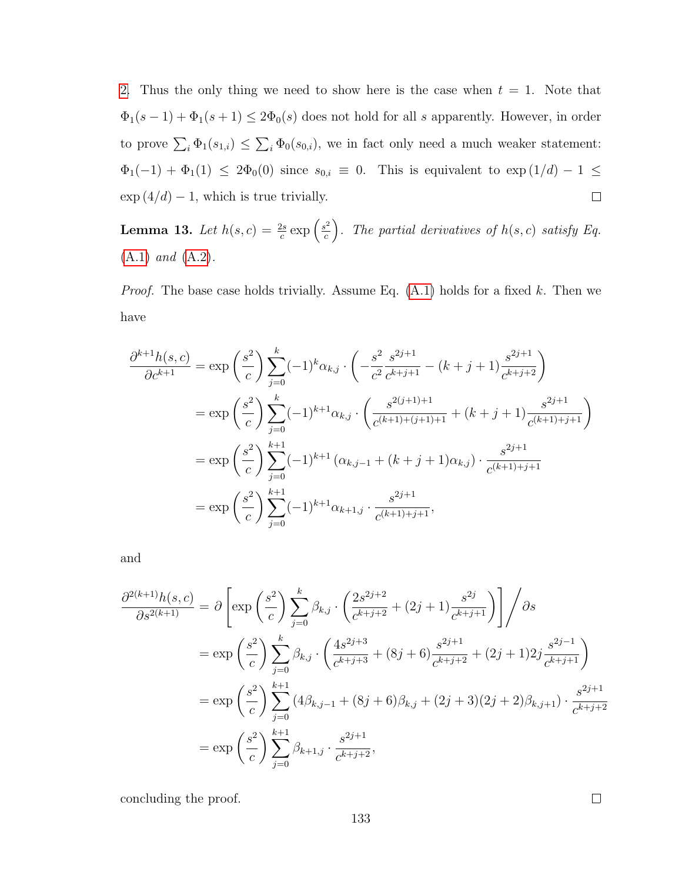[2.](#page-30-0) Thus the only thing we need to show here is the case when  $t = 1$ . Note that  $\Phi_1(s-1) + \Phi_1(s+1) \leq 2\Phi_0(s)$  does not hold for all s apparently. However, in order to prove  $\sum_i \Phi_1(s_{1,i}) \leq \sum_i \Phi_0(s_{0,i})$ , we in fact only need a much weaker statement:  $\Phi_1(-1) + \Phi_1(1) \leq 2\Phi_0(0)$  since  $s_{0,i} \equiv 0$ . This is equivalent to  $\exp(1/d) - 1 \leq$  $\exp(4/d) - 1$ , which is true trivially.  $\Box$ 

<span id="page-145-0"></span>**Lemma 13.** Let  $h(s, c) = \frac{2s}{c} \exp\left(\frac{s^2}{c}\right)$  $\left(\frac{c}{c}\right)^2$ . The partial derivatives of  $h(s, c)$  satisfy Eq. [\(A.1\)](#page-144-0) and [\(A.2\)](#page-144-1).

*Proof.* The base case holds trivially. Assume Eq.  $(A.1)$  holds for a fixed k. Then we have

$$
\frac{\partial^{k+1}h(s,c)}{\partial c^{k+1}} = \exp\left(\frac{s^2}{c}\right) \sum_{j=0}^k (-1)^k \alpha_{k,j} \cdot \left(-\frac{s^2}{c^2} \frac{s^{2j+1}}{c^{k+j+1}} - (k+j+1) \frac{s^{2j+1}}{c^{k+j+2}}\right)
$$
  
\n
$$
= \exp\left(\frac{s^2}{c}\right) \sum_{j=0}^k (-1)^{k+1} \alpha_{k,j} \cdot \left(\frac{s^{2(j+1)+1}}{c^{(k+1)+(j+1)+1}} + (k+j+1) \frac{s^{2j+1}}{c^{(k+1)+j+1}}\right)
$$
  
\n
$$
= \exp\left(\frac{s^2}{c}\right) \sum_{j=0}^{k+1} (-1)^{k+1} (\alpha_{k,j-1} + (k+j+1) \alpha_{k,j}) \cdot \frac{s^{2j+1}}{c^{(k+1)+j+1}}
$$
  
\n
$$
= \exp\left(\frac{s^2}{c}\right) \sum_{j=0}^{k+1} (-1)^{k+1} \alpha_{k+1,j} \cdot \frac{s^{2j+1}}{c^{(k+1)+j+1}},
$$

and

$$
\frac{\partial^{2(k+1)}h(s,c)}{\partial s^{2(k+1)}} = \partial \left[ \exp\left(\frac{s^2}{c}\right) \sum_{j=0}^k \beta_{k,j} \cdot \left(\frac{2s^{2j+2}}{c^{k+j+2}} + (2j+1)\frac{s^{2j}}{c^{k+j+1}}\right) \right] / \partial s
$$
  
\n
$$
= \exp\left(\frac{s^2}{c}\right) \sum_{j=0}^k \beta_{k,j} \cdot \left(\frac{4s^{2j+3}}{c^{k+j+3}} + (8j+6)\frac{s^{2j+1}}{c^{k+j+2}} + (2j+1)2j\frac{s^{2j-1}}{c^{k+j+1}}\right)
$$
  
\n
$$
= \exp\left(\frac{s^2}{c}\right) \sum_{j=0}^{k+1} (4\beta_{k,j-1} + (8j+6)\beta_{k,j} + (2j+3)(2j+2)\beta_{k,j+1}) \cdot \frac{s^{2j+1}}{c^{k+j+2}}
$$
  
\n
$$
= \exp\left(\frac{s^2}{c}\right) \sum_{j=0}^{k+1} \beta_{k+1,j} \cdot \frac{s^{2j+1}}{c^{k+j+2}},
$$

concluding the proof.

 $\Box$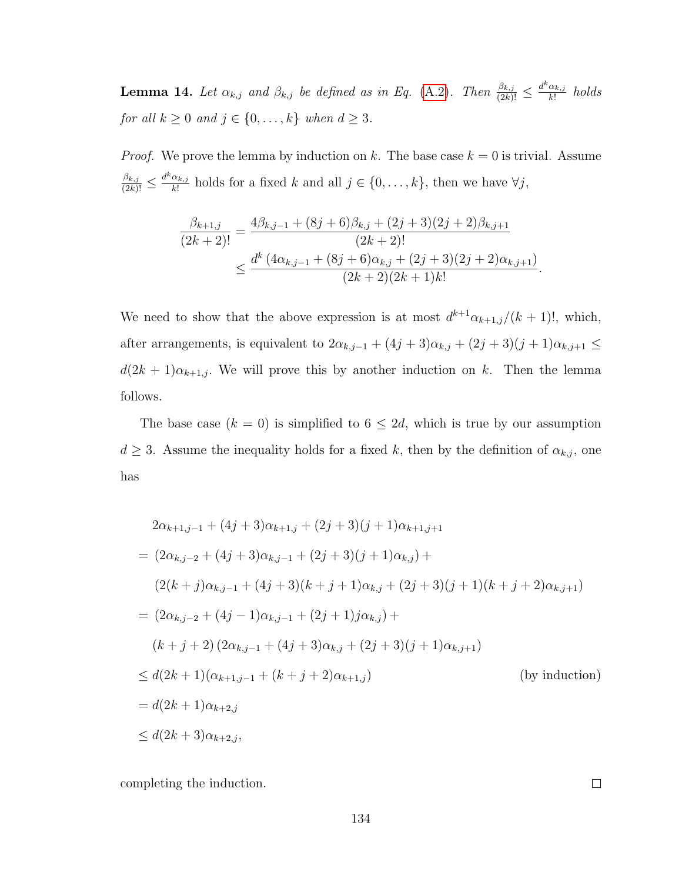<span id="page-146-0"></span>**Lemma 14.** Let  $\alpha_{k,j}$  and  $\beta_{k,j}$  be defined as in Eq. [\(A.2\)](#page-144-1). Then  $\frac{\beta_{k,j}}{(2k)!} \leq \frac{d^k \alpha_{k,j}}{k!}$  $\frac{\alpha_{k,j}}{k!}$  holds for all  $k \ge 0$  and  $j \in \{0, \ldots, k\}$  when  $d \ge 3$ .

*Proof.* We prove the lemma by induction on k. The base case  $k = 0$  is trivial. Assume  $\frac{\beta_{k,j}}{(2k)!} \leq \frac{d^k \alpha_{k,j}}{k!}$  $\frac{\alpha_{k,j}}{k!}$  holds for a fixed k and all  $j \in \{0, \ldots, k\}$ , then we have  $\forall j$ ,

$$
\frac{\beta_{k+1,j}}{(2k+2)!} = \frac{4\beta_{k,j-1} + (8j+6)\beta_{k,j} + (2j+3)(2j+2)\beta_{k,j+1}}{(2k+2)!} \le \frac{d^k (4\alpha_{k,j-1} + (8j+6)\alpha_{k,j} + (2j+3)(2j+2)\alpha_{k,j+1})}{(2k+2)(2k+1)k!}.
$$

We need to show that the above expression is at most  $d^{k+1}\alpha_{k+1,j}/(k+1)!$ , which, after arrangements, is equivalent to  $2\alpha_{k,j-1} + (4j+3)\alpha_{k,j} + (2j+3)(j+1)\alpha_{k,j+1} \leq$  $d(2k+1)\alpha_{k+1,j}$ . We will prove this by another induction on k. Then the lemma follows.

The base case  $(k = 0)$  is simplified to  $6 \leq 2d$ , which is true by our assumption  $d \geq 3$ . Assume the inequality holds for a fixed k, then by the definition of  $\alpha_{k,j}$ , one has

$$
2\alpha_{k+1,j-1} + (4j+3)\alpha_{k+1,j} + (2j+3)(j+1)\alpha_{k+1,j+1}
$$
  
=  $(2\alpha_{k,j-2} + (4j+3)\alpha_{k,j-1} + (2j+3)(j+1)\alpha_{k,j}) +$   
 $(2(k+j)\alpha_{k,j-1} + (4j+3)(k+j+1)\alpha_{k,j} + (2j+3)(j+1)(k+j+2)\alpha_{k,j+1})$   
=  $(2\alpha_{k,j-2} + (4j-1)\alpha_{k,j-1} + (2j+1)j\alpha_{k,j}) +$   
 $(k+j+2)(2\alpha_{k,j-1} + (4j+3)\alpha_{k,j} + (2j+3)(j+1)\alpha_{k,j+1})$   
 $\leq d(2k+1)(\alpha_{k+1,j-1} + (k+j+2)\alpha_{k+1,j})$  (by induction)  
=  $d(2k+1)\alpha_{k+2,j}$   
 $\leq d(2k+3)\alpha_{k+2,j}$ ,

completing the induction.

 $\Box$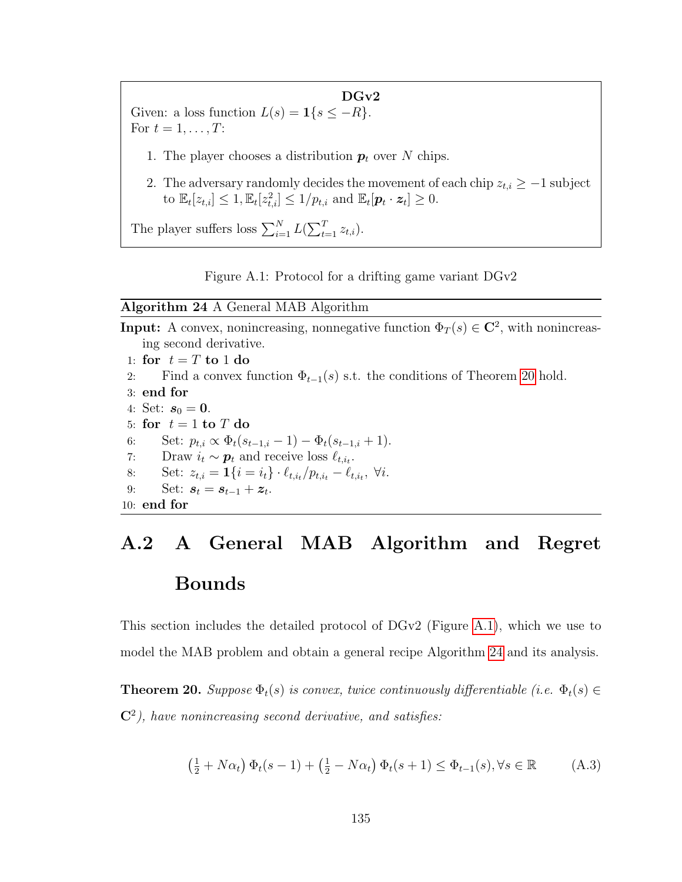#### $DGv2$

<span id="page-147-1"></span>Given: a loss function  $L(s) = \mathbf{1}\{s \leq -R\}$ . For  $t = 1, \ldots, T$ :

- 1. The player chooses a distribution  $p_t$  over N chips.
- 2. The adversary randomly decides the movement of each chip  $z_{t,i} \geq -1$  subject to  $\mathbb{E}_{t}[z_{t,i}] \leq 1, \mathbb{E}_{t}[z_{t,i}^{2}] \leq 1/p_{t,i}$  and  $\mathbb{E}_{t}[\boldsymbol{p}_{t} \cdot \boldsymbol{z}_{t}] \geq 0$ .

The player suffers loss  $\sum_{i=1}^{N} L(\sum_{t=1}^{T} z_{t,i}).$ 



#### <span id="page-147-2"></span>Algorithm 24 A General MAB Algorithm

**Input:** A convex, nonincreasing, nonnegative function  $\Phi_T(s) \in \mathbb{C}^2$ , with nonincreasing second derivative. 1: for  $t = T$  to 1 do

- 
- 2: Find a convex function  $\Phi_{t-1}(s)$  s.t. the conditions of Theorem [20](#page-147-0) hold.
- 3: end for
- 4: Set:  $s_0 = 0$ .
- 5: for  $t = 1$  to  $T$  do
- 6: Set:  $p_{t,i} \propto \Phi_t(s_{t-1,i}-1) \Phi_t(s_{t-1,i}+1).$
- 7: Draw  $i_t \sim p_t$  and receive loss  $\ell_{t,i_t}$ .
- 8: Set:  $z_{t,i} = \mathbf{1} \{ i = i_t \} \cdot \ell_{t,i_t} / p_{t,i_t} \ell_{t,i_t}, \ \forall i.$
- 9: Set:  $s_t = s_{t-1} + z_t$ .

10: end for

## A.2 A General MAB Algorithm and Regret Bounds

This section includes the detailed protocol of DGv2 (Figure [A.1\)](#page-147-1), which we use to model the MAB problem and obtain a general recipe Algorithm [24](#page-147-2) and its analysis.

<span id="page-147-0"></span>**Theorem 20.** Suppose  $\Phi_t(s)$  is convex, twice continuously differentiable (i.e.  $\Phi_t(s) \in$  $C<sup>2</sup>$ ), have nonincreasing second derivative, and satisfies:

<span id="page-147-3"></span>
$$
\left(\frac{1}{2} + N\alpha_t\right)\Phi_t(s-1) + \left(\frac{1}{2} - N\alpha_t\right)\Phi_t(s+1) \le \Phi_{t-1}(s), \forall s \in \mathbb{R} \tag{A.3}
$$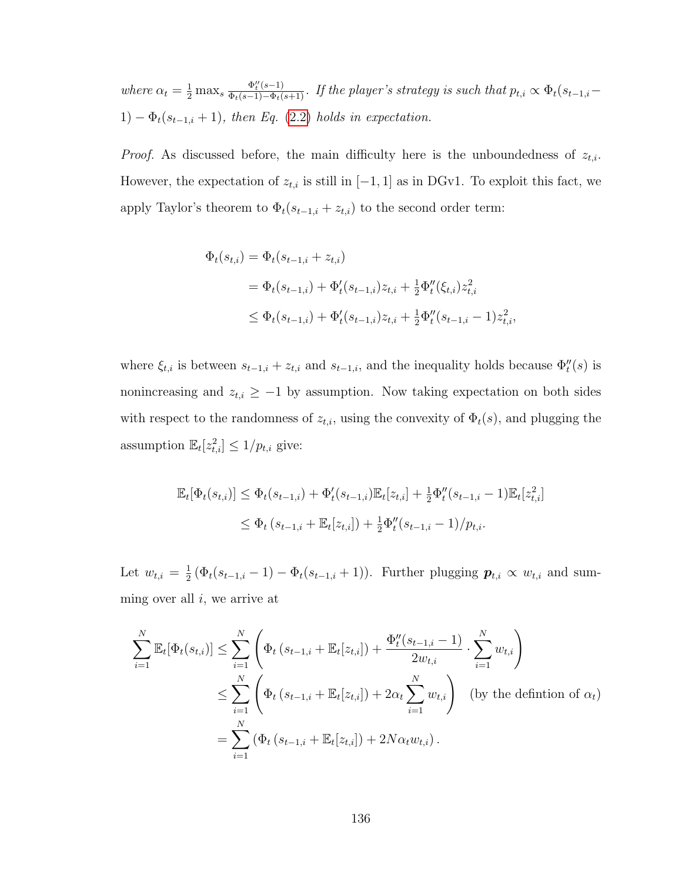where  $\alpha_t = \frac{1}{2} \max_s \frac{\Phi_t''(s-1)}{\Phi_t(s-1) - \Phi_t(s+1)}$ . If the player's strategy is such that  $p_{t,i} \propto \Phi_t(s_{t-1,i} - \Phi_t(s_{t-1,i}))$ 1)  $-\Phi_t(s_{t-1,i}+1)$ , then Eq. [\(2.2\)](#page-25-0) holds in expectation.

*Proof.* As discussed before, the main difficulty here is the unboundedness of  $z_{t,i}$ . However, the expectation of  $z_{t,i}$  is still in [−1, 1] as in DGv1. To exploit this fact, we apply Taylor's theorem to  $\Phi_t(s_{t-1,i} + z_{t,i})$  to the second order term:

$$
\Phi_t(s_{t,i}) = \Phi_t(s_{t-1,i} + z_{t,i})
$$
  
=  $\Phi_t(s_{t-1,i}) + \Phi'_t(s_{t-1,i})z_{t,i} + \frac{1}{2}\Phi''_t(\xi_{t,i})z_{t,i}^2$   
 $\leq \Phi_t(s_{t-1,i}) + \Phi'_t(s_{t-1,i})z_{t,i} + \frac{1}{2}\Phi''_t(s_{t-1,i} - 1)z_{t,i}^2,$ 

where  $\xi_{t,i}$  is between  $s_{t-1,i} + z_{t,i}$  and  $s_{t-1,i}$ , and the inequality holds because  $\Phi''_t(s)$  is nonincreasing and  $z_{t,i} \geq -1$  by assumption. Now taking expectation on both sides with respect to the randomness of  $z_{t,i}$ , using the convexity of  $\Phi_t(s)$ , and plugging the assumption  $\mathbb{E}_t[z_{t,i}^2] \leq 1/p_{t,i}$  give:

$$
\mathbb{E}_t[\Phi_t(s_{t,i})] \leq \Phi_t(s_{t-1,i}) + \Phi'_t(s_{t-1,i})\mathbb{E}_t[z_{t,i}] + \frac{1}{2}\Phi''_t(s_{t-1,i} - 1)\mathbb{E}_t[z_{t,i}^2]
$$
  

$$
\leq \Phi_t(s_{t-1,i} + \mathbb{E}_t[z_{t,i}]) + \frac{1}{2}\Phi''_t(s_{t-1,i} - 1)/p_{t,i}.
$$

Let  $w_{t,i} = \frac{1}{2}$  $\frac{1}{2}(\Phi_t(s_{t-1,i}-1)-\Phi_t(s_{t-1,i}+1)).$  Further plugging  $\mathbf{p}_{t,i} \propto w_{t,i}$  and summing over all  $i$ , we arrive at

$$
\sum_{i=1}^{N} \mathbb{E}_{t}[\Phi_{t}(s_{t,i})] \leq \sum_{i=1}^{N} \left( \Phi_{t} (s_{t-1,i} + \mathbb{E}_{t}[z_{t,i}]) + \frac{\Phi_{t}''(s_{t-1,i} - 1)}{2w_{t,i}} \cdot \sum_{i=1}^{N} w_{t,i} \right)
$$
  

$$
\leq \sum_{i=1}^{N} \left( \Phi_{t} (s_{t-1,i} + \mathbb{E}_{t}[z_{t,i}]) + 2\alpha_{t} \sum_{i=1}^{N} w_{t,i} \right) \text{ (by the definition of } \alpha_{t})
$$
  

$$
= \sum_{i=1}^{N} (\Phi_{t} (s_{t-1,i} + \mathbb{E}_{t}[z_{t,i}]) + 2N\alpha_{t}w_{t,i}).
$$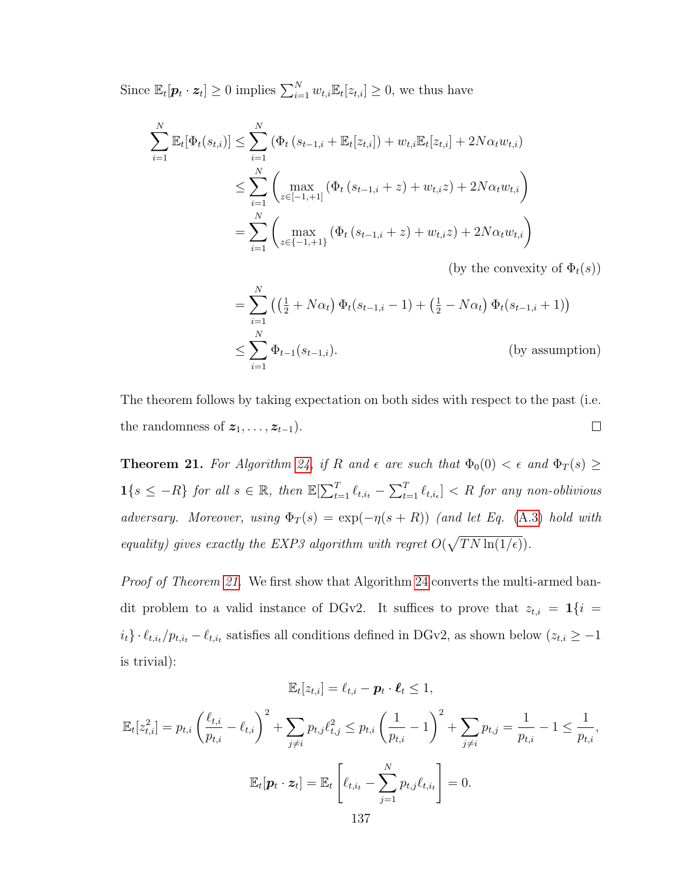Since  $\mathbb{E}_t[\boldsymbol{p}_t \cdot \boldsymbol{z}_t] \geq 0$  implies  $\sum_{i=1}^N w_{t,i} \mathbb{E}_t[z_{t,i}] \geq 0$ , we thus have

$$
\sum_{i=1}^{N} \mathbb{E}_{t}[\Phi_{t}(s_{t,i})] \leq \sum_{i=1}^{N} (\Phi_{t}(s_{t-1,i} + \mathbb{E}_{t}[z_{t,i}]) + w_{t,i}\mathbb{E}_{t}[z_{t,i}] + 2N\alpha_{t}w_{t,i})
$$
\n
$$
\leq \sum_{i=1}^{N} \left( \max_{z \in [-1, +1]} (\Phi_{t}(s_{t-1,i} + z) + w_{t,i}z) + 2N\alpha_{t}w_{t,i} \right)
$$
\n
$$
= \sum_{i=1}^{N} \left( \max_{z \in \{-1, +1\}} (\Phi_{t}(s_{t-1,i} + z) + w_{t,i}z) + 2N\alpha_{t}w_{t,i} \right)
$$

(by the convexity of  $\Phi_t(s)$ )

$$
= \sum_{i=1}^{N} \left( \left( \frac{1}{2} + N \alpha_{t} \right) \Phi_{t}(s_{t-1,i} - 1) + \left( \frac{1}{2} - N \alpha_{t} \right) \Phi_{t}(s_{t-1,i} + 1) \right)
$$
  
 
$$
\leq \sum_{i=1}^{N} \Phi_{t-1}(s_{t-1,i}). \qquad \qquad \text{(by assumption)}
$$

The theorem follows by taking expectation on both sides with respect to the past (i.e. the randomness of  $z_1, \ldots, z_{t-1}$ ).  $\Box$ 

<span id="page-149-0"></span>**Theorem 21.** For Algorithm [24,](#page-147-2) if R and  $\epsilon$  are such that  $\Phi_0(0) < \epsilon$  and  $\Phi_T(s) \geq$  $1\{s \leq -R\}$  for all  $s \in \mathbb{R}$ , then  $\mathbb{E}[\sum_{t=1}^T \ell_{t,i_t} - \sum_{t=1}^T \ell_{t,i_t}] < R$  for any non-oblivious adversary. Moreover, using  $\Phi_T(s) = \exp(-\eta(s+R))$  (and let Eq. [\(A.3\)](#page-147-3) hold with equality) gives exactly the EXP3 algorithm with regret  $O(\sqrt{TN \ln(1/\epsilon)})$ .

Proof of Theorem [21.](#page-149-0) We first show that Algorithm [24](#page-147-2) converts the multi-armed bandit problem to a valid instance of DGv2. It suffices to prove that  $z_{t,i} = \mathbf{1}\{i =$  $i_t$ } ·  $\ell_{t,i_t}/p_{t,i_t} - \ell_{t,i_t}$  satisfies all conditions defined in DGv2, as shown below  $(z_{t,i} \geq -1)$ is trivial):

$$
\mathbb{E}_t[z_{t,i}] = \ell_{t,i} - \boldsymbol{p}_t \cdot \boldsymbol{\ell}_t \leq 1,
$$

$$
\mathbb{E}_{t}[z_{t,i}^{2}] = p_{t,i} \left(\frac{\ell_{t,i}}{p_{t,i}} - \ell_{t,i}\right)^{2} + \sum_{j \neq i} p_{t,j} \ell_{t,j}^{2} \leq p_{t,i} \left(\frac{1}{p_{t,i}} - 1\right)^{2} + \sum_{j \neq i} p_{t,j} = \frac{1}{p_{t,i}} - 1 \leq \frac{1}{p_{t,i}},
$$
  

$$
\mathbb{E}_{t}[\mathbf{p}_{t} \cdot \mathbf{z}_{t}] = \mathbb{E}_{t} \left[\ell_{t,i_{t}} - \sum_{j=1}^{N} p_{t,j} \ell_{t,i_{t}}\right] = 0.
$$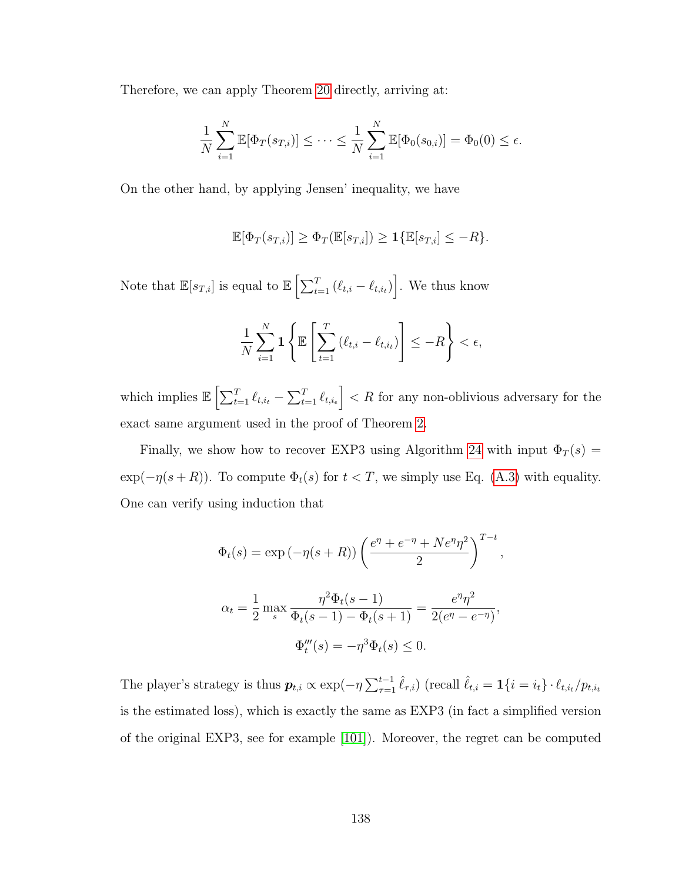Therefore, we can apply Theorem [20](#page-147-0) directly, arriving at:

$$
\frac{1}{N} \sum_{i=1}^{N} \mathbb{E}[\Phi_T(s_{T,i})] \leq \cdots \leq \frac{1}{N} \sum_{i=1}^{N} \mathbb{E}[\Phi_0(s_{0,i})] = \Phi_0(0) \leq \epsilon.
$$

On the other hand, by applying Jensen' inequality, we have

$$
\mathbb{E}[\Phi_T(s_{T,i})] \ge \Phi_T(\mathbb{E}[s_{T,i}]) \ge \mathbf{1}\{\mathbb{E}[s_{T,i}] \le -R\}.
$$

Note that  $\mathbb{E}[s_{T,i}]$  is equal to  $\mathbb{E}\left[\sum_{t=1}^T (\ell_{t,i} - \ell_{t,i_t})\right]$ . We thus know

$$
\frac{1}{N} \sum_{i=1}^{N} \mathbf{1} \left\{ \mathbb{E} \left[ \sum_{t=1}^{T} \left( \ell_{t,i} - \ell_{t,i_t} \right) \right] \leq -R \right\} < \epsilon,
$$

which implies  $\mathbb{E}\left[\sum_{t=1}^T \ell_{t,i_t} - \sum_{t=1}^T \ell_{t,i_t}\right] < R$  for any non-oblivious adversary for the exact same argument used in the proof of Theorem [2.](#page-30-0)

Finally, we show how to recover EXP3 using Algorithm [24](#page-147-2) with input  $\Phi_T(s)$  =  $\exp(-\eta(s+R))$ . To compute  $\Phi_t(s)$  for  $t < T$ , we simply use Eq. [\(A.3\)](#page-147-3) with equality. One can verify using induction that

$$
\Phi_t(s) = \exp(-\eta(s+R)) \left( \frac{e^{\eta} + e^{-\eta} + Ne^{\eta} \eta^2}{2} \right)^{T-t},
$$
  

$$
\alpha_t = \frac{1}{2} \max_s \frac{\eta^2 \Phi_t(s-1)}{\Phi_t(s-1) - \Phi_t(s+1)} = \frac{e^{\eta} \eta^2}{2(e^{\eta} - e^{-\eta})},
$$
  

$$
\Phi_t'''(s) = -\eta^3 \Phi_t(s) \le 0.
$$

The player's strategy is thus  $p_{t,i} \propto \exp(-\eta \sum_{\tau=1}^{t-1} \hat{\ell}_{\tau,i})$  (recall  $\hat{\ell}_{t,i} = \mathbf{1}\{i = i_t\} \cdot \ell_{t,i_t}/p_{t,i_t}$ is the estimated loss), which is exactly the same as EXP3 (in fact a simplified version of the original EXP3, see for example [\[101\]](#page-180-0)). Moreover, the regret can be computed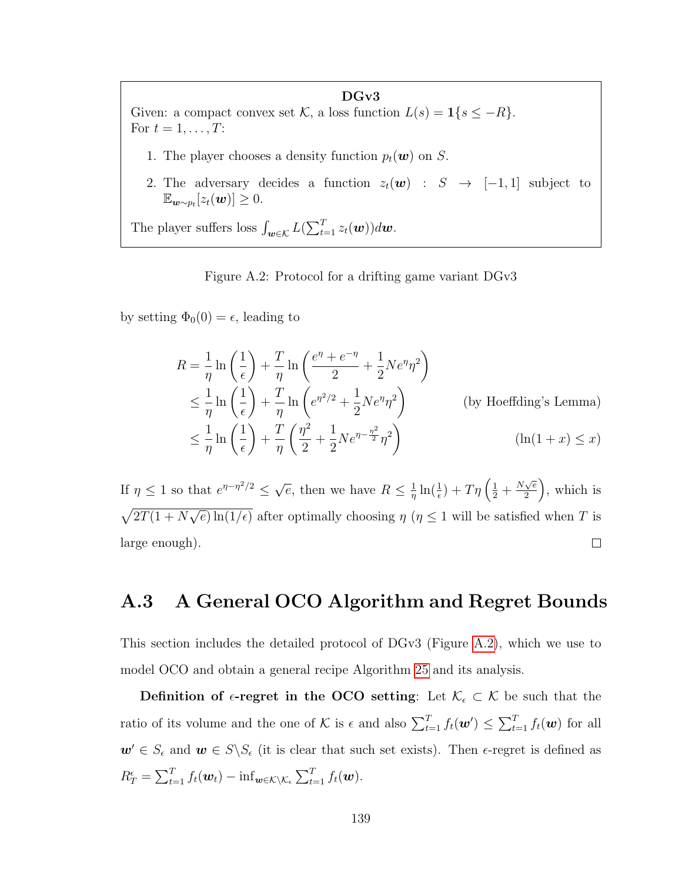<span id="page-151-0"></span>DGv3 Given: a compact convex set  $\mathcal{K}$ , a loss function  $L(s) = \mathbf{1}\{s \leq -R\}$ . For  $t = 1, \ldots, T$ :

- 1. The player chooses a density function  $p_t(\boldsymbol{w})$  on S.
- 2. The adversary decides a function  $z_t(\mathbf{w})$  :  $S \rightarrow [-1,1]$  subject to  $\mathbb{E}_{\boldsymbol{w} \sim p_t}[z_t(\boldsymbol{w})] \geq 0.$

The player suffers loss  $\int_{\boldsymbol{w}\in\mathcal{K}} L(\sum_{t=1}^T z_t(\boldsymbol{w}))d\boldsymbol{w}$ .

Figure A.2: Protocol for a drifting game variant DGv3

by setting  $\Phi_0(0) = \epsilon$ , leading to

$$
R = \frac{1}{\eta} \ln \left( \frac{1}{\epsilon} \right) + \frac{T}{\eta} \ln \left( \frac{e^{\eta} + e^{-\eta}}{2} + \frac{1}{2} N e^{\eta} \eta^2 \right)
$$
  
\n
$$
\leq \frac{1}{\eta} \ln \left( \frac{1}{\epsilon} \right) + \frac{T}{\eta} \ln \left( e^{\eta^2/2} + \frac{1}{2} N e^{\eta} \eta^2 \right)
$$
 (by Hoeffding's Lemma)  
\n
$$
\leq \frac{1}{\eta} \ln \left( \frac{1}{\epsilon} \right) + \frac{T}{\eta} \left( \frac{\eta^2}{2} + \frac{1}{2} N e^{\eta - \frac{\eta^2}{2}} \eta^2 \right)
$$
 (ln(1+x) \leq x)

If  $\eta \leq 1$  so that  $e^{\eta - \eta^2/2} \leq \sqrt{ }$  $\frac{1}{\eta} \ln(\frac{1}{\epsilon}) + T\eta \left( \frac{1}{2} + \frac{N\sqrt{e}}{2} \right)$  $\left(\frac{\sqrt{e}}{2}\right)$ , which is  $\overline{e}$ , then we have  $R \leq \frac{1}{n}$  $\overline{\phantom{0}}$  $\sqrt{2T(1+N)}$  $\overline{e}$ ) ln(1/ $\epsilon$ ) after optimally choosing  $\eta$  ( $\eta \leq 1$  will be satisfied when T is large enough).  $\Box$ 

### A.3 A General OCO Algorithm and Regret Bounds

This section includes the detailed protocol of DGv3 (Figure [A.2\)](#page-151-0), which we use to model OCO and obtain a general recipe Algorithm [25](#page-152-0) and its analysis.

Definition of  $\epsilon$ -regret in the OCO setting: Let  $\mathcal{K}_{\epsilon} \subset \mathcal{K}$  be such that the ratio of its volume and the one of K is  $\epsilon$  and also  $\sum_{t=1}^{T} f_t(\boldsymbol{w}') \leq \sum_{t=1}^{T} f_t(\boldsymbol{w})$  for all  $w' \in S_{\epsilon}$  and  $w \in S \backslash S_{\epsilon}$  (it is clear that such set exists). Then  $\epsilon$ -regret is defined as  $R_T^{\epsilon} = \sum_{t=1}^T f_t(\boldsymbol{w}_t) - \inf_{\boldsymbol{w} \in \mathcal{K} \setminus \mathcal{K}_{\epsilon}} \sum_{t=1}^T f_t(\boldsymbol{w}).$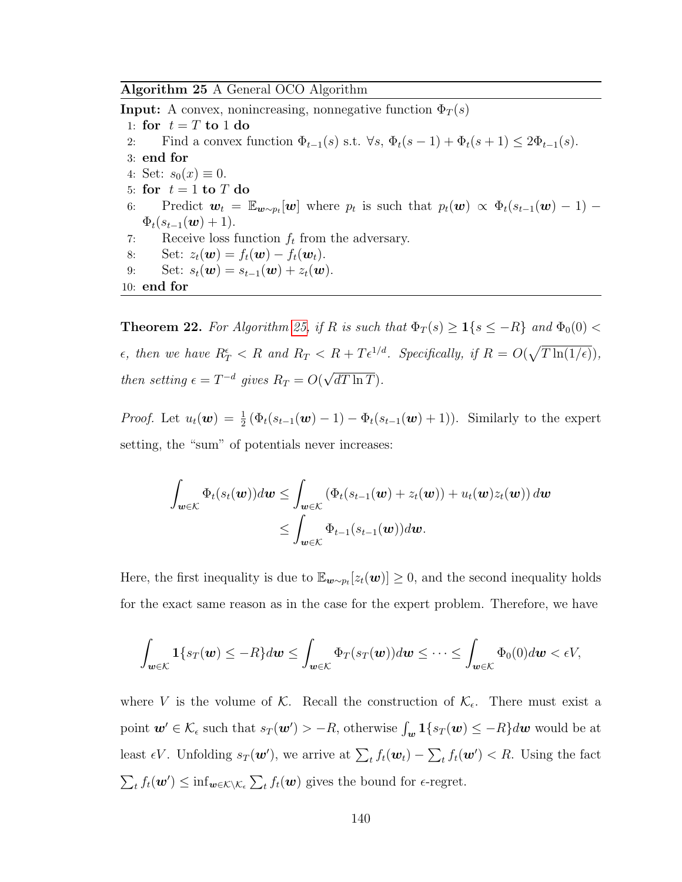<span id="page-152-0"></span>Algorithm 25 A General OCO Algorithm

**Input:** A convex, nonincreasing, nonnegative function  $\Phi_T(s)$ 1: for  $t = T$  to 1 do 2: Find a convex function  $\Phi_{t-1}(s)$  s.t.  $\forall s, \, \Phi_t(s-1) + \Phi_t(s+1) \leq 2\Phi_{t-1}(s)$ . 3: end for 4: Set:  $s_0(x) \equiv 0$ . 5: for  $t = 1$  to T do 6: Predict  $\mathbf{w}_t = \mathbb{E}_{\mathbf{w} \sim p_t}[\mathbf{w}]$  where  $p_t$  is such that  $p_t(\mathbf{w}) \propto \Phi_t(s_{t-1}(\mathbf{w}) - 1)$  $\Phi_t(s_{t-1}(\boldsymbol{w})+1).$ 7: Receive loss function  $f_t$  from the adversary. 8: Set:  $z_t(\boldsymbol{w}) = f_t(\boldsymbol{w}) - f_t(\boldsymbol{w}_t)$ . 9: Set:  $s_t(\mathbf{w}) = s_{t-1}(\mathbf{w}) + z_t(\mathbf{w}).$ 10: end for

**Theorem 22.** For Algorithm [25,](#page-152-0) if R is such that  $\Phi_T(s) \geq 1\{s \leq -R\}$  and  $\Phi_0(0)$  $\epsilon$ , then we have  $R_T^{\epsilon} < R$  and  $R_T < R + T\epsilon^{1/d}$ . Specifically, if  $R = O(\sqrt{T \ln(1/\epsilon)})$ , then setting  $\epsilon = T^{-d}$  gives  $R_T = O(\epsilon)$ √  $dT \ln T$ ).

*Proof.* Let  $u_t(\boldsymbol{w}) = \frac{1}{2} (\Phi_t(s_{t-1}(\boldsymbol{w}) - 1) - \Phi_t(s_{t-1}(\boldsymbol{w}) + 1))$ . Similarly to the expert setting, the "sum" of potentials never increases:

$$
\int_{\mathbf{w}\in\mathcal{K}} \Phi_t(s_t(\mathbf{w}))d\mathbf{w} \leq \int_{\mathbf{w}\in\mathcal{K}} \left( \Phi_t(s_{t-1}(\mathbf{w}) + z_t(\mathbf{w})) + u_t(\mathbf{w})z_t(\mathbf{w}) \right) d\mathbf{w}
$$
\n
$$
\leq \int_{\mathbf{w}\in\mathcal{K}} \Phi_{t-1}(s_{t-1}(\mathbf{w}))d\mathbf{w}.
$$

Here, the first inequality is due to  $\mathbb{E}_{\mathbf{w} \sim p_t}[z_t(\mathbf{w})] \geq 0$ , and the second inequality holds for the exact same reason as in the case for the expert problem. Therefore, we have

$$
\int_{\mathbf{w}\in\mathcal{K}}\mathbf{1}\{s_T(\mathbf{w})\leq -R\}d\mathbf{w}\leq \int_{\mathbf{w}\in\mathcal{K}}\Phi_T(s_T(\mathbf{w}))d\mathbf{w}\leq \cdots \leq \int_{\mathbf{w}\in\mathcal{K}}\Phi_0(0)d\mathbf{w}<\epsilon V,
$$

where V is the volume of K. Recall the construction of  $\mathcal{K}_{\epsilon}$ . There must exist a point  $w' \in \mathcal{K}_{\epsilon}$  such that  $s_T(w') > -R$ , otherwise  $\int_w 1\{s_T(w) \leq -R\} dw$  would be at least  $\epsilon V$ . Unfolding  $s_T(\mathbf{w}')$ , we arrive at  $\sum_t f_t(\mathbf{w}_t) - \sum_t f_t(\mathbf{w}') < R$ . Using the fact  $\sum_t f_t(\boldsymbol{w}') \leq \inf_{\boldsymbol{w} \in \mathcal{K} \setminus \mathcal{K}_{\epsilon}} \sum_t f_t(\boldsymbol{w})$  gives the bound for  $\epsilon$ -regret.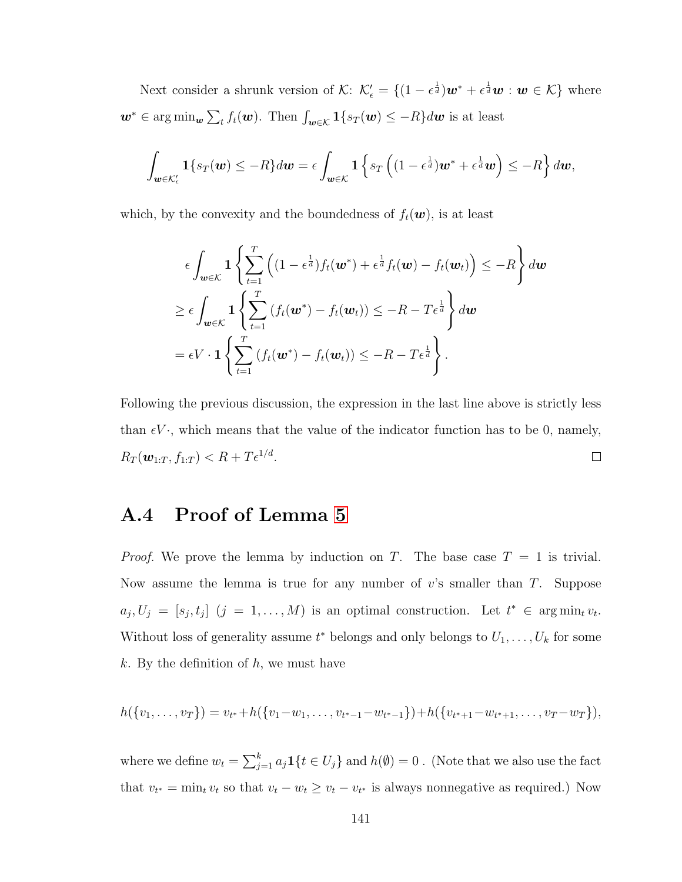Next consider a shrunk version of  $\mathcal{K}$ :  $\mathcal{K}'_{\epsilon} = \{(1 - \epsilon^{\frac{1}{d}})w^* + \epsilon^{\frac{1}{d}}w : w \in \mathcal{K}\}\$  where  $\mathbf{w}^* \in \argmin_{\mathbf{w}} \sum_t f_t(\mathbf{w})$ . Then  $\int_{\mathbf{w} \in \mathcal{K}} \mathbf{1}\{s_T(\mathbf{w}) \leq -R\} d\mathbf{w}$  is at least

$$
\int_{\mathbf{w}\in\mathcal{K}'_{\epsilon}}\mathbf{1}\{s_T(\mathbf{w})\leq -R\}d\mathbf{w}=\epsilon\int_{\mathbf{w}\in\mathcal{K}}\mathbf{1}\left\{s_T\left((1-\epsilon^{\frac{1}{d}})\mathbf{w}^*+\epsilon^{\frac{1}{d}}\mathbf{w}\right)\leq -R\right\}d\mathbf{w},
$$

which, by the convexity and the boundedness of  $f_t(\boldsymbol{w})$ , is at least

$$
\epsilon \int_{\mathbf{w}\in\mathcal{K}} \mathbf{1} \left\{ \sum_{t=1}^{T} \left( (1 - \epsilon^{\frac{1}{d}}) f_t(\mathbf{w}^*) + \epsilon^{\frac{1}{d}} f_t(\mathbf{w}) - f_t(\mathbf{w}_t) \right) \leq -R \right\} d\mathbf{w}
$$
  
\n
$$
\geq \epsilon \int_{\mathbf{w}\in\mathcal{K}} \mathbf{1} \left\{ \sum_{t=1}^{T} \left( f_t(\mathbf{w}^*) - f_t(\mathbf{w}_t) \right) \leq -R - T\epsilon^{\frac{1}{d}} \right\} d\mathbf{w}
$$
  
\n
$$
= \epsilon V \cdot \mathbf{1} \left\{ \sum_{t=1}^{T} \left( f_t(\mathbf{w}^*) - f_t(\mathbf{w}_t) \right) \leq -R - T\epsilon^{\frac{1}{d}} \right\}.
$$

Following the previous discussion, the expression in the last line above is strictly less than  $\epsilon V$ , which means that the value of the indicator function has to be 0, namely,  $R_T(\boldsymbol{w}_{1:T}, f_{1:T}) < R + T\epsilon^{1/d}.$  $\Box$ 

### A.4 Proof of Lemma [5](#page-59-0)

*Proof.* We prove the lemma by induction on T. The base case  $T = 1$  is trivial. Now assume the lemma is true for any number of  $v$ 's smaller than  $T$ . Suppose  $a_j, U_j = [s_j, t_j]$   $(j = 1, ..., M)$  is an optimal construction. Let  $t^* \in \arg\min_t v_t$ . Without loss of generality assume  $t^*$  belongs and only belongs to  $U_1, \ldots, U_k$  for some  $k$ . By the definition of  $h$ , we must have

$$
h({v_1,\ldots,v_T})=v_{t^*}+h({v_1-w_1,\ldots,v_{t^*-1}-w_{t^*-1}})+h({v_{t^*+1}-w_{t^*+1},\ldots,v_T-w_T}),
$$

where we define  $w_t = \sum_{j=1}^k a_j \mathbf{1}\{t \in U_j\}$  and  $h(\emptyset) = 0$  . (Note that we also use the fact that  $v_{t^*} = \min_t v_t$  so that  $v_t - w_t \ge v_t - v_{t^*}$  is always nonnegative as required.) Now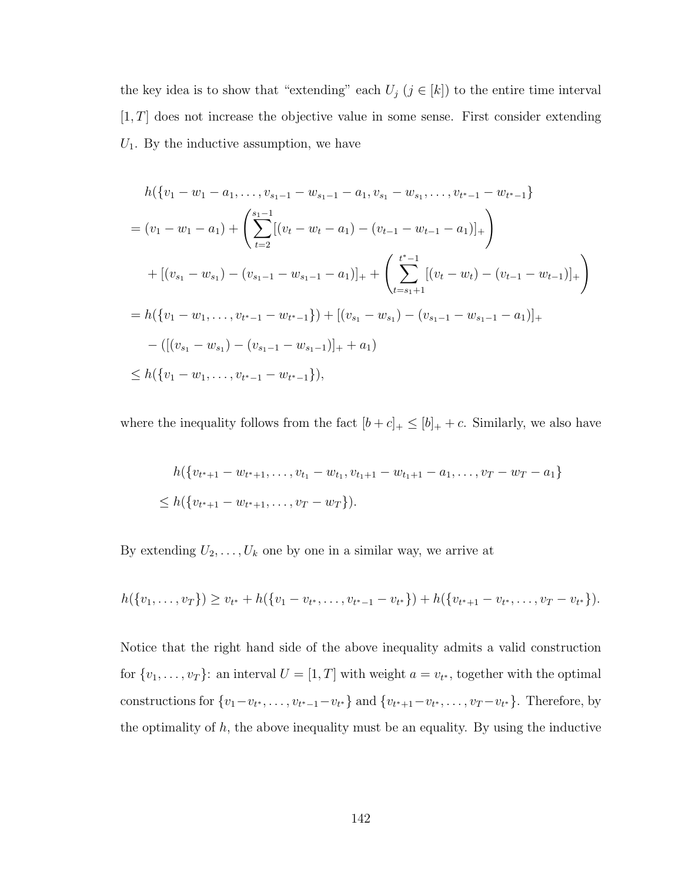the key idea is to show that "extending" each  $U_j$  ( $j \in [k]$ ) to the entire time interval  $[1, T]$  does not increase the objective value in some sense. First consider extending  $U_1$ . By the inductive assumption, we have

$$
h({v1 - w1 - a1,..., vs1-1 - ws1-1 - a1, vs1 - ws1,..., vt*-1 - wt*-1}
$$
  
=  $(v1 - w1 - a1) + \left(\sum_{t=2}^{s1-1} [(vt - wt - a1) - (vt-1 - wt-1 - a1)]_+\right)$   
+  $[(vs1 - ws1) - (vs1-1 - ws1-1 - a1)]_+ + \left(\sum_{t=s1+1}^{t*-1} [(vt - wt) - (vt-1 - wt-1)]_+\right)$   
=  $h({v1 - w1,..., vt*-1 - wt*-1}) + [(vs1 - ws1) - (vs1-1 - ws1-1 - a1)]_+$   
-  $([(vs1 - ws1) - (vs1-1 - ws1-1)]_+ + a1)$   
 $\leq h({v1 - w1,..., vt*-1 - wt*-1}),$ 

where the inequality follows from the fact  $[b + c]_+ \leq [b]_+ + c$ . Similarly, we also have

$$
h({v_{t^*+1} - w_{t^*+1}, \dots, v_{t_1} - w_{t_1}, v_{t_1+1} - w_{t_1+1} - a_1, \dots, v_T - w_T - a_1}
$$
  
\n
$$
\leq h({v_{t^*+1} - w_{t^*+1}, \dots, v_T - w_T}).
$$

By extending  $U_2, \ldots, U_k$  one by one in a similar way, we arrive at

$$
h(\{v_1,\ldots,v_T\}) \geq v_{t^*} + h(\{v_1-v_{t^*},\ldots,v_{t^*-1}-v_{t^*}\}) + h(\{v_{t^*+1}-v_{t^*},\ldots,v_T-v_{t^*}\}).
$$

Notice that the right hand side of the above inequality admits a valid construction for  $\{v_1, \ldots, v_T\}$ : an interval  $U = [1, T]$  with weight  $a = v_{t^*}$ , together with the optimal constructions for  $\{v_1-v_{t^*},\ldots,v_{t^*-1}-v_{t^*}\}\$  and  $\{v_{t^*+1}-v_{t^*},\ldots,v_T-v_{t^*}\}\$ . Therefore, by the optimality of  $h$ , the above inequality must be an equality. By using the inductive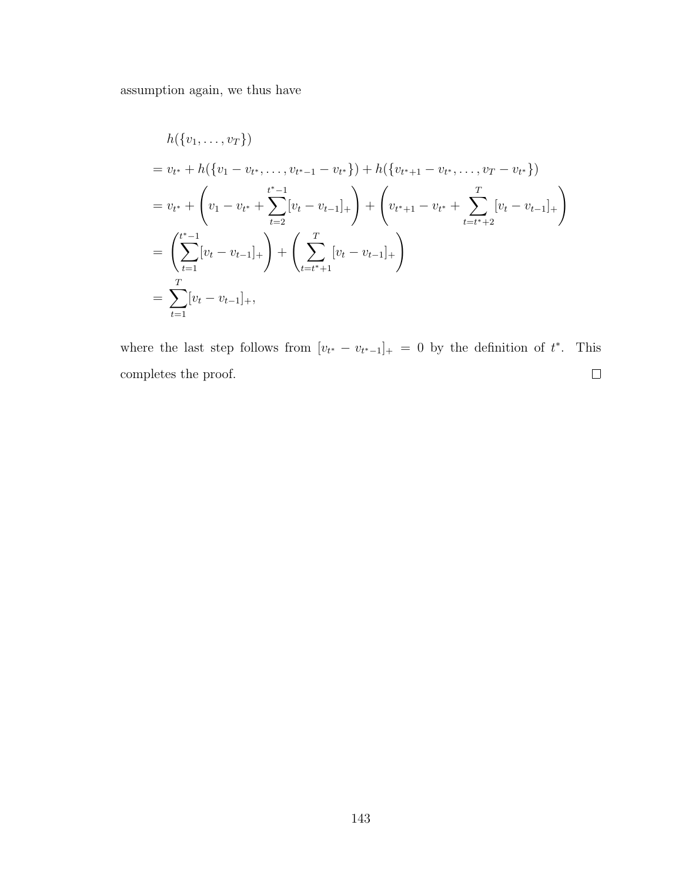assumption again, we thus have

$$
h(\{v_1, \ldots, v_T\})
$$
  
=  $v_{t^*} + h(\{v_1 - v_{t^*}, \ldots, v_{t^*-1} - v_{t^*}\}) + h(\{v_{t^*+1} - v_{t^*}, \ldots, v_T - v_{t^*}\})$   
=  $v_{t^*} + \left(v_1 - v_{t^*} + \sum_{t=2}^{t^*-1} [v_t - v_{t-1}]_+\right) + \left(v_{t^*+1} - v_{t^*} + \sum_{t=t^*+2}^T [v_t - v_{t-1}]_+\right)$   
=  $\left(\sum_{t=1}^{t^*-1} [v_t - v_{t-1}]_+\right) + \left(\sum_{t=t^*+1}^T [v_t - v_{t-1}]_+\right)$   
=  $\sum_{t=1}^T [v_t - v_{t-1}]_+,$ 

where the last step follows from  $[v_{t^*} - v_{t^*-1}]_+ = 0$  by the definition of  $t^*$ . This completes the proof.  $\Box$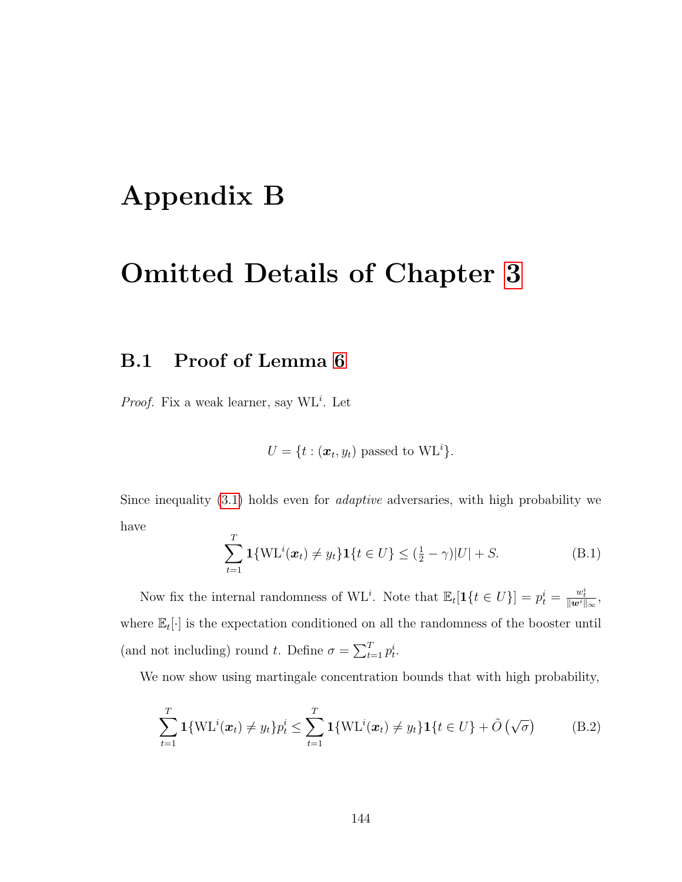## Appendix B

### Omitted Details of Chapter [3](#page-65-0)

### B.1 Proof of Lemma [6](#page-71-0)

*Proof.* Fix a weak learner, say  $WL<sup>i</sup>$ . Let

 $U = \{t : (\boldsymbol{x}_t, y_t) \text{ passed to WL}^i\}.$ 

Since inequality  $(3.1)$  holds even for *adaptive* adversaries, with high probability we have

<span id="page-156-1"></span>
$$
\sum_{t=1}^{T} \mathbf{1}\{ \text{WL}^{i}(\boldsymbol{x}_{t}) \neq y_{t} \} \mathbf{1}\{ t \in U \} \leq (\frac{1}{2} - \gamma)|U| + S.
$$
 (B.1)

Now fix the internal randomness of  $\mathrm{WL}^i$ . Note that  $\mathbb{E}_t[\mathbf{1}\{t \in U\}] = p_t^i = \frac{w_t^i}{\|\mathbf{w}^i\|_{\infty}},$ where  $\mathbb{E}_{t}[\cdot]$  is the expectation conditioned on all the randomness of the booster until (and not including) round t. Define  $\sigma = \sum_{t=1}^{T} p_t^i$ .

We now show using martingale concentration bounds that with high probability,

<span id="page-156-0"></span>
$$
\sum_{t=1}^{T} \mathbf{1}\{\text{WL}^{i}(\boldsymbol{x}_{t}) \neq y_{t}\} p_{t}^{i} \leq \sum_{t=1}^{T} \mathbf{1}\{\text{WL}^{i}(\boldsymbol{x}_{t}) \neq y_{t}\} \mathbf{1}\{t \in U\} + \tilde{O}(\sqrt{\sigma})
$$
(B.2)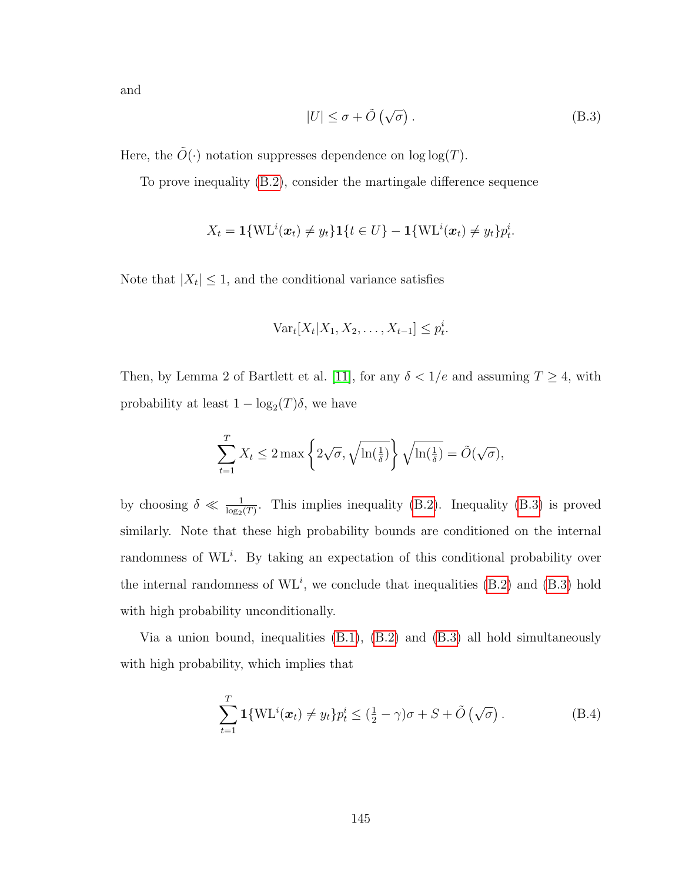and

<span id="page-157-0"></span>
$$
|U| \le \sigma + \tilde{O}\left(\sqrt{\sigma}\right). \tag{B.3}
$$

Here, the  $\tilde{O}(\cdot)$  notation suppresses dependence on log log(T).

To prove inequality [\(B.2\)](#page-156-0), consider the martingale difference sequence

$$
X_t = \mathbf{1}\{\text{WL}^i(\boldsymbol{x}_t) \neq y_t\}\mathbf{1}\{t \in U\} - \mathbf{1}\{\text{WL}^i(\boldsymbol{x}_t) \neq y_t\}p_t^i.
$$

Note that  $|X_t| \leq 1$ , and the conditional variance satisfies

$$
\text{Var}_t[X_t|X_1, X_2, \dots, X_{t-1}] \le p_t^i.
$$

Then, by Lemma 2 of Bartlett et al. [\[11\]](#page-174-0), for any  $\delta < 1/e$  and assuming  $T \geq 4$ , with probability at least  $1 - \log_2(T)\delta$ , we have

$$
\sum_{t=1}^{T} X_t \le 2 \max \left\{ 2\sqrt{\sigma}, \sqrt{\ln(\frac{1}{\delta})} \right\} \sqrt{\ln(\frac{1}{\delta})} = \tilde{O}(\sqrt{\sigma}),
$$

by choosing  $\delta \ll \frac{1}{\log_2(T)}$ . This implies inequality [\(B.2\)](#page-156-0). Inequality [\(B.3\)](#page-157-0) is proved similarly. Note that these high probability bounds are conditioned on the internal randomness of  $\mathrm{WL}^i$ . By taking an expectation of this conditional probability over the internal randomness of  $\mathrm{WL}^i$ , we conclude that inequalities [\(B.2\)](#page-156-0) and [\(B.3\)](#page-157-0) hold with high probability unconditionally.

Via a union bound, inequalities [\(B.1\)](#page-156-1), [\(B.2\)](#page-156-0) and [\(B.3\)](#page-157-0) all hold simultaneously with high probability, which implies that

$$
\sum_{t=1}^{T} \mathbf{1}\{ \text{WL}^{i}(\boldsymbol{x}_{t}) \neq y_{t} \} p_{t}^{i} \leq (\frac{1}{2} - \gamma)\sigma + S + \tilde{O}\left(\sqrt{\sigma}\right). \tag{B.4}
$$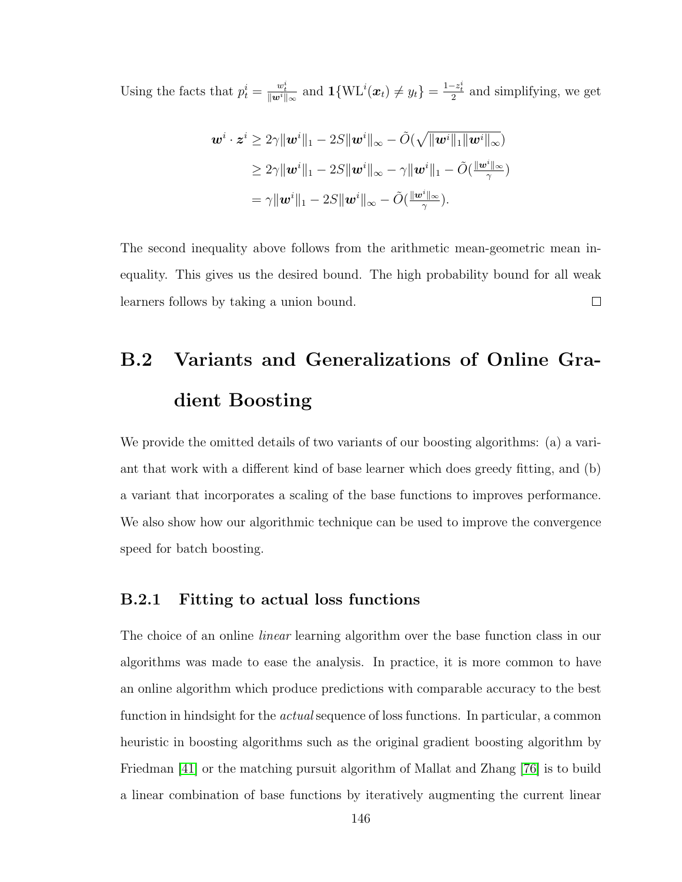Using the facts that  $p_t^i = \frac{w_t^i}{\|w^i\|_{\infty}}$  and  $\mathbf{1}{\text{W}}\text{L}^i(\boldsymbol{x}_t) \neq y_t$  =  $\frac{1-z_t^i}{2}$  and simplifying, we get

$$
\begin{aligned} \boldsymbol{w}^i \cdot \boldsymbol{z}^i &\geq 2\gamma \|\boldsymbol{w}^i\|_1 - 2S \|\boldsymbol{w}^i\|_{\infty} - \tilde{O}(\sqrt{\|\boldsymbol{w}^i\|_1 \|\boldsymbol{w}^i\|_{\infty}}) \\ &\geq 2\gamma \|\boldsymbol{w}^i\|_1 - 2S \|\boldsymbol{w}^i\|_{\infty} - \gamma \|\boldsymbol{w}^i\|_1 - \tilde{O}(\frac{\|\boldsymbol{w}^i\|_{\infty}}{\gamma}) \\ &= \gamma \|\boldsymbol{w}^i\|_1 - 2S \|\boldsymbol{w}^i\|_{\infty} - \tilde{O}(\frac{\|\boldsymbol{w}^i\|_{\infty}}{\gamma}). \end{aligned}
$$

The second inequality above follows from the arithmetic mean-geometric mean inequality. This gives us the desired bound. The high probability bound for all weak learners follows by taking a union bound.  $\Box$ 

# B.2 Variants and Generalizations of Online Gradient Boosting

We provide the omitted details of two variants of our boosting algorithms: (a) a variant that work with a different kind of base learner which does greedy fitting, and (b) a variant that incorporates a scaling of the base functions to improves performance. We also show how our algorithmic technique can be used to improve the convergence speed for batch boosting.

#### B.2.1 Fitting to actual loss functions

The choice of an online *linear* learning algorithm over the base function class in our algorithms was made to ease the analysis. In practice, it is more common to have an online algorithm which produce predictions with comparable accuracy to the best function in hindsight for the *actual* sequence of loss functions. In particular, a common heuristic in boosting algorithms such as the original gradient boosting algorithm by Friedman [\[41\]](#page-176-0) or the matching pursuit algorithm of Mallat and Zhang [\[76\]](#page-178-0) is to build a linear combination of base functions by iteratively augmenting the current linear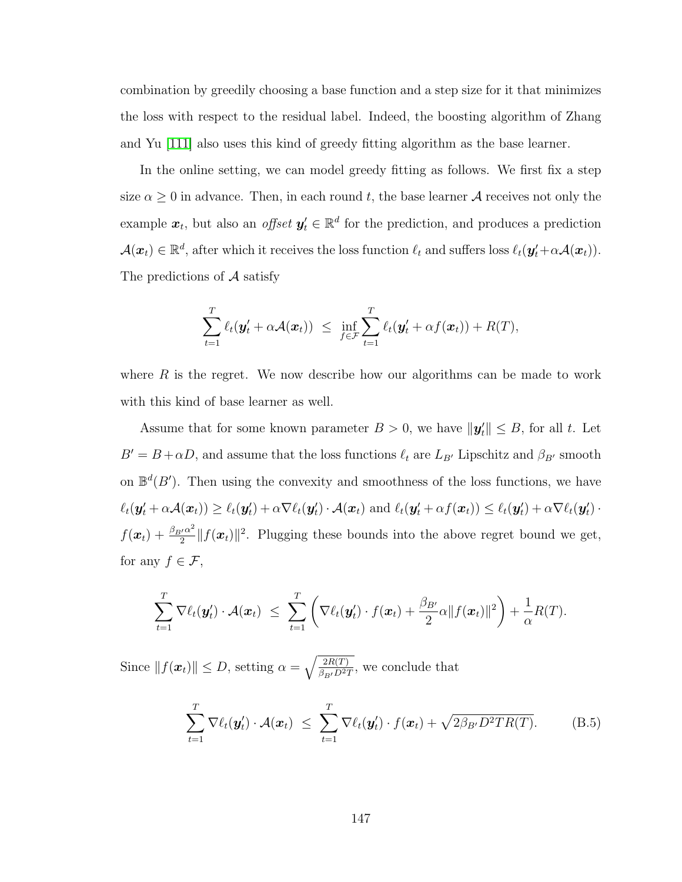combination by greedily choosing a base function and a step size for it that minimizes the loss with respect to the residual label. Indeed, the boosting algorithm of Zhang and Yu [\[111\]](#page-181-0) also uses this kind of greedy fitting algorithm as the base learner.

In the online setting, we can model greedy fitting as follows. We first fix a step size  $\alpha \geq 0$  in advance. Then, in each round t, the base learner A receives not only the example  $x_t$ , but also an *offset*  $y'_t \in \mathbb{R}^d$  for the prediction, and produces a prediction  $\mathcal{A}(\boldsymbol{x}_t) \in \mathbb{R}^d$ , after which it receives the loss function  $\ell_t$  and suffers loss  $\ell_t(\boldsymbol{y}_t' + \alpha \mathcal{A}(\boldsymbol{x}_t)).$ The predictions of  $A$  satisfy

$$
\sum_{t=1}^T \ell_t(\mathbf{y}'_t + \alpha \mathcal{A}(\mathbf{x}_t)) \leq \inf_{f \in \mathcal{F}} \sum_{t=1}^T \ell_t(\mathbf{y}'_t + \alpha f(\mathbf{x}_t)) + R(T),
$$

where  $R$  is the regret. We now describe how our algorithms can be made to work with this kind of base learner as well.

Assume that for some known parameter  $B > 0$ , we have  $\|\mathbf{y}'_t\| \leq B$ , for all t. Let  $B' = B + \alpha D$ , and assume that the loss functions  $\ell_t$  are  $L_{B'}$  Lipschitz and  $\beta_{B'}$  smooth on  $\mathbb{B}^d(B')$ . Then using the convexity and smoothness of the loss functions, we have  $\ell_t(\mathbf{y}'_t + \alpha \mathcal{A}(\mathbf{x}_t)) \geq \ell_t(\mathbf{y}'_t) + \alpha \nabla \ell_t(\mathbf{y}'_t) \cdot \mathcal{A}(\mathbf{x}_t) \text{ and } \ell_t(\mathbf{y}'_t + \alpha f(\mathbf{x}_t)) \leq \ell_t(\mathbf{y}'_t) + \alpha \nabla \ell_t(\mathbf{y}'_t) \cdot \mathcal{A}(\mathbf{x}_t)$  $f(\boldsymbol{x}_t) + \frac{\beta_{B'}\alpha^2}{2}$  $\frac{d}{2}$   $||f(\boldsymbol{x}_t)||^2$ . Plugging these bounds into the above regret bound we get, for any  $f \in \mathcal{F}$ ,

$$
\sum_{t=1}^T \nabla \ell_t(\mathbf{y}'_t) \cdot \mathcal{A}(\mathbf{x}_t) \leq \sum_{t=1}^T \left( \nabla \ell_t(\mathbf{y}'_t) \cdot f(\mathbf{x}_t) + \frac{\beta_{B'}}{2} \alpha \| f(\mathbf{x}_t) \|^2 \right) + \frac{1}{\alpha} R(T).
$$

Since  $||f(\boldsymbol{x}_t)|| \leq D$ , setting  $\alpha = \sqrt{\frac{2R(T)}{\beta_{\text{ref}}D^{2\sigma}}}$  $\frac{2R(T)}{\beta_{B'}D^2T}$ , we conclude that

<span id="page-159-0"></span>
$$
\sum_{t=1}^{T} \nabla \ell_t(\mathbf{y}'_t) \cdot \mathcal{A}(\mathbf{x}_t) \leq \sum_{t=1}^{T} \nabla \ell_t(\mathbf{y}'_t) \cdot f(\mathbf{x}_t) + \sqrt{2\beta_{B'}D^2TR(T)}.
$$
 (B.5)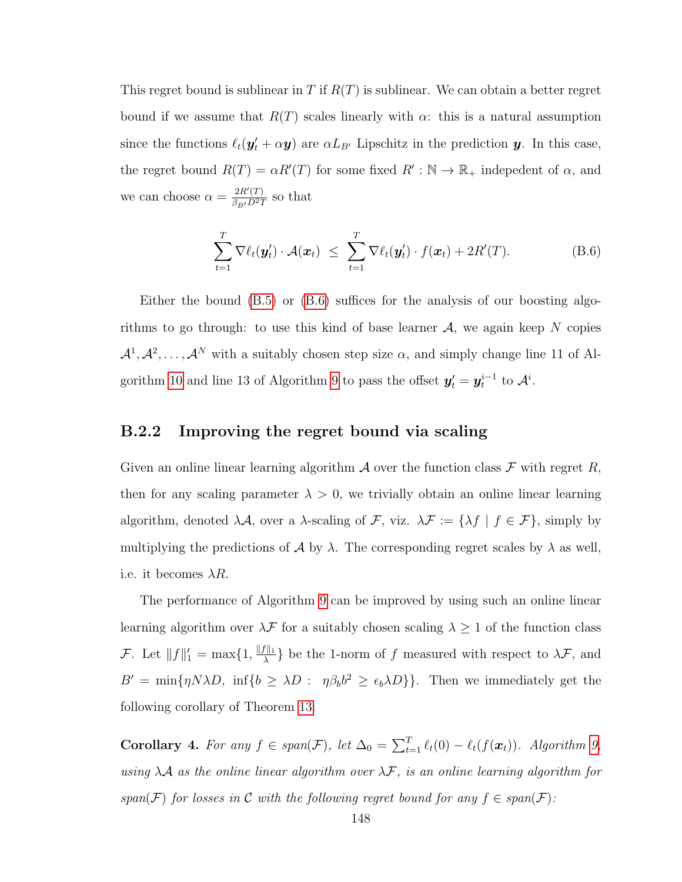This regret bound is sublinear in T if  $R(T)$  is sublinear. We can obtain a better regret bound if we assume that  $R(T)$  scales linearly with  $\alpha$ : this is a natural assumption since the functions  $\ell_t(\mathbf{y}'_t + \alpha \mathbf{y})$  are  $\alpha L_{B'}$  Lipschitz in the prediction y. In this case, the regret bound  $R(T) = \alpha R'(T)$  for some fixed  $R' : \mathbb{N} \to \mathbb{R}_+$  indepedent of  $\alpha$ , and we can choose  $\alpha = \frac{2R'(T)}{\beta - L^2}$  $\frac{2R(T)}{\beta_{B'}D^2T}$  so that

<span id="page-160-0"></span>
$$
\sum_{t=1}^{T} \nabla \ell_t(\mathbf{y}'_t) \cdot \mathcal{A}(\mathbf{x}_t) \leq \sum_{t=1}^{T} \nabla \ell_t(\mathbf{y}'_t) \cdot f(\mathbf{x}_t) + 2R'(T). \tag{B.6}
$$

Either the bound [\(B.5\)](#page-159-0) or [\(B.6\)](#page-160-0) suffices for the analysis of our boosting algorithms to go through: to use this kind of base learner  $A$ , we again keep N copies  $\mathcal{A}^1, \mathcal{A}^2, \ldots, \mathcal{A}^N$  with a suitably chosen step size  $\alpha$ , and simply change line 11 of Al-gorithm [10](#page-96-0) and line 13 of Algorithm [9](#page-94-0) to pass the offset  $y'_t = y_t^{i-1}$  to  $\mathcal{A}^i$ .

#### B.2.2 Improving the regret bound via scaling

Given an online linear learning algorithm  $A$  over the function class  $F$  with regret  $R$ , then for any scaling parameter  $\lambda > 0$ , we trivially obtain an online linear learning algorithm, denoted  $\lambda \mathcal{A}$ , over a  $\lambda$ -scaling of  $\mathcal{F}$ , viz.  $\lambda \mathcal{F} := {\lambda f | f \in \mathcal{F}}$ , simply by multiplying the predictions of A by  $\lambda$ . The corresponding regret scales by  $\lambda$  as well, i.e. it becomes  $\lambda R$ .

The performance of Algorithm [9](#page-94-0) can be improved by using such an online linear learning algorithm over  $\lambda\mathcal{F}$  for a suitably chosen scaling  $\lambda\geq 1$  of the function class *F*. Let  $||f||_1' = \max\{1, \frac{||f||_1}{\lambda}\}$  $\frac{f||1}{\lambda}$  be the 1-norm of f measured with respect to  $\lambda \mathcal{F}$ , and  $B' = \min\{\eta N\lambda D, \inf\{b \geq \lambda D : \eta \beta_b b^2 \geq \epsilon_b \lambda D\}\}.$  Then we immediately get the following corollary of Theorem [13:](#page-95-0)

Corollary 4. For any  $f \in span(\mathcal{F})$ , let  $\Delta_0 = \sum_{t=1}^T \ell_t(0) - \ell_t(f(\boldsymbol{x}_t))$ . Algorithm [9,](#page-94-0) using  $\lambda A$  as the online linear algorithm over  $\lambda \mathcal{F}$ , is an online learning algorithm for span(F) for losses in C with the following regret bound for any  $f \in span(F)$ :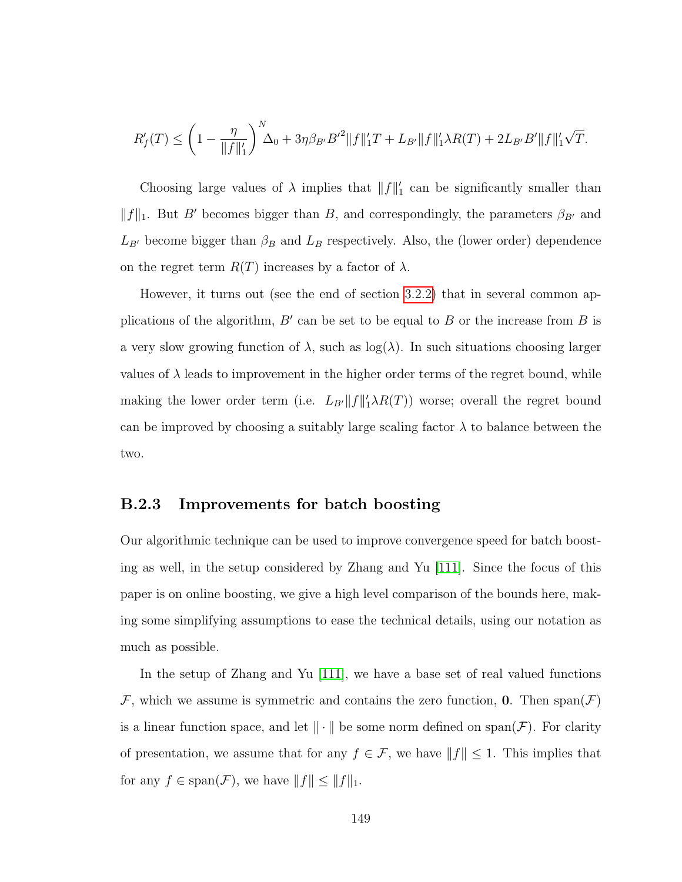$$
R'_f(T) \le \left(1 - \frac{\eta}{\|f\|_1'}\right)^N \Delta_0 + 3\eta \beta_{B'} B'^2 \|f\|_1' T + L_{B'} \|f\|_1' \lambda R(T) + 2L_{B'} B' \|f\|_1' \sqrt{T}.
$$

Choosing large values of  $\lambda$  implies that  $||f||_1$  can be significantly smaller than  $||f||_1$ . But B' becomes bigger than B, and correspondingly, the parameters  $\beta_{B'}$  and  $L_{B}$  become bigger than  $\beta_B$  and  $L_B$  respectively. Also, the (lower order) dependence on the regret term  $R(T)$  increases by a factor of  $\lambda$ .

However, it turns out (see the end of section [3.2.2\)](#page-93-0) that in several common applications of the algorithm,  $B'$  can be set to be equal to  $B$  or the increase from  $B$  is a very slow growing function of  $\lambda$ , such as  $log(\lambda)$ . In such situations choosing larger values of  $\lambda$  leads to improvement in the higher order terms of the regret bound, while making the lower order term (i.e.  $L_{B'}||f||'_1 \lambda R(T)$ ) worse; overall the regret bound can be improved by choosing a suitably large scaling factor  $\lambda$  to balance between the two.

#### B.2.3 Improvements for batch boosting

Our algorithmic technique can be used to improve convergence speed for batch boosting as well, in the setup considered by Zhang and Yu [\[111\]](#page-181-0). Since the focus of this paper is on online boosting, we give a high level comparison of the bounds here, making some simplifying assumptions to ease the technical details, using our notation as much as possible.

In the setup of Zhang and Yu [\[111\]](#page-181-0), we have a base set of real valued functions F, which we assume is symmetric and contains the zero function, 0. Then  $\text{span}(\mathcal{F})$ is a linear function space, and let  $\|\cdot\|$  be some norm defined on span( $\mathcal F$ ). For clarity of presentation, we assume that for any  $f \in \mathcal{F}$ , we have  $||f|| \leq 1$ . This implies that for any  $f \in \text{span}(\mathcal{F})$ , we have  $||f|| \le ||f||_1$ .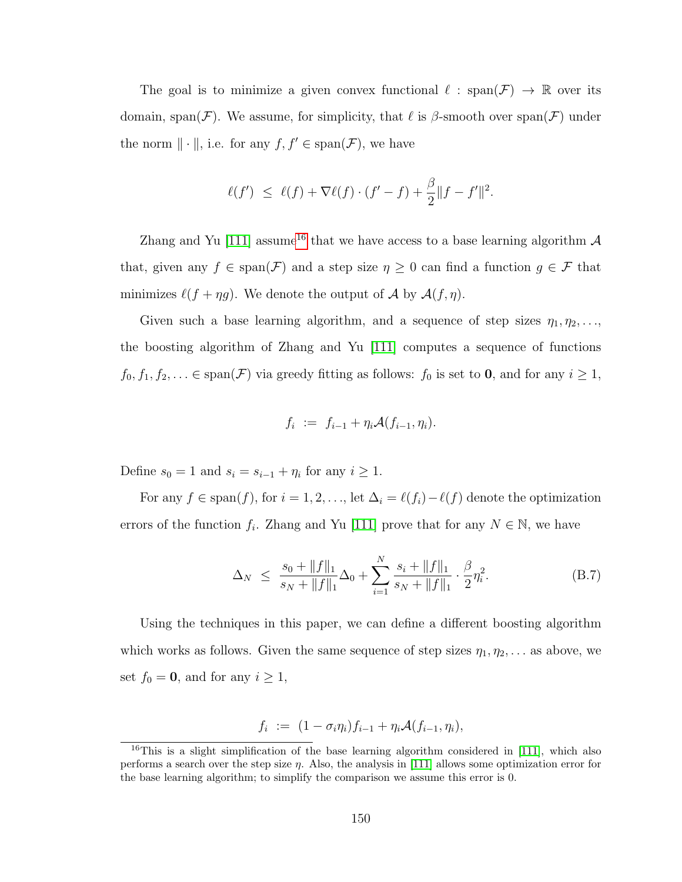The goal is to minimize a given convex functional  $\ell : \text{span}(\mathcal{F}) \to \mathbb{R}$  over its domain, span(F). We assume, for simplicity, that  $\ell$  is  $\beta$ -smooth over span(F) under the norm  $\|\cdot\|$ , i.e. for any  $f, f' \in \text{span}(\mathcal{F})$ , we have

$$
\ell(f') \ \leq \ \ell(f) + \nabla \ell(f) \cdot (f' - f) + \frac{\beta}{2} \|f - f'\|^2.
$$

Zhang and Yu [\[111\]](#page-181-0) assume<sup>[16](#page-162-0)</sup> that we have access to a base learning algorithm  $\mathcal A$ that, given any  $f \in \text{span}(\mathcal{F})$  and a step size  $\eta \geq 0$  can find a function  $g \in \mathcal{F}$  that minimizes  $\ell(f + \eta g)$ . We denote the output of A by  $\mathcal{A}(f, \eta)$ .

Given such a base learning algorithm, and a sequence of step sizes  $\eta_1, \eta_2, \ldots$ , the boosting algorithm of Zhang and Yu [\[111\]](#page-181-0) computes a sequence of functions  $f_0, f_1, f_2, \ldots \in \text{span}(\mathcal{F})$  via greedy fitting as follows:  $f_0$  is set to **0**, and for any  $i \ge 1$ ,

$$
f_i := f_{i-1} + \eta_i \mathcal{A}(f_{i-1}, \eta_i).
$$

Define  $s_0 = 1$  and  $s_i = s_{i-1} + \eta_i$  for any  $i \geq 1$ .

For any  $f \in \text{span}(f)$ , for  $i = 1, 2, \ldots$ , let  $\Delta_i = \ell(f_i) - \ell(f)$  denote the optimization errors of the function  $f_i$ . Zhang and Yu [\[111\]](#page-181-0) prove that for any  $N \in \mathbb{N}$ , we have

<span id="page-162-1"></span>
$$
\Delta_N \le \frac{s_0 + \|f\|_1}{s_N + \|f\|_1} \Delta_0 + \sum_{i=1}^N \frac{s_i + \|f\|_1}{s_N + \|f\|_1} \cdot \frac{\beta}{2} \eta_i^2. \tag{B.7}
$$

Using the techniques in this paper, we can define a different boosting algorithm which works as follows. Given the same sequence of step sizes  $\eta_1, \eta_2, \ldots$  as above, we set  $f_0 = 0$ , and for any  $i \ge 1$ ,

$$
f_i := (1 - \sigma_i \eta_i) f_{i-1} + \eta_i \mathcal{A}(f_{i-1}, \eta_i),
$$

<span id="page-162-0"></span> $16$ This is a slight simplification of the base learning algorithm considered in [\[111\]](#page-181-0), which also performs a search over the step size  $\eta$ . Also, the analysis in [\[111\]](#page-181-0) allows some optimization error for the base learning algorithm; to simplify the comparison we assume this error is 0.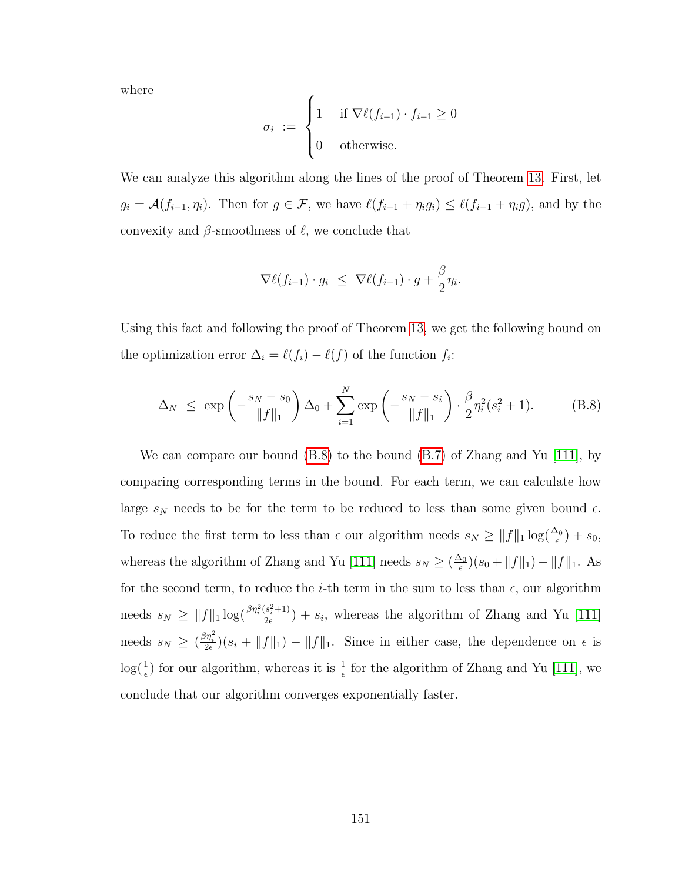where

$$
\sigma_i := \begin{cases} 1 & \text{if } \nabla \ell(f_{i-1}) \cdot f_{i-1} \ge 0 \\ 0 & \text{otherwise.} \end{cases}
$$

We can analyze this algorithm along the lines of the proof of Theorem [13.](#page-95-0) First, let  $g_i = \mathcal{A}(f_{i-1}, \eta_i)$ . Then for  $g \in \mathcal{F}$ , we have  $\ell(f_{i-1} + \eta_i g_i) \leq \ell(f_{i-1} + \eta_i g)$ , and by the convexity and  $\beta$ -smoothness of  $\ell$ , we conclude that

$$
\nabla \ell(f_{i-1}) \cdot g_i \leq \nabla \ell(f_{i-1}) \cdot g + \frac{\beta}{2} \eta_i.
$$

Using this fact and following the proof of Theorem [13,](#page-95-0) we get the following bound on the optimization error  $\Delta_i = \ell(f_i) - \ell(f)$  of the function  $f_i$ :

<span id="page-163-0"></span>
$$
\Delta_N \le \exp\left(-\frac{s_N - s_0}{\|f\|_1}\right) \Delta_0 + \sum_{i=1}^N \exp\left(-\frac{s_N - s_i}{\|f\|_1}\right) \cdot \frac{\beta}{2} \eta_i^2 (s_i^2 + 1). \tag{B.8}
$$

We can compare our bound  $(B.8)$  to the bound  $(B.7)$  of Zhang and Yu [\[111\]](#page-181-0), by comparing corresponding terms in the bound. For each term, we can calculate how large  $s_N$  needs to be for the term to be reduced to less than some given bound  $\epsilon$ . To reduce the first term to less than  $\epsilon$  our algorithm needs  $s_N \ge ||f||_1 \log(\frac{\Delta_0}{\epsilon}) + s_0$ , whereas the algorithm of Zhang and Yu [\[111\]](#page-181-0) needs  $s_N \geq (\frac{\Delta_0}{\epsilon})$  $(\frac{\Delta_0}{\epsilon})(s_0 + ||f||_1) - ||f||_1$ . As for the second term, to reduce the *i*-th term in the sum to less than  $\epsilon$ , our algorithm needs  $s_N \geq ||f||_1 \log(\frac{\beta \eta_i^2 (s_i^2 + 1)}{2\epsilon})$  $\frac{s_i^2+1}{2\epsilon}$  +  $s_i$ , whereas the algorithm of Zhang and Yu [\[111\]](#page-181-0) needs  $s_N \geq \left(\frac{\beta \eta_i^2}{2\epsilon}\right)(s_i + ||f||_1) - ||f||_1$ . Since in either case, the dependence on  $\epsilon$  is  $\log(\frac{1}{\epsilon})$  for our algorithm, whereas it is  $\frac{1}{\epsilon}$  for the algorithm of Zhang and Yu [\[111\]](#page-181-0), we conclude that our algorithm converges exponentially faster.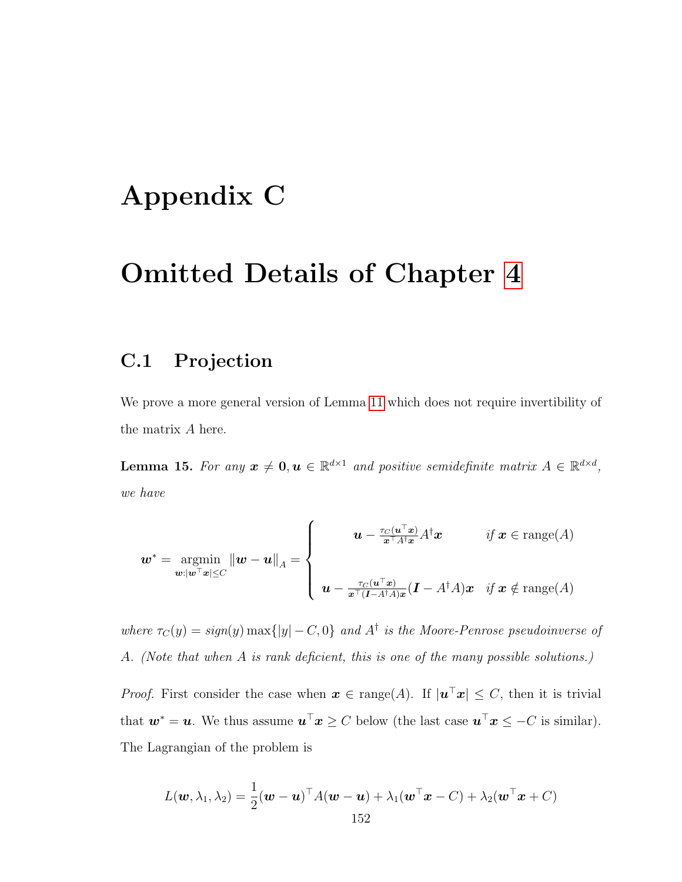## Appendix C

## Omitted Details of Chapter [4](#page-109-0)

### <span id="page-164-0"></span>C.1 Projection

We prove a more general version of Lemma [11](#page-118-0) which does not require invertibility of the matrix A here.

**Lemma 15.** For any  $x \neq 0, u \in \mathbb{R}^{d \times 1}$  and positive semidefinite matrix  $A \in \mathbb{R}^{d \times d}$ , we have

$$
\boldsymbol{w}^* = \operatorname*{argmin}_{\boldsymbol{w}: |\boldsymbol{w}^\top \boldsymbol{x}| \le C} \|\boldsymbol{w} - \boldsymbol{u}\|_A = \left\{\begin{array}{cl}\boldsymbol{u} - \frac{\tau_C(\boldsymbol{u}^\top \boldsymbol{x})}{\boldsymbol{x}^\top A^\dagger \boldsymbol{x}} A^\dagger \boldsymbol{x} & \textit{if $\boldsymbol{x} \in \text{range}(A)$} \\ \boldsymbol{u} - \frac{\tau_C(\boldsymbol{u}^\top \boldsymbol{x})}{\boldsymbol{x}^\top (I - A^\dagger A) \boldsymbol{x}} (I - A^\dagger A) \boldsymbol{x} & \textit{if $\boldsymbol{x} \notin \text{range}(A)$}\end{array}\right.
$$

where  $\tau_C(y) = sign(y) \max\{|y| - C, 0\}$  and  $A^{\dagger}$  is the Moore-Penrose pseudoinverse of A. (Note that when A is rank deficient, this is one of the many possible solutions.)

*Proof.* First consider the case when  $x \in \text{range}(A)$ . If  $|\mathbf{u}^\top x| \leq C$ , then it is trivial that  $w^* = u$ . We thus assume  $u^\top x \ge C$  below (the last case  $u^\top x \le -C$  is similar). The Lagrangian of the problem is

$$
L(\boldsymbol{w}, \lambda_1, \lambda_2) = \frac{1}{2} (\boldsymbol{w} - \boldsymbol{u})^\top A (\boldsymbol{w} - \boldsymbol{u}) + \lambda_1 (\boldsymbol{w}^\top \boldsymbol{x} - C) + \lambda_2 (\boldsymbol{w}^\top \boldsymbol{x} + C)
$$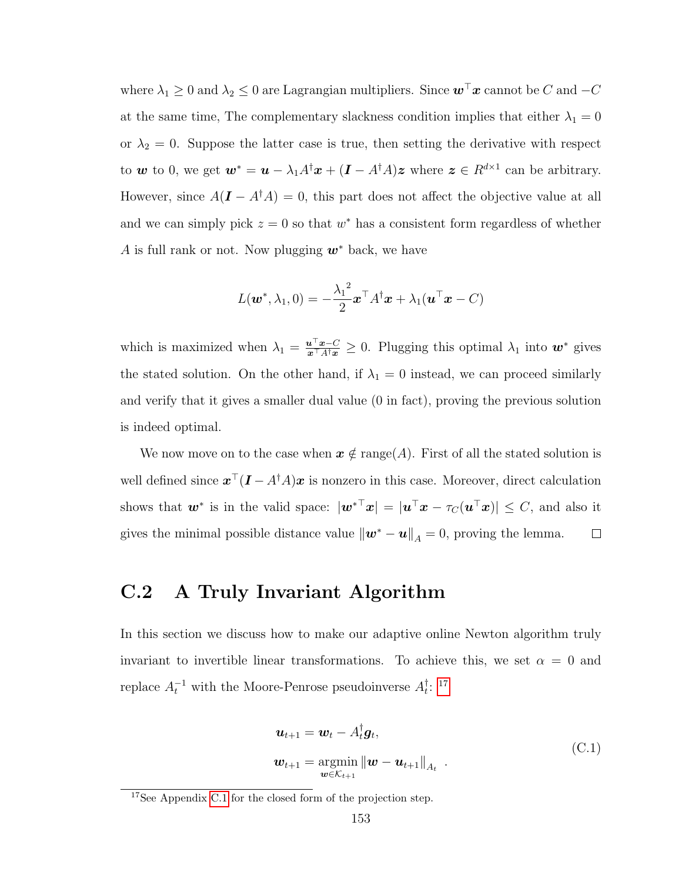where  $\lambda_1 \geq 0$  and  $\lambda_2 \leq 0$  are Lagrangian multipliers. Since  $\mathbf{w}^\top \mathbf{x}$  cannot be C and  $-C$ at the same time, The complementary slackness condition implies that either  $\lambda_1 = 0$ or  $\lambda_2 = 0$ . Suppose the latter case is true, then setting the derivative with respect to w to 0, we get  $w^* = u - \lambda_1 A^{\dagger} x + (I - A^{\dagger} A) z$  where  $z \in R^{d \times 1}$  can be arbitrary. However, since  $A(I - A^{\dagger} A) = 0$ , this part does not affect the objective value at all and we can simply pick  $z = 0$  so that  $w^*$  has a consistent form regardless of whether A is full rank or not. Now plugging  $w^*$  back, we have

$$
L(\boldsymbol{w}^*, \lambda_1, 0) = -\frac{\lambda_1^2}{2} \boldsymbol{x}^\top A^\dagger \boldsymbol{x} + \lambda_1 (\boldsymbol{u}^\top \boldsymbol{x} - C)
$$

which is maximized when  $\lambda_1 = \frac{\mathbf{u}^\top \mathbf{x} - C}{\mathbf{x}^\top A^\dagger \mathbf{x}} \geq 0$ . Plugging this optimal  $\lambda_1$  into  $\mathbf{w}^*$  gives the stated solution. On the other hand, if  $\lambda_1 = 0$  instead, we can proceed similarly and verify that it gives a smaller dual value (0 in fact), proving the previous solution is indeed optimal.

We now move on to the case when  $x \notin \text{range}(A)$ . First of all the stated solution is well defined since  $x^{\top}(I - A^{\dagger}A)x$  is nonzero in this case. Moreover, direct calculation shows that  $w^*$  is in the valid space:  $|w^{*T}x| = |u^{T}x - \tau_C(u^{T}x)| \leq C$ , and also it gives the minimal possible distance value  $\|\mathbf{w}^* - \mathbf{u}\|_A = 0$ , proving the lemma.  $\Box$ 

### C.2 A Truly Invariant Algorithm

In this section we discuss how to make our adaptive online Newton algorithm truly invariant to invertible linear transformations. To achieve this, we set  $\alpha = 0$  and replace  $A_t^{-1}$  with the Moore-Penrose pseudoinverse  $A_t^{\dagger}$  $\frac{1}{t}$ : [17](#page-165-0)

$$
\mathbf{u}_{t+1} = \mathbf{w}_t - A_t^{\dagger} \mathbf{g}_t,
$$
  

$$
\mathbf{w}_{t+1} = \operatorname*{argmin}_{\mathbf{w} \in \mathcal{K}_{t+1}} \|\mathbf{w} - \mathbf{u}_{t+1}\|_{A_t}.
$$
 (C.1)

<span id="page-165-1"></span><span id="page-165-0"></span> $17$ See Appendix [C.1](#page-164-0) for the closed form of the projection step.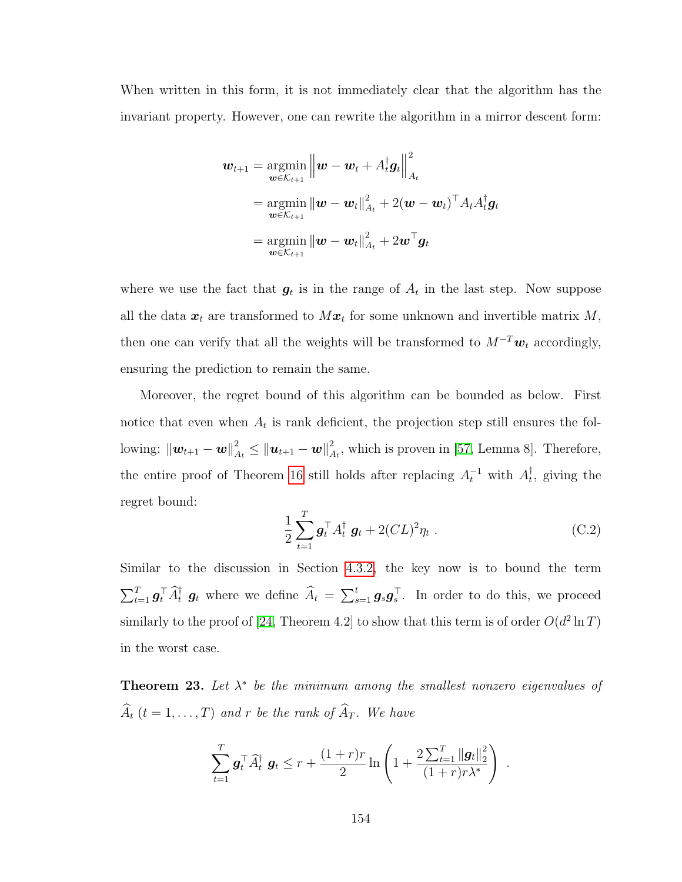When written in this form, it is not immediately clear that the algorithm has the invariant property. However, one can rewrite the algorithm in a mirror descent form:

$$
\begin{aligned} \boldsymbol{w}_{t+1} & = \operatorname*{argmin}_{\boldsymbol{w} \in \mathcal{K}_{t+1}} \left\| \boldsymbol{w} - \boldsymbol{w}_t + A_t^\dagger \boldsymbol{g}_t \right\|_{A_t}^2 \\ & = \operatorname*{argmin}_{\boldsymbol{w} \in \mathcal{K}_{t+1}} \left\| \boldsymbol{w} - \boldsymbol{w}_t \right\|_{A_t}^2 + 2(\boldsymbol{w} - \boldsymbol{w}_t)^\top A_t A_t^\dagger \boldsymbol{g}_t \\ & = \operatorname*{argmin}_{\boldsymbol{w} \in \mathcal{K}_{t+1}} \left\| \boldsymbol{w} - \boldsymbol{w}_t \right\|_{A_t}^2 + 2 \boldsymbol{w}^\top \boldsymbol{g}_t \end{aligned}
$$

where we use the fact that  $g_t$  is in the range of  $A_t$  in the last step. Now suppose all the data  $x_t$  are transformed to  $Mx_t$  for some unknown and invertible matrix M, then one can verify that all the weights will be transformed to  $M^{-T}w_t$  accordingly, ensuring the prediction to remain the same.

Moreover, the regret bound of this algorithm can be bounded as below. First notice that even when  $A_t$  is rank deficient, the projection step still ensures the following:  $\left\|\bm{w}_{t+1}-\bm{w}\right\|_{A_t}^2 \leq \left\|\bm{u}_{t+1}-\bm{w}\right\|_{A_t}^2$  $A_t^2$ , which is proven in [\[57,](#page-177-0) Lemma 8]. Therefore, the entire proof of Theorem [16](#page-118-1) still holds after replacing  $A_t^{-1}$  with  $A_t^{\dagger}$  $_{t}^{\mathsf{T}},$  giving the regret bound:

<span id="page-166-0"></span>
$$
\frac{1}{2} \sum_{t=1}^{T} \boldsymbol{g}_t^{\top} A_t^{\dagger} \boldsymbol{g}_t + 2(CL)^2 \eta_t . \tag{C.2}
$$

Similar to the discussion in Section [4.3.2,](#page-117-0) the key now is to bound the term  $\sum_{t=1}^T \mathbf{g}_t^{\dagger} \hat{A}_t^{\dagger} \mathbf{g}_t$  where we define  $\widehat{A}_t = \sum_{s=1}^t \mathbf{g}_s \mathbf{g}_s^{\dagger}$ . In order to do this, we proceed similarly to the proof of [\[24,](#page-175-0) Theorem 4.2] to show that this term is of order  $O(d^2 \ln T)$ in the worst case.

<span id="page-166-1"></span>**Theorem 23.** Let  $\lambda^*$  be the minimum among the smallest nonzero eigenvalues of  $\widehat{A}_t$   $(t = 1, \ldots, T)$  and r be the rank of  $\widehat{A}_T$ . We have

$$
\sum_{t=1}^{T} \mathbf{g}_t^{\top} \widehat{A}_t^{\dagger} \mathbf{g}_t \leq r + \frac{(1+r)r}{2} \ln \left( 1 + \frac{2 \sum_{t=1}^{T} ||\mathbf{g}_t||_2^2}{(1+r)r\lambda^*} \right) .
$$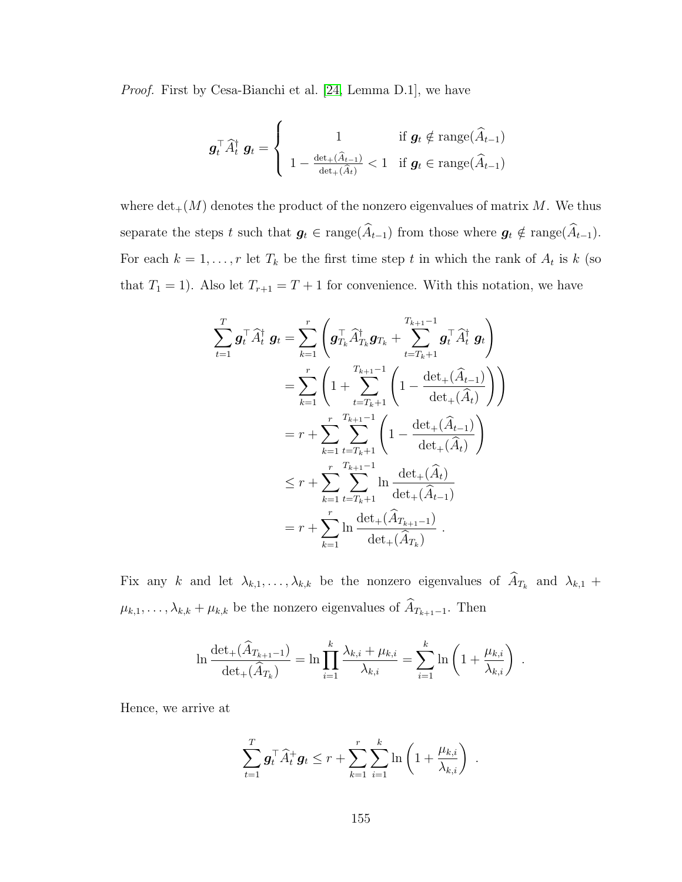Proof. First by Cesa-Bianchi et al. [\[24,](#page-175-0) Lemma D.1], we have

$$
\boldsymbol{g}_t^{\top} \widehat{A}_t^{\dagger} \ \boldsymbol{g}_t = \begin{cases} 1 & \text{if } \boldsymbol{g}_t \notin \text{range}(\widehat{A}_{t-1}) \\ 1 - \frac{\det_{+}(\widehat{A}_{t-1})}{\det_{+}(\widehat{A}_t)} < 1 & \text{if } \boldsymbol{g}_t \in \text{range}(\widehat{A}_{t-1}) \end{cases}
$$

where  $\det_{+}(M)$  denotes the product of the nonzero eigenvalues of matrix M. We thus separate the steps t such that  $g_t \in \text{range}(\widehat{A}_{t-1})$  from those where  $g_t \notin \text{range}(\widehat{A}_{t-1})$ . For each  $k = 1, \ldots, r$  let  $T_k$  be the first time step t in which the rank of  $A_t$  is k (so that  $T_1 = 1$ ). Also let  $T_{r+1} = T + 1$  for convenience. With this notation, we have

$$
\sum_{t=1}^{T} \mathbf{g}_{t}^{\top} \widehat{A}_{t}^{\dagger} \mathbf{g}_{t} = \sum_{k=1}^{r} \left( \mathbf{g}_{T_{k}}^{\top} \widehat{A}_{T_{k}}^{\dagger} \mathbf{g}_{T_{k}} + \sum_{t=T_{k}+1}^{T_{k+1}-1} \mathbf{g}_{t}^{\top} \widehat{A}_{t}^{\dagger} \mathbf{g}_{t} \right)
$$
\n
$$
= \sum_{k=1}^{r} \left( 1 + \sum_{t=T_{k}+1}^{T_{k+1}-1} \left( 1 - \frac{\det_{+}(\widehat{A}_{t-1})}{\det_{+}(\widehat{A}_{t})} \right) \right)
$$
\n
$$
= r + \sum_{k=1}^{r} \sum_{t=T_{k}+1}^{T_{k+1}-1} \left( 1 - \frac{\det_{+}(\widehat{A}_{t-1})}{\det_{+}(\widehat{A}_{t})} \right)
$$
\n
$$
\leq r + \sum_{k=1}^{r} \sum_{t=T_{k}+1}^{T_{k+1}-1} \ln \frac{\det_{+}(\widehat{A}_{t})}{\det_{+}(\widehat{A}_{t-1})}
$$
\n
$$
= r + \sum_{k=1}^{r} \ln \frac{\det_{+}(\widehat{A}_{T_{k+1}-1})}{\det_{+}(\widehat{A}_{T_{k}})}.
$$

Fix any k and let  $\lambda_{k,1}, \ldots, \lambda_{k,k}$  be the nonzero eigenvalues of  $A_{T_k}$  and  $\lambda_{k,1}$  +  $\mu_{k,1}, \ldots, \lambda_{k,k} + \mu_{k,k}$  be the nonzero eigenvalues of  $\widehat{A}_{T_{k+1}-1}$ . Then

$$
\ln \frac{\det_{+}(\widehat{A}_{T_{k+1}-1})}{\det_{+}(\widehat{A}_{T_k})} = \ln \prod_{i=1}^{k} \frac{\lambda_{k,i} + \mu_{k,i}}{\lambda_{k,i}} = \sum_{i=1}^{k} \ln \left( 1 + \frac{\mu_{k,i}}{\lambda_{k,i}} \right)
$$

.

.

Hence, we arrive at

$$
\sum_{t=1}^T \boldsymbol{g}_t^\top \widehat{A}_t^+ \boldsymbol{g}_t \leq r + \sum_{k=1}^r \sum_{i=1}^k \ln\left(1+\frac{\mu_{k,i}}{\lambda_{k,i}}\right)
$$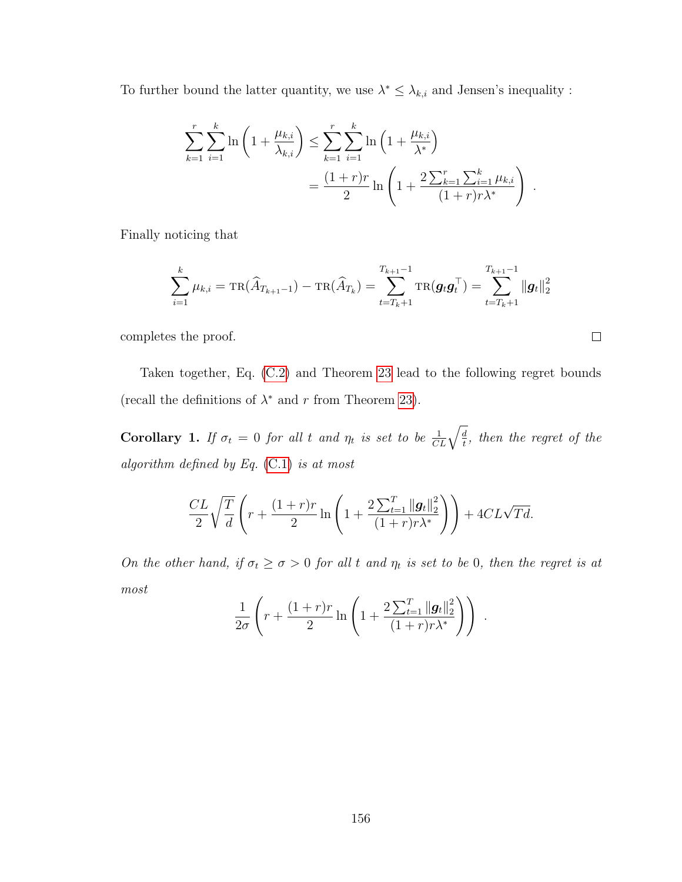To further bound the latter quantity, we use  $\lambda^* \leq \lambda_{k,i}$  and Jensen's inequality :

$$
\sum_{k=1}^{r} \sum_{i=1}^{k} \ln \left( 1 + \frac{\mu_{k,i}}{\lambda_{k,i}} \right) \leq \sum_{k=1}^{r} \sum_{i=1}^{k} \ln \left( 1 + \frac{\mu_{k,i}}{\lambda^{*}} \right)
$$

$$
= \frac{(1+r)r}{2} \ln \left( 1 + \frac{2 \sum_{k=1}^{r} \sum_{i=1}^{k} \mu_{k,i}}{(1+r)r\lambda^{*}} \right) .
$$

Finally noticing that

$$
\sum_{i=1}^{k} \mu_{k,i} = \text{TR}(\widehat{A}_{T_{k+1}-1}) - \text{TR}(\widehat{A}_{T_k}) = \sum_{t=T_k+1}^{T_{k+1}-1} \text{TR}(\boldsymbol{g}_t \boldsymbol{g}_t^{\top}) = \sum_{t=T_k+1}^{T_{k+1}-1} ||\boldsymbol{g}_t||_2^2
$$

completes the proof.

Taken together, Eq. [\(C.2\)](#page-166-0) and Theorem [23](#page-166-1) lead to the following regret bounds (recall the definitions of  $\lambda^*$  and r from Theorem [23\)](#page-166-1).

**Corollary 1.** If  $\sigma_t = 0$  for all t and  $\eta_t$  is set to be  $\frac{1}{CL}\sqrt{\frac{d}{t}}$  $\frac{d}{t}$ , then the regret of the algorithm defined by Eq.  $(C.1)$  is at most

$$
\frac{CL}{2}\sqrt{\frac{T}{d}}\left(r+\frac{(1+r)r}{2}\ln\left(1+\frac{2\sum_{t=1}^{T}\|\boldsymbol{g}_{t}\|_{2}^{2}}{(1+r)r\lambda^{*}}\right)\right)+4CL\sqrt{Td}.
$$

On the other hand, if  $\sigma_t \geq \sigma > 0$  for all t and  $\eta_t$  is set to be 0, then the regret is at most

$$
\frac{1}{2\sigma} \left( r + \frac{(1+r)r}{2} \ln \left( 1 + \frac{2 \sum_{t=1}^{T} ||g_t||_2^2}{(1+r)r\lambda^*} \right) \right) .
$$

 $\Box$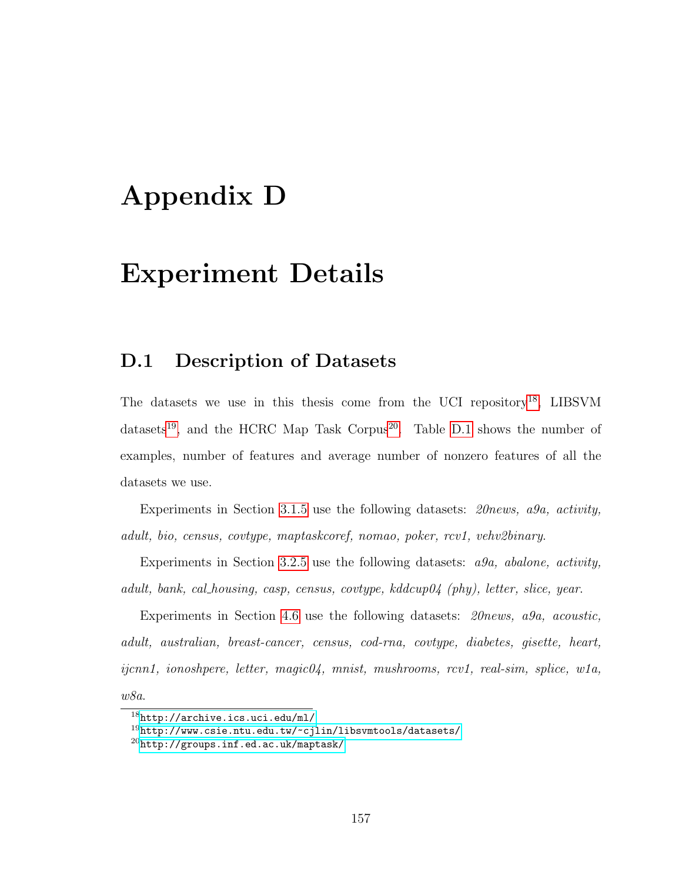## Appendix D

## Experiment Details

### D.1 Description of Datasets

The datasets we use in this thesis come from the UCI repository<sup>[18](#page-169-0)</sup>, LIBSVM datasets<sup>[19](#page-169-1)</sup>, and the HCRC Map Task Corpus<sup>[20](#page-169-2)</sup>. Table [D.1](#page-170-0) shows the number of examples, number of features and average number of nonzero features of all the datasets we use.

Experiments in Section [3.1.5](#page-87-0) use the following datasets: 20news, a9a, activity, adult, bio, census, covtype, maptaskcoref, nomao, poker, rcv1, vehv2binary.

Experiments in Section [3.2.5](#page-107-0) use the following datasets: a9a, abalone, activity, adult, bank, cal housing, casp, census, covtype,  $kddcupp04$  (phy), letter, slice, year.

Experiments in Section [4.6](#page-138-0) use the following datasets: 20news, a9a, acoustic, adult, australian, breast-cancer, census, cod-rna, covtype, diabetes, gisette, heart, ijcnn1, ionoshpere, letter, magic04, mnist, mushrooms, rcv1, real-sim, splice, w1a, w8a.

<span id="page-169-0"></span> $18$ <http://archive.ics.uci.edu/ml/>

<span id="page-169-1"></span><sup>19</sup><http://www.csie.ntu.edu.tw/~cjlin/libsvmtools/datasets/>

<span id="page-169-2"></span><sup>20</sup><http://groups.inf.ed.ac.uk/maptask/>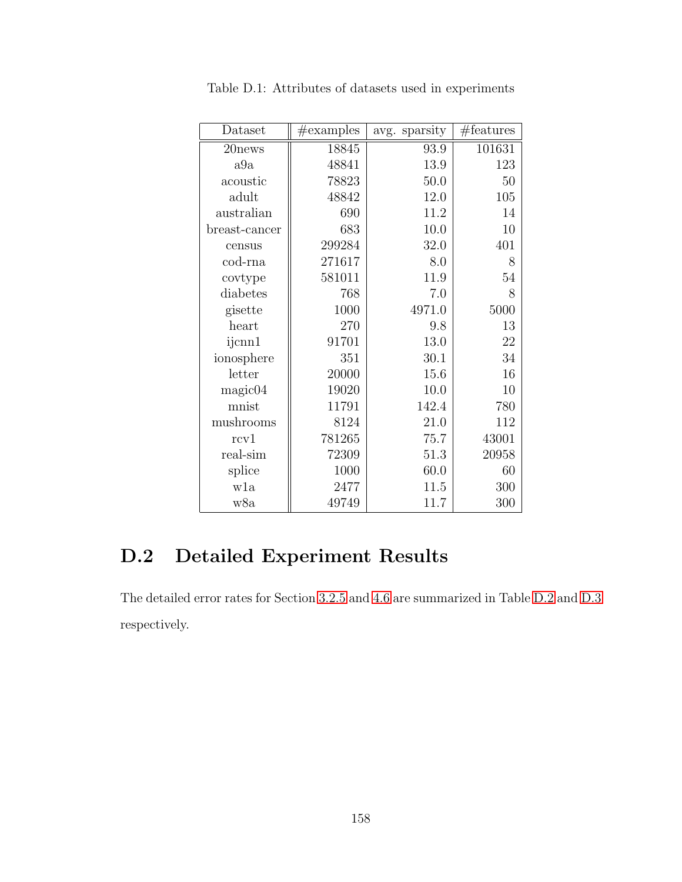| Dataset       | $\#\text{examples}$ | avg. sparsity | #features |
|---------------|---------------------|---------------|-----------|
| 20news        | 18845               | 93.9          | 101631    |
| a9a           | 48841               | 13.9          | 123       |
| acoustic      | 78823               | 50.0          | 50        |
| adult         | 48842               | 12.0          | 105       |
| australian    | 690                 | 11.2          | 14        |
| breast-cancer | 683                 | 10.0          | 10        |
| census        | 299284              | 32.0          | 401       |
| cod-rna       | 271617              | 8.0           | 8         |
| covtype       | 581011              | 11.9          | 54        |
| diabetes      | 768                 | 7.0           | 8         |
| gisette       | 1000                | 4971.0        | 5000      |
| heart         | 270                 | 9.8           | 13        |
| ijcnn1        | 91701               | 13.0          | 22        |
| ionosphere    | 351                 | 30.1          | 34        |
| letter        | 20000               | 15.6          | 16        |
| magic04       | 19020               | 10.0          | 10        |
| mnist         | 11791               | 142.4         | 780       |
| mushrooms     | 8124                | 21.0          | 112       |
| rcv1          | 781265              | 75.7          | 43001     |
| real-sim      | 72309               | 51.3          | 20958     |
| splice        | 1000                | 60.0          | 60        |
| w1a           | 2477                | 11.5          | 300       |
| w8a           | 49749               | 11.7          | $300\,$   |

<span id="page-170-0"></span>Table D.1: Attributes of datasets used in experiments

### D.2 Detailed Experiment Results

The detailed error rates for Section [3.2.5](#page-107-0) and [4.6](#page-138-0) are summarized in Table [D.2](#page-171-0) and [D.3](#page-172-0) respectively.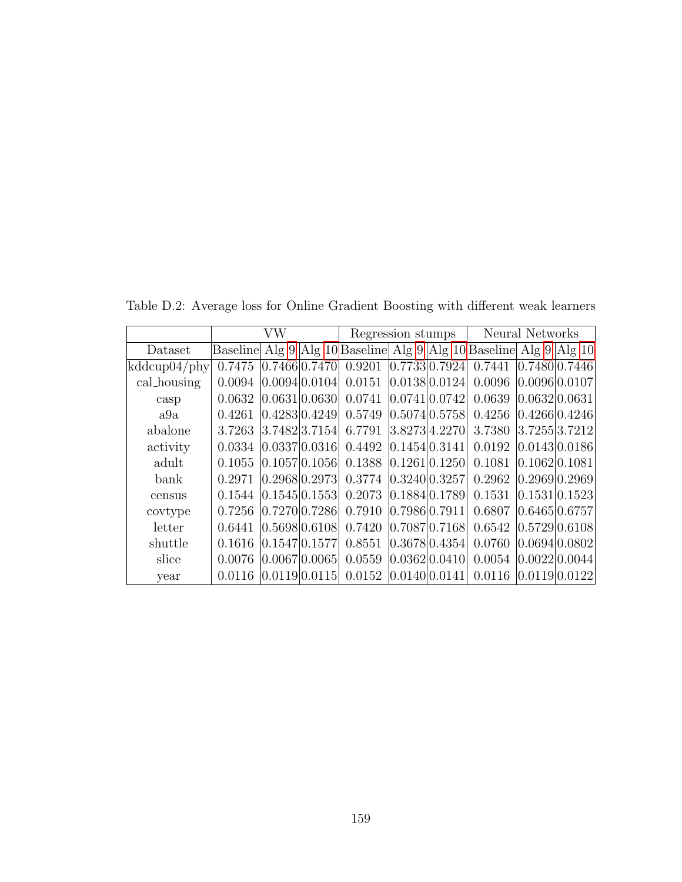VW Regression stumps Neural Networks Dataset | Baseline Alg [9](#page-94-0) | Alg [10](#page-96-0) | Baseline | Alg 9 | Alg 10 | Baseline | Alg 9 | Alg 10 kddcup04/phy| 0.7475 |0.7466|0.7470| 0.9201 |0.7733|0.7924| 0.7441 |0.7480|0.7446 cal housing  $\mid 0.0094 \mid 0.0094 \mid 0.0104 \mid 0.0151 \mid 0.0138 \mid 0.0124 \mid 0.0096 \mid 0.0096 \mid 0.0107$ casp  $\begin{bmatrix} 0.0632 & 0.0631 & 0.0630 & 0.0741 & 0.0741 & 0.0742 & 0.0639 & 0.0632 & 0.0631 \end{bmatrix}$ a9a 0.4261 0.4283 0.4249 0.5749 0.5074 0.5758 0.4256 0.4266 0.4246 abalone | 3.7263 | 3.7482 | 3.7154 | 6.7791 | 3.8273 | 4.2270 | 3.7380 | 3.7255 | 3.7212 activity  $\begin{bmatrix} 0.0334 & 0.0337 & 0.0316 & 0.4492 & 0.1454 & 0.0191 & 0.0192 & 0.0143 & 0.0186 \end{bmatrix}$ adult | 0.1055 | 0.1057 | 0.1056 | 0.1388 | 0.1261 | 0.1250 | 0.1081 | 0.1062 | 0.1081 bank | 0.2971  $|0.2968|0.2973|$  0.3774  $|0.3240|0.3257|$  0.2962  $|0.2969|0.2969$ census 0.1544 0.1545 0.1553 0.2073 0.1884 0.1789 0.1531 0.1531 0.1523 covtype  $\begin{bmatrix} 0.7256 & 0.7270 & 0.7286 \\ 0.7270 & 0.7910 & 0.7986 \\ 0.7911 & 0.6807 & 0.6465 \\ 0.6757 & 0.6911 & 0.6912 \end{bmatrix}$ letter  $\vert$  0.6441  $\vert$ 0.5698 $\vert$ 0.6108 0.7420  $\vert$ 0.7087 $\vert$ 0.7168 0.6542  $\vert$ 0.5729 $\vert$ 0.6108

shuttle | 0.1616 | 0.1547 | 0.1577 | 0.8551 | 0.3678 | 0.4354 | 0.0760 | 0.0694 | 0.0802 slice  $\vert$  0.0076  $\vert$ 0.0067 $\vert$ 0.0065 $\vert$  0.0559  $\vert$ 0.0362 $\vert$ 0.0410 $\vert$  0.0054  $\vert$ 0.0022 $\vert$ 0.0044 year  $\vert$  0.0116  $\vert$ 0.0119 $\vert$ 0.0115 $\vert$  0.0152  $\vert$ 0.0140 $\vert$ 0.0141 $\vert$  0.0116  $\vert$ 0.0119 $\vert$ 0.0122

<span id="page-171-0"></span>Table D.2: Average loss for Online Gradient Boosting with different weak learners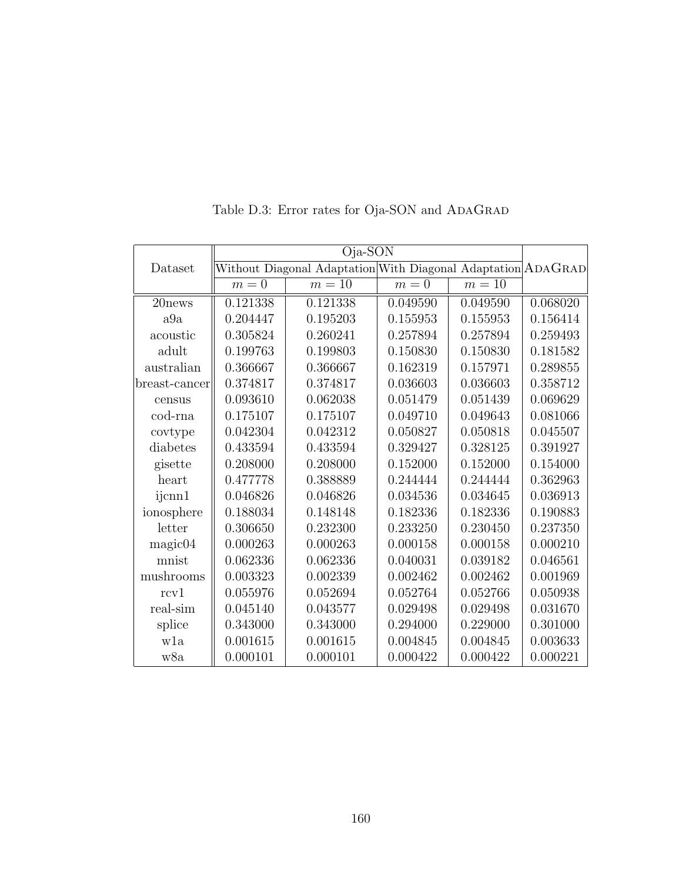<span id="page-172-0"></span>

|               | Oja-SON                                                      |          |          |          |          |
|---------------|--------------------------------------------------------------|----------|----------|----------|----------|
| Dataset       | Without Diagonal Adaptation With Diagonal Adaptation ADAGRAD |          |          |          |          |
|               | $m=0$                                                        | $m=10$   | $m=0$    | $m=10$   |          |
| 20news        | 0.121338                                                     | 0.121338 | 0.049590 | 0.049590 | 0.068020 |
| a9a           | 0.204447                                                     | 0.195203 | 0.155953 | 0.155953 | 0.156414 |
| acoustic      | 0.305824                                                     | 0.260241 | 0.257894 | 0.257894 | 0.259493 |
| adult         | 0.199763                                                     | 0.199803 | 0.150830 | 0.150830 | 0.181582 |
| australian    | 0.366667                                                     | 0.366667 | 0.162319 | 0.157971 | 0.289855 |
| breast-cancer | 0.374817                                                     | 0.374817 | 0.036603 | 0.036603 | 0.358712 |
| census        | 0.093610                                                     | 0.062038 | 0.051479 | 0.051439 | 0.069629 |
| cod-rna       | 0.175107                                                     | 0.175107 | 0.049710 | 0.049643 | 0.081066 |
| covtype       | 0.042304                                                     | 0.042312 | 0.050827 | 0.050818 | 0.045507 |
| diabetes      | 0.433594                                                     | 0.433594 | 0.329427 | 0.328125 | 0.391927 |
| gisette       | 0.208000                                                     | 0.208000 | 0.152000 | 0.152000 | 0.154000 |
| heart         | 0.477778                                                     | 0.388889 | 0.244444 | 0.244444 | 0.362963 |
| ijcnn1        | 0.046826                                                     | 0.046826 | 0.034536 | 0.034645 | 0.036913 |
| ionosphere    | 0.188034                                                     | 0.148148 | 0.182336 | 0.182336 | 0.190883 |
| letter        | 0.306650                                                     | 0.232300 | 0.233250 | 0.230450 | 0.237350 |
| magic04       | 0.000263                                                     | 0.000263 | 0.000158 | 0.000158 | 0.000210 |
| mnist         | 0.062336                                                     | 0.062336 | 0.040031 | 0.039182 | 0.046561 |
| mushrooms     | 0.003323                                                     | 0.002339 | 0.002462 | 0.002462 | 0.001969 |
| rcv1          | 0.055976                                                     | 0.052694 | 0.052764 | 0.052766 | 0.050938 |
| real-sim      | 0.045140                                                     | 0.043577 | 0.029498 | 0.029498 | 0.031670 |
| splice        | 0.343000                                                     | 0.343000 | 0.294000 | 0.229000 | 0.301000 |
| wla           | 0.001615                                                     | 0.001615 | 0.004845 | 0.004845 | 0.003633 |
| w8a           | 0.000101                                                     | 0.000101 | 0.000422 | 0.000422 | 0.000221 |

Table D.3: Error rates for Oja-SON and  ${\bf ADAGRAD}$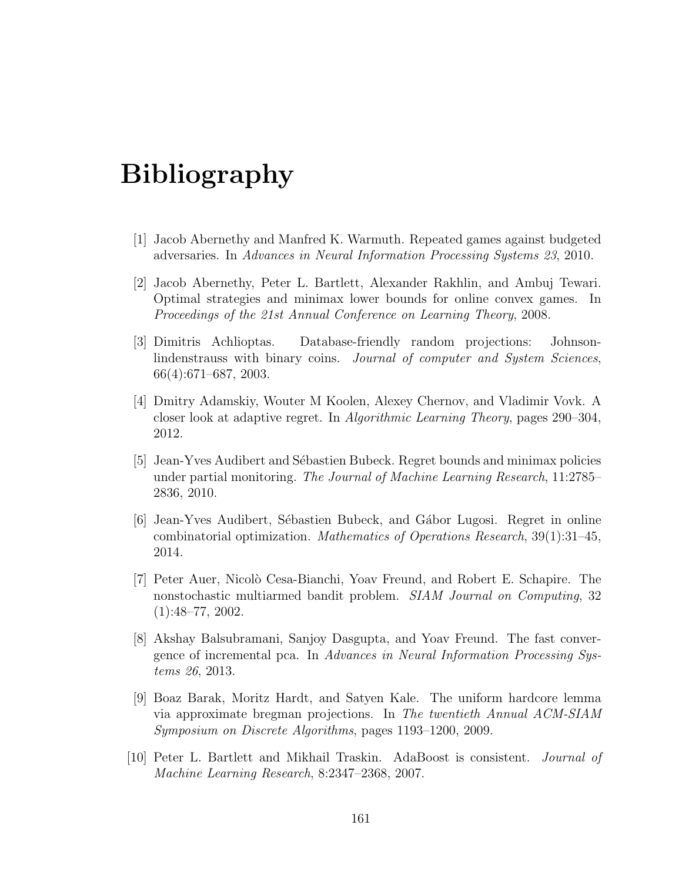## Bibliography

- [1] Jacob Abernethy and Manfred K. Warmuth. Repeated games against budgeted adversaries. In Advances in Neural Information Processing Systems 23, 2010.
- [2] Jacob Abernethy, Peter L. Bartlett, Alexander Rakhlin, and Ambuj Tewari. Optimal strategies and minimax lower bounds for online convex games. In Proceedings of the 21st Annual Conference on Learning Theory, 2008.
- [3] Dimitris Achlioptas. Database-friendly random projections: Johnsonlindenstrauss with binary coins. Journal of computer and System Sciences, 66(4):671–687, 2003.
- [4] Dmitry Adamskiy, Wouter M Koolen, Alexey Chernov, and Vladimir Vovk. A closer look at adaptive regret. In Algorithmic Learning Theory, pages 290–304, 2012.
- [5] Jean-Yves Audibert and Sébastien Bubeck. Regret bounds and minimax policies under partial monitoring. The Journal of Machine Learning Research, 11:2785– 2836, 2010.
- [6] Jean-Yves Audibert, Sébastien Bubeck, and Gábor Lugosi. Regret in online combinatorial optimization. Mathematics of Operations Research,  $39(1):31-45$ , 2014.
- [7] Peter Auer, Nicol`o Cesa-Bianchi, Yoav Freund, and Robert E. Schapire. The nonstochastic multiarmed bandit problem. SIAM Journal on Computing, 32 (1):48–77, 2002.
- [8] Akshay Balsubramani, Sanjoy Dasgupta, and Yoav Freund. The fast convergence of incremental pca. In Advances in Neural Information Processing Systems 26, 2013.
- [9] Boaz Barak, Moritz Hardt, and Satyen Kale. The uniform hardcore lemma via approximate bregman projections. In The twentieth Annual ACM-SIAM Symposium on Discrete Algorithms, pages 1193–1200, 2009.
- [10] Peter L. Bartlett and Mikhail Traskin. AdaBoost is consistent. Journal of Machine Learning Research, 8:2347–2368, 2007.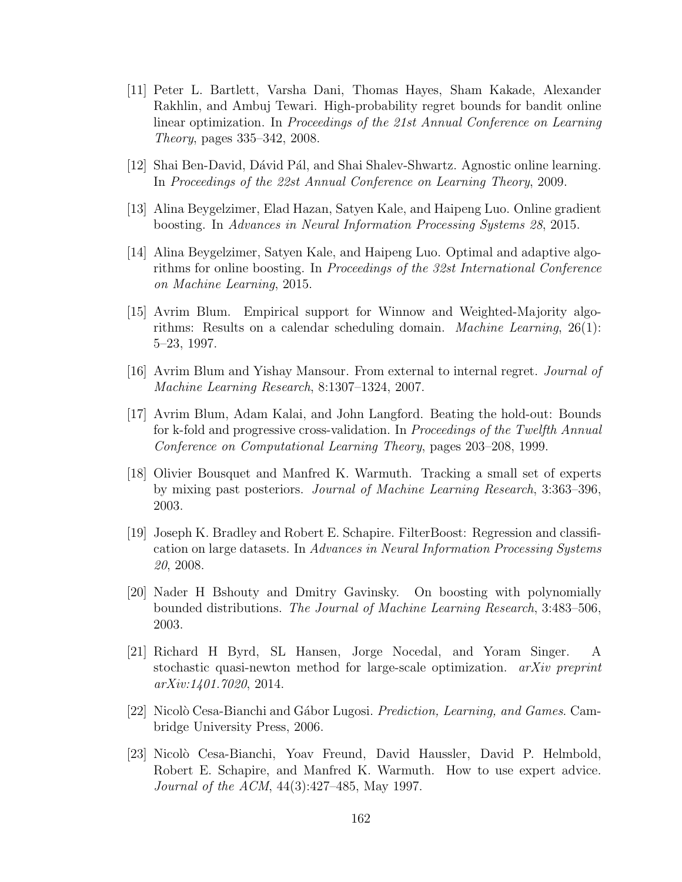- <span id="page-174-0"></span>[11] Peter L. Bartlett, Varsha Dani, Thomas Hayes, Sham Kakade, Alexander Rakhlin, and Ambuj Tewari. High-probability regret bounds for bandit online linear optimization. In Proceedings of the 21st Annual Conference on Learning Theory, pages 335–342, 2008.
- [12] Shai Ben-David, Dávid Pál, and Shai Shalev-Shwartz. Agnostic online learning. In Proceedings of the 22st Annual Conference on Learning Theory, 2009.
- [13] Alina Beygelzimer, Elad Hazan, Satyen Kale, and Haipeng Luo. Online gradient boosting. In Advances in Neural Information Processing Systems 28, 2015.
- [14] Alina Beygelzimer, Satyen Kale, and Haipeng Luo. Optimal and adaptive algorithms for online boosting. In Proceedings of the 32st International Conference on Machine Learning, 2015.
- [15] Avrim Blum. Empirical support for Winnow and Weighted-Majority algorithms: Results on a calendar scheduling domain. Machine Learning, 26(1): 5–23, 1997.
- [16] Avrim Blum and Yishay Mansour. From external to internal regret. Journal of Machine Learning Research, 8:1307–1324, 2007.
- [17] Avrim Blum, Adam Kalai, and John Langford. Beating the hold-out: Bounds for k-fold and progressive cross-validation. In Proceedings of the Twelfth Annual Conference on Computational Learning Theory, pages 203–208, 1999.
- [18] Olivier Bousquet and Manfred K. Warmuth. Tracking a small set of experts by mixing past posteriors. Journal of Machine Learning Research, 3:363–396, 2003.
- [19] Joseph K. Bradley and Robert E. Schapire. FilterBoost: Regression and classification on large datasets. In Advances in Neural Information Processing Systems 20, 2008.
- [20] Nader H Bshouty and Dmitry Gavinsky. On boosting with polynomially bounded distributions. The Journal of Machine Learning Research, 3:483–506, 2003.
- [21] Richard H Byrd, SL Hansen, Jorge Nocedal, and Yoram Singer. A stochastic quasi-newton method for large-scale optimization. arXiv preprint arXiv:1401.7020, 2014.
- [22] Nicolò Cesa-Bianchi and Gábor Lugosi. *Prediction, Learning, and Games.* Cambridge University Press, 2006.
- [23] Nicolò Cesa-Bianchi, Yoav Freund, David Haussler, David P. Helmbold, Robert E. Schapire, and Manfred K. Warmuth. How to use expert advice. Journal of the ACM, 44(3):427–485, May 1997.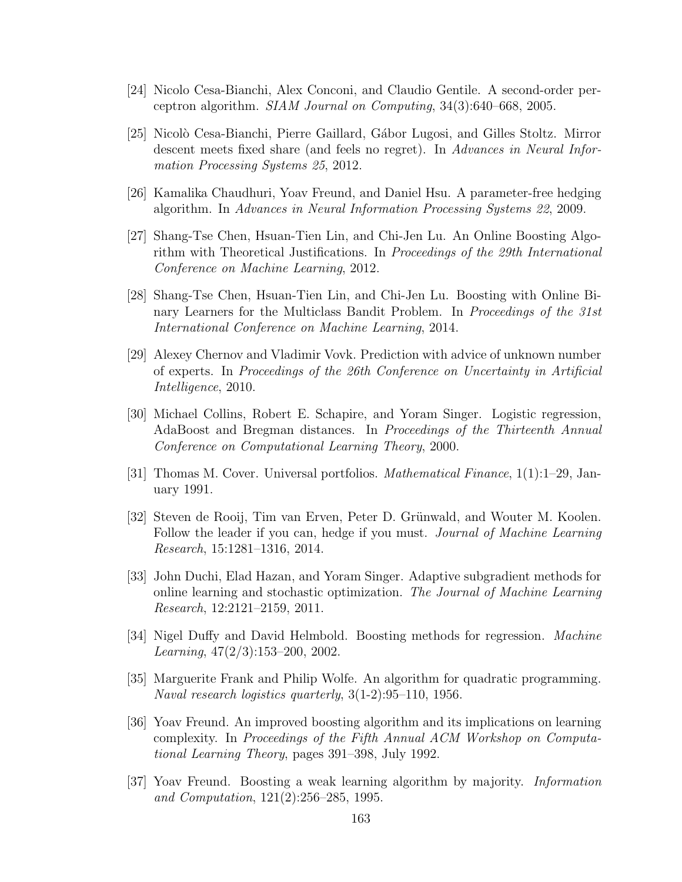- <span id="page-175-0"></span>[24] Nicolo Cesa-Bianchi, Alex Conconi, and Claudio Gentile. A second-order perceptron algorithm. SIAM Journal on Computing, 34(3):640–668, 2005.
- [25] Nicolò Cesa-Bianchi, Pierre Gaillard, Gábor Lugosi, and Gilles Stoltz. Mirror descent meets fixed share (and feels no regret). In Advances in Neural Information Processing Systems 25, 2012.
- [26] Kamalika Chaudhuri, Yoav Freund, and Daniel Hsu. A parameter-free hedging algorithm. In Advances in Neural Information Processing Systems 22, 2009.
- [27] Shang-Tse Chen, Hsuan-Tien Lin, and Chi-Jen Lu. An Online Boosting Algorithm with Theoretical Justifications. In Proceedings of the 29th International Conference on Machine Learning, 2012.
- [28] Shang-Tse Chen, Hsuan-Tien Lin, and Chi-Jen Lu. Boosting with Online Binary Learners for the Multiclass Bandit Problem. In Proceedings of the 31st International Conference on Machine Learning, 2014.
- [29] Alexey Chernov and Vladimir Vovk. Prediction with advice of unknown number of experts. In Proceedings of the 26th Conference on Uncertainty in Artificial Intelligence, 2010.
- [30] Michael Collins, Robert E. Schapire, and Yoram Singer. Logistic regression, AdaBoost and Bregman distances. In Proceedings of the Thirteenth Annual Conference on Computational Learning Theory, 2000.
- [31] Thomas M. Cover. Universal portfolios. Mathematical Finance, 1(1):1–29, January 1991.
- [32] Steven de Rooij, Tim van Erven, Peter D. Grünwald, and Wouter M. Koolen. Follow the leader if you can, hedge if you must. *Journal of Machine Learning* Research, 15:1281–1316, 2014.
- [33] John Duchi, Elad Hazan, and Yoram Singer. Adaptive subgradient methods for online learning and stochastic optimization. The Journal of Machine Learning Research, 12:2121–2159, 2011.
- [34] Nigel Duffy and David Helmbold. Boosting methods for regression. Machine Learning,  $47(2/3):153-200$ ,  $2002$ .
- [35] Marguerite Frank and Philip Wolfe. An algorithm for quadratic programming. Naval research logistics quarterly, 3(1-2):95–110, 1956.
- [36] Yoav Freund. An improved boosting algorithm and its implications on learning complexity. In Proceedings of the Fifth Annual ACM Workshop on Computational Learning Theory, pages 391–398, July 1992.
- [37] Yoav Freund. Boosting a weak learning algorithm by majority. Information and Computation, 121(2):256–285, 1995.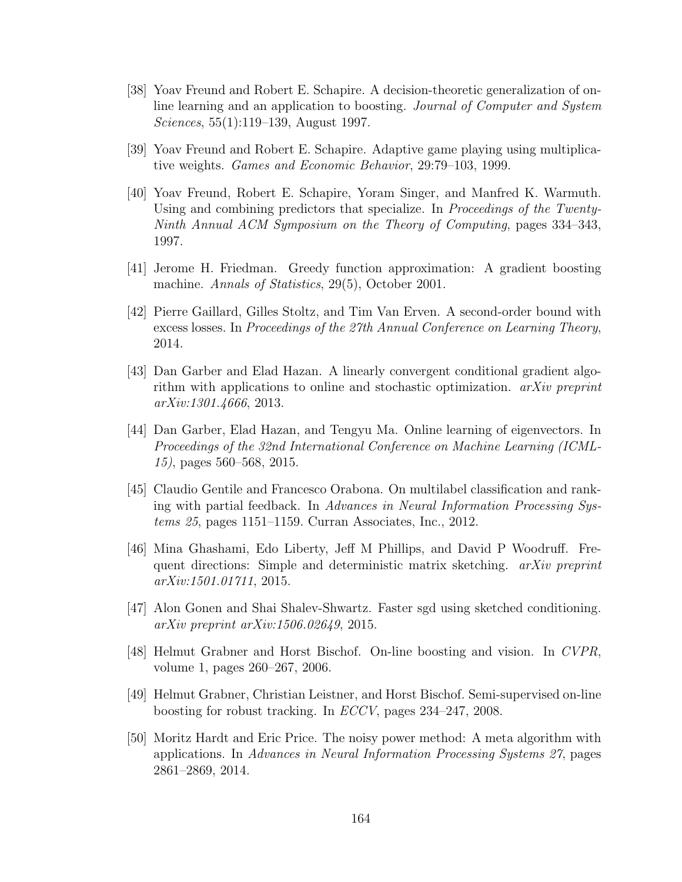- [38] Yoav Freund and Robert E. Schapire. A decision-theoretic generalization of online learning and an application to boosting. Journal of Computer and System Sciences, 55(1):119–139, August 1997.
- [39] Yoav Freund and Robert E. Schapire. Adaptive game playing using multiplicative weights. Games and Economic Behavior, 29:79–103, 1999.
- [40] Yoav Freund, Robert E. Schapire, Yoram Singer, and Manfred K. Warmuth. Using and combining predictors that specialize. In *Proceedings of the Twenty-*Ninth Annual ACM Symposium on the Theory of Computing, pages 334–343, 1997.
- <span id="page-176-0"></span>[41] Jerome H. Friedman. Greedy function approximation: A gradient boosting machine. Annals of Statistics, 29(5), October 2001.
- [42] Pierre Gaillard, Gilles Stoltz, and Tim Van Erven. A second-order bound with excess losses. In Proceedings of the 27th Annual Conference on Learning Theory, 2014.
- [43] Dan Garber and Elad Hazan. A linearly convergent conditional gradient algorithm with applications to online and stochastic optimization. arXiv preprint arXiv:1301.4666, 2013.
- [44] Dan Garber, Elad Hazan, and Tengyu Ma. Online learning of eigenvectors. In Proceedings of the 32nd International Conference on Machine Learning (ICML-15), pages 560–568, 2015.
- [45] Claudio Gentile and Francesco Orabona. On multilabel classification and ranking with partial feedback. In Advances in Neural Information Processing Systems 25, pages 1151–1159. Curran Associates, Inc., 2012.
- [46] Mina Ghashami, Edo Liberty, Jeff M Phillips, and David P Woodruff. Frequent directions: Simple and deterministic matrix sketching. *arXiv preprint* arXiv:1501.01711, 2015.
- [47] Alon Gonen and Shai Shalev-Shwartz. Faster sgd using sketched conditioning. arXiv preprint arXiv:1506.02649, 2015.
- [48] Helmut Grabner and Horst Bischof. On-line boosting and vision. In CVPR, volume 1, pages 260–267, 2006.
- [49] Helmut Grabner, Christian Leistner, and Horst Bischof. Semi-supervised on-line boosting for robust tracking. In ECCV, pages 234–247, 2008.
- [50] Moritz Hardt and Eric Price. The noisy power method: A meta algorithm with applications. In Advances in Neural Information Processing Systems 27, pages 2861–2869, 2014.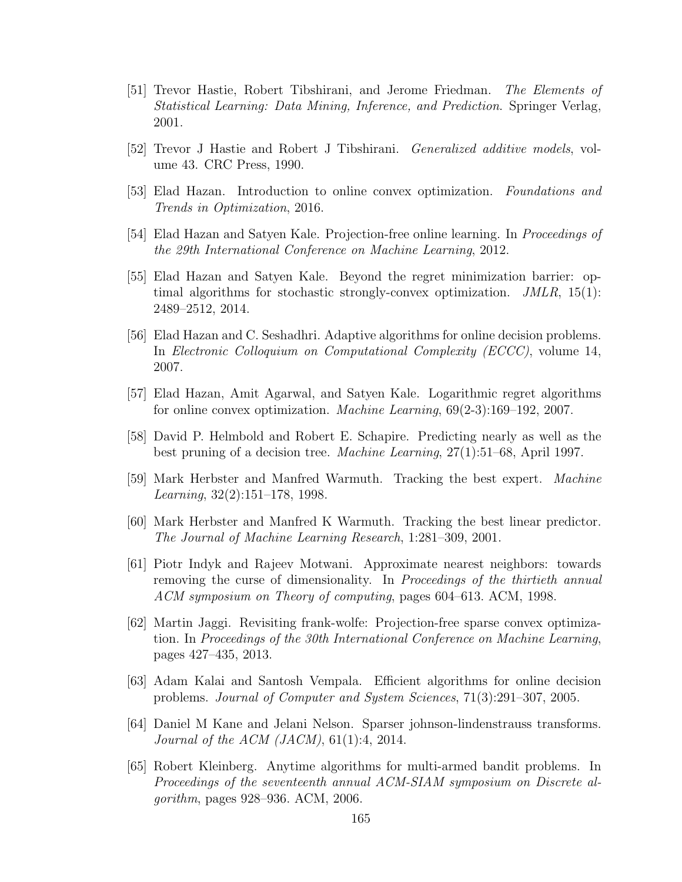- [51] Trevor Hastie, Robert Tibshirani, and Jerome Friedman. The Elements of Statistical Learning: Data Mining, Inference, and Prediction. Springer Verlag, 2001.
- [52] Trevor J Hastie and Robert J Tibshirani. Generalized additive models, volume 43. CRC Press, 1990.
- [53] Elad Hazan. Introduction to online convex optimization. Foundations and Trends in Optimization, 2016.
- [54] Elad Hazan and Satyen Kale. Projection-free online learning. In Proceedings of the 29th International Conference on Machine Learning, 2012.
- [55] Elad Hazan and Satyen Kale. Beyond the regret minimization barrier: optimal algorithms for stochastic strongly-convex optimization. JMLR, 15(1): 2489–2512, 2014.
- [56] Elad Hazan and C. Seshadhri. Adaptive algorithms for online decision problems. In Electronic Colloquium on Computational Complexity (ECCC), volume 14, 2007.
- <span id="page-177-0"></span>[57] Elad Hazan, Amit Agarwal, and Satyen Kale. Logarithmic regret algorithms for online convex optimization. Machine Learning, 69(2-3):169–192, 2007.
- [58] David P. Helmbold and Robert E. Schapire. Predicting nearly as well as the best pruning of a decision tree. Machine Learning, 27(1):51–68, April 1997.
- [59] Mark Herbster and Manfred Warmuth. Tracking the best expert. Machine Learning, 32(2):151–178, 1998.
- [60] Mark Herbster and Manfred K Warmuth. Tracking the best linear predictor. The Journal of Machine Learning Research, 1:281–309, 2001.
- [61] Piotr Indyk and Rajeev Motwani. Approximate nearest neighbors: towards removing the curse of dimensionality. In *Proceedings of the thirtieth annual* ACM symposium on Theory of computing, pages 604–613. ACM, 1998.
- [62] Martin Jaggi. Revisiting frank-wolfe: Projection-free sparse convex optimization. In Proceedings of the 30th International Conference on Machine Learning, pages 427–435, 2013.
- [63] Adam Kalai and Santosh Vempala. Efficient algorithms for online decision problems. Journal of Computer and System Sciences, 71(3):291–307, 2005.
- [64] Daniel M Kane and Jelani Nelson. Sparser johnson-lindenstrauss transforms. *Journal of the ACM (JACM)*,  $61(1):4$ ,  $2014$ .
- [65] Robert Kleinberg. Anytime algorithms for multi-armed bandit problems. In Proceedings of the seventeenth annual ACM-SIAM symposium on Discrete algorithm, pages 928–936. ACM, 2006.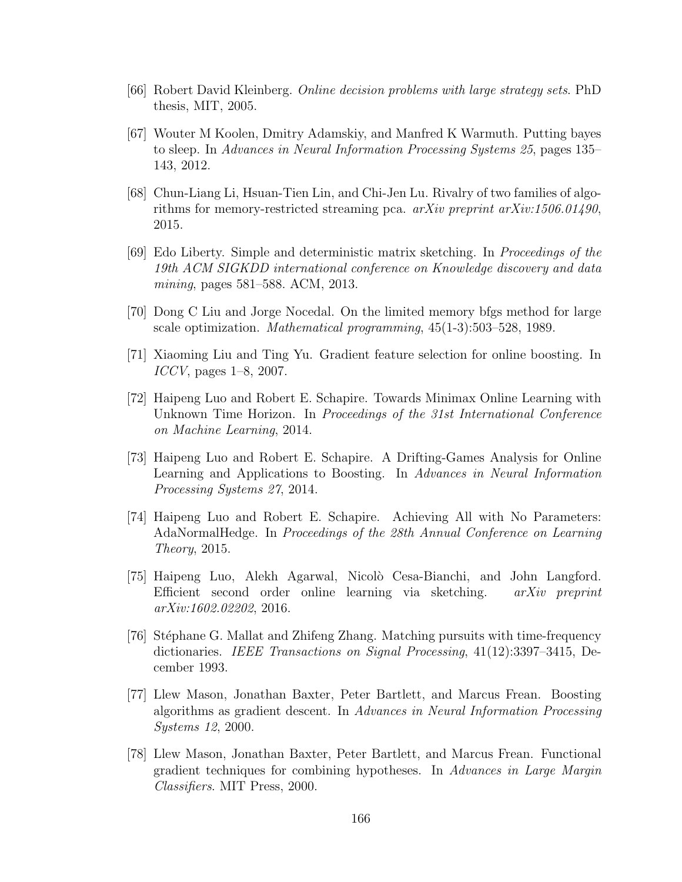- [66] Robert David Kleinberg. Online decision problems with large strategy sets. PhD thesis, MIT, 2005.
- [67] Wouter M Koolen, Dmitry Adamskiy, and Manfred K Warmuth. Putting bayes to sleep. In Advances in Neural Information Processing Systems 25, pages 135– 143, 2012.
- [68] Chun-Liang Li, Hsuan-Tien Lin, and Chi-Jen Lu. Rivalry of two families of algorithms for memory-restricted streaming pca.  $arXiv$  preprint  $arXiv:1506.01490$ , 2015.
- [69] Edo Liberty. Simple and deterministic matrix sketching. In Proceedings of the 19th ACM SIGKDD international conference on Knowledge discovery and data mining, pages 581–588. ACM, 2013.
- [70] Dong C Liu and Jorge Nocedal. On the limited memory bfgs method for large scale optimization. Mathematical programming, 45(1-3):503–528, 1989.
- [71] Xiaoming Liu and Ting Yu. Gradient feature selection for online boosting. In ICCV, pages 1–8, 2007.
- [72] Haipeng Luo and Robert E. Schapire. Towards Minimax Online Learning with Unknown Time Horizon. In *Proceedings of the 31st International Conference* on Machine Learning, 2014.
- [73] Haipeng Luo and Robert E. Schapire. A Drifting-Games Analysis for Online Learning and Applications to Boosting. In Advances in Neural Information Processing Systems 27, 2014.
- [74] Haipeng Luo and Robert E. Schapire. Achieving All with No Parameters: AdaNormalHedge. In Proceedings of the 28th Annual Conference on Learning Theory, 2015.
- [75] Haipeng Luo, Alekh Agarwal, Nicol`o Cesa-Bianchi, and John Langford. Efficient second order online learning via sketching.  $arXiv$  preprint arXiv:1602.02202, 2016.
- <span id="page-178-0"></span>[76] St´ephane G. Mallat and Zhifeng Zhang. Matching pursuits with time-frequency dictionaries. IEEE Transactions on Signal Processing, 41(12):3397–3415, December 1993.
- [77] Llew Mason, Jonathan Baxter, Peter Bartlett, and Marcus Frean. Boosting algorithms as gradient descent. In Advances in Neural Information Processing Systems 12, 2000.
- [78] Llew Mason, Jonathan Baxter, Peter Bartlett, and Marcus Frean. Functional gradient techniques for combining hypotheses. In Advances in Large Margin Classifiers. MIT Press, 2000.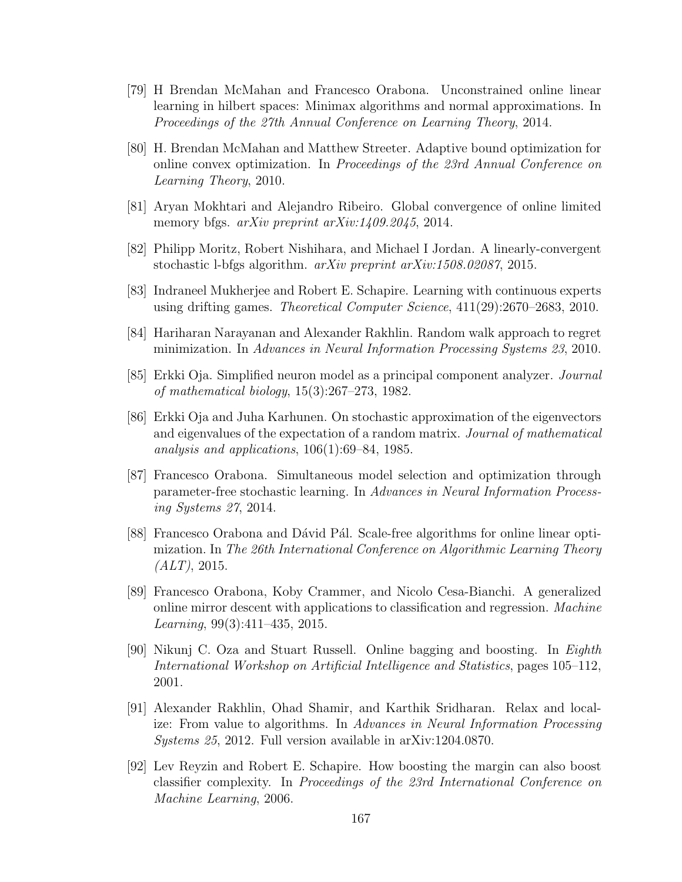- [79] H Brendan McMahan and Francesco Orabona. Unconstrained online linear learning in hilbert spaces: Minimax algorithms and normal approximations. In Proceedings of the 27th Annual Conference on Learning Theory, 2014.
- [80] H. Brendan McMahan and Matthew Streeter. Adaptive bound optimization for online convex optimization. In Proceedings of the 23rd Annual Conference on Learning Theory, 2010.
- [81] Aryan Mokhtari and Alejandro Ribeiro. Global convergence of online limited memory bfgs. *arXiv preprint arXiv:1409.2045*, 2014.
- [82] Philipp Moritz, Robert Nishihara, and Michael I Jordan. A linearly-convergent stochastic l-bfgs algorithm. arXiv preprint arXiv:1508.02087, 2015.
- [83] Indraneel Mukherjee and Robert E. Schapire. Learning with continuous experts using drifting games. Theoretical Computer Science, 411(29):2670–2683, 2010.
- [84] Hariharan Narayanan and Alexander Rakhlin. Random walk approach to regret minimization. In Advances in Neural Information Processing Systems 23, 2010.
- [85] Erkki Oja. Simplified neuron model as a principal component analyzer. Journal of mathematical biology, 15(3):267–273, 1982.
- [86] Erkki Oja and Juha Karhunen. On stochastic approximation of the eigenvectors and eigenvalues of the expectation of a random matrix. Journal of mathematical analysis and applications, 106(1):69–84, 1985.
- [87] Francesco Orabona. Simultaneous model selection and optimization through parameter-free stochastic learning. In Advances in Neural Information Processing Systems 27, 2014.
- [88] Francesco Orabona and Dávid Pál. Scale-free algorithms for online linear optimization. In The 26th International Conference on Algorithmic Learning Theory  $(ALT)$ , 2015.
- [89] Francesco Orabona, Koby Crammer, and Nicolo Cesa-Bianchi. A generalized online mirror descent with applications to classification and regression. Machine Learning,  $99(3):411-435$ ,  $2015$ .
- [90] Nikunj C. Oza and Stuart Russell. Online bagging and boosting. In Eighth International Workshop on Artificial Intelligence and Statistics, pages 105–112, 2001.
- [91] Alexander Rakhlin, Ohad Shamir, and Karthik Sridharan. Relax and localize: From value to algorithms. In Advances in Neural Information Processing Systems 25, 2012. Full version available in arXiv:1204.0870.
- [92] Lev Reyzin and Robert E. Schapire. How boosting the margin can also boost classifier complexity. In Proceedings of the 23rd International Conference on Machine Learning, 2006.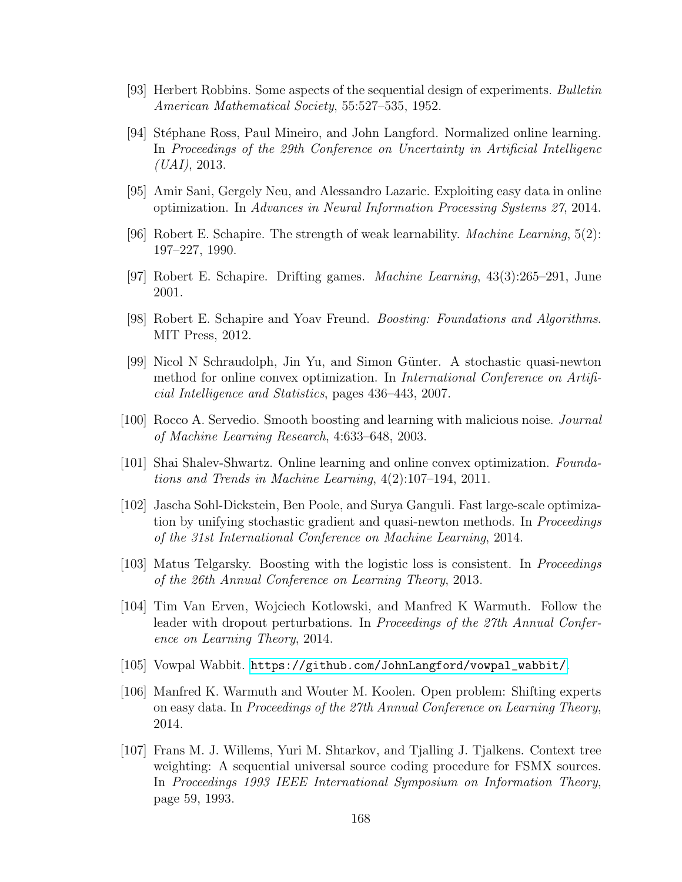- [93] Herbert Robbins. Some aspects of the sequential design of experiments. Bulletin American Mathematical Society, 55:527–535, 1952.
- [94] Stéphane Ross, Paul Mineiro, and John Langford. Normalized online learning. In Proceedings of the 29th Conference on Uncertainty in Artificial Intelligenc  $(UAI, 2013.$
- [95] Amir Sani, Gergely Neu, and Alessandro Lazaric. Exploiting easy data in online optimization. In Advances in Neural Information Processing Systems 27, 2014.
- [96] Robert E. Schapire. The strength of weak learnability. *Machine Learning*,  $5(2)$ : 197–227, 1990.
- [97] Robert E. Schapire. Drifting games. Machine Learning, 43(3):265–291, June 2001.
- [98] Robert E. Schapire and Yoav Freund. Boosting: Foundations and Algorithms. MIT Press, 2012.
- [99] Nicol N Schraudolph, Jin Yu, and Simon Günter. A stochastic quasi-newton method for online convex optimization. In International Conference on Artificial Intelligence and Statistics, pages 436–443, 2007.
- [100] Rocco A. Servedio. Smooth boosting and learning with malicious noise. Journal of Machine Learning Research, 4:633–648, 2003.
- [101] Shai Shalev-Shwartz. Online learning and online convex optimization. Foundations and Trends in Machine Learning, 4(2):107–194, 2011.
- [102] Jascha Sohl-Dickstein, Ben Poole, and Surya Ganguli. Fast large-scale optimization by unifying stochastic gradient and quasi-newton methods. In *Proceedings* of the 31st International Conference on Machine Learning, 2014.
- [103] Matus Telgarsky. Boosting with the logistic loss is consistent. In *Proceedings* of the 26th Annual Conference on Learning Theory, 2013.
- [104] Tim Van Erven, Wojciech Kotlowski, and Manfred K Warmuth. Follow the leader with dropout perturbations. In *Proceedings of the 27th Annual Confer*ence on Learning Theory, 2014.
- [105] Vowpal Wabbit. [https://github.com/JohnLangford/vowpal\\_wabbit/](https://github.com/JohnLangford/vowpal_wabbit/).
- [106] Manfred K. Warmuth and Wouter M. Koolen. Open problem: Shifting experts on easy data. In Proceedings of the 27th Annual Conference on Learning Theory, 2014.
- [107] Frans M. J. Willems, Yuri M. Shtarkov, and Tjalling J. Tjalkens. Context tree weighting: A sequential universal source coding procedure for FSMX sources. In Proceedings 1993 IEEE International Symposium on Information Theory, page 59, 1993.